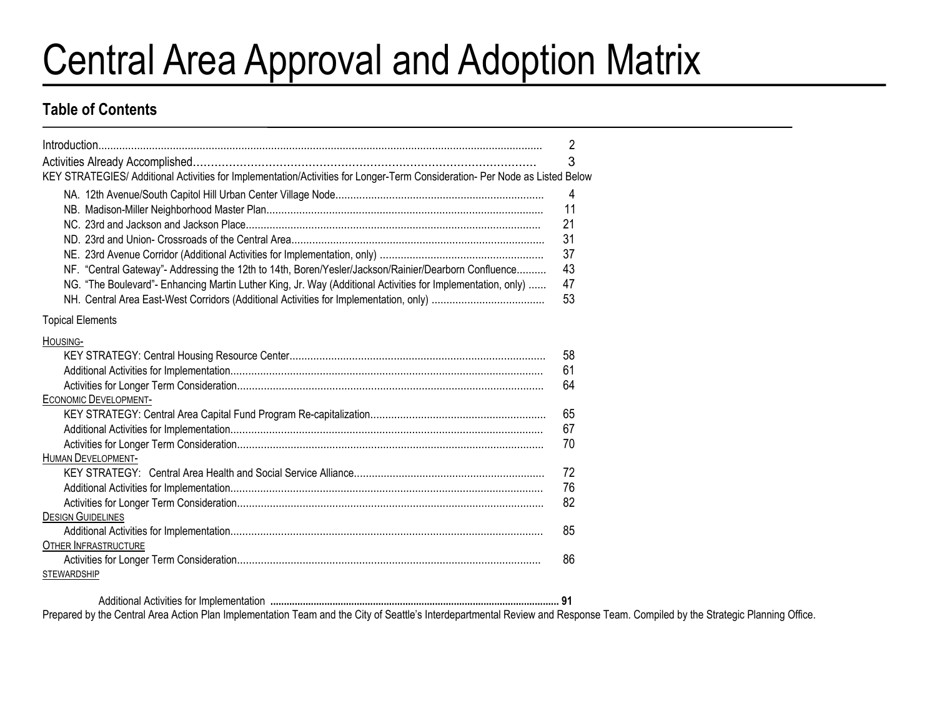# Central Area Approval and Adoption Matrix

#### **Table of Contents**

|                                                                                                                             | 2              |
|-----------------------------------------------------------------------------------------------------------------------------|----------------|
| KEY STRATEGIES/ Additional Activities for Implementation/Activities for Longer-Term Consideration- Per Node as Listed Below | 3              |
|                                                                                                                             |                |
|                                                                                                                             | $\overline{4}$ |
|                                                                                                                             | 11             |
|                                                                                                                             | 21             |
|                                                                                                                             | 31             |
|                                                                                                                             | 37             |
| NF. "Central Gateway"- Addressing the 12th to 14th, Boren/Yesler/Jackson/Rainier/Dearborn Confluence                        | 43             |
| NG. "The Boulevard"- Enhancing Martin Luther King, Jr. Way (Additional Activities for Implementation, only)                 | 47             |
|                                                                                                                             | 53             |
| <b>Topical Elements</b>                                                                                                     |                |
| HOUSING-                                                                                                                    |                |
|                                                                                                                             | 58             |
|                                                                                                                             | 61             |
|                                                                                                                             | 64             |
| <b>ECONOMIC DEVELOPMENT-</b>                                                                                                |                |
|                                                                                                                             | 65             |
|                                                                                                                             | 67             |
|                                                                                                                             | 70             |
| <b>HUMAN DEVELOPMENT-</b>                                                                                                   |                |
|                                                                                                                             | 72             |
|                                                                                                                             | 76             |
|                                                                                                                             | 82             |
| <b>DESIGN GUIDELINES</b>                                                                                                    |                |
|                                                                                                                             | 85             |
| <b>OTHER INFRASTRUCTURE</b>                                                                                                 |                |
|                                                                                                                             | 86             |
| <b>STEWARDSHIP</b>                                                                                                          |                |
|                                                                                                                             |                |

 Additional Activities for Implementation **........................................................................................................... 91** Prepared by the Central Area Action Plan Implementation Team and the City of Seattle's Interdepartmental Review and Response Team. Compiled by the Strategic Planning Office.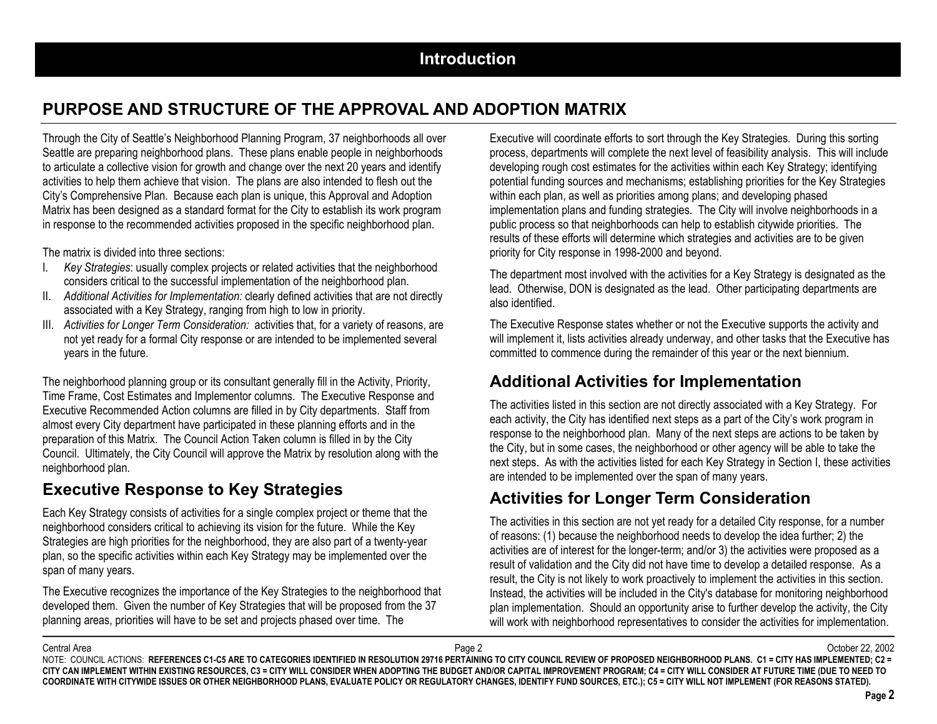# **PURPOSE AND STRUCTURE OF THE APPROVAL AND ADOPTION MATRIX**

Through the City of Seattle's Neighborhood Planning Program, 37 neighborhoods all over Seattle are preparing neighborhood plans. These plans enable people in neighborhoods to articulate a collective vision for growth and change over the next 20 years and identify activities to help them achieve that vision. The plans are also intended to flesh out the City's Comprehensive Plan. Because each plan is unique, this Approval and Adoption Matrix has been designed as a standard format for the City to establish its work program in response to the recommended activities proposed in the specific neighborhood plan.

The matrix is divided into three sections:

- I. *Key Strategies*: usually complex projects or related activities that the neighborhood considers critical to the successful implementation of the neighborhood plan.
- II. *Additional Activities for Implementation:* clearly defined activities that are not directly associated with a Key Strategy, ranging from high to low in priority.
- III. *Activities for Longer Term Consideration:* activities that, for a variety of reasons, are not yet ready for a formal City response or are intended to be implemented several years in the future.

The neighborhood planning group or its consultant generally fill in the Activity, Priority, Time Frame, Cost Estimates and Implementor columns. The Executive Response and Executive Recommended Action columns are filled in by City departments. Staff from almost every City department have participated in these planning efforts and in the preparation of this Matrix. The Council Action Taken column is filled in by the City Council. Ultimately, the City Council will approve the Matrix by resolution along with the neighborhood plan.

# **Executive Response to Key Strategies**

Each Key Strategy consists of activities for a single complex project or theme that the neighborhood considers critical to achieving its vision for the future. While the Key Strategies are high priorities for the neighborhood, they are also part of a twenty-year plan, so the specific activities within each Key Strategy may be implemented over the span of many years.

The Executive recognizes the importance of the Key Strategies to the neighborhood that developed them. Given the number of Key Strategies that will be proposed from the 37 planning areas, priorities will have to be set and projects phased over time. The

Executive will coordinate efforts to sort through the Key Strategies. During this sorting process, departments will complete the next level of feasibility analysis. This will include developing rough cost estimates for the activities within each Key Strategy; identifying potential funding sources and mechanisms; establishing priorities for the Key Strategies within each plan, as well as priorities among plans; and developing phased implementation plans and funding strategies. The City will involve neighborhoods in a public process so that neighborhoods can help to establish citywide priorities. The results of these efforts will determine which strategies and activities are to be given priority for City response in 1998-2000 and beyond.

The department most involved with the activities for a Key Strategy is designated as the lead. Otherwise, DON is designated as the lead. Other participating departments are also identified.

The Executive Response states whether or not the Executive supports the activity and will implement it, lists activities already underway, and other tasks that the Executive has committed to commence during the remainder of this year or the next biennium.

# **Additional Activities for Implementation**

The activities listed in this section are not directly associated with a Key Strategy. For each activity, the City has identified next steps as a part of the City's work program in response to the neighborhood plan. Many of the next steps are actions to be taken by the City, but in some cases, the neighborhood or other agency will be able to take the next steps. As with the activities listed for each Key Strategy in Section I, these activities are intended to be implemented over the span of many years.

# **Activities for Longer Term Consideration**

The activities in this section are not yet ready for a detailed City response, for a number of reasons: (1) because the neighborhood needs to develop the idea further; 2) the activities are of interest for the longer-term; and/or 3) the activities were proposed as a result of validation and the City did not have time to develop a detailed response. As a result, the City is not likely to work proactively to implement the activities in this section. Instead, the activities will be included in the City's database for monitoring neighborhood plan implementation. Should an opportunity arise to further develop the activity, the City will work with neighborhood representatives to consider the activities for implementation.

Central Area

a and the controller of the controller controller controller controller controller controller controller controller controller controller controller controller controller controller controller controller controller control NOTE: COUNCIL ACTIONS: REFERENCES C1-C5 ARE TO CATEGORIES IDENTIFIED IN RESOLUTION 29716 PERTAINING TO CITY COUNCIL REVIEW OF PROPOSED NEIGHBORHOOD PLANS. C1 = CITY HAS IMPLEMENTED; C2 = **CITY CAN IMPLEMENT WITHIN EXISTING RESOURCES, C3 = CITY WILL CONSIDER WHEN ADOPTING THE BUDGET AND/OR CAPITAL IMPROVEMENT PROGRAM; C4 = CITY WILL CONSIDER AT FUTURE TIME (DUE TO NEED TO COORDINATE WITH CITYWIDE ISSUES OR OTHER NEIGHBORHOOD PLANS, EVALUATE POLICY OR REGULATORY CHANGES, IDENTIFY FUND SOURCES, ETC.); C5 = CITY WILL NOT IMPLEMENT (FOR REASONS STATED).**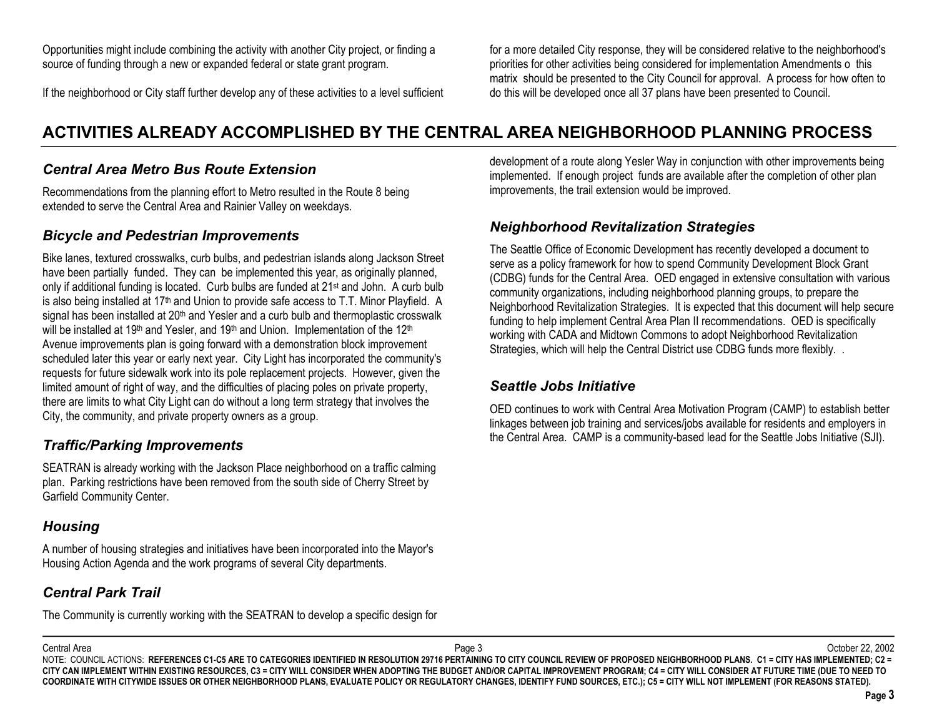Opportunities might include combining the activity with another City project, or finding a source of funding through a new or expanded federal or state grant program.

If the neighborhood or City staff further develop any of these activities to a level sufficient

for a more detailed City response, they will be considered relative to the neighborhood's priorities for other activities being considered for implementation Amendments o this matrix should be presented to the City Council for approval. A process for how often to do this will be developed once all 37 plans have been presented to Council.

# **ACTIVITIES ALREADY ACCOMPLISHED BY THE CENTRAL AREA NEIGHBORHOOD PLANNING PROCESS**

#### *Central Area Metro Bus Route Extension*

Recommendations from the planning effort to Metro resulted in the Route 8 being extended to serve the Central Area and Rainier Valley on weekdays.

#### *Bicycle and Pedestrian Improvements*

Bike lanes, textured crosswalks, curb bulbs, and pedestrian islands along Jackson Street have been partially funded. They can be implemented this year, as originally planned, only if additional funding is located. Curb bulbs are funded at 21st and John. A curb bulb is also being installed at 17th and Union to provide safe access to T.T. Minor Playfield. A signal has been installed at  $20<sup>th</sup>$  and Yesler and a curb bulb and thermoplastic crosswalk will be installed at 19<sup>th</sup> and Yesler, and 19<sup>th</sup> and Union. Implementation of the 12<sup>th</sup> Avenue improvements plan is going forward with a demonstration block improvement scheduled later this year or early next year. City Light has incorporated the community's requests for future sidewalk work into its pole replacement projects. However, given the limited amount of right of way, and the difficulties of placing poles on private property, there are limits to what City Light can do without a long term strategy that involves the City, the community, and private property owners as a group.

#### *Traffic/Parking Improvements*

SEATRAN is already working with the Jackson Place neighborhood on a traffic calming plan. Parking restrictions have been removed from the south side of Cherry Street by Garfield Community Center.

#### *Housing*

A number of housing strategies and initiatives have been incorporated into the Mayor's Housing Action Agenda and the work programs of several City departments.

#### *Central Park Trail*

The Community is currently working with the SEATRAN to develop a specific design for

development of a route along Yesler Way in conjunction with other improvements being implemented. If enough project funds are available after the completion of other plan improvements, the trail extension would be improved.

#### *Neighborhood Revitalization Strategies*

The Seattle Office of Economic Development has recently developed a document to serve as a policy framework for how to spend Community Development Block Grant (CDBG) funds for the Central Area. OED engaged in extensive consultation with various community organizations, including neighborhood planning groups, to prepare the Neighborhood Revitalization Strategies. It is expected that this document will help secure funding to help implement Central Area Plan II recommendations. OED is specifically working with CADA and Midtown Commons to adopt Neighborhood Revitalization Strategies, which will help the Central District use CDBG funds more flexibly. .

#### *Seattle Jobs Initiative*

OED continues to work with Central Area Motivation Program (CAMP) to establish better linkages between job training and services/jobs available for residents and employers in the Central Area. CAMP is a community-based lead for the Seattle Jobs Initiative (SJI).

Central Area

 Page 3 October 22, 2002 NOTE: COUNCIL ACTIONS: REFERENCES C1-C5 ARE TO CATEGORIES IDENTIFIED IN RESOLUTION 29716 PERTAINING TO CITY COUNCIL REVIEW OF PROPOSED NEIGHBORHOOD PLANS. C1 = CITY HAS IMPLEMENTED; C2 = **CITY CAN IMPLEMENT WITHIN EXISTING RESOURCES, C3 = CITY WILL CONSIDER WHEN ADOPTING THE BUDGET AND/OR CAPITAL IMPROVEMENT PROGRAM; C4 = CITY WILL CONSIDER AT FUTURE TIME (DUE TO NEED TO COORDINATE WITH CITYWIDE ISSUES OR OTHER NEIGHBORHOOD PLANS, EVALUATE POLICY OR REGULATORY CHANGES, IDENTIFY FUND SOURCES, ETC.); C5 = CITY WILL NOT IMPLEMENT (FOR REASONS STATED).**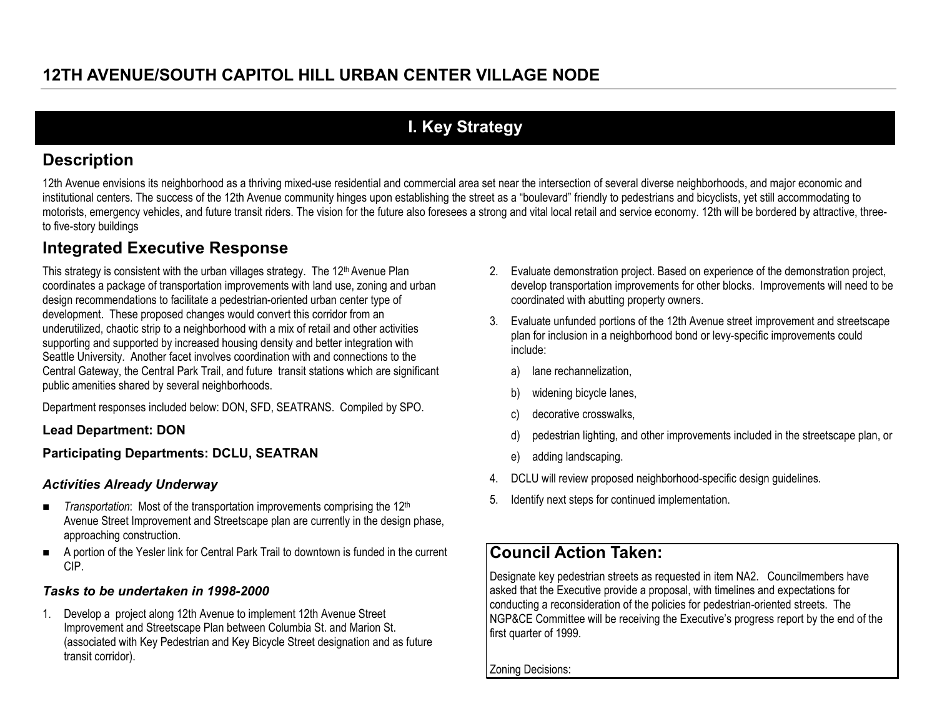# **I. Key Strategy**

# **Description**

12th Avenue envisions its neighborhood as a thriving mixed-use residential and commercial area set near the intersection of several diverse neighborhoods, and major economic and institutional centers. The success of the 12th Avenue community hinges upon establishing the street as a "boulevard" friendly to pedestrians and bicyclists, yet still accommodating to motorists, emergency vehicles, and future transit riders. The vision for the future also foresees a strong and vital local retail and service economy. 12th will be bordered by attractive, threeto five-story buildings

# **Integrated Executive Response**

This strategy is consistent with the urban villages strategy. The 12<sup>th</sup> Avenue Plan coordinates a package of transportation improvements with land use, zoning and urban design recommendations to facilitate a pedestrian-oriented urban center type of development. These proposed changes would convert this corridor from an underutilized, chaotic strip to a neighborhood with a mix of retail and other activities supporting and supported by increased housing density and better integration with Seattle University. Another facet involves coordination with and connections to the Central Gateway, the Central Park Trail, and future transit stations which are significant public amenities shared by several neighborhoods.

Department responses included below: DON, SFD, SEATRANS. Compiled by SPO.

**Lead Department: DON**

#### **Participating Departments: DCLU, SEATRAN**

#### *Activities Already Underway*

- $\blacksquare$ *Transportation*: Most of the transportation improvements comprising the 12<sup>th</sup> Avenue Street Improvement and Streetscape plan are currently in the design phase, approaching construction.
- $\blacksquare$  A portion of the Yesler link for Central Park Trail to downtown is funded in the current CIP.

#### *Tasks to be undertaken in 1998-2000*

1. Develop a project along 12th Avenue to implement 12th Avenue Street Improvement and Streetscape Plan between Columbia St. and Marion St. (associated with Key Pedestrian and Key Bicycle Street designation and as future transit corridor).

- 2. Evaluate demonstration project. Based on experience of the demonstration project, develop transportation improvements for other blocks. Improvements will need to be coordinated with abutting property owners.
- 3. Evaluate unfunded portions of the 12th Avenue street improvement and streetscape plan for inclusion in a neighborhood bond or levy-specific improvements could include:
	- a) lane rechannelization,
	- b) widening bicycle lanes,
	- c) decorative crosswalks,
	- d) pedestrian lighting, and other improvements included in the streetscape plan, or
	- e) adding landscaping.
- 4.DCLU will review proposed neighborhood-specific design guidelines.
- 5.Identify next steps for continued implementation.

# **Council Action Taken:**

Designate key pedestrian streets as requested in item NA2. Councilmembers have asked that the Executive provide a proposal, with timelines and expectations for conducting a reconsideration of the policies for pedestrian-oriented streets. The NGP&CE Committee will be receiving the Executive's progress report by the end of the first quarter of 1999.

Zoning Decisions: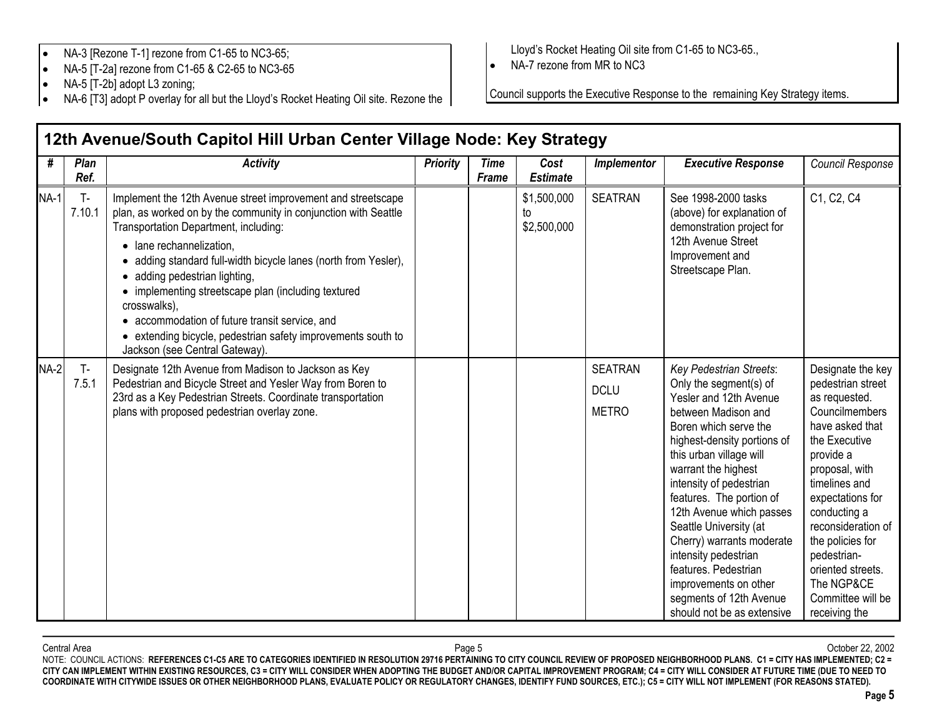- •NA-3 [Rezone T-1] rezone from C1-65 to NC3-65;
- •NA-5 [T-2a] rezone from C1-65 & C2-65 to NC3-65
- •NA-5 [T-2b] adopt L3 zoning;
- •NA-6 [T3] adopt P overlay for all but the Lloyd's Rocket Heating Oil site. Rezone the

Lloyd's Rocket Heating Oil site from C1-65 to NC3-65.,

• NA-7 rezone from MR to NC3

Council supports the Executive Response to the remaining Key Strategy items.

| #           | Plan<br>Ref.    | <b>Activity</b>                                                                                                                                                                                                                                                                                                                                                                                                                                                                                                               | <b>Priority</b> | <b>Time</b><br><b>Frame</b> | Cost<br><b>Estimate</b>          | <b>Implementor</b>                            | <b>Executive Response</b>                                                                                                                                                                                                                                                                                                                                                                                                                                                                | Council Response                                                                                                                                                                                                                                                                                                                           |
|-------------|-----------------|-------------------------------------------------------------------------------------------------------------------------------------------------------------------------------------------------------------------------------------------------------------------------------------------------------------------------------------------------------------------------------------------------------------------------------------------------------------------------------------------------------------------------------|-----------------|-----------------------------|----------------------------------|-----------------------------------------------|------------------------------------------------------------------------------------------------------------------------------------------------------------------------------------------------------------------------------------------------------------------------------------------------------------------------------------------------------------------------------------------------------------------------------------------------------------------------------------------|--------------------------------------------------------------------------------------------------------------------------------------------------------------------------------------------------------------------------------------------------------------------------------------------------------------------------------------------|
| <b>NA-1</b> | $T -$<br>7.10.1 | Implement the 12th Avenue street improvement and streetscape<br>plan, as worked on by the community in conjunction with Seattle<br>Transportation Department, including:<br>• lane rechannelization,<br>adding standard full-width bicycle lanes (north from Yesler),<br>adding pedestrian lighting,<br>• implementing streetscape plan (including textured<br>crosswalks),<br>accommodation of future transit service, and<br>• extending bicycle, pedestrian safety improvements south to<br>Jackson (see Central Gateway). |                 |                             | \$1,500,000<br>to<br>\$2,500,000 | <b>SEATRAN</b>                                | See 1998-2000 tasks<br>(above) for explanation of<br>demonstration project for<br>12th Avenue Street<br>Improvement and<br>Streetscape Plan.                                                                                                                                                                                                                                                                                                                                             | C1, C2, C4                                                                                                                                                                                                                                                                                                                                 |
| $NA-2$      | $T -$<br>7.5.1  | Designate 12th Avenue from Madison to Jackson as Key<br>Pedestrian and Bicycle Street and Yesler Way from Boren to<br>23rd as a Key Pedestrian Streets. Coordinate transportation<br>plans with proposed pedestrian overlay zone.                                                                                                                                                                                                                                                                                             |                 |                             |                                  | <b>SEATRAN</b><br><b>DCLU</b><br><b>METRO</b> | Key Pedestrian Streets:<br>Only the segment(s) of<br>Yesler and 12th Avenue<br>between Madison and<br>Boren which serve the<br>highest-density portions of<br>this urban village will<br>warrant the highest<br>intensity of pedestrian<br>features. The portion of<br>12th Avenue which passes<br>Seattle University (at<br>Cherry) warrants moderate<br>intensity pedestrian<br>features. Pedestrian<br>improvements on other<br>segments of 12th Avenue<br>should not be as extensive | Designate the key<br>pedestrian street<br>as requested.<br><b>Councilmembers</b><br>have asked that<br>the Executive<br>provide a<br>proposal, with<br>timelines and<br>expectations for<br>conducting a<br>reconsideration of<br>the policies for<br>pedestrian-<br>oriented streets.<br>The NGP&CE<br>Committee will be<br>receiving the |

# **12th Avenue/South Capitol Hill Urban Center Village Node: Key Strategy**

Central Area Page 5 October 22, 2002 NOTE: COUNCIL ACTIONS: **REFERENCES C1-C5 ARE TO CATEGORIES IDENTIFIED IN RESOLUTION 29716 PERTAINING TO CITY COUNCIL REVIEW OF PROPOSED NEIGHBORHOOD PLANS. C1 = CITY HAS IMPLEMENTED; C2 = CITY CAN IMPLEMENT WITHIN EXISTING RESOURCES, C3 = CITY WILL CONSIDER WHEN ADOPTING THE BUDGET AND/OR CAPITAL IMPROVEMENT PROGRAM; C4 = CITY WILL CONSIDER AT FUTURE TIME (DUE TO NEED TO COORDINATE WITH CITYWIDE ISSUES OR OTHER NEIGHBORHOOD PLANS, EVALUATE POLICY OR REGULATORY CHANGES, IDENTIFY FUND SOURCES, ETC.); C5 = CITY WILL NOT IMPLEMENT (FOR REASONS STATED).**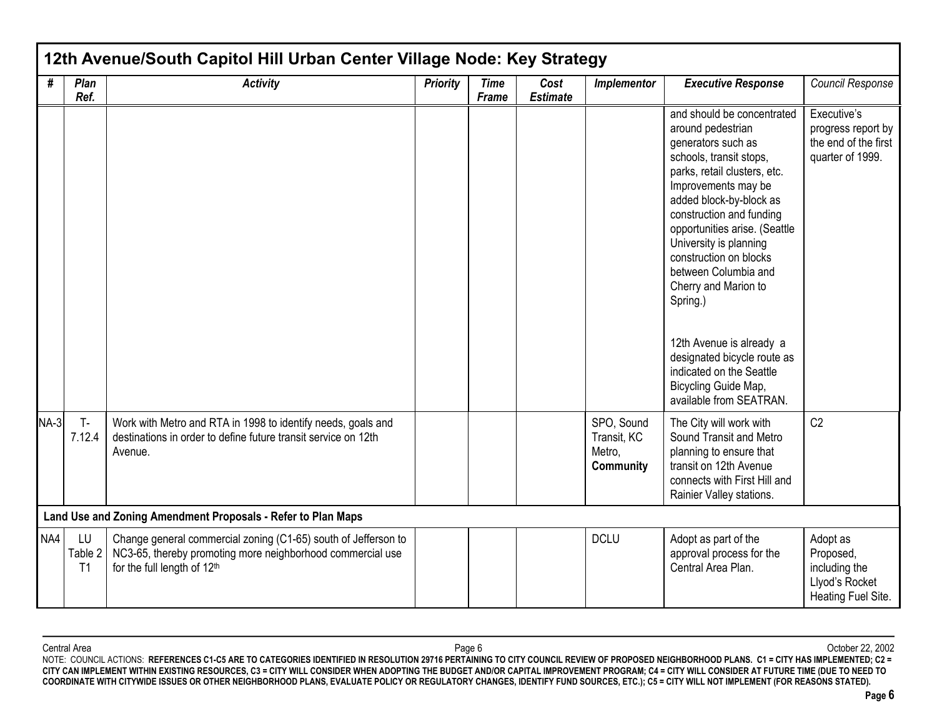| #      | Plan<br>Ref.        | <b>Activity</b>                                                                                                                                             | <b>Priority</b> | <b>Time</b><br>Frame | Cost<br><b>Estimate</b> | Implementor                                      | <b>Executive Response</b>                                                                                                                                                                                                                                                                                                                                       | Council Response                                                               |
|--------|---------------------|-------------------------------------------------------------------------------------------------------------------------------------------------------------|-----------------|----------------------|-------------------------|--------------------------------------------------|-----------------------------------------------------------------------------------------------------------------------------------------------------------------------------------------------------------------------------------------------------------------------------------------------------------------------------------------------------------------|--------------------------------------------------------------------------------|
|        |                     |                                                                                                                                                             |                 |                      |                         |                                                  | and should be concentrated<br>around pedestrian<br>generators such as<br>schools, transit stops,<br>parks, retail clusters, etc.<br>Improvements may be<br>added block-by-block as<br>construction and funding<br>opportunities arise. (Seattle<br>University is planning<br>construction on blocks<br>between Columbia and<br>Cherry and Marion to<br>Spring.) | Executive's<br>progress report by<br>the end of the first<br>quarter of 1999.  |
|        |                     |                                                                                                                                                             |                 |                      |                         |                                                  | 12th Avenue is already a<br>designated bicycle route as<br>indicated on the Seattle<br>Bicycling Guide Map,<br>available from SEATRAN.                                                                                                                                                                                                                          |                                                                                |
| $NA-3$ | $T -$<br>7.12.4     | Work with Metro and RTA in 1998 to identify needs, goals and<br>destinations in order to define future transit service on 12th<br>Avenue.                   |                 |                      |                         | SPO, Sound<br>Transit, KC<br>Metro,<br>Community | The City will work with<br>Sound Transit and Metro<br>planning to ensure that<br>transit on 12th Avenue<br>connects with First Hill and<br>Rainier Valley stations.                                                                                                                                                                                             | C2                                                                             |
|        |                     | Land Use and Zoning Amendment Proposals - Refer to Plan Maps                                                                                                |                 |                      |                         |                                                  |                                                                                                                                                                                                                                                                                                                                                                 |                                                                                |
| NA4    | LU<br>Table 2<br>T1 | Change general commercial zoning (C1-65) south of Jefferson to<br>NC3-65, thereby promoting more neighborhood commercial use<br>for the full length of 12th |                 |                      |                         | <b>DCLU</b>                                      | Adopt as part of the<br>approval process for the<br>Central Area Plan.                                                                                                                                                                                                                                                                                          | Adopt as<br>Proposed,<br>including the<br>Llyod's Rocket<br>Heating Fuel Site. |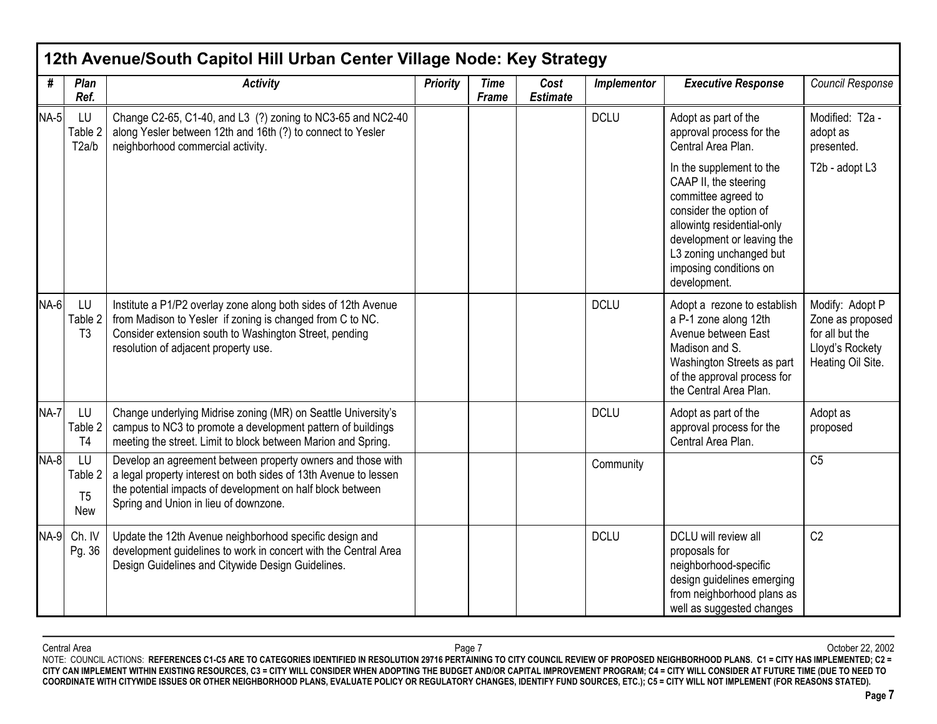| #           | Plan<br>Ref.                           | <b>Activity</b>                                                                                                                                                                                                                        | <b>Priority</b> | <b>Time</b><br>Frame | Cost<br><b>Estimate</b> | Implementor | <b>Executive Response</b>                                                                                                                                                                                                           | Council Response                                                                               |
|-------------|----------------------------------------|----------------------------------------------------------------------------------------------------------------------------------------------------------------------------------------------------------------------------------------|-----------------|----------------------|-------------------------|-------------|-------------------------------------------------------------------------------------------------------------------------------------------------------------------------------------------------------------------------------------|------------------------------------------------------------------------------------------------|
| <b>NA-5</b> | LU<br>Table 2<br>T2a/b                 | Change C2-65, C1-40, and L3 (?) zoning to NC3-65 and NC2-40<br>along Yesler between 12th and 16th (?) to connect to Yesler<br>neighborhood commercial activity.                                                                        |                 |                      |                         | <b>DCLU</b> | Adopt as part of the<br>approval process for the<br>Central Area Plan.                                                                                                                                                              | Modified: T2a -<br>adopt as<br>presented.                                                      |
|             |                                        |                                                                                                                                                                                                                                        |                 |                      |                         |             | In the supplement to the<br>CAAP II, the steering<br>committee agreed to<br>consider the option of<br>allowintg residential-only<br>development or leaving the<br>L3 zoning unchanged but<br>imposing conditions on<br>development. | T2b - adopt L3                                                                                 |
| NA-6        | LU<br>Table 2<br>T <sub>3</sub>        | Institute a P1/P2 overlay zone along both sides of 12th Avenue<br>from Madison to Yesler if zoning is changed from C to NC.<br>Consider extension south to Washington Street, pending<br>resolution of adjacent property use.          |                 |                      |                         | <b>DCLU</b> | Adopt a rezone to establish<br>a P-1 zone along 12th<br>Avenue between East<br>Madison and S.<br>Washington Streets as part<br>of the approval process for<br>the Central Area Plan.                                                | Modify: Adopt P<br>Zone as proposed<br>for all but the<br>Lloyd's Rockety<br>Heating Oil Site. |
| <b>NA-7</b> | LU<br>Table 2<br>T <sub>4</sub>        | Change underlying Midrise zoning (MR) on Seattle University's<br>campus to NC3 to promote a development pattern of buildings<br>meeting the street. Limit to block between Marion and Spring.                                          |                 |                      |                         | <b>DCLU</b> | Adopt as part of the<br>approval process for the<br>Central Area Plan.                                                                                                                                                              | Adopt as<br>proposed                                                                           |
| $NA-8$      | LU<br>Table 2<br>T <sub>5</sub><br>New | Develop an agreement between property owners and those with<br>a legal property interest on both sides of 13th Avenue to lessen<br>the potential impacts of development on half block between<br>Spring and Union in lieu of downzone. |                 |                      |                         | Community   |                                                                                                                                                                                                                                     | C <sub>5</sub>                                                                                 |
| <b>NA-9</b> | Ch. IV<br>Pg. 36                       | Update the 12th Avenue neighborhood specific design and<br>development guidelines to work in concert with the Central Area<br>Design Guidelines and Citywide Design Guidelines.                                                        |                 |                      |                         | <b>DCLU</b> | DCLU will review all<br>proposals for<br>neighborhood-specific<br>design guidelines emerging<br>from neighborhood plans as<br>well as suggested changes                                                                             | C <sub>2</sub>                                                                                 |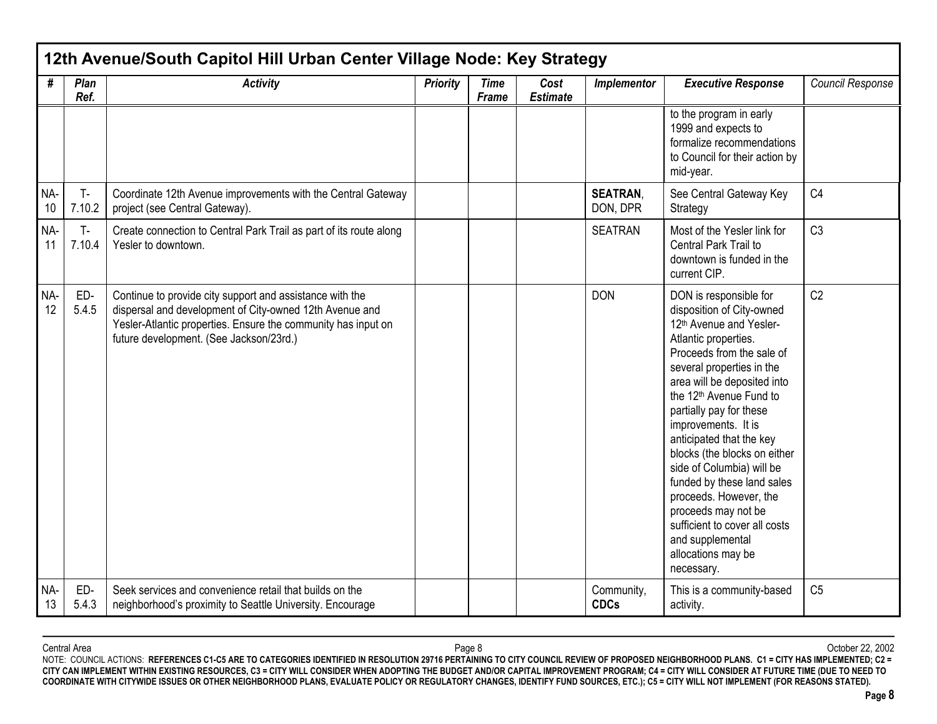|           | 12th Avenue/South Capitol Hill Urban Center Village Node: Key Strategy |                                                                                                                                                                                                                                 |                 |                             |                         |                             |                                                                                                                                                                                                                                                                                                                                                                                                                                                                                                                                                           |                  |  |  |  |  |
|-----------|------------------------------------------------------------------------|---------------------------------------------------------------------------------------------------------------------------------------------------------------------------------------------------------------------------------|-----------------|-----------------------------|-------------------------|-----------------------------|-----------------------------------------------------------------------------------------------------------------------------------------------------------------------------------------------------------------------------------------------------------------------------------------------------------------------------------------------------------------------------------------------------------------------------------------------------------------------------------------------------------------------------------------------------------|------------------|--|--|--|--|
| #         | Plan<br>Ref.                                                           | <b>Activity</b>                                                                                                                                                                                                                 | <b>Priority</b> | <b>Time</b><br><b>Frame</b> | Cost<br><b>Estimate</b> | Implementor                 | <b>Executive Response</b>                                                                                                                                                                                                                                                                                                                                                                                                                                                                                                                                 | Council Response |  |  |  |  |
|           |                                                                        |                                                                                                                                                                                                                                 |                 |                             |                         |                             | to the program in early<br>1999 and expects to<br>formalize recommendations<br>to Council for their action by<br>mid-year.                                                                                                                                                                                                                                                                                                                                                                                                                                |                  |  |  |  |  |
| NA-<br>10 | T-<br>7.10.2                                                           | Coordinate 12th Avenue improvements with the Central Gateway<br>project (see Central Gateway).                                                                                                                                  |                 |                             |                         | <b>SEATRAN.</b><br>DON, DPR | See Central Gateway Key<br>Strategy                                                                                                                                                                                                                                                                                                                                                                                                                                                                                                                       | C <sub>4</sub>   |  |  |  |  |
| NA-<br>11 | $T -$<br>7.10.4                                                        | Create connection to Central Park Trail as part of its route along<br>Yesler to downtown.                                                                                                                                       |                 |                             |                         | <b>SEATRAN</b>              | Most of the Yesler link for<br>Central Park Trail to<br>downtown is funded in the<br>current CIP.                                                                                                                                                                                                                                                                                                                                                                                                                                                         | C <sub>3</sub>   |  |  |  |  |
| NA-<br>12 | ED-<br>5.4.5                                                           | Continue to provide city support and assistance with the<br>dispersal and development of City-owned 12th Avenue and<br>Yesler-Atlantic properties. Ensure the community has input on<br>future development. (See Jackson/23rd.) |                 |                             |                         | <b>DON</b>                  | DON is responsible for<br>disposition of City-owned<br>12th Avenue and Yesler-<br>Atlantic properties.<br>Proceeds from the sale of<br>several properties in the<br>area will be deposited into<br>the 12 <sup>th</sup> Avenue Fund to<br>partially pay for these<br>improvements. It is<br>anticipated that the key<br>blocks (the blocks on either<br>side of Columbia) will be<br>funded by these land sales<br>proceeds. However, the<br>proceeds may not be<br>sufficient to cover all costs<br>and supplemental<br>allocations may be<br>necessary. | C <sub>2</sub>   |  |  |  |  |
| NA-<br>13 | ED-<br>5.4.3                                                           | Seek services and convenience retail that builds on the<br>neighborhood's proximity to Seattle University. Encourage                                                                                                            |                 |                             |                         | Community,<br><b>CDCs</b>   | This is a community-based<br>activity.                                                                                                                                                                                                                                                                                                                                                                                                                                                                                                                    | C <sub>5</sub>   |  |  |  |  |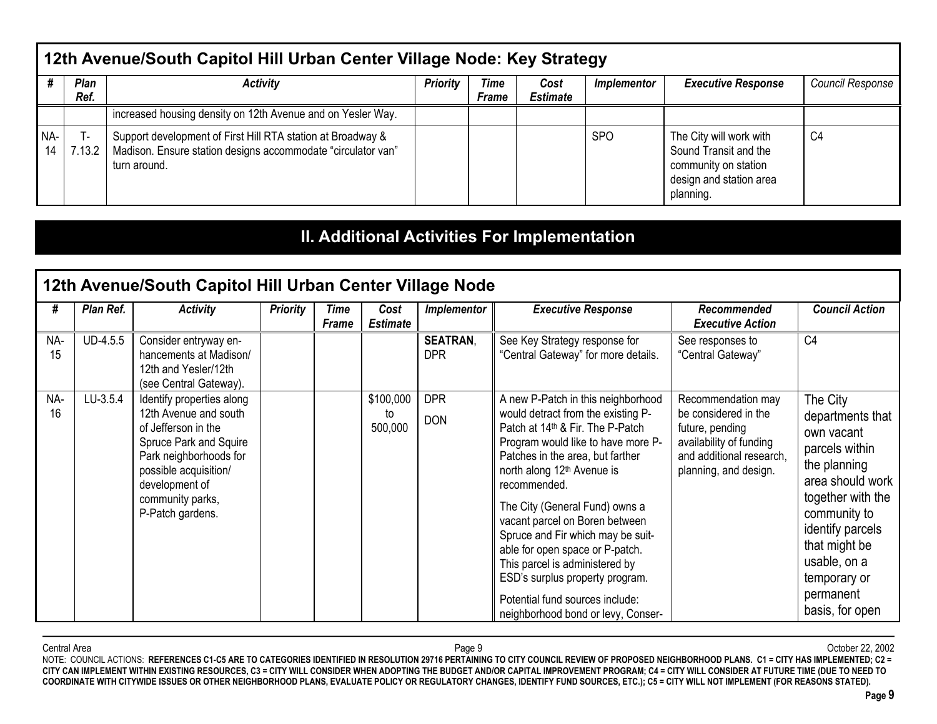|           | 12th Avenue/South Capitol Hill Urban Center Village Node: Key Strategy                                                                                                       |                                                                                                                                             |  |  |  |            |                                                                                                                  |                |  |  |  |  |
|-----------|------------------------------------------------------------------------------------------------------------------------------------------------------------------------------|---------------------------------------------------------------------------------------------------------------------------------------------|--|--|--|------------|------------------------------------------------------------------------------------------------------------------|----------------|--|--|--|--|
|           | <b>Plan</b><br><b>Priority</b><br>Time<br><b>Executive Response</b><br>Activity<br><b>Council Response</b><br>Cost<br><i>Implementor</i><br>Ref.<br><b>Estimate</b><br>Frame |                                                                                                                                             |  |  |  |            |                                                                                                                  |                |  |  |  |  |
|           |                                                                                                                                                                              | increased housing density on 12th Avenue and on Yesler Way.                                                                                 |  |  |  |            |                                                                                                                  |                |  |  |  |  |
| NA-<br>14 | 7.13.2                                                                                                                                                                       | Support development of First Hill RTA station at Broadway &<br>Madison. Ensure station designs accommodate "circulator van"<br>turn around. |  |  |  | <b>SPO</b> | The City will work with<br>Sound Transit and the<br>community on station<br>design and station area<br>planning. | C <sub>4</sub> |  |  |  |  |

# **II. Additional Activities For Implementation**

|           |           | 12th Avenue/South Capitol Hill Urban Center Village Node                                                                                                                                                         |                 |               |                            |                               |                                                                                                                                                                                                                                                                                                                                                                                                                                                                                                                                                        |                                                                                                                                               |                                                                                                                                                                                                                                            |
|-----------|-----------|------------------------------------------------------------------------------------------------------------------------------------------------------------------------------------------------------------------|-----------------|---------------|----------------------------|-------------------------------|--------------------------------------------------------------------------------------------------------------------------------------------------------------------------------------------------------------------------------------------------------------------------------------------------------------------------------------------------------------------------------------------------------------------------------------------------------------------------------------------------------------------------------------------------------|-----------------------------------------------------------------------------------------------------------------------------------------------|--------------------------------------------------------------------------------------------------------------------------------------------------------------------------------------------------------------------------------------------|
| #         | Plan Ref. | <b>Activity</b>                                                                                                                                                                                                  | <b>Priority</b> | Time<br>Frame | Cost<br><b>Estimate</b>    | <b>Implementor</b>            | <b>Executive Response</b>                                                                                                                                                                                                                                                                                                                                                                                                                                                                                                                              | Recommended<br><b>Executive Action</b>                                                                                                        | <b>Council Action</b>                                                                                                                                                                                                                      |
| NA-<br>15 | UD-4.5.5  | Consider entryway en-<br>hancements at Madison/<br>12th and Yesler/12th<br>(see Central Gateway).                                                                                                                |                 |               |                            | <b>SEATRAN.</b><br><b>DPR</b> | See Key Strategy response for<br>"Central Gateway" for more details.                                                                                                                                                                                                                                                                                                                                                                                                                                                                                   | See responses to<br>"Central Gateway"                                                                                                         | C <sub>4</sub>                                                                                                                                                                                                                             |
| NA-<br>16 | LU-3.5.4  | Identify properties along<br>12th Avenue and south<br>of Jefferson in the<br>Spruce Park and Squire<br>Park neighborhoods for<br>possible acquisition/<br>development of<br>community parks,<br>P-Patch gardens. |                 |               | \$100,000<br>to<br>500,000 | <b>DPR</b><br><b>DON</b>      | A new P-Patch in this neighborhood<br>would detract from the existing P-<br>Patch at 14 <sup>th</sup> & Fir. The P-Patch<br>Program would like to have more P-<br>Patches in the area, but farther<br>north along 12 <sup>th</sup> Avenue is<br>recommended.<br>The City (General Fund) owns a<br>vacant parcel on Boren between<br>Spruce and Fir which may be suit-<br>able for open space or P-patch.<br>This parcel is administered by<br>ESD's surplus property program.<br>Potential fund sources include:<br>neighborhood bond or levy, Conser- | Recommendation may<br>be considered in the<br>future, pending<br>availability of funding<br>and additional research,<br>planning, and design. | The City<br>departments that<br>own vacant<br>parcels within<br>the planning<br>area should work<br>together with the<br>community to<br>identify parcels<br>that might be<br>usable, on a<br>temporary or<br>permanent<br>basis, for open |

Central Area Page 9 October 22, 2002 NOTE: COUNCIL ACTIONS: **REFERENCES C1-C5 ARE TO CATEGORIES IDENTIFIED IN RESOLUTION 29716 PERTAINING TO CITY COUNCIL REVIEW OF PROPOSED NEIGHBORHOOD PLANS. C1 = CITY HAS IMPLEMENTED; C2 = CITY CAN IMPLEMENT WITHIN EXISTING RESOURCES, C3 = CITY WILL CONSIDER WHEN ADOPTING THE BUDGET AND/OR CAPITAL IMPROVEMENT PROGRAM; C4 = CITY WILL CONSIDER AT FUTURE TIME (DUE TO NEED TO COORDINATE WITH CITYWIDE ISSUES OR OTHER NEIGHBORHOOD PLANS, EVALUATE POLICY OR REGULATORY CHANGES, IDENTIFY FUND SOURCES, ETC.); C5 = CITY WILL NOT IMPLEMENT (FOR REASONS STATED).**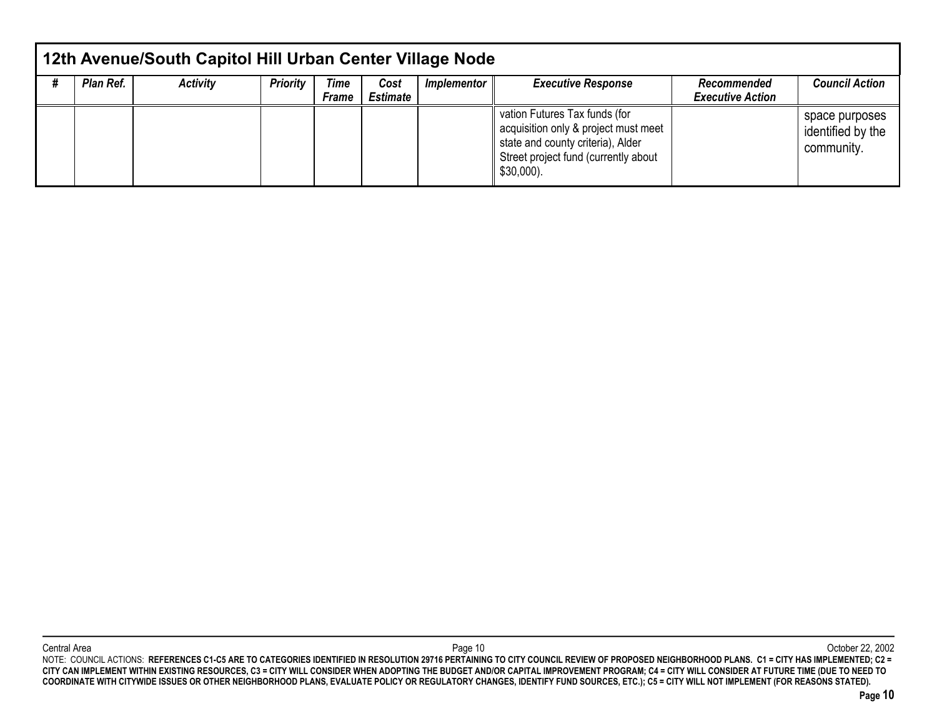| 12th Avenue/South Capitol Hill Urban Center Village Node |                 |          |                             |                         |             |                                                                                                                                                                    |                                        |                                                   |  |  |  |  |  |
|----------------------------------------------------------|-----------------|----------|-----------------------------|-------------------------|-------------|--------------------------------------------------------------------------------------------------------------------------------------------------------------------|----------------------------------------|---------------------------------------------------|--|--|--|--|--|
| Plan Ref.                                                | <b>Activity</b> | Priority | <b>Time</b><br><b>Frame</b> | Cost<br><b>Estimate</b> | Implementor | <b>Executive Response</b>                                                                                                                                          | Recommended<br><b>Executive Action</b> | <b>Council Action</b>                             |  |  |  |  |  |
|                                                          |                 |          |                             |                         |             | vation Futures Tax funds (for<br>acquisition only & project must meet<br>state and county criteria), Alder<br>Street project fund (currently about<br>$$30,000$ ). |                                        | space purposes<br>identified by the<br>community. |  |  |  |  |  |

Central Area Page 10 October 22, 2002 NOTE: COUNCIL ACTIONS: **REFERENCES C1-C5 ARE TO CATEGORIES IDENTIFIED IN RESOLUTION 29716 PERTAINING TO CITY COUNCIL REVIEW OF PROPOSED NEIGHBORHOOD PLANS. C1 = CITY HAS IMPLEMENTED; C2 = CITY CAN IMPLEMENT WITHIN EXISTING RESOURCES, C3 = CITY WILL CONSIDER WHEN ADOPTING THE BUDGET AND/OR CAPITAL IMPROVEMENT PROGRAM; C4 = CITY WILL CONSIDER AT FUTURE TIME (DUE TO NEED TO COORDINATE WITH CITYWIDE ISSUES OR OTHER NEIGHBORHOOD PLANS, EVALUATE POLICY OR REGULATORY CHANGES, IDENTIFY FUND SOURCES, ETC.); C5 = CITY WILL NOT IMPLEMENT (FOR REASONS STATED).**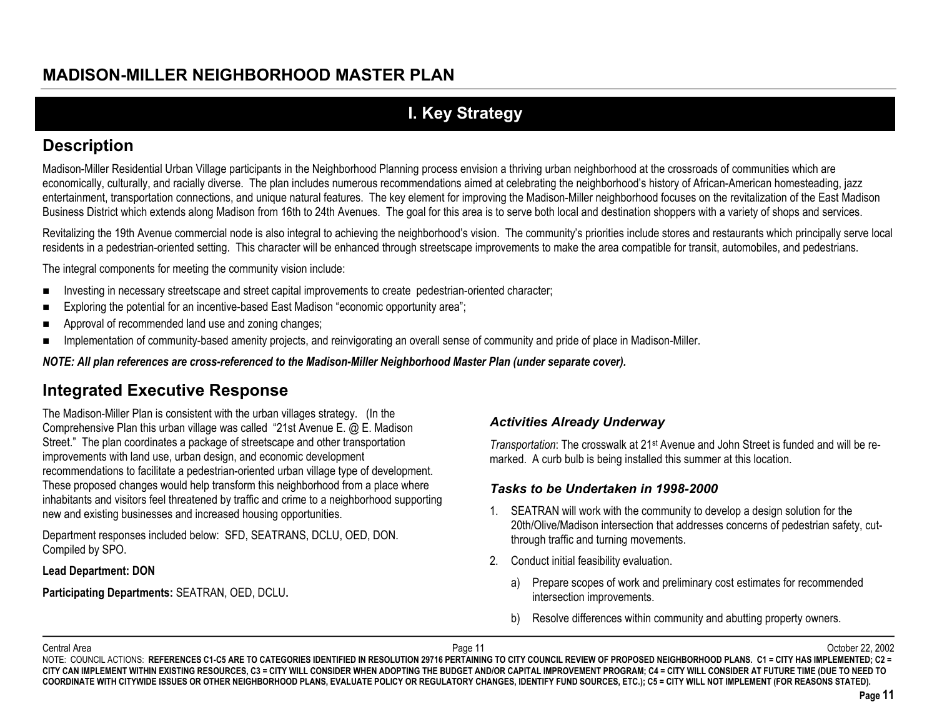# **I. Key Strategy**

## **Description**

Madison-Miller Residential Urban Village participants in the Neighborhood Planning process envision a thriving urban neighborhood at the crossroads of communities which are economically, culturally, and racially diverse. The plan includes numerous recommendations aimed at celebrating the neighborhood's history of African-American homesteading, jazz entertainment, transportation connections, and unique natural features. The key element for improving the Madison-Miller neighborhood focuses on the revitalization of the East Madison Business District which extends along Madison from 16th to 24th Avenues. The goal for this area is to serve both local and destination shoppers with a variety of shops and services.

Revitalizing the 19th Avenue commercial node is also integral to achieving the neighborhood's vision. The community's priorities include stores and restaurants which principally serve local residents in a pedestrian-oriented setting. This character will be enhanced through streetscape improvements to make the area compatible for transit, automobiles, and pedestrians.

The integral components for meeting the community vision include:

- $\blacksquare$ Investing in necessary streetscape and street capital improvements to create pedestrian-oriented character;
- $\blacksquare$ Exploring the potential for an incentive-based East Madison "economic opportunity area";
- $\blacksquare$ Approval of recommended land use and zoning changes;
- $\blacksquare$ Implementation of community-based amenity projects, and reinvigorating an overall sense of community and pride of place in Madison-Miller.

*NOTE: All plan references are cross-referenced to the Madison-Miller Neighborhood Master Plan (under separate cover).*

# **Integrated Executive Response**

The Madison-Miller Plan is consistent with the urban villages strategy. (In the Comprehensive Plan this urban village was called "21st Avenue E. @ E. Madison Street." The plan coordinates a package of streetscape and other transportation improvements with land use, urban design, and economic development recommendations to facilitate a pedestrian-oriented urban village type of development. These proposed changes would help transform this neighborhood from a place where inhabitants and visitors feel threatened by traffic and crime to a neighborhood supporting new and existing businesses and increased housing opportunities.

Department responses included below: SFD, SEATRANS, DCLU, OED, DON. Compiled by SPO.

#### **Lead Department: DON**

**Participating Departments:** SEATRAN, OED, DCLU**.**

#### *Activities Already Underway*

*Transportation*: The crosswalk at 21<sup>st</sup> Avenue and John Street is funded and will be remarked. A curb bulb is being installed this summer at this location.

#### *Tasks to be Undertaken in 1998-2000*

- 1. SEATRAN will work with the community to develop a design solution for the 20th/Olive/Madison intersection that addresses concerns of pedestrian safety, cutthrough traffic and turning movements.
- 2. Conduct initial feasibility evaluation.
	- a) Prepare scopes of work and preliminary cost estimates for recommended intersection improvements.
	- b) Resolve differences within community and abutting property owners.

Central Area Page 11 October 22, 2002 NOTE: COUNCIL ACTIONS: REFERENCES C1-C5 ARE TO CATEGORIES IDENTIFIED IN RESOLUTION 29716 PERTAINING TO CITY COUNCIL REVIEW OF PROPOSED NEIGHBORHOOD PLANS. C1 = CITY HAS IMPLEMENTED; C2 = **CITY CAN IMPLEMENT WITHIN EXISTING RESOURCES, C3 = CITY WILL CONSIDER WHEN ADOPTING THE BUDGET AND/OR CAPITAL IMPROVEMENT PROGRAM; C4 = CITY WILL CONSIDER AT FUTURE TIME (DUE TO NEED TO COORDINATE WITH CITYWIDE ISSUES OR OTHER NEIGHBORHOOD PLANS, EVALUATE POLICY OR REGULATORY CHANGES, IDENTIFY FUND SOURCES, ETC.); C5 = CITY WILL NOT IMPLEMENT (FOR REASONS STATED).**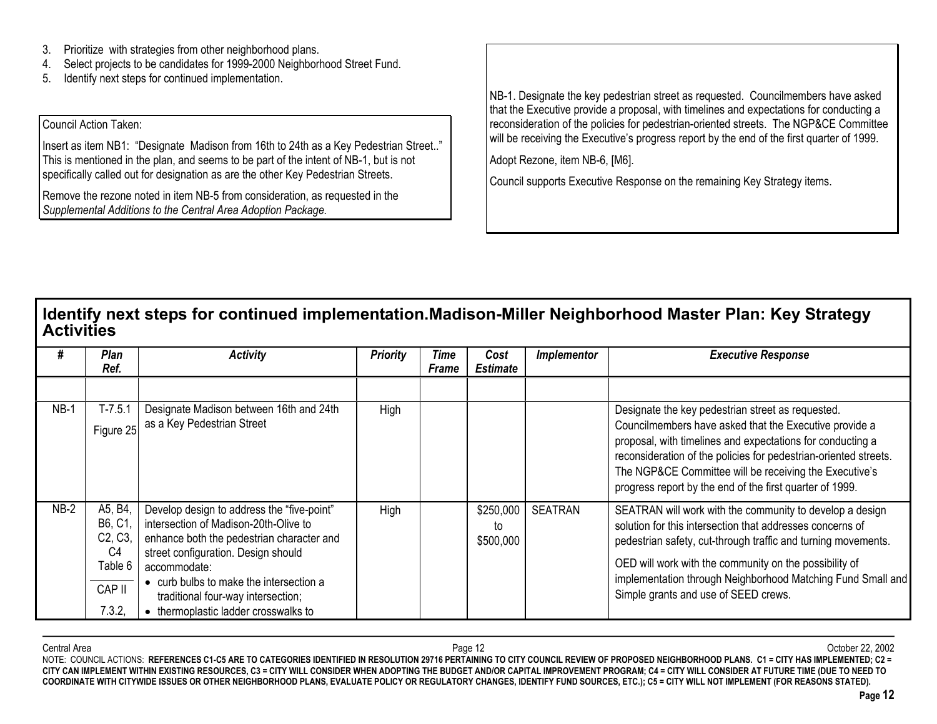- 3.Prioritize with strategies from other neighborhood plans.
- 4.Select projects to be candidates for 1999-2000 Neighborhood Street Fund.
- 5.Identify next steps for continued implementation.

#### Council Action Taken:

Insert as item NB1: "Designate Madison from 16th to 24th as a Key Pedestrian Street.." This is mentioned in the plan, and seems to be part of the intent of NB-1, but is not specifically called out for designation as are the other Key Pedestrian Streets.

Remove the rezone noted in item NB-5 from consideration, as requested in the *Supplemental Additions to the Central Area Adoption Package.*

NB-1. Designate the key pedestrian street as requested. Councilmembers have asked that the Executive provide a proposal, with timelines and expectations for conducting a reconsideration of the policies for pedestrian-oriented streets. The NGP&CE Committee will be receiving the Executive's progress report by the end of the first quarter of 1999.

Adopt Rezone, item NB-6, [M6].

Council supports Executive Response on the remaining Key Strategy items.

### **Identify next steps for continued implementation.Madison-Miller Neighborhood Master Plan: Key Strategy Activities**

|        | Plan<br>Ref.                                                                | <b>Activity</b>                                                                                                                                                                                                                                                                                                | <b>Priority</b> | Time<br><b>Frame</b> | Cost<br><b>Estimate</b>      | Implementor    | <b>Executive Response</b>                                                                                                                                                                                                                                                                                                                                           |
|--------|-----------------------------------------------------------------------------|----------------------------------------------------------------------------------------------------------------------------------------------------------------------------------------------------------------------------------------------------------------------------------------------------------------|-----------------|----------------------|------------------------------|----------------|---------------------------------------------------------------------------------------------------------------------------------------------------------------------------------------------------------------------------------------------------------------------------------------------------------------------------------------------------------------------|
|        |                                                                             |                                                                                                                                                                                                                                                                                                                |                 |                      |                              |                |                                                                                                                                                                                                                                                                                                                                                                     |
| $NB-1$ | T-7.5.1<br>Figure 25                                                        | Designate Madison between 16th and 24th<br>as a Key Pedestrian Street                                                                                                                                                                                                                                          | High            |                      |                              |                | Designate the key pedestrian street as requested.<br>Councilmembers have asked that the Executive provide a<br>proposal, with timelines and expectations for conducting a<br>reconsideration of the policies for pedestrian-oriented streets.<br>The NGP&CE Committee will be receiving the Executive's<br>progress report by the end of the first quarter of 1999. |
| $NB-2$ | A5, B4<br>B6, C1<br>C2, C3<br>C <sub>4</sub><br>Table 6<br>CAP II<br>7.3.2, | Develop design to address the "five-point"<br>intersection of Madison-20th-Olive to<br>enhance both the pedestrian character and<br>street configuration. Design should<br>accommodate:<br>• curb bulbs to make the intersection a<br>traditional four-way intersection;<br>thermoplastic ladder crosswalks to | High            |                      | \$250,000<br>to<br>\$500,000 | <b>SEATRAN</b> | SEATRAN will work with the community to develop a design<br>solution for this intersection that addresses concerns of<br>pedestrian safety, cut-through traffic and turning movements.<br>OED will work with the community on the possibility of<br>implementation through Neighborhood Matching Fund Small and<br>Simple grants and use of SEED crews.             |

Central Areaa and the controller of the controller of the Page 12 and the controller of the controller of the controller of the Cotober 22, 2002 NOTE: COUNCIL ACTIONS: REFERENCES C1-C5 ARE TO CATEGORIES IDENTIFIED IN RESOLUTION 29716 PERTAINING TO CITY COUNCIL REVIEW OF PROPOSED NEIGHBORHOOD PLANS. C1 = CITY HAS IMPLEMENTED; C2 = **CITY CAN IMPLEMENT WITHIN EXISTING RESOURCES, C3 = CITY WILL CONSIDER WHEN ADOPTING THE BUDGET AND/OR CAPITAL IMPROVEMENT PROGRAM; C4 = CITY WILL CONSIDER AT FUTURE TIME (DUE TO NEED TO COORDINATE WITH CITYWIDE ISSUES OR OTHER NEIGHBORHOOD PLANS, EVALUATE POLICY OR REGULATORY CHANGES, IDENTIFY FUND SOURCES, ETC.); C5 = CITY WILL NOT IMPLEMENT (FOR REASONS STATED).**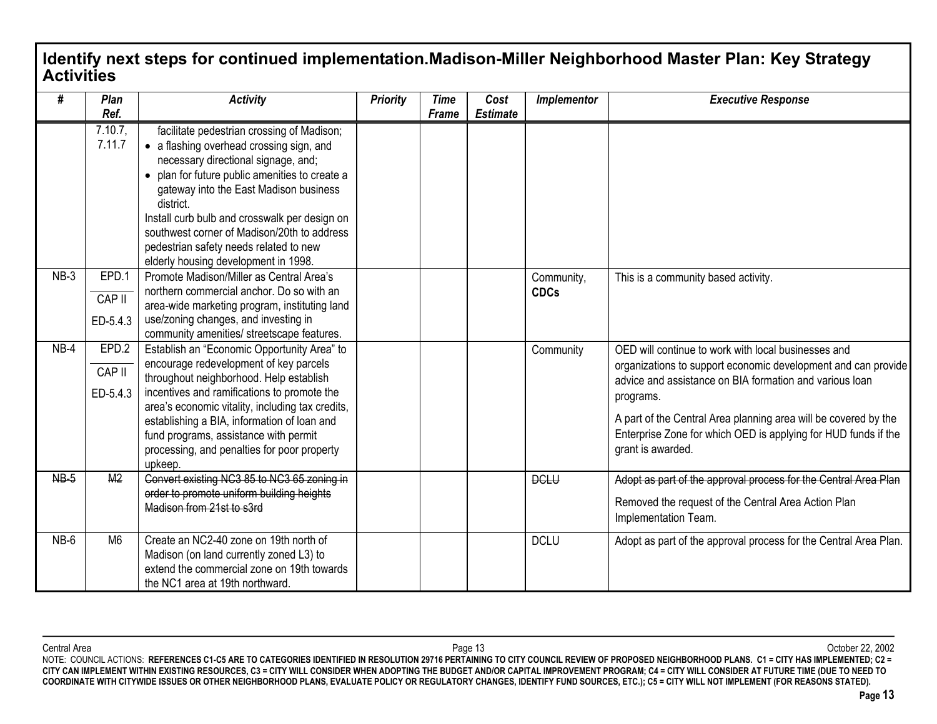## **Identify next steps for continued implementation.Madison-Miller Neighborhood Master Plan: Key Strategy Activities**

| #      | Plan<br>Ref.                | <b>Activity</b>                                                                                                                                                                                                                                                                                                                                                                                                          | <b>Priority</b> | <b>Time</b><br>Frame | Cost<br><b>Estimate</b> | Implementor               | <b>Executive Response</b>                                                                                                                                                                                                                                                                                                                              |
|--------|-----------------------------|--------------------------------------------------------------------------------------------------------------------------------------------------------------------------------------------------------------------------------------------------------------------------------------------------------------------------------------------------------------------------------------------------------------------------|-----------------|----------------------|-------------------------|---------------------------|--------------------------------------------------------------------------------------------------------------------------------------------------------------------------------------------------------------------------------------------------------------------------------------------------------------------------------------------------------|
|        | $7.10.7$ ,<br>7.11.7        | facilitate pedestrian crossing of Madison;<br>• a flashing overhead crossing sign, and<br>necessary directional signage, and;<br>• plan for future public amenities to create a<br>gateway into the East Madison business<br>district.<br>Install curb bulb and crosswalk per design on<br>southwest corner of Madison/20th to address<br>pedestrian safety needs related to new<br>elderly housing development in 1998. |                 |                      |                         |                           |                                                                                                                                                                                                                                                                                                                                                        |
| $NB-3$ | EPD.1<br>CAP II<br>ED-5.4.3 | Promote Madison/Miller as Central Area's<br>northern commercial anchor. Do so with an<br>area-wide marketing program, instituting land<br>use/zoning changes, and investing in<br>community amenities/ streetscape features.                                                                                                                                                                                             |                 |                      |                         | Community,<br><b>CDCs</b> | This is a community based activity.                                                                                                                                                                                                                                                                                                                    |
| $NB-4$ | EPD.2<br>CAP II<br>ED-5.4.3 | Establish an "Economic Opportunity Area" to<br>encourage redevelopment of key parcels<br>throughout neighborhood. Help establish<br>incentives and ramifications to promote the<br>area's economic vitality, including tax credits,<br>establishing a BIA, information of loan and<br>fund programs, assistance with permit<br>processing, and penalties for poor property<br>upkeep.                                    |                 |                      |                         | Community                 | OED will continue to work with local businesses and<br>organizations to support economic development and can provide<br>advice and assistance on BIA formation and various loan<br>programs.<br>A part of the Central Area planning area will be covered by the<br>Enterprise Zone for which OED is applying for HUD funds if the<br>grant is awarded. |
| $NB-5$ | M <sub>2</sub>              | Convert existing NC3 85 to NC3 65 zoning in<br>order to promote uniform building heights<br>Madison from 21st to s3rd                                                                                                                                                                                                                                                                                                    |                 |                      |                         | <b>DCLU</b>               | Adopt as part of the approval process for the Central Area Plan<br>Removed the request of the Central Area Action Plan<br>Implementation Team.                                                                                                                                                                                                         |
| $NB-6$ | M <sub>6</sub>              | Create an NC2-40 zone on 19th north of<br>Madison (on land currently zoned L3) to<br>extend the commercial zone on 19th towards<br>the NC1 area at 19th northward.                                                                                                                                                                                                                                                       |                 |                      |                         | <b>DCLU</b>               | Adopt as part of the approval process for the Central Area Plan.                                                                                                                                                                                                                                                                                       |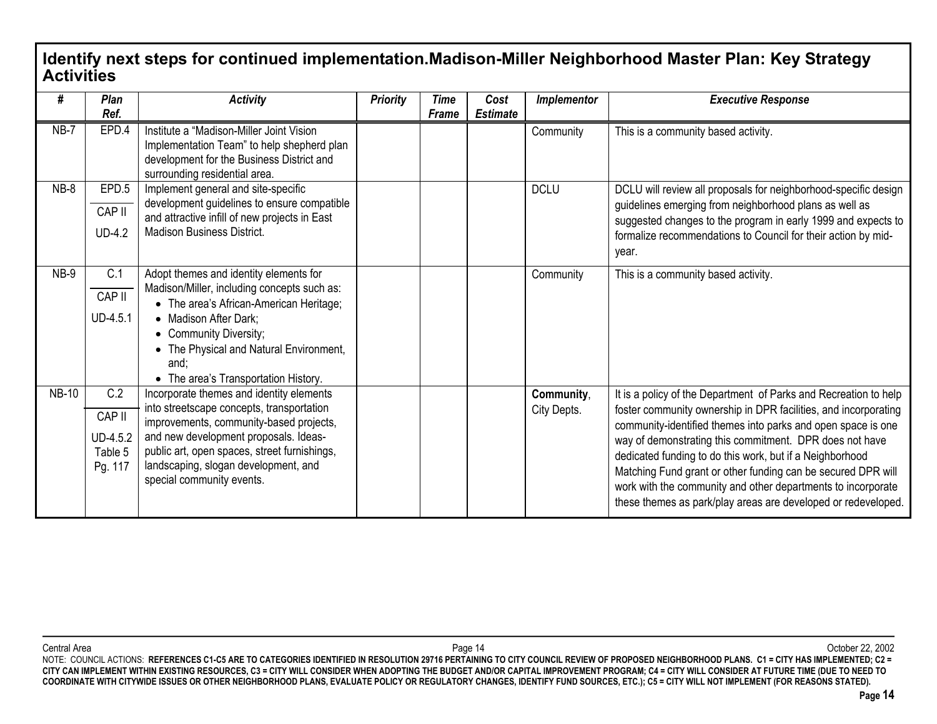#### **Identify next steps for continued implementation.Madison-Miller Neighborhood Master Plan: Key Strategy Activities**

| #            | Plan<br>Ref.                                    | <b>Activity</b>                                                                                                                                                                                                                                                                                | <b>Priority</b> | Time<br>Frame | Cost<br><b>Estimate</b> | Implementor               | <b>Executive Response</b>                                                                                                                                                                                                                                                                                                                                                                                                                                                                                                   |
|--------------|-------------------------------------------------|------------------------------------------------------------------------------------------------------------------------------------------------------------------------------------------------------------------------------------------------------------------------------------------------|-----------------|---------------|-------------------------|---------------------------|-----------------------------------------------------------------------------------------------------------------------------------------------------------------------------------------------------------------------------------------------------------------------------------------------------------------------------------------------------------------------------------------------------------------------------------------------------------------------------------------------------------------------------|
| $NB-7$       | EPD.4                                           | Institute a "Madison-Miller Joint Vision<br>Implementation Team" to help shepherd plan<br>development for the Business District and<br>surrounding residential area.                                                                                                                           |                 |               |                         | Community                 | This is a community based activity.                                                                                                                                                                                                                                                                                                                                                                                                                                                                                         |
| $NB-8$       | EPD.5<br>CAP II<br>$UD-4.2$                     | Implement general and site-specific<br>development guidelines to ensure compatible<br>and attractive infill of new projects in East<br>Madison Business District.                                                                                                                              |                 |               |                         | <b>DCLU</b>               | DCLU will review all proposals for neighborhood-specific design<br>guidelines emerging from neighborhood plans as well as<br>suggested changes to the program in early 1999 and expects to<br>formalize recommendations to Council for their action by mid-<br>year.                                                                                                                                                                                                                                                        |
| $NB-9$       | C.1<br>CAP II<br>UD-4.5.1                       | Adopt themes and identity elements for<br>Madison/Miller, including concepts such as:<br>• The area's African-American Heritage;<br>• Madison After Dark:<br>• Community Diversity;<br>• The Physical and Natural Environment,<br>and;<br>• The area's Transportation History.                 |                 |               |                         | Community                 | This is a community based activity.                                                                                                                                                                                                                                                                                                                                                                                                                                                                                         |
| <b>NB-10</b> | C.2<br>CAP II<br>UD-4.5.2<br>Table 5<br>Pg. 117 | Incorporate themes and identity elements<br>into streetscape concepts, transportation<br>improvements, community-based projects,<br>and new development proposals. Ideas-<br>public art, open spaces, street furnishings,<br>landscaping, slogan development, and<br>special community events. |                 |               |                         | Community,<br>City Depts. | It is a policy of the Department of Parks and Recreation to help<br>foster community ownership in DPR facilities, and incorporating<br>community-identified themes into parks and open space is one<br>way of demonstrating this commitment. DPR does not have<br>dedicated funding to do this work, but if a Neighborhood<br>Matching Fund grant or other funding can be secured DPR will<br>work with the community and other departments to incorporate<br>these themes as park/play areas are developed or redeveloped. |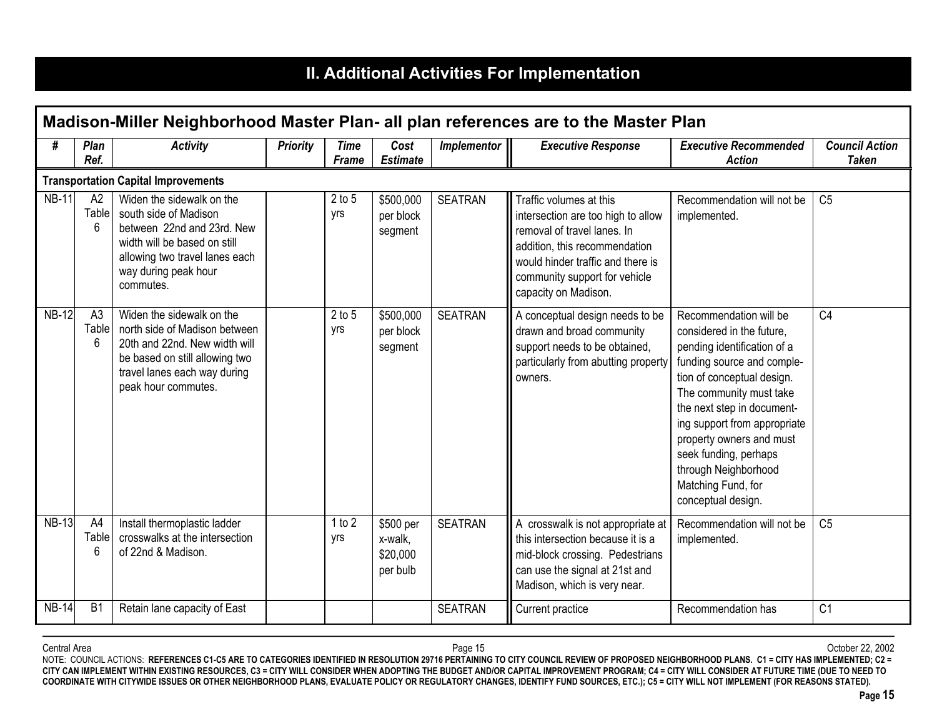# **II. Additional Activities For Implementation**

|              |                              |                                                                                                                                                                                         |                 |                             |                                              |                    | Madison-Miller Neighborhood Master Plan- all plan references are to the Master Plan                                                                                                                                         |                                                                                                                                                                                                                                                                                                                                                                  |                                       |
|--------------|------------------------------|-----------------------------------------------------------------------------------------------------------------------------------------------------------------------------------------|-----------------|-----------------------------|----------------------------------------------|--------------------|-----------------------------------------------------------------------------------------------------------------------------------------------------------------------------------------------------------------------------|------------------------------------------------------------------------------------------------------------------------------------------------------------------------------------------------------------------------------------------------------------------------------------------------------------------------------------------------------------------|---------------------------------------|
| #            | <b>Plan</b><br>Ref.          | <b>Activity</b>                                                                                                                                                                         | <b>Priority</b> | <b>Time</b><br><b>Frame</b> | Cost<br><b>Estimate</b>                      | <b>Implementor</b> | <b>Executive Response</b>                                                                                                                                                                                                   | <b>Executive Recommended</b><br><b>Action</b>                                                                                                                                                                                                                                                                                                                    | <b>Council Action</b><br><b>Taken</b> |
|              |                              | <b>Transportation Capital Improvements</b>                                                                                                                                              |                 |                             |                                              |                    |                                                                                                                                                                                                                             |                                                                                                                                                                                                                                                                                                                                                                  |                                       |
| <b>NB-11</b> | A2<br>Table<br>6             | Widen the sidewalk on the<br>south side of Madison<br>between 22nd and 23rd. New<br>width will be based on still<br>allowing two travel lanes each<br>way during peak hour<br>commutes. |                 | $2$ to $5$<br>yrs           | \$500,000<br>per block<br>segment            | <b>SEATRAN</b>     | Traffic volumes at this<br>intersection are too high to allow<br>removal of travel lanes. In<br>addition, this recommendation<br>would hinder traffic and there is<br>community support for vehicle<br>capacity on Madison. | Recommendation will not be<br>implemented.                                                                                                                                                                                                                                                                                                                       | C <sub>5</sub>                        |
| <b>NB-12</b> | A <sub>3</sub><br>Table<br>6 | Widen the sidewalk on the<br>north side of Madison between<br>20th and 22nd. New width will<br>be based on still allowing two<br>travel lanes each way during<br>peak hour commutes.    |                 | $2$ to $5$<br>yrs           | \$500,000<br>per block<br>segment            | <b>SEATRAN</b>     | A conceptual design needs to be<br>drawn and broad community<br>support needs to be obtained,<br>particularly from abutting property<br>owners.                                                                             | Recommendation will be<br>considered in the future,<br>pending identification of a<br>funding source and comple-<br>tion of conceptual design.<br>The community must take<br>the next step in document-<br>ing support from appropriate<br>property owners and must<br>seek funding, perhaps<br>through Neighborhood<br>Matching Fund, for<br>conceptual design. | C <sub>4</sub>                        |
| <b>NB-13</b> | A4<br>Table<br>6             | Install thermoplastic ladder<br>crosswalks at the intersection<br>of 22nd & Madison.                                                                                                    |                 | 1 to 2<br>yrs               | \$500 per<br>x-walk,<br>\$20,000<br>per bulb | <b>SEATRAN</b>     | A crosswalk is not appropriate at<br>this intersection because it is a<br>mid-block crossing. Pedestrians<br>can use the signal at 21st and<br>Madison, which is very near.                                                 | Recommendation will not be<br>implemented.                                                                                                                                                                                                                                                                                                                       | C <sub>5</sub>                        |
| <b>NB-14</b> | B <sub>1</sub>               | Retain lane capacity of East                                                                                                                                                            |                 |                             |                                              | <b>SEATRAN</b>     | Current practice                                                                                                                                                                                                            | Recommendation has                                                                                                                                                                                                                                                                                                                                               | C <sub>1</sub>                        |

Central Area Page 15 October 22, 2002 NOTE: COUNCIL ACTIONS: **REFERENCES C1-C5 ARE TO CATEGORIES IDENTIFIED IN RESOLUTION 29716 PERTAINING TO CITY COUNCIL REVIEW OF PROPOSED NEIGHBORHOOD PLANS. C1 = CITY HAS IMPLEMENTED; C2 = CITY CAN IMPLEMENT WITHIN EXISTING RESOURCES, C3 = CITY WILL CONSIDER WHEN ADOPTING THE BUDGET AND/OR CAPITAL IMPROVEMENT PROGRAM; C4 = CITY WILL CONSIDER AT FUTURE TIME (DUE TO NEED TO COORDINATE WITH CITYWIDE ISSUES OR OTHER NEIGHBORHOOD PLANS, EVALUATE POLICY OR REGULATORY CHANGES, IDENTIFY FUND SOURCES, ETC.); C5 = CITY WILL NOT IMPLEMENT (FOR REASONS STATED).**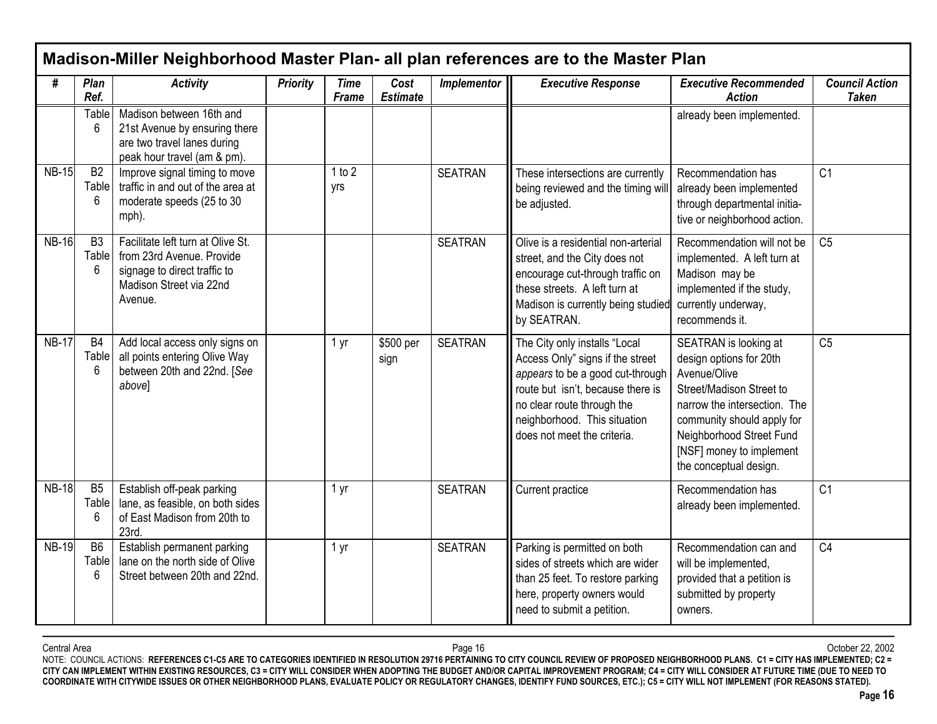|              |                              |                                                                                                                                      |                 |                             |                         |                | Madison-Miller Neighborhood Master Plan- all plan references are to the Master Plan                                                                                                                                                     |                                                                                                                                                                                                                                              |                                       |
|--------------|------------------------------|--------------------------------------------------------------------------------------------------------------------------------------|-----------------|-----------------------------|-------------------------|----------------|-----------------------------------------------------------------------------------------------------------------------------------------------------------------------------------------------------------------------------------------|----------------------------------------------------------------------------------------------------------------------------------------------------------------------------------------------------------------------------------------------|---------------------------------------|
| #            | Plan<br>Ref.                 | <b>Activity</b>                                                                                                                      | <b>Priority</b> | <b>Time</b><br><b>Frame</b> | Cost<br><b>Estimate</b> | Implementor    | <b>Executive Response</b>                                                                                                                                                                                                               | <b>Executive Recommended</b><br><b>Action</b>                                                                                                                                                                                                | <b>Council Action</b><br><b>Taken</b> |
|              | <b>Table</b><br>6            | Madison between 16th and<br>21st Avenue by ensuring there<br>are two travel lanes during<br>peak hour travel (am & pm).              |                 |                             |                         |                |                                                                                                                                                                                                                                         | already been implemented.                                                                                                                                                                                                                    |                                       |
| <b>NB-15</b> | B2<br>Table<br>6             | Improve signal timing to move<br>traffic in and out of the area at<br>moderate speeds (25 to 30<br>mph).                             |                 | 1 to 2<br>yrs               |                         | <b>SEATRAN</b> | These intersections are currently<br>being reviewed and the timing will<br>be adjusted.                                                                                                                                                 | Recommendation has<br>already been implemented<br>through departmental initia-<br>tive or neighborhood action.                                                                                                                               | C <sub>1</sub>                        |
| <b>NB-16</b> | B <sub>3</sub><br>Table<br>6 | Facilitate left turn at Olive St.<br>from 23rd Avenue. Provide<br>signage to direct traffic to<br>Madison Street via 22nd<br>Avenue. |                 |                             |                         | <b>SEATRAN</b> | Olive is a residential non-arterial<br>street, and the City does not<br>encourage cut-through traffic on<br>these streets. A left turn at<br>Madison is currently being studied<br>by SEATRAN.                                          | Recommendation will not be<br>implemented. A left turn at<br>Madison may be<br>implemented if the study,<br>currently underway,<br>recommends it.                                                                                            | C <sub>5</sub>                        |
| <b>NB-17</b> | B <sub>4</sub><br>Table<br>6 | Add local access only signs on<br>all points entering Olive Way<br>between 20th and 22nd. [See<br>above]                             |                 | 1 yr                        | \$500 per<br>sign       | <b>SEATRAN</b> | The City only installs "Local<br>Access Only" signs if the street<br>appears to be a good cut-through<br>route but isn't, because there is<br>no clear route through the<br>neighborhood. This situation<br>does not meet the criteria. | SEATRAN is looking at<br>design options for 20th<br>Avenue/Olive<br>Street/Madison Street to<br>narrow the intersection. The<br>community should apply for<br>Neighborhood Street Fund<br>[NSF] money to implement<br>the conceptual design. | C <sub>5</sub>                        |
| <b>NB-18</b> | B <sub>5</sub><br>Table<br>6 | Establish off-peak parking<br>lane, as feasible, on both sides<br>of East Madison from 20th to<br>23rd.                              |                 | 1 yr                        |                         | <b>SEATRAN</b> | Current practice                                                                                                                                                                                                                        | Recommendation has<br>already been implemented.                                                                                                                                                                                              | C <sub>1</sub>                        |
| <b>NB-19</b> | B <sub>6</sub><br>Table<br>6 | Establish permanent parking<br>lane on the north side of Olive<br>Street between 20th and 22nd.                                      |                 | 1 yr                        |                         | <b>SEATRAN</b> | Parking is permitted on both<br>sides of streets which are wider<br>than 25 feet. To restore parking<br>here, property owners would<br>need to submit a petition.                                                                       | Recommendation can and<br>will be implemented,<br>provided that a petition is<br>submitted by property<br>owners.                                                                                                                            | C <sub>4</sub>                        |

Central Area Page 16 October 22, 2002 NOTE: COUNCIL ACTIONS: **REFERENCES C1-C5 ARE TO CATEGORIES IDENTIFIED IN RESOLUTION 29716 PERTAINING TO CITY COUNCIL REVIEW OF PROPOSED NEIGHBORHOOD PLANS. C1 = CITY HAS IMPLEMENTED; C2 = CITY CAN IMPLEMENT WITHIN EXISTING RESOURCES, C3 = CITY WILL CONSIDER WHEN ADOPTING THE BUDGET AND/OR CAPITAL IMPROVEMENT PROGRAM; C4 = CITY WILL CONSIDER AT FUTURE TIME (DUE TO NEED TO COORDINATE WITH CITYWIDE ISSUES OR OTHER NEIGHBORHOOD PLANS, EVALUATE POLICY OR REGULATORY CHANGES, IDENTIFY FUND SOURCES, ETC.); C5 = CITY WILL NOT IMPLEMENT (FOR REASONS STATED).**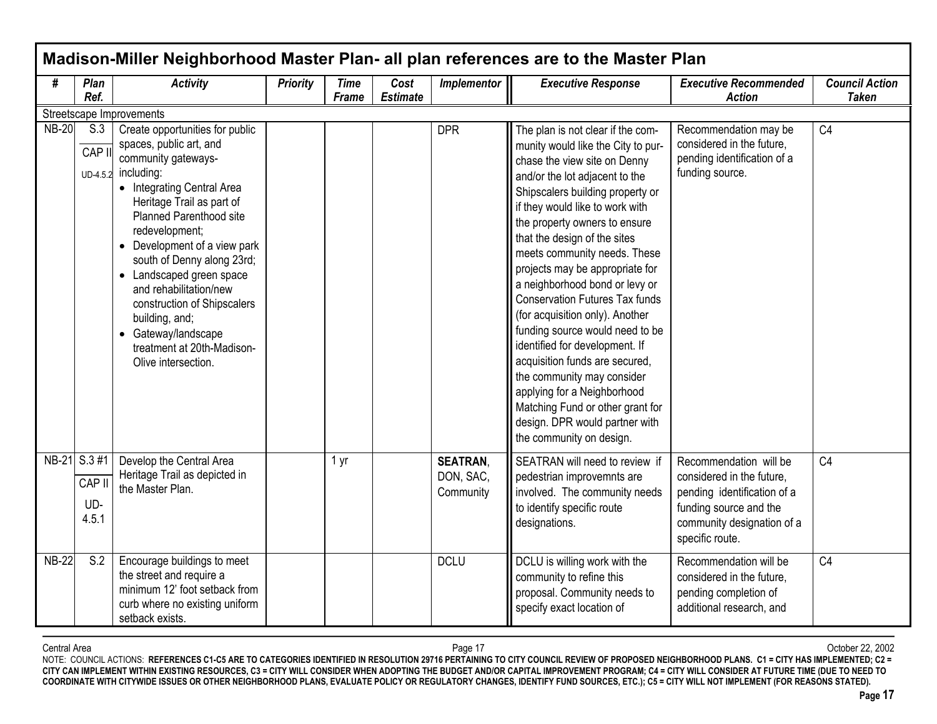| #            | Plan<br>Ref.                           | <b>Activity</b>                                                                                                                                                                                                                                                                                                                                                                                                                                                          | <b>Priority</b> | <b>Time</b><br><b>Frame</b> | Cost<br><b>Estimate</b> | Implementor                               | <b>Executive Response</b>                                                                                                                                                                                                                                                                                                                                                                                                                                                                                                                                                                                                                                                                                                                | <b>Executive Recommended</b><br><b>Action</b>                                                                                                                 | <b>Council Action</b><br><b>Taken</b> |
|--------------|----------------------------------------|--------------------------------------------------------------------------------------------------------------------------------------------------------------------------------------------------------------------------------------------------------------------------------------------------------------------------------------------------------------------------------------------------------------------------------------------------------------------------|-----------------|-----------------------------|-------------------------|-------------------------------------------|------------------------------------------------------------------------------------------------------------------------------------------------------------------------------------------------------------------------------------------------------------------------------------------------------------------------------------------------------------------------------------------------------------------------------------------------------------------------------------------------------------------------------------------------------------------------------------------------------------------------------------------------------------------------------------------------------------------------------------------|---------------------------------------------------------------------------------------------------------------------------------------------------------------|---------------------------------------|
|              |                                        | Streetscape Improvements                                                                                                                                                                                                                                                                                                                                                                                                                                                 |                 |                             |                         |                                           |                                                                                                                                                                                                                                                                                                                                                                                                                                                                                                                                                                                                                                                                                                                                          |                                                                                                                                                               |                                       |
| <b>NB-20</b> | S.3<br>CAP I                           | Create opportunities for public<br>spaces, public art, and<br>community gateways-<br>UD-4.5.2 including:<br>• Integrating Central Area<br>Heritage Trail as part of<br><b>Planned Parenthood site</b><br>redevelopment;<br>• Development of a view park<br>south of Denny along 23rd;<br>• Landscaped green space<br>and rehabilitation/new<br>construction of Shipscalers<br>building, and;<br>• Gateway/landscape<br>treatment at 20th-Madison-<br>Olive intersection. |                 |                             |                         | <b>DPR</b>                                | The plan is not clear if the com-<br>munity would like the City to pur-<br>chase the view site on Denny<br>and/or the lot adjacent to the<br>Shipscalers building property or<br>if they would like to work with<br>the property owners to ensure<br>that the design of the sites<br>meets community needs. These<br>projects may be appropriate for<br>a neighborhood bond or levy or<br><b>Conservation Futures Tax funds</b><br>(for acquisition only). Another<br>funding source would need to be<br>identified for development. If<br>acquisition funds are secured,<br>the community may consider<br>applying for a Neighborhood<br>Matching Fund or other grant for<br>design. DPR would partner with<br>the community on design. | Recommendation may be<br>considered in the future,<br>pending identification of a<br>funding source.                                                          | C4                                    |
|              | NB-21 S.3 #1<br>CAP II<br>UD-<br>4.5.1 | Develop the Central Area<br>Heritage Trail as depicted in<br>the Master Plan.                                                                                                                                                                                                                                                                                                                                                                                            |                 | 1 yr                        |                         | <b>SEATRAN,</b><br>DON, SAC,<br>Community | SEATRAN will need to review if<br>pedestrian improvemnts are<br>involved. The community needs<br>to identify specific route<br>designations.                                                                                                                                                                                                                                                                                                                                                                                                                                                                                                                                                                                             | Recommendation will be<br>considered in the future,<br>pending identification of a<br>funding source and the<br>community designation of a<br>specific route. | C <sub>4</sub>                        |
| <b>NB-22</b> | S.2                                    | Encourage buildings to meet<br>the street and require a<br>minimum 12' foot setback from<br>curb where no existing uniform<br>setback exists.                                                                                                                                                                                                                                                                                                                            |                 |                             |                         | <b>DCLU</b>                               | DCLU is willing work with the<br>community to refine this<br>proposal. Community needs to<br>specify exact location of                                                                                                                                                                                                                                                                                                                                                                                                                                                                                                                                                                                                                   | Recommendation will be<br>considered in the future,<br>pending completion of<br>additional research, and                                                      | C <sub>4</sub>                        |

Central Area Page 17 October 22, 2002 NOTE: COUNCIL ACTIONS: **REFERENCES C1-C5 ARE TO CATEGORIES IDENTIFIED IN RESOLUTION 29716 PERTAINING TO CITY COUNCIL REVIEW OF PROPOSED NEIGHBORHOOD PLANS. C1 = CITY HAS IMPLEMENTED; C2 = CITY CAN IMPLEMENT WITHIN EXISTING RESOURCES, C3 = CITY WILL CONSIDER WHEN ADOPTING THE BUDGET AND/OR CAPITAL IMPROVEMENT PROGRAM; C4 = CITY WILL CONSIDER AT FUTURE TIME (DUE TO NEED TO COORDINATE WITH CITYWIDE ISSUES OR OTHER NEIGHBORHOOD PLANS, EVALUATE POLICY OR REGULATORY CHANGES, IDENTIFY FUND SOURCES, ETC.); C5 = CITY WILL NOT IMPLEMENT (FOR REASONS STATED).**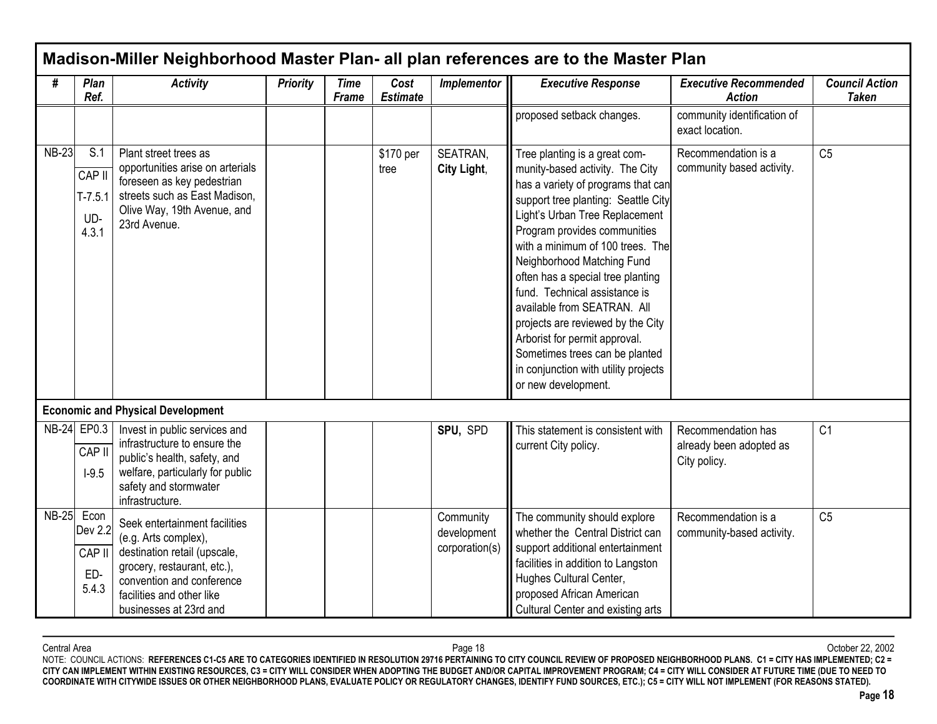|              |                                            |                                                                                                                                                                                                          |                 |                             |                         |                                            | Madison-Miller Neighborhood Master Plan- all plan references are to the Master Plan                                                                                                                                                                                                                                                                                                                                                                                                                                                                           |                                                               |                                       |
|--------------|--------------------------------------------|----------------------------------------------------------------------------------------------------------------------------------------------------------------------------------------------------------|-----------------|-----------------------------|-------------------------|--------------------------------------------|---------------------------------------------------------------------------------------------------------------------------------------------------------------------------------------------------------------------------------------------------------------------------------------------------------------------------------------------------------------------------------------------------------------------------------------------------------------------------------------------------------------------------------------------------------------|---------------------------------------------------------------|---------------------------------------|
| #            | Plan<br>Ref.                               | <b>Activity</b>                                                                                                                                                                                          | <b>Priority</b> | <b>Time</b><br><b>Frame</b> | Cost<br><b>Estimate</b> | Implementor                                | <b>Executive Response</b>                                                                                                                                                                                                                                                                                                                                                                                                                                                                                                                                     | <b>Executive Recommended</b><br><b>Action</b>                 | <b>Council Action</b><br><b>Taken</b> |
|              |                                            |                                                                                                                                                                                                          |                 |                             |                         |                                            | proposed setback changes.                                                                                                                                                                                                                                                                                                                                                                                                                                                                                                                                     | community identification of<br>exact location.                |                                       |
| <b>NB-23</b> | S.1<br>CAP II<br>$T-7.5.1$<br>UD-<br>4.3.1 | Plant street trees as<br>opportunities arise on arterials<br>foreseen as key pedestrian<br>streets such as East Madison,<br>Olive Way, 19th Avenue, and<br>23rd Avenue.                                  |                 |                             | \$170 per<br>tree       | SEATRAN,<br>City Light,                    | Tree planting is a great com-<br>munity-based activity. The City<br>has a variety of programs that can<br>support tree planting: Seattle City<br>Light's Urban Tree Replacement<br>Program provides communities<br>with a minimum of 100 trees. The<br>Neighborhood Matching Fund<br>often has a special tree planting<br>fund. Technical assistance is<br>available from SEATRAN. All<br>projects are reviewed by the City<br>Arborist for permit approval.<br>Sometimes trees can be planted<br>in conjunction with utility projects<br>or new development. | Recommendation is a<br>community based activity.              | C <sub>5</sub>                        |
|              |                                            | <b>Economic and Physical Development</b>                                                                                                                                                                 |                 |                             |                         |                                            |                                                                                                                                                                                                                                                                                                                                                                                                                                                                                                                                                               |                                                               |                                       |
|              | NB-24 EP0.3<br>CAP II<br>$I-9.5$           | Invest in public services and<br>infrastructure to ensure the<br>public's health, safety, and<br>welfare, particularly for public<br>safety and stormwater<br>infrastructure.                            |                 |                             |                         | SPU, SPD                                   | This statement is consistent with<br>current City policy.                                                                                                                                                                                                                                                                                                                                                                                                                                                                                                     | Recommendation has<br>already been adopted as<br>City policy. | C <sub>1</sub>                        |
| <b>NB-25</b> | Econ<br>Dev 2.2<br>CAP II<br>ED-<br>5.4.3  | Seek entertainment facilities<br>(e.g. Arts complex),<br>destination retail (upscale,<br>grocery, restaurant, etc.),<br>convention and conference<br>facilities and other like<br>businesses at 23rd and |                 |                             |                         | Community<br>development<br>corporation(s) | The community should explore<br>whether the Central District can<br>support additional entertainment<br>facilities in addition to Langston<br>Hughes Cultural Center,<br>proposed African American<br>Cultural Center and existing arts                                                                                                                                                                                                                                                                                                                       | Recommendation is a<br>community-based activity.              | C <sub>5</sub>                        |

Central Area Page 18 October 22, 2002 NOTE: COUNCIL ACTIONS: **REFERENCES C1-C5 ARE TO CATEGORIES IDENTIFIED IN RESOLUTION 29716 PERTAINING TO CITY COUNCIL REVIEW OF PROPOSED NEIGHBORHOOD PLANS. C1 = CITY HAS IMPLEMENTED; C2 = CITY CAN IMPLEMENT WITHIN EXISTING RESOURCES, C3 = CITY WILL CONSIDER WHEN ADOPTING THE BUDGET AND/OR CAPITAL IMPROVEMENT PROGRAM; C4 = CITY WILL CONSIDER AT FUTURE TIME (DUE TO NEED TO COORDINATE WITH CITYWIDE ISSUES OR OTHER NEIGHBORHOOD PLANS, EVALUATE POLICY OR REGULATORY CHANGES, IDENTIFY FUND SOURCES, ETC.); C5 = CITY WILL NOT IMPLEMENT (FOR REASONS STATED).**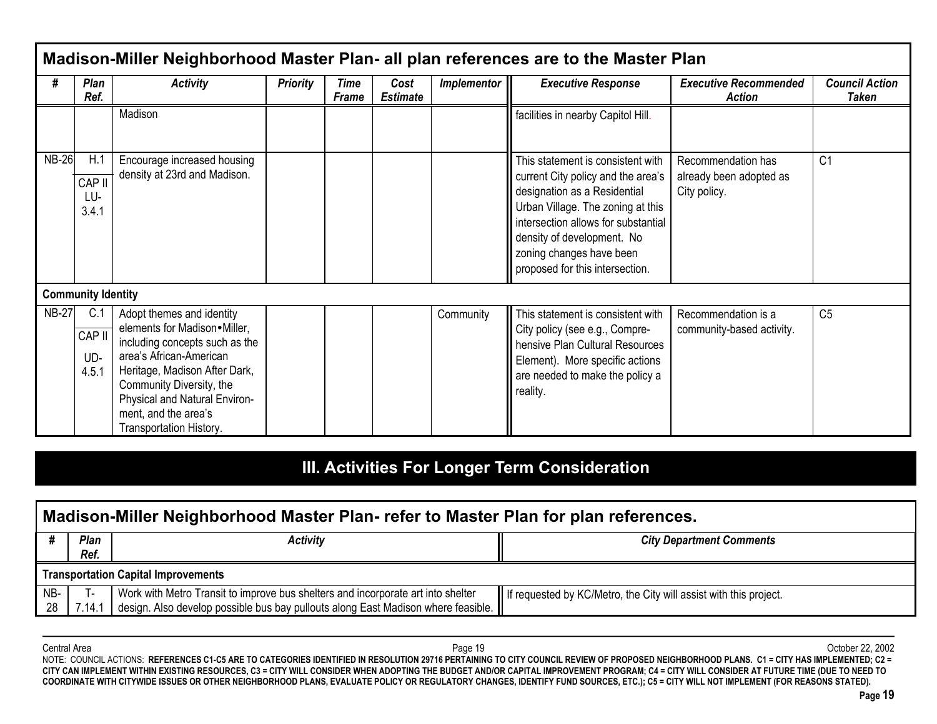|              |                                        |                                                                                                                                                                                                                                                                         |                 |                      |                         |             | Madison-Miller Neighborhood Master Plan- all plan references are to the Master Plan                                                                                                                                                                                              |                                                               |                                |
|--------------|----------------------------------------|-------------------------------------------------------------------------------------------------------------------------------------------------------------------------------------------------------------------------------------------------------------------------|-----------------|----------------------|-------------------------|-------------|----------------------------------------------------------------------------------------------------------------------------------------------------------------------------------------------------------------------------------------------------------------------------------|---------------------------------------------------------------|--------------------------------|
| #            | Plan<br>Ref.                           | <b>Activity</b>                                                                                                                                                                                                                                                         | <b>Priority</b> | Time<br><b>Frame</b> | Cost<br><b>Estimate</b> | Implementor | <b>Executive Response</b>                                                                                                                                                                                                                                                        | <b>Executive Recommended</b><br>Action                        | <b>Council Action</b><br>Taken |
|              |                                        | Madison                                                                                                                                                                                                                                                                 |                 |                      |                         |             | facilities in nearby Capitol Hill.                                                                                                                                                                                                                                               |                                                               |                                |
| <b>NB-26</b> | $H^{\prime}$<br>CAP II<br>LU-<br>3.4.1 | Encourage increased housing<br>density at 23rd and Madison.                                                                                                                                                                                                             |                 |                      |                         |             | This statement is consistent with<br>current City policy and the area's<br>designation as a Residential<br>Urban Village. The zoning at this<br>intersection allows for substantial<br>density of development. No<br>zoning changes have been<br>proposed for this intersection. | Recommendation has<br>already been adopted as<br>City policy. | C <sub>1</sub>                 |
|              | <b>Community Identity</b>              |                                                                                                                                                                                                                                                                         |                 |                      |                         |             |                                                                                                                                                                                                                                                                                  |                                                               |                                |
| <b>NB-27</b> | C.1<br>CAP II<br>UD-<br>4.5.1          | Adopt themes and identity<br>elements for Madison•Miller,<br>including concepts such as the<br>area's African-American<br>Heritage, Madison After Dark,<br>Community Diversity, the<br>Physical and Natural Environ-<br>ment, and the area's<br>Transportation History. |                 |                      |                         | Community   | This statement is consistent with<br>City policy (see e.g., Compre-<br>hensive Plan Cultural Resources<br>Element). More specific actions<br>are needed to make the policy a<br>reality.                                                                                         | Recommendation is a<br>community-based activity.              | C <sub>5</sub>                 |

# **III. Activities For Longer Term Consideration**

|           | Madison-Miller Neighborhood Master Plan- refer to Master Plan for plan references.                                                                                                                                                                      |  |  |  |  |  |  |  |  |  |  |  |
|-----------|---------------------------------------------------------------------------------------------------------------------------------------------------------------------------------------------------------------------------------------------------------|--|--|--|--|--|--|--|--|--|--|--|
|           | Plan<br><b>City Department Comments</b><br>Activity<br>Ref.                                                                                                                                                                                             |  |  |  |  |  |  |  |  |  |  |  |
|           | <b>Transportation Capital Improvements</b>                                                                                                                                                                                                              |  |  |  |  |  |  |  |  |  |  |  |
| NB-<br>28 | Work with Metro Transit to improve bus shelters and incorporate art into shelter<br>II If requested by KC/Metro, the City will assist with this project.<br>design. Also develop possible bus bay pullouts along East Madison where feasible.<br>7.14.1 |  |  |  |  |  |  |  |  |  |  |  |

Central Area Page 19 October 22, 2002 NOTE: COUNCIL ACTIONS: **REFERENCES C1-C5 ARE TO CATEGORIES IDENTIFIED IN RESOLUTION 29716 PERTAINING TO CITY COUNCIL REVIEW OF PROPOSED NEIGHBORHOOD PLANS. C1 = CITY HAS IMPLEMENTED; C2 = CITY CAN IMPLEMENT WITHIN EXISTING RESOURCES, C3 = CITY WILL CONSIDER WHEN ADOPTING THE BUDGET AND/OR CAPITAL IMPROVEMENT PROGRAM; C4 = CITY WILL CONSIDER AT FUTURE TIME (DUE TO NEED TO COORDINATE WITH CITYWIDE ISSUES OR OTHER NEIGHBORHOOD PLANS, EVALUATE POLICY OR REGULATORY CHANGES, IDENTIFY FUND SOURCES, ETC.); C5 = CITY WILL NOT IMPLEMENT (FOR REASONS STATED).**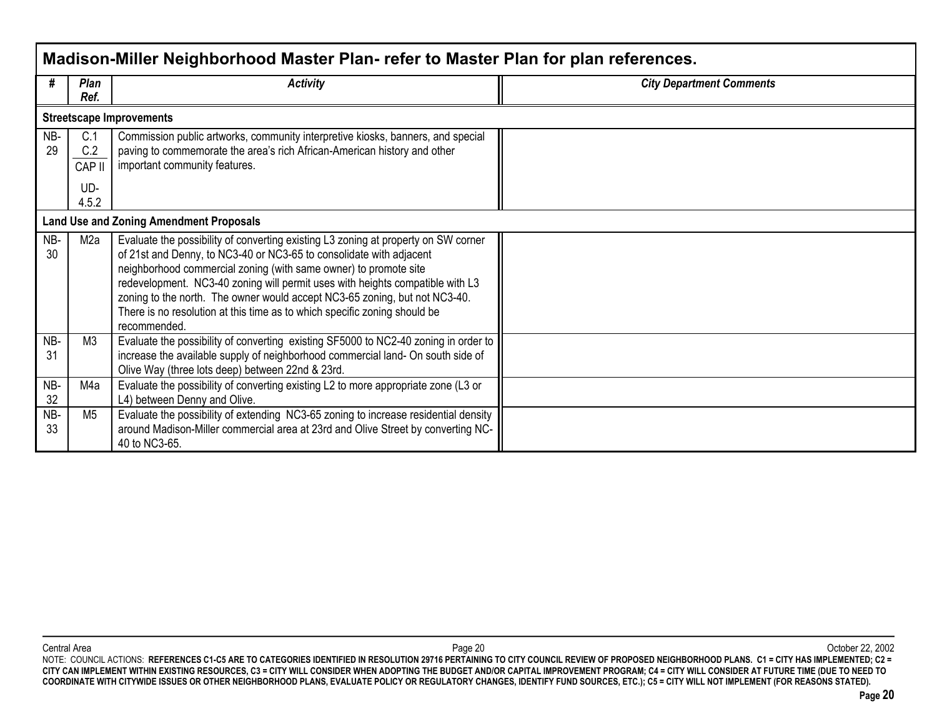|           |                                      | Madison-Miller Neighborhood Master Plan- refer to Master Plan for plan references.                                                                                                                                                                                                                                                                                                                                                                                                        |                                 |
|-----------|--------------------------------------|-------------------------------------------------------------------------------------------------------------------------------------------------------------------------------------------------------------------------------------------------------------------------------------------------------------------------------------------------------------------------------------------------------------------------------------------------------------------------------------------|---------------------------------|
| #         | <b>Plan</b><br>Ref.                  | <b>Activity</b>                                                                                                                                                                                                                                                                                                                                                                                                                                                                           | <b>City Department Comments</b> |
|           |                                      | <b>Streetscape Improvements</b>                                                                                                                                                                                                                                                                                                                                                                                                                                                           |                                 |
| NB-<br>29 | C.1<br>C.2<br>CAP II<br>UD-<br>4.5.2 | Commission public artworks, community interpretive kiosks, banners, and special<br>paving to commemorate the area's rich African-American history and other<br>important community features.                                                                                                                                                                                                                                                                                              |                                 |
|           |                                      | <b>Land Use and Zoning Amendment Proposals</b>                                                                                                                                                                                                                                                                                                                                                                                                                                            |                                 |
| NB-<br>30 | M2a                                  | Evaluate the possibility of converting existing L3 zoning at property on SW corner<br>of 21st and Denny, to NC3-40 or NC3-65 to consolidate with adjacent<br>neighborhood commercial zoning (with same owner) to promote site<br>redevelopment. NC3-40 zoning will permit uses with heights compatible with L3<br>zoning to the north. The owner would accept NC3-65 zoning, but not NC3-40.<br>There is no resolution at this time as to which specific zoning should be<br>recommended. |                                 |
| NB-<br>31 | M <sub>3</sub>                       | Evaluate the possibility of converting existing SF5000 to NC2-40 zoning in order to<br>increase the available supply of neighborhood commercial land- On south side of<br>Olive Way (three lots deep) between 22nd & 23rd.                                                                                                                                                                                                                                                                |                                 |
| NB-<br>32 | M4a                                  | Evaluate the possibility of converting existing L2 to more appropriate zone (L3 or<br>L4) between Denny and Olive.                                                                                                                                                                                                                                                                                                                                                                        |                                 |
| NB-<br>33 | M <sub>5</sub>                       | Evaluate the possibility of extending NC3-65 zoning to increase residential density<br>around Madison-Miller commercial area at 23rd and Olive Street by converting NC-<br>40 to NC3-65.                                                                                                                                                                                                                                                                                                  |                                 |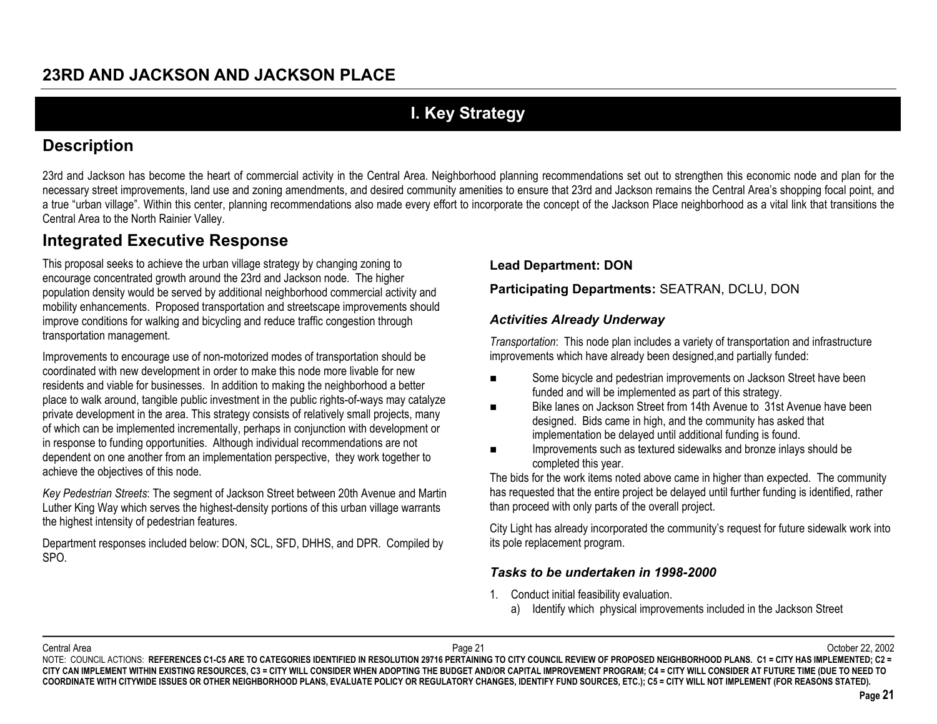# **I. Key Strategy**

# **Description**

23rd and Jackson has become the heart of commercial activity in the Central Area. Neighborhood planning recommendations set out to strengthen this economic node and plan for the necessary street improvements, land use and zoning amendments, and desired community amenities to ensure that 23rd and Jackson remains the Central Area's shopping focal point, and a true "urban village". Within this center, planning recommendations also made every effort to incorporate the concept of the Jackson Place neighborhood as a vital link that transitions the Central Area to the North Rainier Valley.

# **Integrated Executive Response**

This proposal seeks to achieve the urban village strategy by changing zoning to encourage concentrated growth around the 23rd and Jackson node. The higher population density would be served by additional neighborhood commercial activity and mobility enhancements. Proposed transportation and streetscape improvements should improve conditions for walking and bicycling and reduce traffic congestion through transportation management.

Improvements to encourage use of non-motorized modes of transportation should be coordinated with new development in order to make this node more livable for new residents and viable for businesses. In addition to making the neighborhood a better place to walk around, tangible public investment in the public rights-of-ways may catalyze private development in the area. This strategy consists of relatively small projects, many of which can be implemented incrementally, perhaps in conjunction with development or in response to funding opportunities. Although individual recommendations are not dependent on one another from an implementation perspective, they work together to achieve the objectives of this node.

*Key Pedestrian Streets*: The segment of Jackson Street between 20th Avenue and Martin Luther King Way which serves the highest-density portions of this urban village warrants the highest intensity of pedestrian features.

Department responses included below: DON, SCL, SFD, DHHS, and DPR. Compiled by SPO.

#### **Lead Department: DON**

#### **Participating Departments:** SEATRAN, DCLU, DON

#### *Activities Already Underway*

*Transportation*: This node plan includes a variety of transportation and infrastructure improvements which have already been designed,and partially funded:

- $\blacksquare$  Some bicycle and pedestrian improvements on Jackson Street have been funded and will be implemented as part of this strategy.
- $\blacksquare$  Bike lanes on Jackson Street from 14th Avenue to 31st Avenue have been designed. Bids came in high, and the community has asked that implementation be delayed until additional funding is found.
- $\blacksquare$  Improvements such as textured sidewalks and bronze inlays should be completed this year.

The bids for the work items noted above came in higher than expected. The community has requested that the entire project be delayed until further funding is identified, rather than proceed with only parts of the overall project.

City Light has already incorporated the community's request for future sidewalk work into its pole replacement program.

#### *Tasks to be undertaken in 1998-2000*

- 1. Conduct initial feasibility evaluation.
	- a) Identify which physical improvements included in the Jackson Street

Central Area

 Page 21 October 22, 2002 NOTE: COUNCIL ACTIONS: REFERENCES C1-C5 ARE TO CATEGORIES IDENTIFIED IN RESOLUTION 29716 PERTAINING TO CITY COUNCIL REVIEW OF PROPOSED NEIGHBORHOOD PLANS. C1 = CITY HAS IMPLEMENTED; C2 = **CITY CAN IMPLEMENT WITHIN EXISTING RESOURCES, C3 = CITY WILL CONSIDER WHEN ADOPTING THE BUDGET AND/OR CAPITAL IMPROVEMENT PROGRAM; C4 = CITY WILL CONSIDER AT FUTURE TIME (DUE TO NEED TO COORDINATE WITH CITYWIDE ISSUES OR OTHER NEIGHBORHOOD PLANS, EVALUATE POLICY OR REGULATORY CHANGES, IDENTIFY FUND SOURCES, ETC.); C5 = CITY WILL NOT IMPLEMENT (FOR REASONS STATED).**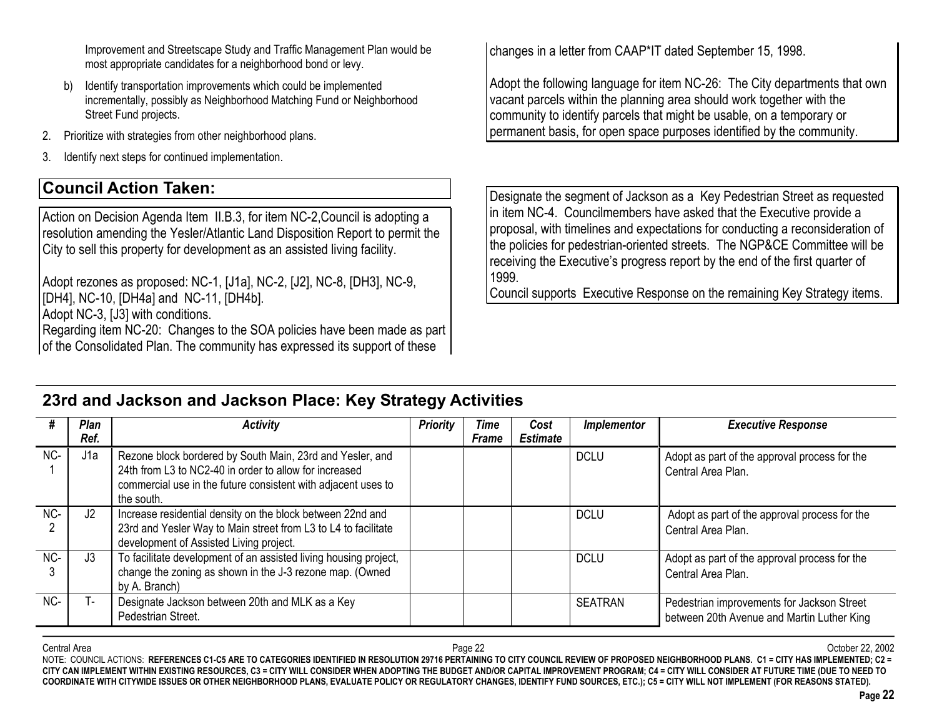Improvement and Streetscape Study and Traffic Management Plan would be most appropriate candidates for a neighborhood bond or levy.

- b) Identify transportation improvements which could be implemented incrementally, possibly as Neighborhood Matching Fund or Neighborhood Street Fund projects.
- 2.Prioritize with strategies from other neighborhood plans.
- 3.Identify next steps for continued implementation.

# **Council Action Taken:**

Action on Decision Agenda Item II.B.3, for item NC-2,Council is adopting a resolution amending the Yesler/Atlantic Land Disposition Report to permit the City to sell this property for development as an assisted living facility.

Adopt rezones as proposed: NC-1, [J1a], NC-2, [J2], NC-8, [DH3], NC-9, [DH4], NC-10, [DH4a] and NC-11, [DH4b].

Adopt NC-3, [J3] with conditions.

Regarding item NC-20: Changes to the SOA policies have been made as part of the Consolidated Plan. The community has expressed its support of these

**23rd and Jackson and Jackson Place: Key Strategy Activities**

changes in a letter from CAAP\*IT dated September 15, 1998.

Adopt the following language for item NC-26: The City departments that own vacant parcels within the planning area should work together with the community to identify parcels that might be usable, on a temporary or permanent basis, for open space purposes identified by the community.

Designate the segment of Jackson as a Key Pedestrian Street as requested in item NC-4. Councilmembers have asked that the Executive provide a proposal, with timelines and expectations for conducting a reconsideration of the policies for pedestrian-oriented streets. The NGP&CE Committee will be receiving the Executive's progress report by the end of the first quarter of 1999.

Council supports Executive Response on the remaining Key Strategy items.

|       | <b>Plan</b><br>Ref. | <b>Activity</b>                                                                                                                                                                                    | <b>Priority</b> | Time<br><b>Frame</b> | Cost<br><b>Estimate</b> | <i>Implementor</i> | <b>Executive Response</b>                                                                |
|-------|---------------------|----------------------------------------------------------------------------------------------------------------------------------------------------------------------------------------------------|-----------------|----------------------|-------------------------|--------------------|------------------------------------------------------------------------------------------|
| $NC-$ | J <sub>1</sub> a    | Rezone block bordered by South Main, 23rd and Yesler, and<br>24th from L3 to NC2-40 in order to allow for increased<br>commercial use in the future consistent with adjacent uses to<br>the south. |                 |                      |                         | <b>DCLU</b>        | Adopt as part of the approval process for the<br>Central Area Plan.                      |
| NC-   | J2                  | Increase residential density on the block between 22nd and<br>23rd and Yesler Way to Main street from L3 to L4 to facilitate<br>development of Assisted Living project.                            |                 |                      |                         | <b>DCLU</b>        | Adopt as part of the approval process for the<br>Central Area Plan.                      |
| NC-   | J3                  | To facilitate development of an assisted living housing project,<br>change the zoning as shown in the J-3 rezone map. (Owned<br>by A. Branch)                                                      |                 |                      |                         | <b>DCLU</b>        | Adopt as part of the approval process for the<br>Central Area Plan.                      |
| $NC-$ |                     | Designate Jackson between 20th and MLK as a Key<br>Pedestrian Street.                                                                                                                              |                 |                      |                         | <b>SEATRAN</b>     | Pedestrian improvements for Jackson Street<br>between 20th Avenue and Martin Luther King |

#### Central Areaa and the controller of the controller controller to the Page 22 of the controller controller controller controller controller controller controller controller controller controller controller controller controller control NOTE: COUNCIL ACTIONS: **REFERENCES C1-C5 ARE TO CATEGORIES IDENTIFIED IN RESOLUTION 29716 PERTAINING TO CITY COUNCIL REVIEW OF PROPOSED NEIGHBORHOOD PLANS. C1 = CITY HAS IMPLEMENTED; C2 = CITY CAN IMPLEMENT WITHIN EXISTING RESOURCES, C3 = CITY WILL CONSIDER WHEN ADOPTING THE BUDGET AND/OR CAPITAL IMPROVEMENT PROGRAM; C4 = CITY WILL CONSIDER AT FUTURE TIME (DUE TO NEED TO COORDINATE WITH CITYWIDE ISSUES OR OTHER NEIGHBORHOOD PLANS, EVALUATE POLICY OR REGULATORY CHANGES, IDENTIFY FUND SOURCES, ETC.); C5 = CITY WILL NOT IMPLEMENT (FOR REASONS STATED).**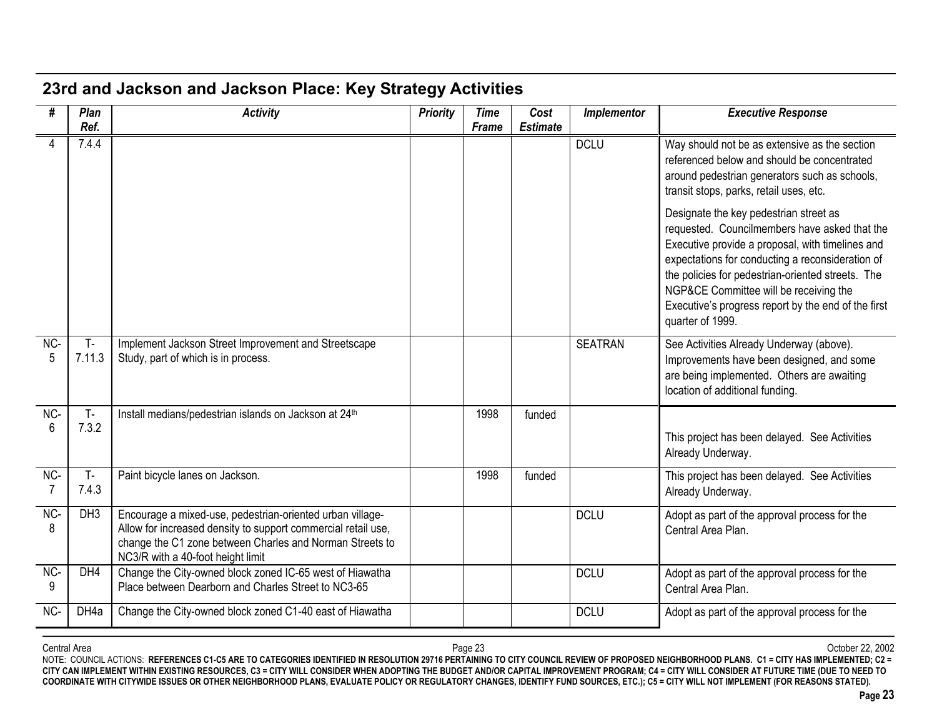# **23rd and Jackson and Jackson Place: Key Strategy Activities**

| #        | Plan            | <b>Activity</b>                                                                                                                                                                                                             | <b>Priority</b> | <b>Time</b> | Cost            | Implementor    | <b>Executive Response</b>                                                                                                                                                                                                                                                                                                                                                 |
|----------|-----------------|-----------------------------------------------------------------------------------------------------------------------------------------------------------------------------------------------------------------------------|-----------------|-------------|-----------------|----------------|---------------------------------------------------------------------------------------------------------------------------------------------------------------------------------------------------------------------------------------------------------------------------------------------------------------------------------------------------------------------------|
|          | Ref.            |                                                                                                                                                                                                                             |                 | Frame       | <b>Estimate</b> |                |                                                                                                                                                                                                                                                                                                                                                                           |
|          | 7.4.4           |                                                                                                                                                                                                                             |                 |             |                 | <b>DCLU</b>    | Way should not be as extensive as the section<br>referenced below and should be concentrated<br>around pedestrian generators such as schools,<br>transit stops, parks, retail uses, etc.                                                                                                                                                                                  |
|          |                 |                                                                                                                                                                                                                             |                 |             |                 |                | Designate the key pedestrian street as<br>requested. Councilmembers have asked that the<br>Executive provide a proposal, with timelines and<br>expectations for conducting a reconsideration of<br>the policies for pedestrian-oriented streets. The<br>NGP&CE Committee will be receiving the<br>Executive's progress report by the end of the first<br>quarter of 1999. |
| NC-<br>5 | $T -$<br>7.11.3 | Implement Jackson Street Improvement and Streetscape<br>Study, part of which is in process.                                                                                                                                 |                 |             |                 | <b>SEATRAN</b> | See Activities Already Underway (above).<br>Improvements have been designed, and some<br>are being implemented. Others are awaiting<br>location of additional funding.                                                                                                                                                                                                    |
| NC-<br>6 | $T -$<br>7.3.2  | Install medians/pedestrian islands on Jackson at 24th                                                                                                                                                                       |                 | 1998        | funded          |                | This project has been delayed. See Activities<br>Already Underway.                                                                                                                                                                                                                                                                                                        |
| NC-<br>7 | $T -$<br>7.4.3  | Paint bicycle lanes on Jackson.                                                                                                                                                                                             |                 | 1998        | funded          |                | This project has been delayed. See Activities<br>Already Underway.                                                                                                                                                                                                                                                                                                        |
| NC-<br>8 | DH <sub>3</sub> | Encourage a mixed-use, pedestrian-oriented urban village-<br>Allow for increased density to support commercial retail use,<br>change the C1 zone between Charles and Norman Streets to<br>NC3/R with a 40-foot height limit |                 |             |                 | <b>DCLU</b>    | Adopt as part of the approval process for the<br>Central Area Plan.                                                                                                                                                                                                                                                                                                       |
| NC-<br>9 | DH4             | Change the City-owned block zoned IC-65 west of Hiawatha<br>Place between Dearborn and Charles Street to NC3-65                                                                                                             |                 |             |                 | <b>DCLU</b>    | Adopt as part of the approval process for the<br>Central Area Plan.                                                                                                                                                                                                                                                                                                       |
| NC-      | DH4a            | Change the City-owned block zoned C1-40 east of Hiawatha                                                                                                                                                                    |                 |             |                 | <b>DCLU</b>    | Adopt as part of the approval process for the                                                                                                                                                                                                                                                                                                                             |

Central Area Page 23 October 22, 2002 NOTE: COUNCIL ACTIONS: **REFERENCES C1-C5 ARE TO CATEGORIES IDENTIFIED IN RESOLUTION 29716 PERTAINING TO CITY COUNCIL REVIEW OF PROPOSED NEIGHBORHOOD PLANS. C1 = CITY HAS IMPLEMENTED; C2 = CITY CAN IMPLEMENT WITHIN EXISTING RESOURCES, C3 = CITY WILL CONSIDER WHEN ADOPTING THE BUDGET AND/OR CAPITAL IMPROVEMENT PROGRAM; C4 = CITY WILL CONSIDER AT FUTURE TIME (DUE TO NEED TO COORDINATE WITH CITYWIDE ISSUES OR OTHER NEIGHBORHOOD PLANS, EVALUATE POLICY OR REGULATORY CHANGES, IDENTIFY FUND SOURCES, ETC.); C5 = CITY WILL NOT IMPLEMENT (FOR REASONS STATED).**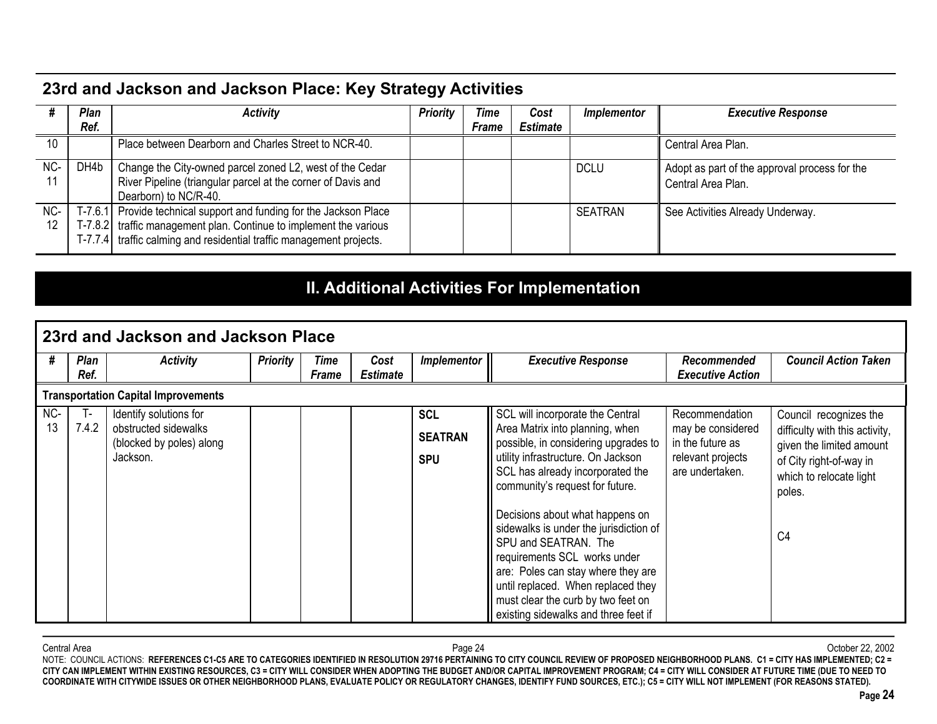# **23rd and Jackson and Jackson Place: Key Strategy Activities**

|           | Plan<br>Ref. | <b>Activity</b>                                                                                                                                                                                                   | <b>Priority</b> | Time<br><b>Frame</b> | Cost<br><b>Estimate</b> | <i>Implementor</i> | <b>Executive Response</b>                                           |
|-----------|--------------|-------------------------------------------------------------------------------------------------------------------------------------------------------------------------------------------------------------------|-----------------|----------------------|-------------------------|--------------------|---------------------------------------------------------------------|
| 10        |              | Place between Dearborn and Charles Street to NCR-40.                                                                                                                                                              |                 |                      |                         |                    | Central Area Plan.                                                  |
| NC-<br>11 | DH4b         | Change the City-owned parcel zoned L2, west of the Cedar<br>River Pipeline (triangular parcel at the corner of Davis and<br>Dearborn) to NC/R-40.                                                                 |                 |                      |                         | <b>DCLU</b>        | Adopt as part of the approval process for the<br>Central Area Plan. |
| NC-<br>12 |              | T-7.6.1 Provide technical support and funding for the Jackson Place<br>T-7.8.2 traffic management plan. Continue to implement the various<br>T-7.7.4 traffic calming and residential traffic management projects. |                 |                      |                         | <b>SEATRAN</b>     | See Activities Already Underway.                                    |

# **II. Additional Activities For Implementation**

|     |                                            | l 23rd and Jackson and Jackson Place                         |                 |                      |                         |                              |                                                                                                                                                                                                                                                                                             |                                                                               |                                                                                                                            |  |  |  |
|-----|--------------------------------------------|--------------------------------------------------------------|-----------------|----------------------|-------------------------|------------------------------|---------------------------------------------------------------------------------------------------------------------------------------------------------------------------------------------------------------------------------------------------------------------------------------------|-------------------------------------------------------------------------------|----------------------------------------------------------------------------------------------------------------------------|--|--|--|
|     | Plan<br>Ref.                               | <b>Activity</b>                                              | <b>Priority</b> | Time<br><b>Frame</b> | Cost<br><b>Estimate</b> | Implementor                  | <b>Executive Response</b>                                                                                                                                                                                                                                                                   | Recommended<br><b>Executive Action</b>                                        | <b>Council Action Taken</b>                                                                                                |  |  |  |
|     | <b>Transportation Capital Improvements</b> |                                                              |                 |                      |                         |                              |                                                                                                                                                                                                                                                                                             |                                                                               |                                                                                                                            |  |  |  |
| NC- | т.                                         | Identify solutions for                                       |                 |                      |                         | <b>SCL</b>                   | SCL will incorporate the Central                                                                                                                                                                                                                                                            | Recommendation                                                                | Council recognizes the                                                                                                     |  |  |  |
| 13  | 7.4.2                                      | obstructed sidewalks<br>(blocked by poles) along<br>Jackson. |                 |                      |                         | <b>SEATRAN</b><br><b>SPU</b> | Area Matrix into planning, when<br>possible, in considering upgrades to<br>utility infrastructure. On Jackson<br>SCL has already incorporated the<br>community's request for future.                                                                                                        | may be considered<br>in the future as<br>relevant projects<br>are undertaken. | difficulty with this activity,<br>given the limited amount<br>of City right-of-way in<br>which to relocate light<br>poles. |  |  |  |
|     |                                            |                                                              |                 |                      |                         |                              | Decisions about what happens on<br>sidewalks is under the jurisdiction of<br>SPU and SEATRAN. The<br>requirements SCL works under<br>are: Poles can stay where they are<br>until replaced. When replaced they<br>must clear the curb by two feet on<br>existing sidewalks and three feet if |                                                                               | C <sub>4</sub>                                                                                                             |  |  |  |

Central Area Page 24 October 22, 2002 NOTE: COUNCIL ACTIONS: **REFERENCES C1-C5 ARE TO CATEGORIES IDENTIFIED IN RESOLUTION 29716 PERTAINING TO CITY COUNCIL REVIEW OF PROPOSED NEIGHBORHOOD PLANS. C1 = CITY HAS IMPLEMENTED; C2 = CITY CAN IMPLEMENT WITHIN EXISTING RESOURCES, C3 = CITY WILL CONSIDER WHEN ADOPTING THE BUDGET AND/OR CAPITAL IMPROVEMENT PROGRAM; C4 = CITY WILL CONSIDER AT FUTURE TIME (DUE TO NEED TO COORDINATE WITH CITYWIDE ISSUES OR OTHER NEIGHBORHOOD PLANS, EVALUATE POLICY OR REGULATORY CHANGES, IDENTIFY FUND SOURCES, ETC.); C5 = CITY WILL NOT IMPLEMENT (FOR REASONS STATED).**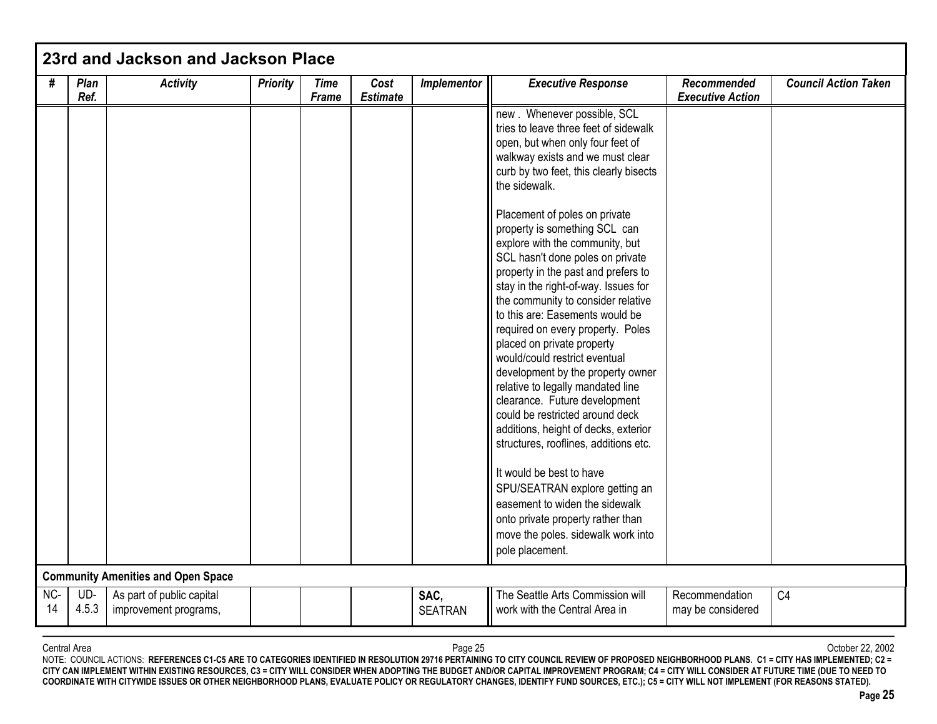| #         | Plan<br>Ref. | <b>Activity</b>                                    | <b>Priority</b> | <b>Time</b><br><b>Frame</b> | Cost<br><b>Estimate</b> | Implementor            | <b>Executive Response</b>                                                                                                                                                                                                                                                                                                                                                                                                                                                                                                                                                                                                                                                                                                                                                                                                                                                                                                                                                                                               | <b>Recommended</b><br><b>Executive Action</b> | <b>Council Action Taken</b> |
|-----------|--------------|----------------------------------------------------|-----------------|-----------------------------|-------------------------|------------------------|-------------------------------------------------------------------------------------------------------------------------------------------------------------------------------------------------------------------------------------------------------------------------------------------------------------------------------------------------------------------------------------------------------------------------------------------------------------------------------------------------------------------------------------------------------------------------------------------------------------------------------------------------------------------------------------------------------------------------------------------------------------------------------------------------------------------------------------------------------------------------------------------------------------------------------------------------------------------------------------------------------------------------|-----------------------------------------------|-----------------------------|
|           |              |                                                    |                 |                             |                         |                        | new . Whenever possible, SCL<br>tries to leave three feet of sidewalk<br>open, but when only four feet of<br>walkway exists and we must clear<br>curb by two feet, this clearly bisects<br>the sidewalk.<br>Placement of poles on private<br>property is something SCL can<br>explore with the community, but<br>SCL hasn't done poles on private<br>property in the past and prefers to<br>stay in the right-of-way. Issues for<br>the community to consider relative<br>to this are: Easements would be<br>required on every property. Poles<br>placed on private property<br>would/could restrict eventual<br>development by the property owner<br>relative to legally mandated line<br>clearance. Future development<br>could be restricted around deck<br>additions, height of decks, exterior<br>structures, rooflines, additions etc.<br>It would be best to have<br>SPU/SEATRAN explore getting an<br>easement to widen the sidewalk<br>onto private property rather than<br>move the poles. sidewalk work into |                                               |                             |
|           |              |                                                    |                 |                             |                         |                        | pole placement.                                                                                                                                                                                                                                                                                                                                                                                                                                                                                                                                                                                                                                                                                                                                                                                                                                                                                                                                                                                                         |                                               |                             |
|           |              | <b>Community Amenities and Open Space</b>          |                 |                             |                         |                        |                                                                                                                                                                                                                                                                                                                                                                                                                                                                                                                                                                                                                                                                                                                                                                                                                                                                                                                                                                                                                         |                                               |                             |
| NC-<br>14 | UD-<br>4.5.3 | As part of public capital<br>improvement programs, |                 |                             |                         | SAC,<br><b>SEATRAN</b> | The Seattle Arts Commission will<br>work with the Central Area in                                                                                                                                                                                                                                                                                                                                                                                                                                                                                                                                                                                                                                                                                                                                                                                                                                                                                                                                                       | Recommendation<br>may be considered           | C <sub>4</sub>              |

NOTE: COUNCIL ACTIONS: REFERENCES C1-C5 ARE TO CATEGORIES IDENTIFIED IN RESOLUTION 29716 PERTAINING TO CITY COUNCIL REVIEW OF PROPOSED NEIGHBORHOOD PLANS. C1 = CITY HAS IMPLEMENTED; C2 = **CITY CAN IMPLEMENT WITHIN EXISTING RESOURCES, C3 = CITY WILL CONSIDER WHEN ADOPTING THE BUDGET AND/OR CAPITAL IMPROVEMENT PROGRAM; C4 = CITY WILL CONSIDER AT FUTURE TIME (DUE TO NEED TO COORDINATE WITH CITYWIDE ISSUES OR OTHER NEIGHBORHOOD PLANS, EVALUATE POLICY OR REGULATORY CHANGES, IDENTIFY FUND SOURCES, ETC.); C5 = CITY WILL NOT IMPLEMENT (FOR REASONS STATED).**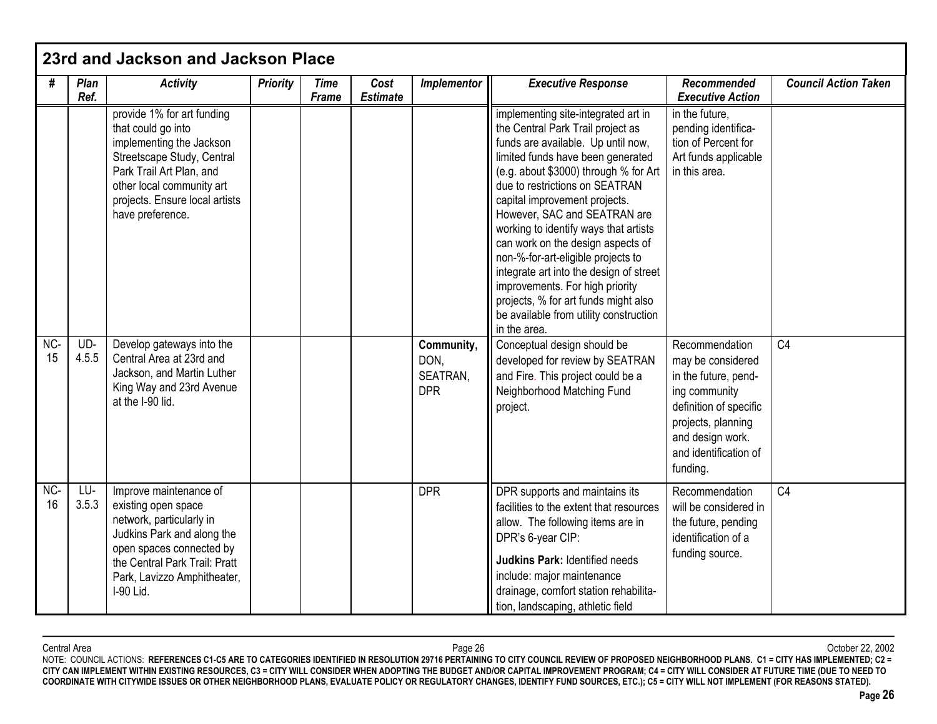|           |              | 23rd and Jackson and Jackson Place                                                                                                                                                                                        |                 |                             |                         |                                              |                                                                                                                                                                                                                                                                                                                                                                                                                                                                                                                                                                                                     |                                                                                                                                                                                       |                             |
|-----------|--------------|---------------------------------------------------------------------------------------------------------------------------------------------------------------------------------------------------------------------------|-----------------|-----------------------------|-------------------------|----------------------------------------------|-----------------------------------------------------------------------------------------------------------------------------------------------------------------------------------------------------------------------------------------------------------------------------------------------------------------------------------------------------------------------------------------------------------------------------------------------------------------------------------------------------------------------------------------------------------------------------------------------------|---------------------------------------------------------------------------------------------------------------------------------------------------------------------------------------|-----------------------------|
| #         | Plan<br>Ref. | <b>Activity</b>                                                                                                                                                                                                           | <b>Priority</b> | <b>Time</b><br><b>Frame</b> | Cost<br><b>Estimate</b> | Implementor                                  | <b>Executive Response</b>                                                                                                                                                                                                                                                                                                                                                                                                                                                                                                                                                                           | <b>Recommended</b><br><b>Executive Action</b>                                                                                                                                         | <b>Council Action Taken</b> |
|           |              | provide 1% for art funding<br>that could go into<br>implementing the Jackson<br>Streetscape Study, Central<br>Park Trail Art Plan, and<br>other local community art<br>projects. Ensure local artists<br>have preference. |                 |                             |                         |                                              | implementing site-integrated art in<br>the Central Park Trail project as<br>funds are available. Up until now,<br>limited funds have been generated<br>(e.g. about \$3000) through % for Art<br>due to restrictions on SEATRAN<br>capital improvement projects.<br>However, SAC and SEATRAN are<br>working to identify ways that artists<br>can work on the design aspects of<br>non-%-for-art-eligible projects to<br>integrate art into the design of street<br>improvements. For high priority<br>projects, % for art funds might also<br>be available from utility construction<br>in the area. | in the future,<br>pending identifica-<br>tion of Percent for<br>Art funds applicable<br>in this area.                                                                                 |                             |
| NC-<br>15 | UD-<br>4.5.5 | Develop gateways into the<br>Central Area at 23rd and<br>Jackson, and Martin Luther<br>King Way and 23rd Avenue<br>at the I-90 lid.                                                                                       |                 |                             |                         | Community,<br>DON,<br>SEATRAN,<br><b>DPR</b> | Conceptual design should be<br>developed for review by SEATRAN<br>and Fire. This project could be a<br>Neighborhood Matching Fund<br>project.                                                                                                                                                                                                                                                                                                                                                                                                                                                       | Recommendation<br>may be considered<br>in the future, pend-<br>ing community<br>definition of specific<br>projects, planning<br>and design work.<br>and identification of<br>funding. | C <sub>4</sub>              |
| NC-<br>16 | LU-<br>3.5.3 | Improve maintenance of<br>existing open space<br>network, particularly in<br>Judkins Park and along the<br>open spaces connected by<br>the Central Park Trail: Pratt<br>Park, Lavizzo Amphitheater,<br>I-90 Lid.          |                 |                             |                         | <b>DPR</b>                                   | DPR supports and maintains its<br>facilities to the extent that resources<br>allow. The following items are in<br>DPR's 6-year CIP:<br><b>Judkins Park: Identified needs</b><br>include: major maintenance<br>drainage, comfort station rehabilita-<br>tion, landscaping, athletic field                                                                                                                                                                                                                                                                                                            | Recommendation<br>will be considered in<br>the future, pending<br>identification of a<br>funding source.                                                                              | C <sub>4</sub>              |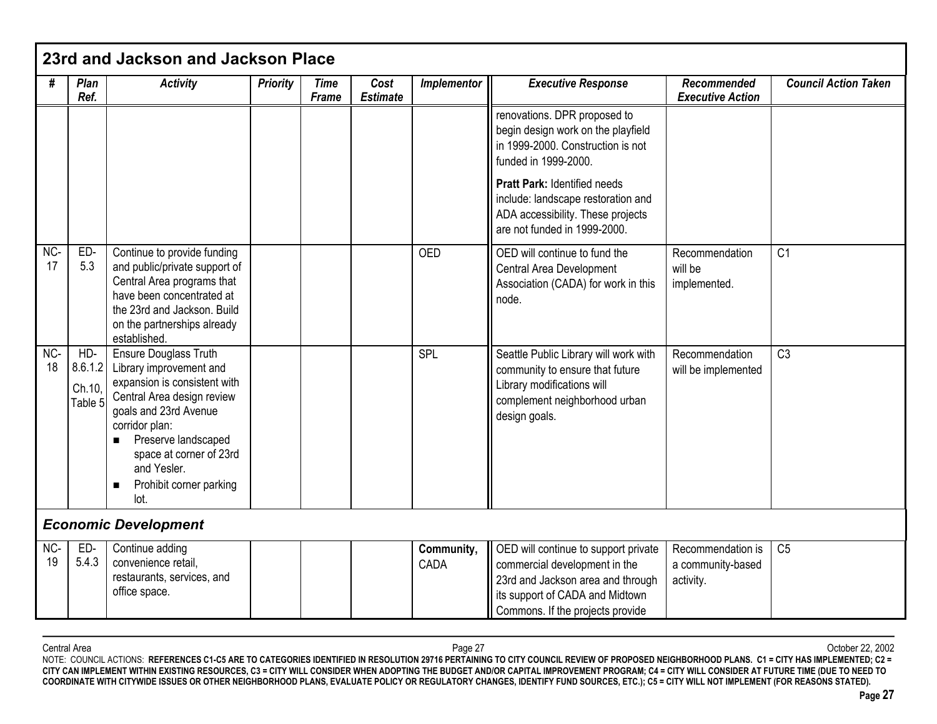|           |                                     | 23rd and Jackson and Jackson Place                                                                                                                                                                                                                                 |                 |                             |                         |                    |                                                                                                                                                                                   |                                                     |                             |
|-----------|-------------------------------------|--------------------------------------------------------------------------------------------------------------------------------------------------------------------------------------------------------------------------------------------------------------------|-----------------|-----------------------------|-------------------------|--------------------|-----------------------------------------------------------------------------------------------------------------------------------------------------------------------------------|-----------------------------------------------------|-----------------------------|
| #         | Plan<br>Ref.                        | <b>Activity</b>                                                                                                                                                                                                                                                    | <b>Priority</b> | <b>Time</b><br><b>Frame</b> | Cost<br><b>Estimate</b> | Implementor        | <b>Executive Response</b>                                                                                                                                                         | <b>Recommended</b><br><b>Executive Action</b>       | <b>Council Action Taken</b> |
|           |                                     |                                                                                                                                                                                                                                                                    |                 |                             |                         |                    | renovations. DPR proposed to<br>begin design work on the playfield<br>in 1999-2000. Construction is not<br>funded in 1999-2000.<br>Pratt Park: Identified needs                   |                                                     |                             |
|           |                                     |                                                                                                                                                                                                                                                                    |                 |                             |                         |                    | include: landscape restoration and<br>ADA accessibility. These projects<br>are not funded in 1999-2000.                                                                           |                                                     |                             |
| NC-<br>17 | ED-<br>5.3                          | Continue to provide funding<br>and public/private support of<br>Central Area programs that<br>have been concentrated at<br>the 23rd and Jackson. Build<br>on the partnerships already<br>established.                                                              |                 |                             |                         | <b>OED</b>         | OED will continue to fund the<br>Central Area Development<br>Association (CADA) for work in this<br>node.                                                                         | Recommendation<br>will be<br>implemented.           | C <sub>1</sub>              |
| NC-<br>18 | HD-<br>8.6.1.2<br>Ch.10,<br>Table 5 | Ensure Douglass Truth<br>Library improvement and<br>expansion is consistent with<br>Central Area design review<br>goals and 23rd Avenue<br>corridor plan:<br>Preserve landscaped<br>space at corner of 23rd<br>and Yesler.<br>Prohibit corner parking<br>п<br>lot. |                 |                             |                         | SPL                | Seattle Public Library will work with<br>community to ensure that future<br>Library modifications will<br>complement neighborhood urban<br>design goals.                          | Recommendation<br>will be implemented               | C <sub>3</sub>              |
|           |                                     | <b>Economic Development</b>                                                                                                                                                                                                                                        |                 |                             |                         |                    |                                                                                                                                                                                   |                                                     |                             |
| NC-<br>19 | ED-<br>5.4.3                        | Continue adding<br>convenience retail,<br>restaurants, services, and<br>office space.                                                                                                                                                                              |                 |                             |                         | Community,<br>CADA | OED will continue to support private<br>commercial development in the<br>23rd and Jackson area and through<br>its support of CADA and Midtown<br>Commons. If the projects provide | Recommendation is<br>a community-based<br>activity. | C <sub>5</sub>              |

Central Area Page 27 October 22, 2002 NOTE: COUNCIL ACTIONS: **REFERENCES C1-C5 ARE TO CATEGORIES IDENTIFIED IN RESOLUTION 29716 PERTAINING TO CITY COUNCIL REVIEW OF PROPOSED NEIGHBORHOOD PLANS. C1 = CITY HAS IMPLEMENTED; C2 = CITY CAN IMPLEMENT WITHIN EXISTING RESOURCES, C3 = CITY WILL CONSIDER WHEN ADOPTING THE BUDGET AND/OR CAPITAL IMPROVEMENT PROGRAM; C4 = CITY WILL CONSIDER AT FUTURE TIME (DUE TO NEED TO COORDINATE WITH CITYWIDE ISSUES OR OTHER NEIGHBORHOOD PLANS, EVALUATE POLICY OR REGULATORY CHANGES, IDENTIFY FUND SOURCES, ETC.); C5 = CITY WILL NOT IMPLEMENT (FOR REASONS STATED).**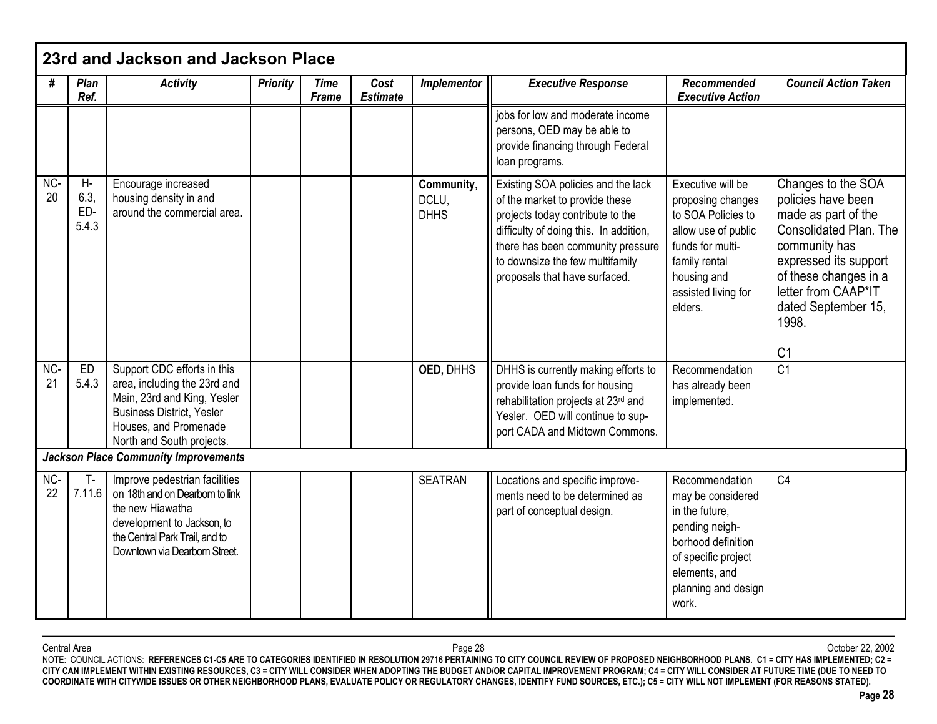|             |                               | 23rd and Jackson and Jackson Place                                                                                                                                                    |                 |                      |                         |                                    |                                                                                                                                                                                                                                                             |                                                                                                                                                                           |                                                                                                                                                                                                                                       |
|-------------|-------------------------------|---------------------------------------------------------------------------------------------------------------------------------------------------------------------------------------|-----------------|----------------------|-------------------------|------------------------------------|-------------------------------------------------------------------------------------------------------------------------------------------------------------------------------------------------------------------------------------------------------------|---------------------------------------------------------------------------------------------------------------------------------------------------------------------------|---------------------------------------------------------------------------------------------------------------------------------------------------------------------------------------------------------------------------------------|
| #           | Plan<br>Ref.                  | <b>Activity</b>                                                                                                                                                                       | <b>Priority</b> | <b>Time</b><br>Frame | Cost<br><b>Estimate</b> | Implementor                        | <b>Executive Response</b>                                                                                                                                                                                                                                   | <b>Recommended</b><br><b>Executive Action</b>                                                                                                                             | <b>Council Action Taken</b>                                                                                                                                                                                                           |
|             |                               |                                                                                                                                                                                       |                 |                      |                         |                                    | jobs for low and moderate income<br>persons, OED may be able to<br>provide financing through Federal<br>loan programs.                                                                                                                                      |                                                                                                                                                                           |                                                                                                                                                                                                                                       |
| NC-<br>20   | $H -$<br>6.3,<br>ED-<br>5.4.3 | Encourage increased<br>housing density in and<br>around the commercial area.                                                                                                          |                 |                      |                         | Community,<br>DCLU,<br><b>DHHS</b> | Existing SOA policies and the lack<br>of the market to provide these<br>projects today contribute to the<br>difficulty of doing this. In addition,<br>there has been community pressure<br>to downsize the few multifamily<br>proposals that have surfaced. | Executive will be<br>proposing changes<br>to SOA Policies to<br>allow use of public<br>funds for multi-<br>family rental<br>housing and<br>assisted living for<br>elders. | Changes to the SOA<br>policies have been<br>made as part of the<br>Consolidated Plan. The<br>community has<br>expressed its support<br>of these changes in a<br>letter from CAAP*IT<br>dated September 15,<br>1998.<br>C <sub>1</sub> |
| $NC-$<br>21 | ED<br>5.4.3                   | Support CDC efforts in this<br>area, including the 23rd and<br>Main, 23rd and King, Yesler<br><b>Business District, Yesler</b><br>Houses, and Promenade<br>North and South projects.  |                 |                      |                         | OED, DHHS                          | DHHS is currently making efforts to<br>provide loan funds for housing<br>rehabilitation projects at 23rd and<br>Yesler. OED will continue to sup-<br>port CADA and Midtown Commons.                                                                         | Recommendation<br>has already been<br>implemented.                                                                                                                        | C <sub>1</sub>                                                                                                                                                                                                                        |
|             |                               | <b>Jackson Place Community Improvements</b>                                                                                                                                           |                 |                      |                         |                                    |                                                                                                                                                                                                                                                             |                                                                                                                                                                           |                                                                                                                                                                                                                                       |
| NC-<br>22   | T-<br>7.11.6                  | Improve pedestrian facilities<br>on 18th and on Dearborn to link<br>the new Hiawatha<br>development to Jackson, to<br>the Central Park Trail, and to<br>Downtown via Dearborn Street. |                 |                      |                         | <b>SEATRAN</b>                     | Locations and specific improve-<br>ments need to be determined as<br>part of conceptual design.                                                                                                                                                             | Recommendation<br>may be considered<br>in the future,<br>pending neigh-<br>borhood definition<br>of specific project<br>elements, and<br>planning and design<br>work.     | C4                                                                                                                                                                                                                                    |

Central Area Page 28 October 22, 2002 NOTE: COUNCIL ACTIONS: **REFERENCES C1-C5 ARE TO CATEGORIES IDENTIFIED IN RESOLUTION 29716 PERTAINING TO CITY COUNCIL REVIEW OF PROPOSED NEIGHBORHOOD PLANS. C1 = CITY HAS IMPLEMENTED; C2 = CITY CAN IMPLEMENT WITHIN EXISTING RESOURCES, C3 = CITY WILL CONSIDER WHEN ADOPTING THE BUDGET AND/OR CAPITAL IMPROVEMENT PROGRAM; C4 = CITY WILL CONSIDER AT FUTURE TIME (DUE TO NEED TO COORDINATE WITH CITYWIDE ISSUES OR OTHER NEIGHBORHOOD PLANS, EVALUATE POLICY OR REGULATORY CHANGES, IDENTIFY FUND SOURCES, ETC.); C5 = CITY WILL NOT IMPLEMENT (FOR REASONS STATED).**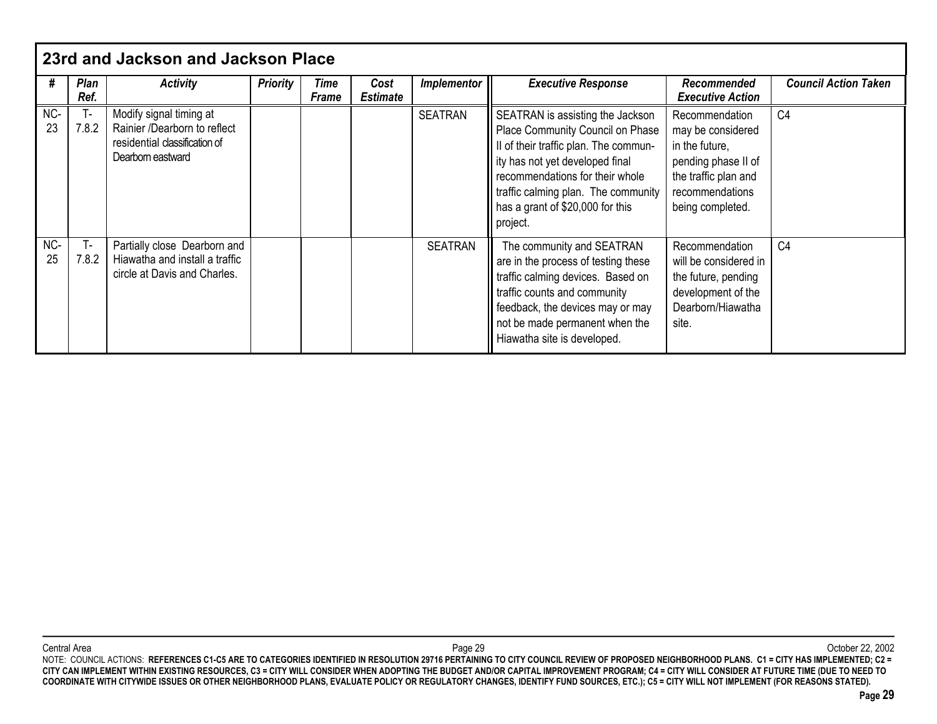|           | 23rd and Jackson and Jackson Place |                                                                                                               |                 |               |                         |                    |                                                                                                                                                                                                                                                                            |                                                                                                                                             |                             |
|-----------|------------------------------------|---------------------------------------------------------------------------------------------------------------|-----------------|---------------|-------------------------|--------------------|----------------------------------------------------------------------------------------------------------------------------------------------------------------------------------------------------------------------------------------------------------------------------|---------------------------------------------------------------------------------------------------------------------------------------------|-----------------------------|
| #         | Plan<br>Ref.                       | <b>Activity</b>                                                                                               | <b>Priority</b> | Time<br>Frame | Cost<br><b>Estimate</b> | <b>Implementor</b> | <b>Executive Response</b>                                                                                                                                                                                                                                                  | Recommended<br><b>Executive Action</b>                                                                                                      | <b>Council Action Taken</b> |
| NC-<br>23 | 7.8.2                              | Modify signal timing at<br>Rainier /Dearborn to reflect<br>residential classification of<br>Dearborn eastward |                 |               |                         | <b>SEATRAN</b>     | SEATRAN is assisting the Jackson<br>Place Community Council on Phase<br>Il of their traffic plan. The commun-<br>ity has not yet developed final<br>recommendations for their whole<br>traffic calming plan. The community<br>has a grant of \$20,000 for this<br>project. | Recommendation<br>may be considered<br>in the future,<br>pending phase II of<br>the traffic plan and<br>recommendations<br>being completed. | C <sub>4</sub>              |
| NC-<br>25 | $T -$<br>7.8.2                     | Partially close Dearborn and<br>Hiawatha and install a traffic<br>circle at Davis and Charles.                |                 |               |                         | <b>SEATRAN</b>     | The community and SEATRAN<br>are in the process of testing these<br>traffic calming devices. Based on<br>traffic counts and community<br>feedback, the devices may or may<br>not be made permanent when the<br>Hiawatha site is developed.                                 | Recommendation<br>will be considered in<br>the future, pending<br>development of the<br>Dearborn/Hiawatha<br>site.                          | C <sub>4</sub>              |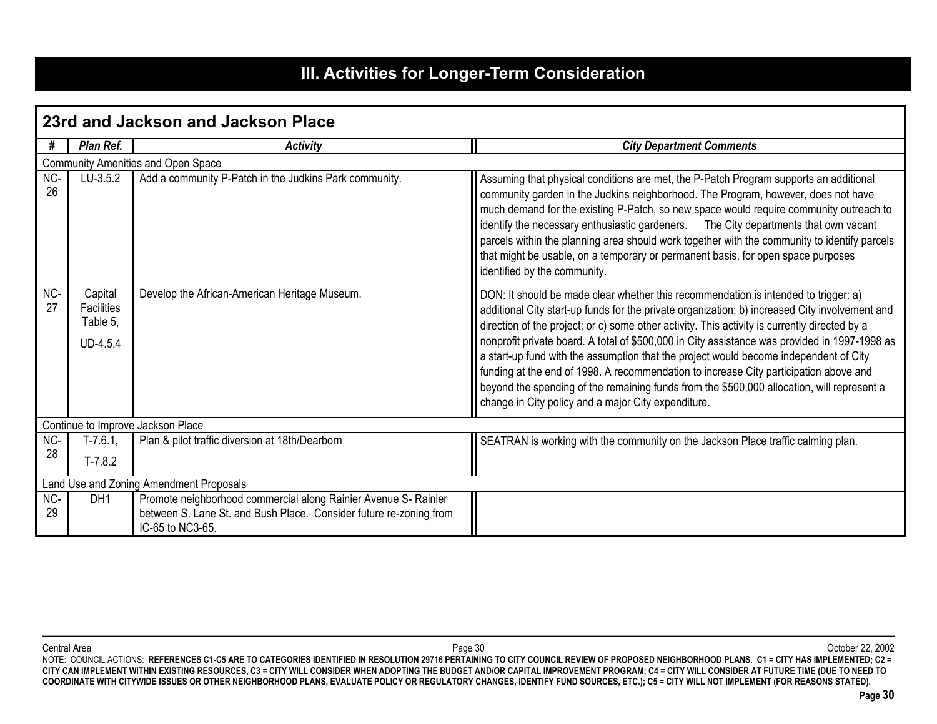# **III. Activities for Longer-Term Consideration**

|           |                                                      | 23rd and Jackson and Jackson Place                                                                                                                        |                                                                                                                                                                                                                                                                                                                                                                                                                                                                                                                                                                                                                                                                                                                                |  |  |  |  |  |  |  |
|-----------|------------------------------------------------------|-----------------------------------------------------------------------------------------------------------------------------------------------------------|--------------------------------------------------------------------------------------------------------------------------------------------------------------------------------------------------------------------------------------------------------------------------------------------------------------------------------------------------------------------------------------------------------------------------------------------------------------------------------------------------------------------------------------------------------------------------------------------------------------------------------------------------------------------------------------------------------------------------------|--|--|--|--|--|--|--|
| #         | Plan Ref.                                            | <b>Activity</b>                                                                                                                                           | <b>City Department Comments</b>                                                                                                                                                                                                                                                                                                                                                                                                                                                                                                                                                                                                                                                                                                |  |  |  |  |  |  |  |
|           | Community Amenities and Open Space                   |                                                                                                                                                           |                                                                                                                                                                                                                                                                                                                                                                                                                                                                                                                                                                                                                                                                                                                                |  |  |  |  |  |  |  |
| NC-<br>26 | LU-3.5.2                                             | Add a community P-Patch in the Judkins Park community.                                                                                                    | Assuming that physical conditions are met, the P-Patch Program supports an additional<br>community garden in the Judkins neighborhood. The Program, however, does not have<br>much demand for the existing P-Patch, so new space would require community outreach to<br>identify the necessary enthusiastic gardeners. The City departments that own vacant<br>parcels within the planning area should work together with the community to identify parcels<br>that might be usable, on a temporary or permanent basis, for open space purposes<br>identified by the community.                                                                                                                                                |  |  |  |  |  |  |  |
| NC-<br>27 | Capital<br><b>Facilities</b><br>Table 5,<br>UD-4.5.4 | Develop the African-American Heritage Museum.                                                                                                             | DON: It should be made clear whether this recommendation is intended to trigger: a)<br>additional City start-up funds for the private organization; b) increased City involvement and<br>direction of the project; or c) some other activity. This activity is currently directed by a<br>nonprofit private board. A total of \$500,000 in City assistance was provided in 1997-1998 as<br>a start-up fund with the assumption that the project would become independent of City<br>funding at the end of 1998. A recommendation to increase City participation above and<br>beyond the spending of the remaining funds from the \$500,000 allocation, will represent a<br>change in City policy and a major City expenditure. |  |  |  |  |  |  |  |
|           |                                                      | Continue to Improve Jackson Place                                                                                                                         |                                                                                                                                                                                                                                                                                                                                                                                                                                                                                                                                                                                                                                                                                                                                |  |  |  |  |  |  |  |
| NC-       | $T-7.6.1,$                                           | Plan & pilot traffic diversion at 18th/Dearborn                                                                                                           | SEATRAN is working with the community on the Jackson Place traffic calming plan.                                                                                                                                                                                                                                                                                                                                                                                                                                                                                                                                                                                                                                               |  |  |  |  |  |  |  |
| 28        | $T-7.8.2$                                            |                                                                                                                                                           |                                                                                                                                                                                                                                                                                                                                                                                                                                                                                                                                                                                                                                                                                                                                |  |  |  |  |  |  |  |
|           |                                                      | Land Use and Zoning Amendment Proposals                                                                                                                   |                                                                                                                                                                                                                                                                                                                                                                                                                                                                                                                                                                                                                                                                                                                                |  |  |  |  |  |  |  |
| NC-<br>29 | DH <sub>1</sub>                                      | Promote neighborhood commercial along Rainier Avenue S- Rainier<br>between S. Lane St. and Bush Place. Consider future re-zoning from<br>IC-65 to NC3-65. |                                                                                                                                                                                                                                                                                                                                                                                                                                                                                                                                                                                                                                                                                                                                |  |  |  |  |  |  |  |

Central Area Page 30 October 22, 2002 NOTE: COUNCIL ACTIONS: **REFERENCES C1-C5 ARE TO CATEGORIES IDENTIFIED IN RESOLUTION 29716 PERTAINING TO CITY COUNCIL REVIEW OF PROPOSED NEIGHBORHOOD PLANS. C1 = CITY HAS IMPLEMENTED; C2 = CITY CAN IMPLEMENT WITHIN EXISTING RESOURCES, C3 = CITY WILL CONSIDER WHEN ADOPTING THE BUDGET AND/OR CAPITAL IMPROVEMENT PROGRAM; C4 = CITY WILL CONSIDER AT FUTURE TIME (DUE TO NEED TO COORDINATE WITH CITYWIDE ISSUES OR OTHER NEIGHBORHOOD PLANS, EVALUATE POLICY OR REGULATORY CHANGES, IDENTIFY FUND SOURCES, ETC.); C5 = CITY WILL NOT IMPLEMENT (FOR REASONS STATED).**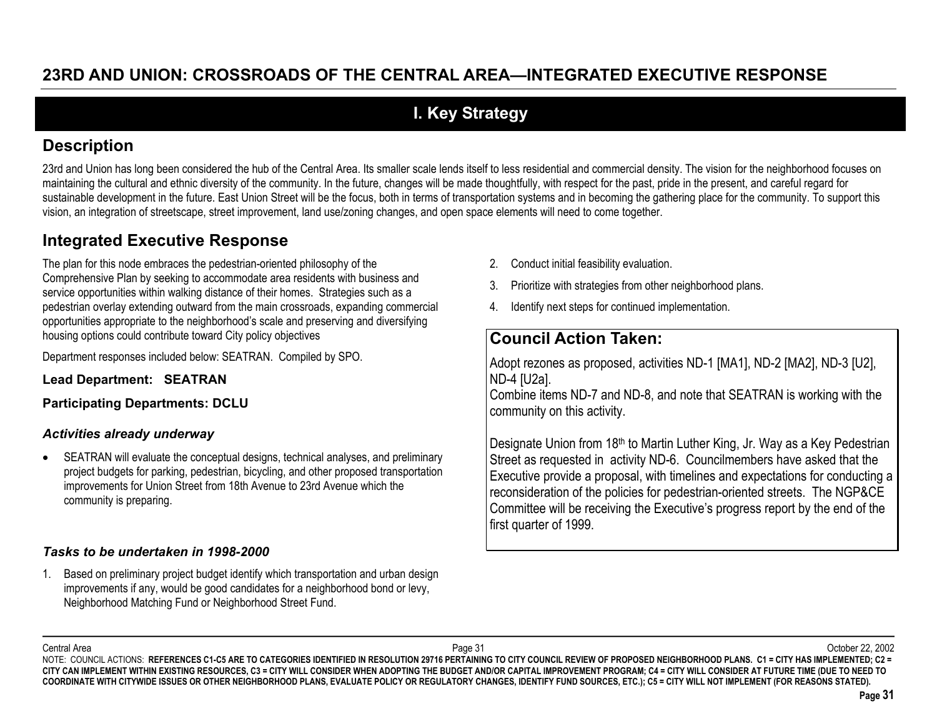# **I. Key Strategy**

# **Description**

23rd and Union has long been considered the hub of the Central Area. Its smaller scale lends itself to less residential and commercial density. The vision for the neighborhood focuses on maintaining the cultural and ethnic diversity of the community. In the future, changes will be made thoughtfully, with respect for the past, pride in the present, and careful regard for sustainable development in the future. East Union Street will be the focus, both in terms of transportation systems and in becoming the gathering place for the community. To support this vision, an integration of streetscape, street improvement, land use/zoning changes, and open space elements will need to come together.

# **Integrated Executive Response**

The plan for this node embraces the pedestrian-oriented philosophy of the Comprehensive Plan by seeking to accommodate area residents with business and service opportunities within walking distance of their homes. Strategies such as a pedestrian overlay extending outward from the main crossroads, expanding commercial opportunities appropriate to the neighborhood's scale and preserving and diversifying housing options could contribute toward City policy objectives

Department responses included below: SEATRAN. Compiled by SPO.

**Lead Department: SEATRAN**

**Participating Departments: DCLU**

#### *Activities already underway*

 $\bullet$  SEATRAN will evaluate the conceptual designs, technical analyses, and preliminary project budgets for parking, pedestrian, bicycling, and other proposed transportation improvements for Union Street from 18th Avenue to 23rd Avenue which the community is preparing.

#### *Tasks to be undertaken in 1998-2000*

1. Based on preliminary project budget identify which transportation and urban design improvements if any, would be good candidates for a neighborhood bond or levy, Neighborhood Matching Fund or Neighborhood Street Fund.

- 2. Conduct initial feasibility evaluation.
- 3. Prioritize with strategies from other neighborhood plans.
- 4.Identify next steps for continued implementation.

# **Council Action Taken:**

Adopt rezones as proposed, activities ND-1 [MA1], ND-2 [MA2], ND-3 [U2], ND-4 [U2a].

Combine items ND-7 and ND-8, and note that SEATRAN is working with the community on this activity.

Designate Union from 18<sup>th</sup> to Martin Luther King, Jr. Way as a Key Pedestrian Street as requested in activity ND-6. Councilmembers have asked that the Executive provide a proposal, with timelines and expectations for conducting a reconsideration of the policies for pedestrian-oriented streets. The NGP&CE Committee will be receiving the Executive's progress report by the end of the first quarter of 1999.

Central Area

 Page 31 October 22, 2002 NOTE: COUNCIL ACTIONS: REFERENCES C1-C5 ARE TO CATEGORIES IDENTIFIED IN RESOLUTION 29716 PERTAINING TO CITY COUNCIL REVIEW OF PROPOSED NEIGHBORHOOD PLANS. C1 = CITY HAS IMPLEMENTED; C2 = **CITY CAN IMPLEMENT WITHIN EXISTING RESOURCES, C3 = CITY WILL CONSIDER WHEN ADOPTING THE BUDGET AND/OR CAPITAL IMPROVEMENT PROGRAM; C4 = CITY WILL CONSIDER AT FUTURE TIME (DUE TO NEED TO COORDINATE WITH CITYWIDE ISSUES OR OTHER NEIGHBORHOOD PLANS, EVALUATE POLICY OR REGULATORY CHANGES, IDENTIFY FUND SOURCES, ETC.); C5 = CITY WILL NOT IMPLEMENT (FOR REASONS STATED).**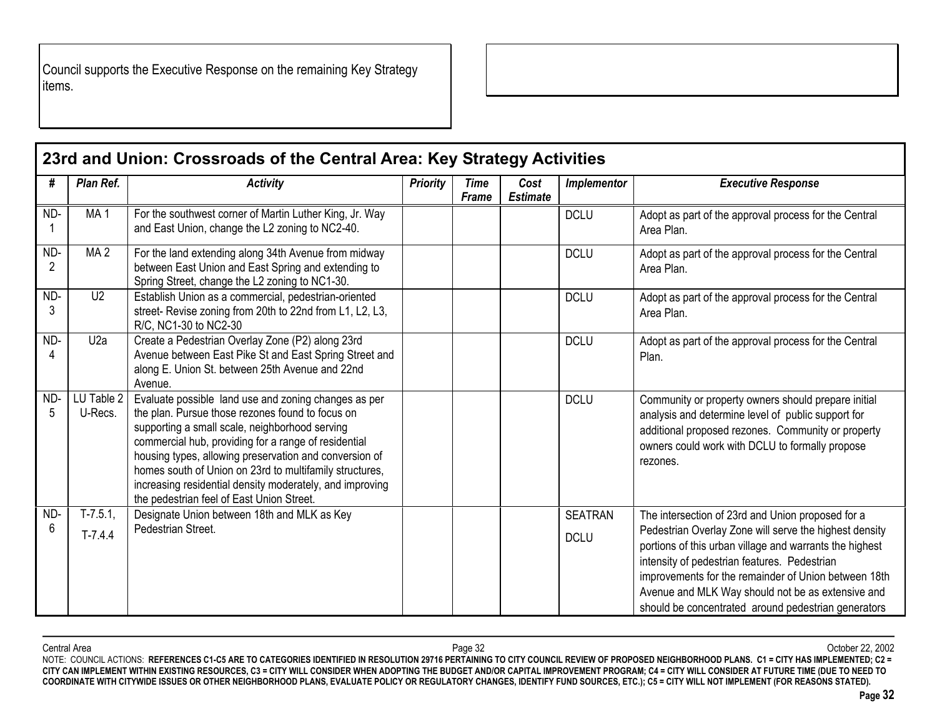Council supports the Executive Response on the remaining Key Strategy items.

|                       |                        | 23rd and Union: Crossroads of the Central Area: Key Strategy Activities                                                                                                                                                                                                                                                                                                                                                                          |                 |                      |                         |                               |                                                                                                                                                                                                                                                                                                                                                                                            |
|-----------------------|------------------------|--------------------------------------------------------------------------------------------------------------------------------------------------------------------------------------------------------------------------------------------------------------------------------------------------------------------------------------------------------------------------------------------------------------------------------------------------|-----------------|----------------------|-------------------------|-------------------------------|--------------------------------------------------------------------------------------------------------------------------------------------------------------------------------------------------------------------------------------------------------------------------------------------------------------------------------------------------------------------------------------------|
| #                     | Plan Ref.              | <b>Activity</b>                                                                                                                                                                                                                                                                                                                                                                                                                                  | <b>Priority</b> | <b>Time</b><br>Frame | Cost<br><b>Estimate</b> | <b>Implementor</b>            | <b>Executive Response</b>                                                                                                                                                                                                                                                                                                                                                                  |
| ND-                   | MA <sub>1</sub>        | For the southwest corner of Martin Luther King, Jr. Way<br>and East Union, change the L2 zoning to NC2-40.                                                                                                                                                                                                                                                                                                                                       |                 |                      |                         | <b>DCLU</b>                   | Adopt as part of the approval process for the Central<br>Area Plan.                                                                                                                                                                                                                                                                                                                        |
| ND-<br>$\overline{2}$ | MA <sub>2</sub>        | For the land extending along 34th Avenue from midway<br>between East Union and East Spring and extending to<br>Spring Street, change the L2 zoning to NC1-30.                                                                                                                                                                                                                                                                                    |                 |                      |                         | <b>DCLU</b>                   | Adopt as part of the approval process for the Central<br>Area Plan.                                                                                                                                                                                                                                                                                                                        |
| ND-<br>3              | U <sub>2</sub>         | Establish Union as a commercial, pedestrian-oriented<br>street- Revise zoning from 20th to 22nd from L1, L2, L3,<br>R/C, NC1-30 to NC2-30                                                                                                                                                                                                                                                                                                        |                 |                      |                         | <b>DCLU</b>                   | Adopt as part of the approval process for the Central<br>Area Plan.                                                                                                                                                                                                                                                                                                                        |
| ND-                   | U2a                    | Create a Pedestrian Overlay Zone (P2) along 23rd<br>Avenue between East Pike St and East Spring Street and<br>along E. Union St. between 25th Avenue and 22nd<br>Avenue.                                                                                                                                                                                                                                                                         |                 |                      |                         | <b>DCLU</b>                   | Adopt as part of the approval process for the Central<br>Plan.                                                                                                                                                                                                                                                                                                                             |
| ND-<br>5              | LU Table 2<br>U-Recs.  | Evaluate possible land use and zoning changes as per<br>the plan. Pursue those rezones found to focus on<br>supporting a small scale, neighborhood serving<br>commercial hub, providing for a range of residential<br>housing types, allowing preservation and conversion of<br>homes south of Union on 23rd to multifamily structures,<br>increasing residential density moderately, and improving<br>the pedestrian feel of East Union Street. |                 |                      |                         | <b>DCLU</b>                   | Community or property owners should prepare initial<br>analysis and determine level of public support for<br>additional proposed rezones. Community or property<br>owners could work with DCLU to formally propose<br>rezones.                                                                                                                                                             |
| ND-<br>6              | $T-7.5.1$<br>$T-7.4.4$ | Designate Union between 18th and MLK as Key<br>Pedestrian Street.                                                                                                                                                                                                                                                                                                                                                                                |                 |                      |                         | <b>SEATRAN</b><br><b>DCLU</b> | The intersection of 23rd and Union proposed for a<br>Pedestrian Overlay Zone will serve the highest density<br>portions of this urban village and warrants the highest<br>intensity of pedestrian features. Pedestrian<br>improvements for the remainder of Union between 18th<br>Avenue and MLK Way should not be as extensive and<br>should be concentrated around pedestrian generators |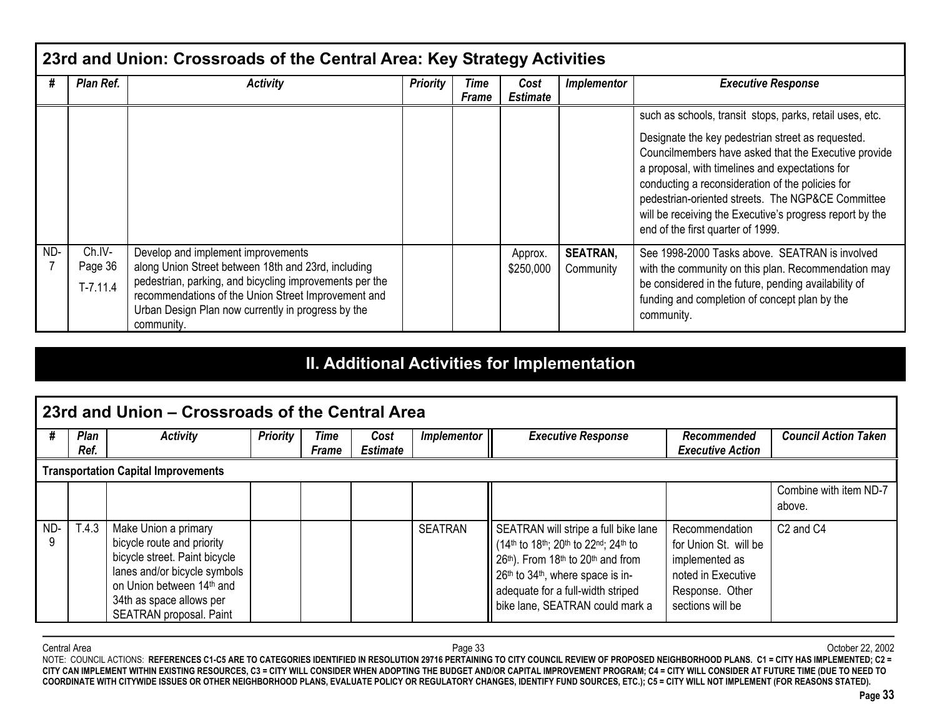|     | 23rd and Union: Crossroads of the Central Area: Key Strategy Activities |                                                                                                                                                                                                                                                                                 |                 |                      |                         |                              |                                                                                                                                                                                                                                                                                                                                                                                                                                    |  |  |  |
|-----|-------------------------------------------------------------------------|---------------------------------------------------------------------------------------------------------------------------------------------------------------------------------------------------------------------------------------------------------------------------------|-----------------|----------------------|-------------------------|------------------------------|------------------------------------------------------------------------------------------------------------------------------------------------------------------------------------------------------------------------------------------------------------------------------------------------------------------------------------------------------------------------------------------------------------------------------------|--|--|--|
| #   | Plan Ref.                                                               | <b>Activity</b>                                                                                                                                                                                                                                                                 | <b>Priority</b> | Time<br><b>Frame</b> | Cost<br><b>Estimate</b> | <b>Implementor</b>           | <b>Executive Response</b>                                                                                                                                                                                                                                                                                                                                                                                                          |  |  |  |
|     |                                                                         |                                                                                                                                                                                                                                                                                 |                 |                      |                         |                              | such as schools, transit stops, parks, retail uses, etc.<br>Designate the key pedestrian street as requested.<br>Councilmembers have asked that the Executive provide<br>a proposal, with timelines and expectations for<br>conducting a reconsideration of the policies for<br>pedestrian-oriented streets. The NGP&CE Committee<br>will be receiving the Executive's progress report by the<br>end of the first quarter of 1999. |  |  |  |
| ND- | Ch.IV-<br>Page 36<br>$T-7.11.4$                                         | Develop and implement improvements<br>along Union Street between 18th and 23rd, including<br>pedestrian, parking, and bicycling improvements per the<br>recommendations of the Union Street Improvement and<br>Urban Design Plan now currently in progress by the<br>community. |                 |                      | Approx.<br>\$250,000    | <b>SEATRAN,</b><br>Community | See 1998-2000 Tasks above. SEATRAN is involved<br>with the community on this plan. Recommendation may<br>be considered in the future, pending availability of<br>funding and completion of concept plan by the<br>community.                                                                                                                                                                                                       |  |  |  |

# **II. Additional Activities for Implementation**

|     | l 23rd and Union – Crossroads of the Central Area |                                                                                                                                                                                                         |                 |                      |                         |                |                                                                                                                                                                                                                               |                                                                                                                        |                                   |  |
|-----|---------------------------------------------------|---------------------------------------------------------------------------------------------------------------------------------------------------------------------------------------------------------|-----------------|----------------------|-------------------------|----------------|-------------------------------------------------------------------------------------------------------------------------------------------------------------------------------------------------------------------------------|------------------------------------------------------------------------------------------------------------------------|-----------------------------------|--|
| #   | Plan<br>Ref.                                      | <b>Activity</b>                                                                                                                                                                                         | <b>Priority</b> | Time<br><b>Frame</b> | Cost<br><b>Estimate</b> | Implementor    | <b>Executive Response</b>                                                                                                                                                                                                     | Recommended<br><b>Executive Action</b>                                                                                 | <b>Council Action Taken</b>       |  |
|     |                                                   | <b>Transportation Capital Improvements</b>                                                                                                                                                              |                 |                      |                         |                |                                                                                                                                                                                                                               |                                                                                                                        |                                   |  |
|     |                                                   |                                                                                                                                                                                                         |                 |                      |                         |                |                                                                                                                                                                                                                               |                                                                                                                        | Combine with item ND-7<br>above.  |  |
| ND- | T.4.3                                             | Make Union a primary<br>bicycle route and priority<br>bicycle street. Paint bicycle<br>lanes and/or bicycle symbols<br>on Union between 14th and<br>34th as space allows per<br>SEATRAN proposal. Paint |                 |                      |                         | <b>SEATRAN</b> | SEATRAN will stripe a full bike lane<br>(14th to 18th; 20th to 22nd; 24th to<br>26th). From 18th to 20th and from<br>26th to 34th, where space is in-<br>adequate for a full-width striped<br>bike lane, SEATRAN could mark a | Recommendation<br>for Union St. will be<br>implemented as<br>noted in Executive<br>Response. Other<br>sections will be | C <sub>2</sub> and C <sub>4</sub> |  |

Central Area Page 33 October 22, 2002 NOTE: COUNCIL ACTIONS: **REFERENCES C1-C5 ARE TO CATEGORIES IDENTIFIED IN RESOLUTION 29716 PERTAINING TO CITY COUNCIL REVIEW OF PROPOSED NEIGHBORHOOD PLANS. C1 = CITY HAS IMPLEMENTED; C2 = CITY CAN IMPLEMENT WITHIN EXISTING RESOURCES, C3 = CITY WILL CONSIDER WHEN ADOPTING THE BUDGET AND/OR CAPITAL IMPROVEMENT PROGRAM; C4 = CITY WILL CONSIDER AT FUTURE TIME (DUE TO NEED TO COORDINATE WITH CITYWIDE ISSUES OR OTHER NEIGHBORHOOD PLANS, EVALUATE POLICY OR REGULATORY CHANGES, IDENTIFY FUND SOURCES, ETC.); C5 = CITY WILL NOT IMPLEMENT (FOR REASONS STATED).**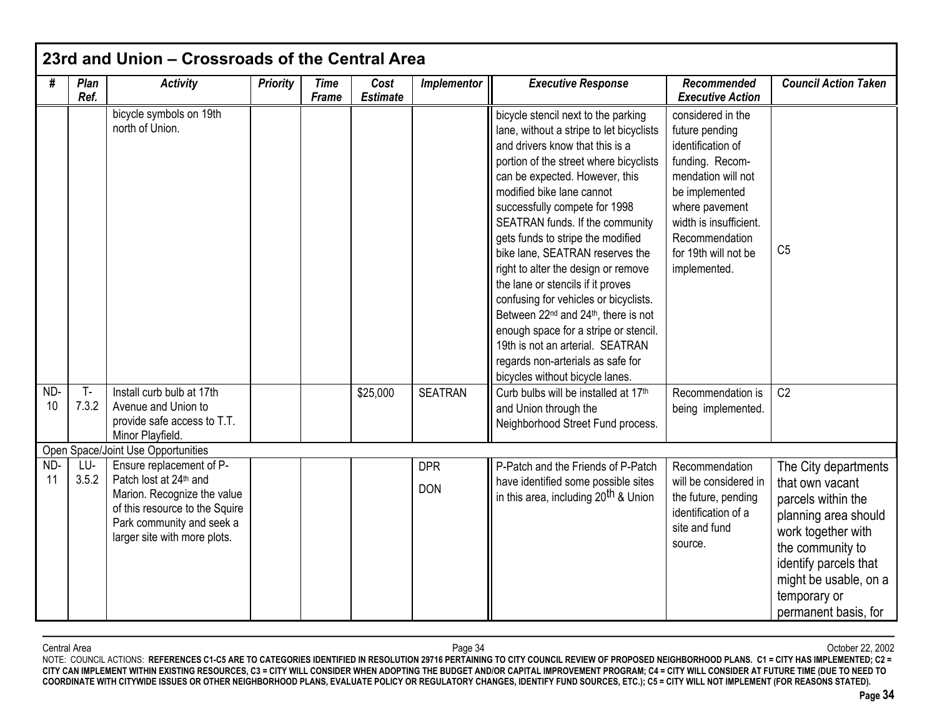| #         | Plan<br>Ref. | <b>Activity</b>                                                                                                                                                                  | <b>Priority</b> | <b>Time</b><br>Frame | Cost<br><b>Estimate</b> | Implementor              | <b>Executive Response</b>                                                                                                                                                                                                                                                                                                                                                                                                                                                                                                                                                                                                                                                                                         | Recommended<br><b>Executive Action</b>                                                                                                                                                                                    | <b>Council Action Taken</b>                                                                                                                                                                       |
|-----------|--------------|----------------------------------------------------------------------------------------------------------------------------------------------------------------------------------|-----------------|----------------------|-------------------------|--------------------------|-------------------------------------------------------------------------------------------------------------------------------------------------------------------------------------------------------------------------------------------------------------------------------------------------------------------------------------------------------------------------------------------------------------------------------------------------------------------------------------------------------------------------------------------------------------------------------------------------------------------------------------------------------------------------------------------------------------------|---------------------------------------------------------------------------------------------------------------------------------------------------------------------------------------------------------------------------|---------------------------------------------------------------------------------------------------------------------------------------------------------------------------------------------------|
|           | $T -$        | bicycle symbols on 19th<br>north of Union.<br>Install curb bulb at 17th                                                                                                          |                 |                      |                         |                          | bicycle stencil next to the parking<br>lane, without a stripe to let bicyclists<br>and drivers know that this is a<br>portion of the street where bicyclists<br>can be expected. However, this<br>modified bike lane cannot<br>successfully compete for 1998<br>SEATRAN funds. If the community<br>gets funds to stripe the modified<br>bike lane, SEATRAN reserves the<br>right to alter the design or remove<br>the lane or stencils if it proves<br>confusing for vehicles or bicyclists.<br>Between 22 <sup>nd</sup> and 24 <sup>th</sup> , there is not<br>enough space for a stripe or stencil.<br>19th is not an arterial. SEATRAN<br>regards non-arterials as safe for<br>bicycles without bicycle lanes. | considered in the<br>future pending<br>identification of<br>funding. Recom-<br>mendation will not<br>be implemented<br>where pavement<br>width is insufficient.<br>Recommendation<br>for 19th will not be<br>implemented. | C <sub>5</sub>                                                                                                                                                                                    |
| ND-<br>10 | 7.3.2        | Avenue and Union to<br>provide safe access to T.T.<br>Minor Playfield.                                                                                                           |                 |                      | \$25,000                | <b>SEATRAN</b>           | Curb bulbs will be installed at 17th<br>and Union through the<br>Neighborhood Street Fund process.                                                                                                                                                                                                                                                                                                                                                                                                                                                                                                                                                                                                                | Recommendation is<br>being implemented.                                                                                                                                                                                   | C <sub>2</sub>                                                                                                                                                                                    |
|           |              | Open Space/Joint Use Opportunities                                                                                                                                               |                 |                      |                         |                          |                                                                                                                                                                                                                                                                                                                                                                                                                                                                                                                                                                                                                                                                                                                   |                                                                                                                                                                                                                           |                                                                                                                                                                                                   |
| ND-<br>11 | LU-<br>3.5.2 | Ensure replacement of P-<br>Patch lost at 24th and<br>Marion. Recognize the value<br>of this resource to the Squire<br>Park community and seek a<br>larger site with more plots. |                 |                      |                         | <b>DPR</b><br><b>DON</b> | P-Patch and the Friends of P-Patch<br>have identified some possible sites<br>in this area, including 20 <sup>th</sup> & Union                                                                                                                                                                                                                                                                                                                                                                                                                                                                                                                                                                                     | Recommendation<br>will be considered in<br>the future, pending<br>identification of a<br>site and fund<br>source.                                                                                                         | The City departments<br>that own vacant<br>parcels within the<br>planning area should<br>work together with<br>the community to<br>identify parcels that<br>might be usable, on a<br>temporary or |

Central Area Page 34 October 22, 2002 NOTE: COUNCIL ACTIONS: **REFERENCES C1-C5 ARE TO CATEGORIES IDENTIFIED IN RESOLUTION 29716 PERTAINING TO CITY COUNCIL REVIEW OF PROPOSED NEIGHBORHOOD PLANS. C1 = CITY HAS IMPLEMENTED; C2 = CITY CAN IMPLEMENT WITHIN EXISTING RESOURCES, C3 = CITY WILL CONSIDER WHEN ADOPTING THE BUDGET AND/OR CAPITAL IMPROVEMENT PROGRAM; C4 = CITY WILL CONSIDER AT FUTURE TIME (DUE TO NEED TO COORDINATE WITH CITYWIDE ISSUES OR OTHER NEIGHBORHOOD PLANS, EVALUATE POLICY OR REGULATORY CHANGES, IDENTIFY FUND SOURCES, ETC.); C5 = CITY WILL NOT IMPLEMENT (FOR REASONS STATED).**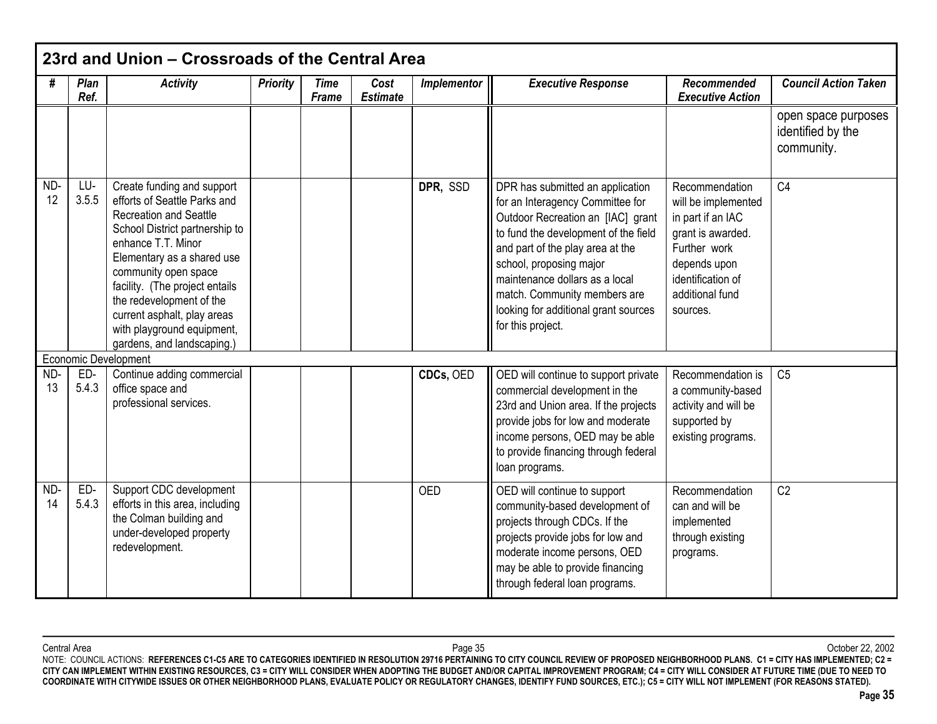|           | 23rd and Union - Crossroads of the Central Area |                                                                                                                                                                                                                                                                                                                                                                    |                 |                             |                         |                    |                                                                                                                                                                                                                                                                                                                                                 |                                                                                                                                                                     |                                                        |  |
|-----------|-------------------------------------------------|--------------------------------------------------------------------------------------------------------------------------------------------------------------------------------------------------------------------------------------------------------------------------------------------------------------------------------------------------------------------|-----------------|-----------------------------|-------------------------|--------------------|-------------------------------------------------------------------------------------------------------------------------------------------------------------------------------------------------------------------------------------------------------------------------------------------------------------------------------------------------|---------------------------------------------------------------------------------------------------------------------------------------------------------------------|--------------------------------------------------------|--|
| #         | Plan<br>Ref.                                    | <b>Activity</b>                                                                                                                                                                                                                                                                                                                                                    | <b>Priority</b> | <b>Time</b><br><b>Frame</b> | Cost<br><b>Estimate</b> | <b>Implementor</b> | <b>Executive Response</b>                                                                                                                                                                                                                                                                                                                       | Recommended<br><b>Executive Action</b>                                                                                                                              | <b>Council Action Taken</b>                            |  |
|           |                                                 |                                                                                                                                                                                                                                                                                                                                                                    |                 |                             |                         |                    |                                                                                                                                                                                                                                                                                                                                                 |                                                                                                                                                                     | open space purposes<br>identified by the<br>community. |  |
| ND-<br>12 | LU-<br>3.5.5                                    | Create funding and support<br>efforts of Seattle Parks and<br><b>Recreation and Seattle</b><br>School District partnership to<br>enhance T.T. Minor<br>Elementary as a shared use<br>community open space<br>facility. (The project entails<br>the redevelopment of the<br>current asphalt, play areas<br>with playground equipment,<br>gardens, and landscaping.) |                 |                             |                         | DPR, SSD           | DPR has submitted an application<br>for an Interagency Committee for<br>Outdoor Recreation an [IAC] grant<br>to fund the development of the field<br>and part of the play area at the<br>school, proposing major<br>maintenance dollars as a local<br>match. Community members are<br>looking for additional grant sources<br>for this project. | Recommendation<br>will be implemented<br>in part if an IAC<br>grant is awarded.<br>Further work<br>depends upon<br>identification of<br>additional fund<br>sources. | C <sub>4</sub>                                         |  |
|           |                                                 | Economic Development                                                                                                                                                                                                                                                                                                                                               |                 |                             |                         |                    |                                                                                                                                                                                                                                                                                                                                                 |                                                                                                                                                                     |                                                        |  |
| ND-<br>13 | ED-<br>5.4.3                                    | Continue adding commercial<br>office space and<br>professional services.                                                                                                                                                                                                                                                                                           |                 |                             |                         | CDCs, OED          | OED will continue to support private<br>commercial development in the<br>23rd and Union area. If the projects<br>provide jobs for low and moderate<br>income persons, OED may be able<br>to provide financing through federal<br>loan programs.                                                                                                 | Recommendation is<br>a community-based<br>activity and will be<br>supported by<br>existing programs.                                                                | C <sub>5</sub>                                         |  |
| ND-<br>14 | ED-<br>5.4.3                                    | Support CDC development<br>efforts in this area, including<br>the Colman building and<br>under-developed property<br>redevelopment.                                                                                                                                                                                                                                |                 |                             |                         | <b>OED</b>         | OED will continue to support<br>community-based development of<br>projects through CDCs. If the<br>projects provide jobs for low and<br>moderate income persons, OED<br>may be able to provide financing<br>through federal loan programs.                                                                                                      | Recommendation<br>can and will be<br>implemented<br>through existing<br>programs.                                                                                   | C <sub>2</sub>                                         |  |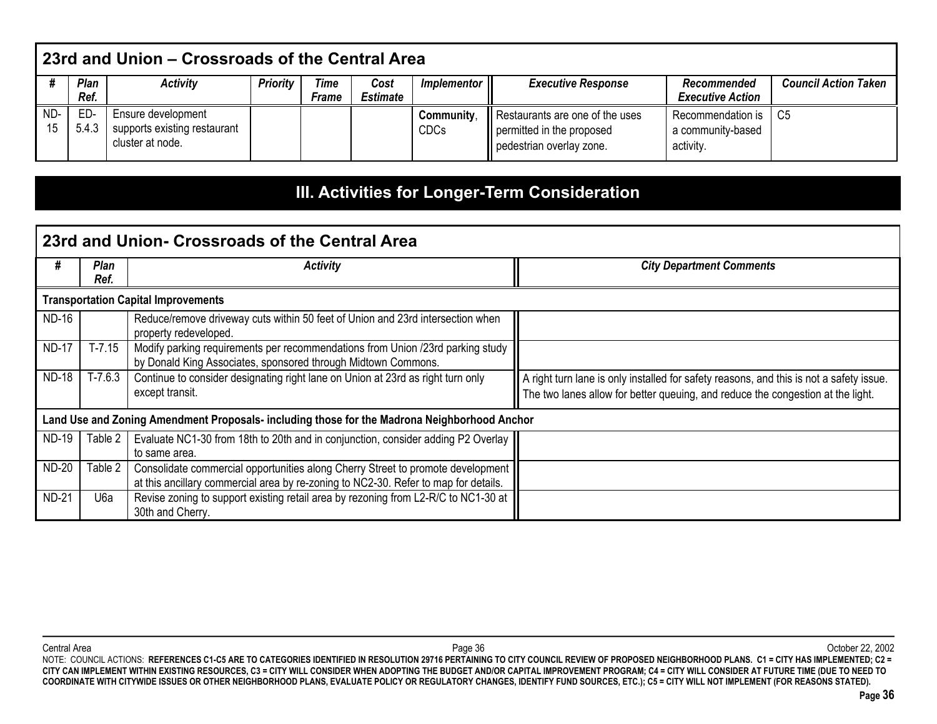|           | 23rd and Union – Crossroads of the Central Area |                                                                        |                 |                      |                         |                           |                                                                                          |                                                     |                             |
|-----------|-------------------------------------------------|------------------------------------------------------------------------|-----------------|----------------------|-------------------------|---------------------------|------------------------------------------------------------------------------------------|-----------------------------------------------------|-----------------------------|
|           | Plan<br>Ref.                                    | <b>Activity</b>                                                        | <b>Priority</b> | Time<br><b>Frame</b> | Cost<br><b>Estimate</b> | Implementor               | <b>Executive Response</b>                                                                | Recommended<br><b>Executive Action</b>              | <b>Council Action Taken</b> |
| ND-<br>15 | ED-<br>5.4.3                                    | Ensure development<br>supports existing restaurant<br>cluster at node. |                 |                      |                         | Community,<br><b>CDCs</b> | Restaurants are one of the uses<br>permitted in the proposed<br>pedestrian overlay zone. | Recommendation is<br>a community-based<br>activity. | - C5                        |

# **III. Activities for Longer-Term Consideration**

|              |                     | 23rd and Union- Crossroads of the Central Area                                                                                                                         |                                                                                                                                                                            |
|--------------|---------------------|------------------------------------------------------------------------------------------------------------------------------------------------------------------------|----------------------------------------------------------------------------------------------------------------------------------------------------------------------------|
| #            | <b>Plan</b><br>Ref. | <b>Activity</b>                                                                                                                                                        | <b>City Department Comments</b>                                                                                                                                            |
|              |                     | <b>Transportation Capital Improvements</b>                                                                                                                             |                                                                                                                                                                            |
| <b>ND-16</b> |                     | Reduce/remove driveway cuts within 50 feet of Union and 23rd intersection when<br>property redeveloped.                                                                |                                                                                                                                                                            |
| <b>ND-17</b> | $T-7.15$            | Modify parking requirements per recommendations from Union /23rd parking study<br>by Donald King Associates, sponsored through Midtown Commons.                        |                                                                                                                                                                            |
| <b>ND-18</b> | T-7.6.3             | Continue to consider designating right lane on Union at 23rd as right turn only<br>except transit.                                                                     | A right turn lane is only installed for safety reasons, and this is not a safety issue.<br>The two lanes allow for better queuing, and reduce the congestion at the light. |
|              |                     | Land Use and Zoning Amendment Proposals- including those for the Madrona Neighborhood Anchor                                                                           |                                                                                                                                                                            |
| <b>ND-19</b> | Table 2 I           | Evaluate NC1-30 from 18th to 20th and in conjunction, consider adding P2 Overlay<br>to same area.                                                                      |                                                                                                                                                                            |
| <b>ND-20</b> | Table 2             | Consolidate commercial opportunities along Cherry Street to promote development<br>at this ancillary commercial area by re-zoning to NC2-30. Refer to map for details. |                                                                                                                                                                            |
| <b>ND-21</b> | U6a                 | Revise zoning to support existing retail area by rezoning from L2-R/C to NC1-30 at<br>30th and Cherry.                                                                 |                                                                                                                                                                            |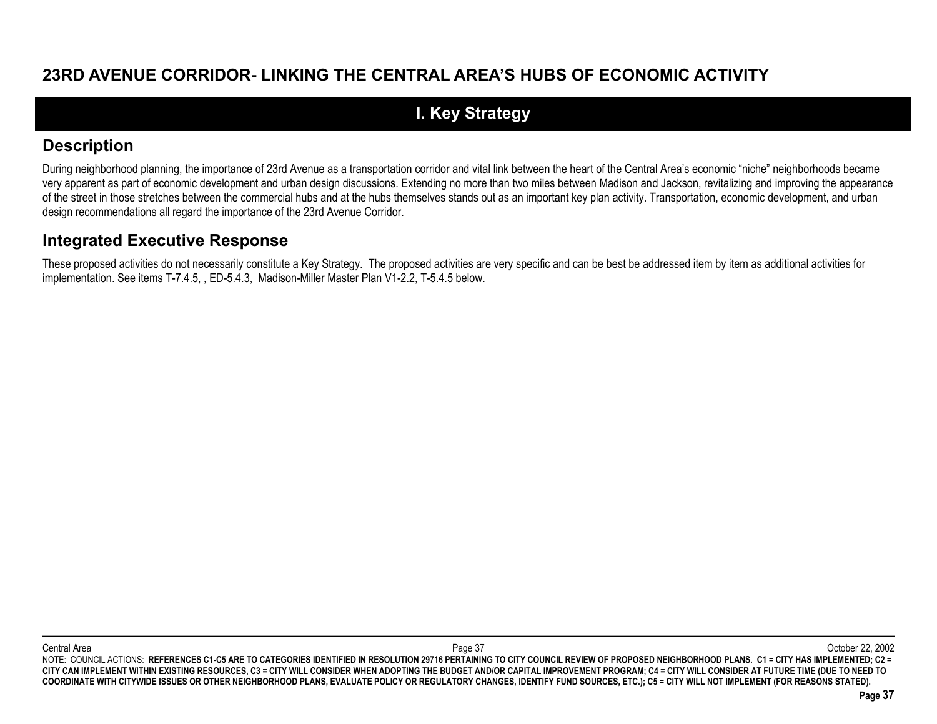## **23RD AVENUE CORRIDOR- LINKING THE CENTRAL AREA'S HUBS OF ECONOMIC ACTIVITY**

# **I. Key Strategy**

### **Description**

During neighborhood planning, the importance of 23rd Avenue as a transportation corridor and vital link between the heart of the Central Area's economic "niche" neighborhoods became very apparent as part of economic development and urban design discussions. Extending no more than two miles between Madison and Jackson, revitalizing and improving the appearance of the street in those stretches between the commercial hubs and at the hubs themselves stands out as an important key plan activity. Transportation, economic development, and urban design recommendations all regard the importance of the 23rd Avenue Corridor.

### **Integrated Executive Response**

These proposed activities do not necessarily constitute a Key Strategy. The proposed activities are very specific and can be best be addressed item by item as additional activities for implementation. See items T-7.4.5, , ED-5.4.3, Madison-Miller Master Plan V1-2.2, T-5.4.5 below.

Central Area Page 37 October 22, 2002 NOTE: COUNCIL ACTIONS: REFERENCES C1-C5 ARE TO CATEGORIES IDENTIFIED IN RESOLUTION 29716 PERTAINING TO CITY COUNCIL REVIEW OF PROPOSED NEIGHBORHOOD PLANS. C1 = CITY HAS IMPLEMENTED; C2 = **CITY CAN IMPLEMENT WITHIN EXISTING RESOURCES, C3 = CITY WILL CONSIDER WHEN ADOPTING THE BUDGET AND/OR CAPITAL IMPROVEMENT PROGRAM; C4 = CITY WILL CONSIDER AT FUTURE TIME (DUE TO NEED TO COORDINATE WITH CITYWIDE ISSUES OR OTHER NEIGHBORHOOD PLANS, EVALUATE POLICY OR REGULATORY CHANGES, IDENTIFY FUND SOURCES, ETC.); C5 = CITY WILL NOT IMPLEMENT (FOR REASONS STATED).**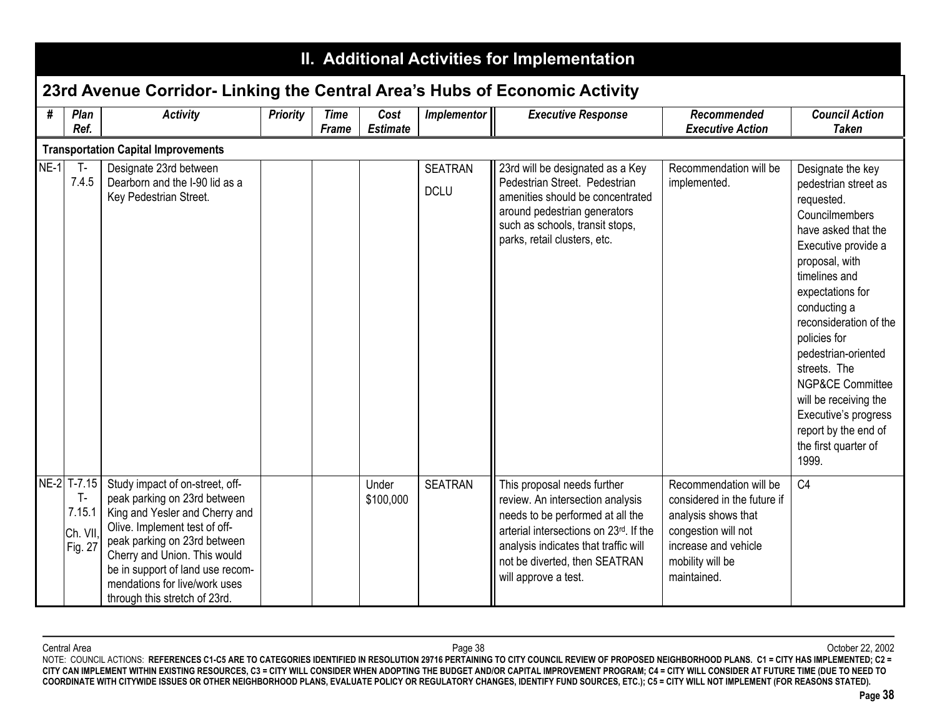|        | II. Additional Activities for Implementation          |                                                                                                                                                                                                                                                                                                          |                 |                      |                         |                               |                                                                                                                                                                                                                                                |                                                                                                                                                                |                                                                                                                                                                                                                                                                                                                                                                                                                          |
|--------|-------------------------------------------------------|----------------------------------------------------------------------------------------------------------------------------------------------------------------------------------------------------------------------------------------------------------------------------------------------------------|-----------------|----------------------|-------------------------|-------------------------------|------------------------------------------------------------------------------------------------------------------------------------------------------------------------------------------------------------------------------------------------|----------------------------------------------------------------------------------------------------------------------------------------------------------------|--------------------------------------------------------------------------------------------------------------------------------------------------------------------------------------------------------------------------------------------------------------------------------------------------------------------------------------------------------------------------------------------------------------------------|
|        |                                                       | 23rd Avenue Corridor- Linking the Central Area's Hubs of Economic Activity                                                                                                                                                                                                                               |                 |                      |                         |                               |                                                                                                                                                                                                                                                |                                                                                                                                                                |                                                                                                                                                                                                                                                                                                                                                                                                                          |
| #      | Plan<br>Ref.                                          | <b>Activity</b>                                                                                                                                                                                                                                                                                          | <b>Priority</b> | <b>Time</b><br>Frame | Cost<br><b>Estimate</b> | <b>Implementor</b>            | <b>Executive Response</b>                                                                                                                                                                                                                      | Recommended<br><b>Executive Action</b>                                                                                                                         | <b>Council Action</b><br><b>Taken</b>                                                                                                                                                                                                                                                                                                                                                                                    |
|        |                                                       | <b>Transportation Capital Improvements</b>                                                                                                                                                                                                                                                               |                 |                      |                         |                               |                                                                                                                                                                                                                                                |                                                                                                                                                                |                                                                                                                                                                                                                                                                                                                                                                                                                          |
| $NE-1$ | $T -$<br>7.4.5                                        | Designate 23rd between<br>Dearborn and the I-90 lid as a<br>Key Pedestrian Street.                                                                                                                                                                                                                       |                 |                      |                         | <b>SEATRAN</b><br><b>DCLU</b> | 23rd will be designated as a Key<br>Pedestrian Street. Pedestrian<br>amenities should be concentrated<br>around pedestrian generators<br>such as schools, transit stops,<br>parks, retail clusters, etc.                                       | Recommendation will be<br>implemented.                                                                                                                         | Designate the key<br>pedestrian street as<br>requested.<br>Councilmembers<br>have asked that the<br>Executive provide a<br>proposal, with<br>timelines and<br>expectations for<br>conducting a<br>reconsideration of the<br>policies for<br>pedestrian-oriented<br>streets. The<br><b>NGP&amp;CE Committee</b><br>will be receiving the<br>Executive's progress<br>report by the end of<br>the first quarter of<br>1999. |
|        | NE-2 T-7.15<br>$T -$<br>7.15.1<br>Ch. VII,<br>Fig. 27 | Study impact of on-street, off-<br>peak parking on 23rd between<br>King and Yesler and Cherry and<br>Olive. Implement test of off-<br>peak parking on 23rd between<br>Cherry and Union. This would<br>be in support of land use recom-<br>mendations for live/work uses<br>through this stretch of 23rd. |                 |                      | Under<br>\$100,000      | <b>SEATRAN</b>                | This proposal needs further<br>review. An intersection analysis<br>needs to be performed at all the<br>arterial intersections on 23rd. If the<br>analysis indicates that traffic will<br>not be diverted, then SEATRAN<br>will approve a test. | Recommendation will be<br>considered in the future if<br>analysis shows that<br>congestion will not<br>increase and vehicle<br>mobility will be<br>maintained. | C <sub>4</sub>                                                                                                                                                                                                                                                                                                                                                                                                           |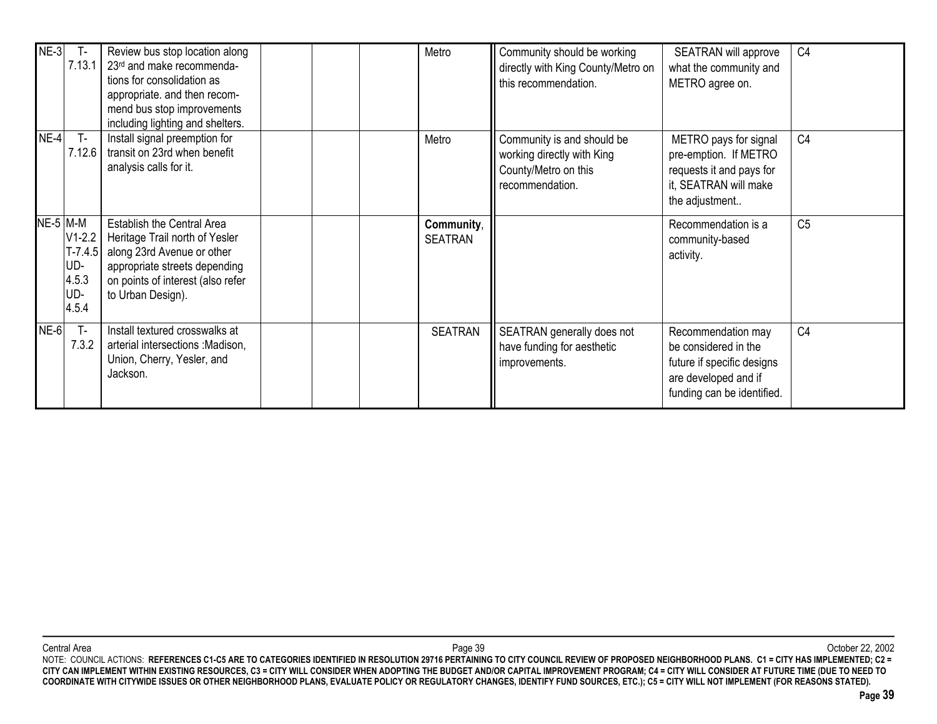| $NE-3$          | $T -$<br>7.13.1                                       | Review bus stop location along<br>23rd and make recommenda-<br>tions for consolidation as<br>appropriate. and then recom-<br>mend bus stop improvements<br>including lighting and shelters.  |  | Metro                        | Community should be working<br>directly with King County/Metro on<br>this recommendation.           | SEATRAN will approve<br>what the community and<br>METRO agree on.                                                              | C <sub>4</sub> |
|-----------------|-------------------------------------------------------|----------------------------------------------------------------------------------------------------------------------------------------------------------------------------------------------|--|------------------------------|-----------------------------------------------------------------------------------------------------|--------------------------------------------------------------------------------------------------------------------------------|----------------|
| $NE-4$          | $T -$<br>7.12.6                                       | Install signal preemption for<br>transit on 23rd when benefit<br>analysis calls for it.                                                                                                      |  | Metro                        | Community is and should be<br>working directly with King<br>County/Metro on this<br>recommendation. | METRO pays for signal<br>pre-emption. If METRO<br>requests it and pays for<br>it, SEATRAN will make<br>the adjustment          | C <sub>4</sub> |
| <b>NE-5 M-M</b> | $V1-2.2$<br>$T-7.4.5$<br>UD-<br>4.5.3<br>UD-<br>4.5.4 | <b>Establish the Central Area</b><br>Heritage Trail north of Yesler<br>along 23rd Avenue or other<br>appropriate streets depending<br>on points of interest (also refer<br>to Urban Design). |  | Community,<br><b>SEATRAN</b> |                                                                                                     | Recommendation is a<br>community-based<br>activity.                                                                            | C <sub>5</sub> |
| $NE-6$          | $T -$<br>7.3.2                                        | Install textured crosswalks at<br>arterial intersections : Madison,<br>Union, Cherry, Yesler, and<br>Jackson.                                                                                |  | <b>SEATRAN</b>               | SEATRAN generally does not<br>have funding for aesthetic<br>improvements.                           | Recommendation may<br>be considered in the<br>future if specific designs<br>are developed and if<br>funding can be identified. | C <sub>4</sub> |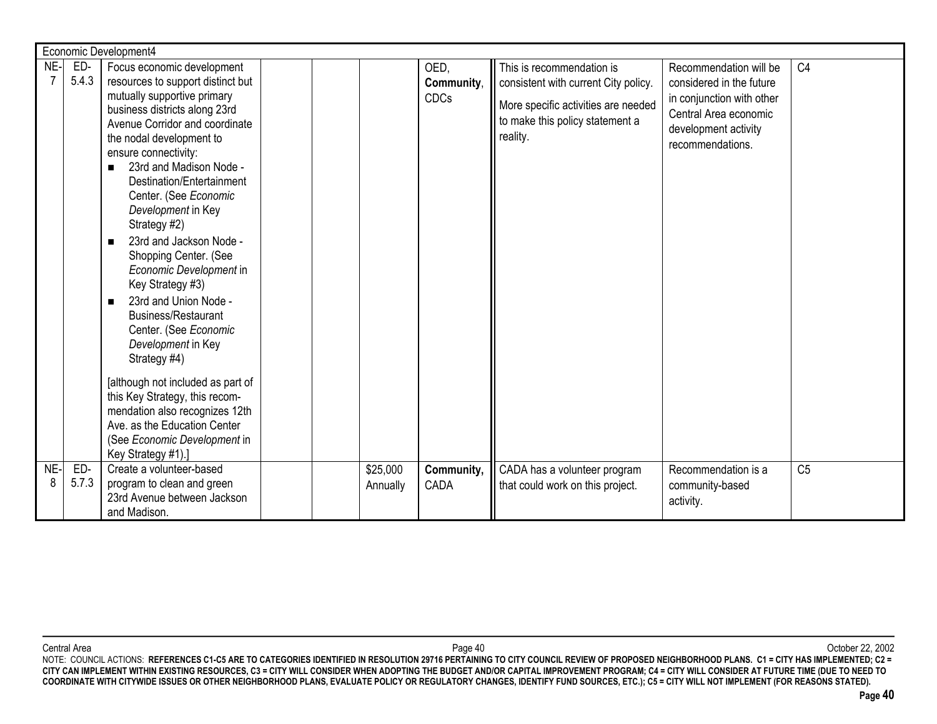|          | Economic Development4 |                                                                                                                                                                                                                                                                                                                                                                                                                                                                                                                                                                                                                             |  |  |                      |                                   |                                                                                                                                                         |                                                                                                                                                      |                |  |
|----------|-----------------------|-----------------------------------------------------------------------------------------------------------------------------------------------------------------------------------------------------------------------------------------------------------------------------------------------------------------------------------------------------------------------------------------------------------------------------------------------------------------------------------------------------------------------------------------------------------------------------------------------------------------------------|--|--|----------------------|-----------------------------------|---------------------------------------------------------------------------------------------------------------------------------------------------------|------------------------------------------------------------------------------------------------------------------------------------------------------|----------------|--|
| NE-      | ED-<br>5.4.3          | Focus economic development<br>resources to support distinct but<br>mutually supportive primary<br>business districts along 23rd<br>Avenue Corridor and coordinate<br>the nodal development to<br>ensure connectivity:<br>23rd and Madison Node -<br>$\blacksquare$<br>Destination/Entertainment<br>Center. (See Economic<br>Development in Key<br>Strategy #2)<br>23rd and Jackson Node -<br>$\blacksquare$<br>Shopping Center. (See<br>Economic Development in<br>Key Strategy #3)<br>23rd and Union Node -<br>$\blacksquare$<br><b>Business/Restaurant</b><br>Center. (See Economic<br>Development in Key<br>Strategy #4) |  |  |                      | OED,<br>Community,<br><b>CDCs</b> | This is recommendation is<br>consistent with current City policy.<br>More specific activities are needed<br>to make this policy statement a<br>reality. | Recommendation will be<br>considered in the future<br>in conjunction with other<br>Central Area economic<br>development activity<br>recommendations. | C <sub>4</sub> |  |
|          |                       | [although not included as part of<br>this Key Strategy, this recom-<br>mendation also recognizes 12th<br>Ave. as the Education Center<br>(See Economic Development in<br>Key Strategy #1).]                                                                                                                                                                                                                                                                                                                                                                                                                                 |  |  |                      |                                   |                                                                                                                                                         |                                                                                                                                                      |                |  |
| NE-<br>8 | ED-<br>5.7.3          | Create a volunteer-based<br>program to clean and green<br>23rd Avenue between Jackson<br>and Madison.                                                                                                                                                                                                                                                                                                                                                                                                                                                                                                                       |  |  | \$25,000<br>Annually | Community,<br>CADA                | CADA has a volunteer program<br>that could work on this project.                                                                                        | Recommendation is a<br>community-based<br>activity.                                                                                                  | C <sub>5</sub> |  |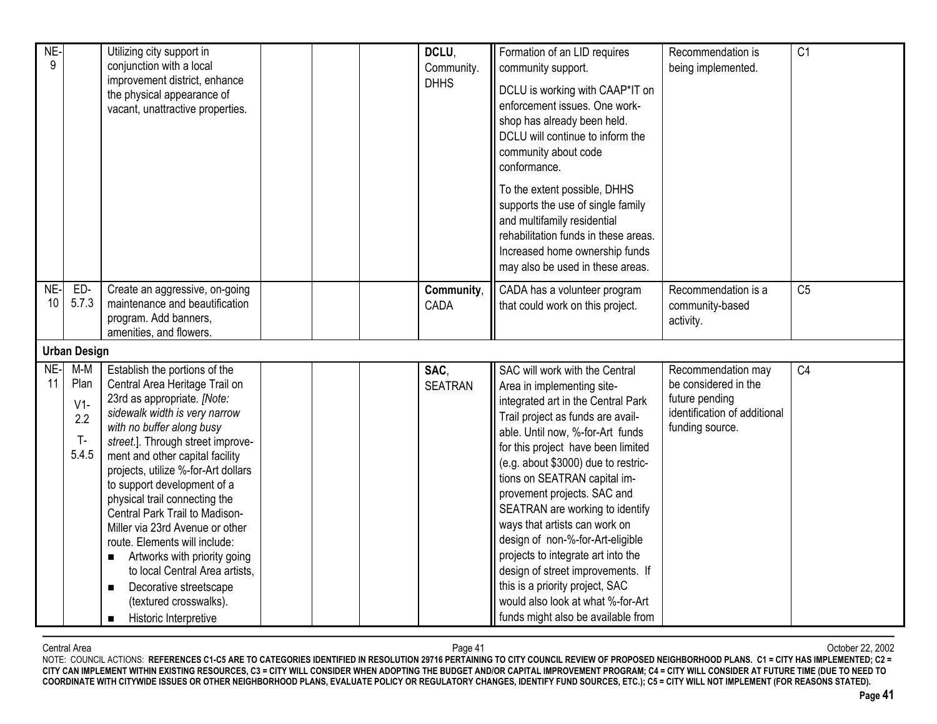| NE-<br>9  |                                                 | Utilizing city support in<br>conjunction with a local<br>improvement district, enhance<br>the physical appearance of<br>vacant, unattractive properties.                                                                                                                                                                                                                                                                                                                                                                                                                                                                             |  | DCLU,<br>Community.<br><b>DHHS</b> | Formation of an LID requires<br>community support.<br>DCLU is working with CAAP*IT on<br>enforcement issues. One work-<br>shop has already been held.<br>DCLU will continue to inform the<br>community about code<br>conformance.<br>To the extent possible, DHHS<br>supports the use of single family<br>and multifamily residential<br>rehabilitation funds in these areas.<br>Increased home ownership funds<br>may also be used in these areas.                                                                                                                                                                      | Recommendation is<br>being implemented.                                                                         | C <sub>1</sub> |
|-----------|-------------------------------------------------|--------------------------------------------------------------------------------------------------------------------------------------------------------------------------------------------------------------------------------------------------------------------------------------------------------------------------------------------------------------------------------------------------------------------------------------------------------------------------------------------------------------------------------------------------------------------------------------------------------------------------------------|--|------------------------------------|--------------------------------------------------------------------------------------------------------------------------------------------------------------------------------------------------------------------------------------------------------------------------------------------------------------------------------------------------------------------------------------------------------------------------------------------------------------------------------------------------------------------------------------------------------------------------------------------------------------------------|-----------------------------------------------------------------------------------------------------------------|----------------|
| NE-<br>10 | ED-<br>5.7.3                                    | Create an aggressive, on-going<br>maintenance and beautification<br>program. Add banners,<br>amenities, and flowers.                                                                                                                                                                                                                                                                                                                                                                                                                                                                                                                 |  | Community,<br>CADA                 | CADA has a volunteer program<br>that could work on this project.                                                                                                                                                                                                                                                                                                                                                                                                                                                                                                                                                         | Recommendation is a<br>community-based<br>activity.                                                             | C <sub>5</sub> |
|           | <b>Urban Design</b>                             |                                                                                                                                                                                                                                                                                                                                                                                                                                                                                                                                                                                                                                      |  |                                    |                                                                                                                                                                                                                                                                                                                                                                                                                                                                                                                                                                                                                          |                                                                                                                 |                |
| NE-<br>11 | $M-M$<br>Plan<br>$V1-$<br>2.2<br>$T -$<br>5.4.5 | Establish the portions of the<br>Central Area Heritage Trail on<br>23rd as appropriate. [Note:<br>sidewalk width is very narrow<br>with no buffer along busy<br>street.]. Through street improve-<br>ment and other capital facility<br>projects, utilize %-for-Art dollars<br>to support development of a<br>physical trail connecting the<br>Central Park Trail to Madison-<br>Miller via 23rd Avenue or other<br>route. Elements will include:<br>Artworks with priority going<br>to local Central Area artists,<br>Decorative streetscape<br>$\blacksquare$<br>(textured crosswalks).<br>Historic Interpretive<br>$\blacksquare$ |  | SAC,<br><b>SEATRAN</b>             | SAC will work with the Central<br>Area in implementing site-<br>integrated art in the Central Park<br>Trail project as funds are avail-<br>able. Until now, %-for-Art funds<br>for this project have been limited<br>(e.g. about \$3000) due to restric-<br>tions on SEATRAN capital im-<br>provement projects. SAC and<br>SEATRAN are working to identify<br>ways that artists can work on<br>design of non-%-for-Art-eligible<br>projects to integrate art into the<br>design of street improvements. If<br>this is a priority project, SAC<br>would also look at what %-for-Art<br>funds might also be available from | Recommendation may<br>be considered in the<br>future pending<br>identification of additional<br>funding source. | C <sub>4</sub> |

Central Area Page 41 October 22, 2002 NOTE: COUNCIL ACTIONS: **REFERENCES C1-C5 ARE TO CATEGORIES IDENTIFIED IN RESOLUTION 29716 PERTAINING TO CITY COUNCIL REVIEW OF PROPOSED NEIGHBORHOOD PLANS. C1 = CITY HAS IMPLEMENTED; C2 = CITY CAN IMPLEMENT WITHIN EXISTING RESOURCES, C3 = CITY WILL CONSIDER WHEN ADOPTING THE BUDGET AND/OR CAPITAL IMPROVEMENT PROGRAM; C4 = CITY WILL CONSIDER AT FUTURE TIME (DUE TO NEED TO COORDINATE WITH CITYWIDE ISSUES OR OTHER NEIGHBORHOOD PLANS, EVALUATE POLICY OR REGULATORY CHANGES, IDENTIFY FUND SOURCES, ETC.); C5 = CITY WILL NOT IMPLEMENT (FOR REASONS STATED).**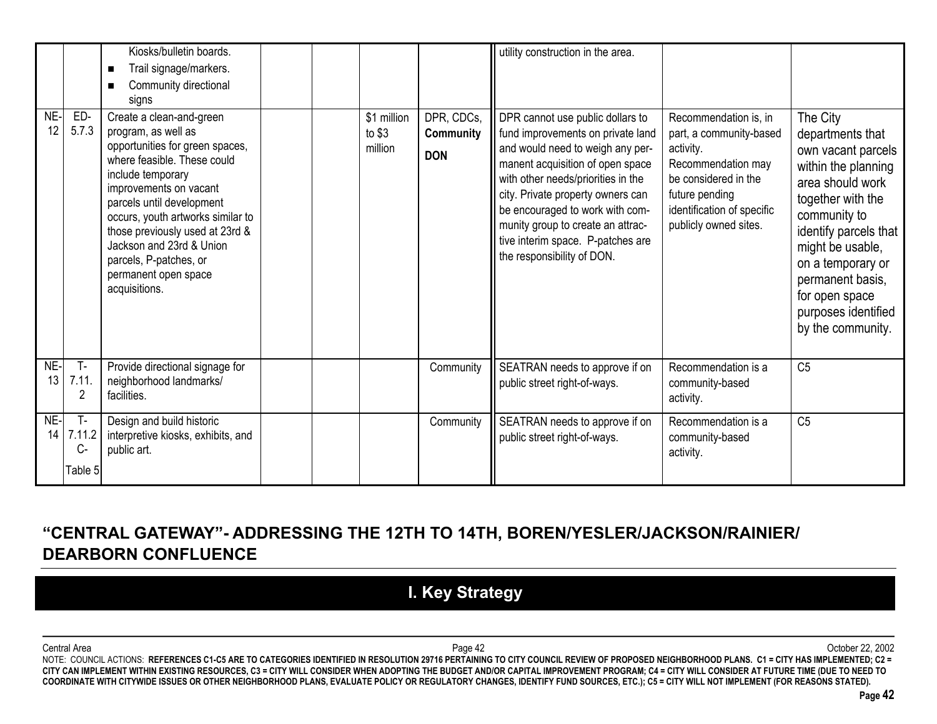|           |                                  | Kiosks/bulletin boards.<br>Trail signage/markers.<br>$\blacksquare$<br>Community directional<br>п<br>signs                                                                                                                                                                                                                                                           |                                   |                                       | utility construction in the area.                                                                                                                                                                                                                                                                                                                                   |                                                                                                                                                                                      |                                                                                                                                                                                                                                                                                        |
|-----------|----------------------------------|----------------------------------------------------------------------------------------------------------------------------------------------------------------------------------------------------------------------------------------------------------------------------------------------------------------------------------------------------------------------|-----------------------------------|---------------------------------------|---------------------------------------------------------------------------------------------------------------------------------------------------------------------------------------------------------------------------------------------------------------------------------------------------------------------------------------------------------------------|--------------------------------------------------------------------------------------------------------------------------------------------------------------------------------------|----------------------------------------------------------------------------------------------------------------------------------------------------------------------------------------------------------------------------------------------------------------------------------------|
| NE-<br>12 | ED-<br>5.7.3                     | Create a clean-and-green<br>program, as well as<br>opportunities for green spaces,<br>where feasible. These could<br>include temporary<br>improvements on vacant<br>parcels until development<br>occurs, youth artworks similar to<br>those previously used at 23rd &<br>Jackson and 23rd & Union<br>parcels, P-patches, or<br>permanent open space<br>acquisitions. | \$1 million<br>to $$3$<br>million | DPR, CDCs,<br>Community<br><b>DON</b> | DPR cannot use public dollars to<br>fund improvements on private land<br>and would need to weigh any per-<br>manent acquisition of open space<br>with other needs/priorities in the<br>city. Private property owners can<br>be encouraged to work with com-<br>munity group to create an attrac-<br>tive interim space. P-patches are<br>the responsibility of DON. | Recommendation is, in<br>part, a community-based<br>activity.<br>Recommendation may<br>be considered in the<br>future pending<br>identification of specific<br>publicly owned sites. | The City<br>departments that<br>own vacant parcels<br>within the planning<br>area should work<br>together with the<br>community to<br>identify parcels that<br>might be usable,<br>on a temporary or<br>permanent basis,<br>for open space<br>purposes identified<br>by the community. |
| NE-<br>13 | $T -$<br>7.11.<br>2              | Provide directional signage for<br>neighborhood landmarks/<br>facilities.                                                                                                                                                                                                                                                                                            |                                   | Community                             | SEATRAN needs to approve if on<br>public street right-of-ways.                                                                                                                                                                                                                                                                                                      | Recommendation is a<br>community-based<br>activity.                                                                                                                                  | C <sub>5</sub>                                                                                                                                                                                                                                                                         |
| NE-<br>14 | $T -$<br>7.11.2<br>C-<br>Table 5 | Design and build historic<br>interpretive kiosks, exhibits, and<br>public art.                                                                                                                                                                                                                                                                                       |                                   | Community                             | SEATRAN needs to approve if on<br>public street right-of-ways.                                                                                                                                                                                                                                                                                                      | Recommendation is a<br>community-based<br>activity.                                                                                                                                  | C <sub>5</sub>                                                                                                                                                                                                                                                                         |

## **"CENTRAL GATEWAY"- ADDRESSING THE 12TH TO 14TH, BOREN/YESLER/JACKSON/RAINIER/ DEARBORN CONFLUENCE**

# **I. Key Strategy**

Central Area Page 42 October 22, 2002 NOTE: COUNCIL ACTIONS: **REFERENCES C1-C5 ARE TO CATEGORIES IDENTIFIED IN RESOLUTION 29716 PERTAINING TO CITY COUNCIL REVIEW OF PROPOSED NEIGHBORHOOD PLANS. C1 = CITY HAS IMPLEMENTED; C2 = CITY CAN IMPLEMENT WITHIN EXISTING RESOURCES, C3 = CITY WILL CONSIDER WHEN ADOPTING THE BUDGET AND/OR CAPITAL IMPROVEMENT PROGRAM; C4 = CITY WILL CONSIDER AT FUTURE TIME (DUE TO NEED TO COORDINATE WITH CITYWIDE ISSUES OR OTHER NEIGHBORHOOD PLANS, EVALUATE POLICY OR REGULATORY CHANGES, IDENTIFY FUND SOURCES, ETC.); C5 = CITY WILL NOT IMPLEMENT (FOR REASONS STATED).**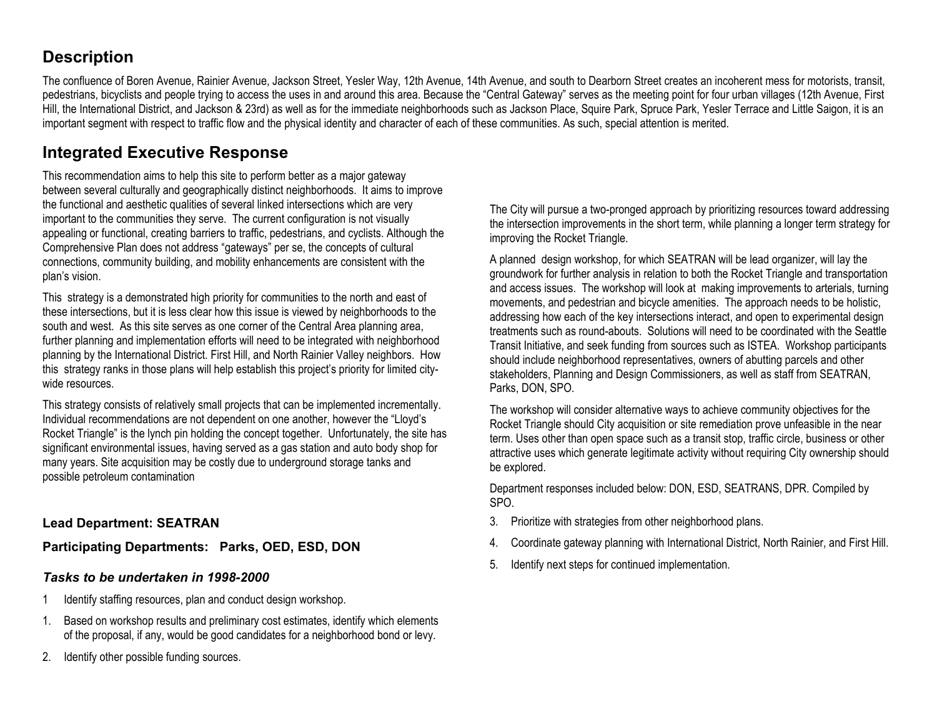### **Description**

The confluence of Boren Avenue, Rainier Avenue, Jackson Street, Yesler Way, 12th Avenue, 14th Avenue, and south to Dearborn Street creates an incoherent mess for motorists, transit, pedestrians, bicyclists and people trying to access the uses in and around this area. Because the "Central Gateway" serves as the meeting point for four urban villages (12th Avenue, First Hill, the International District, and Jackson & 23rd) as well as for the immediate neighborhoods such as Jackson Place, Squire Park, Spruce Park, Yesler Terrace and Little Saigon, it is an important segment with respect to traffic flow and the physical identity and character of each of these communities. As such, special attention is merited.

## **Integrated Executive Response**

This recommendation aims to help this site to perform better as a major gateway between several culturally and geographically distinct neighborhoods. It aims to improve the functional and aesthetic qualities of several linked intersections which are very important to the communities they serve. The current configuration is not visually appealing or functional, creating barriers to traffic, pedestrians, and cyclists. Although the Comprehensive Plan does not address "gateways" per se, the concepts of cultural connections, community building, and mobility enhancements are consistent with the plan's vision.

This strategy is a demonstrated high priority for communities to the north and east of these intersections, but it is less clear how this issue is viewed by neighborhoods to the south and west. As this site serves as one corner of the Central Area planning area, further planning and implementation efforts will need to be integrated with neighborhood planning by the International District. First Hill, and North Rainier Valley neighbors. How this strategy ranks in those plans will help establish this project's priority for limited citywide resources.

This strategy consists of relatively small projects that can be implemented incrementally. Individual recommendations are not dependent on one another, however the "Lloyd's Rocket Triangle" is the lynch pin holding the concept together. Unfortunately, the site has significant environmental issues, having served as a gas station and auto body shop for many years. Site acquisition may be costly due to underground storage tanks and possible petroleum contamination

**Lead Department: SEATRAN**

**Participating Departments: Parks, OED, ESD, DON**

### *Tasks to be undertaken in 1998-2000*

- 1Identify staffing resources, plan and conduct design workshop.
- 1. Based on workshop results and preliminary cost estimates, identify which elements of the proposal, if any, would be good candidates for a neighborhood bond or levy.
- 2. Identify other possible funding sources.

The City will pursue a two-pronged approach by prioritizing resources toward addressing the intersection improvements in the short term, while planning a longer term strategy for improving the Rocket Triangle.

A planned design workshop, for which SEATRAN will be lead organizer, will lay the groundwork for further analysis in relation to both the Rocket Triangle and transportation and access issues. The workshop will look at making improvements to arterials, turning movements, and pedestrian and bicycle amenities. The approach needs to be holistic, addressing how each of the key intersections interact, and open to experimental design treatments such as round-abouts. Solutions will need to be coordinated with the SeattleTransit Initiative, and seek funding from sources such as ISTEA. Workshop participants should include neighborhood representatives, owners of abutting parcels and other stakeholders, Planning and Design Commissioners, as well as staff from SEATRAN, Parks, DON, SPO.

The workshop will consider alternative ways to achieve community objectives for the Rocket Triangle should City acquisition or site remediation prove unfeasible in the near term. Uses other than open space such as a transit stop, traffic circle, business or other attractive uses which generate legitimate activity without requiring City ownership should be explored.

Department responses included below: DON, ESD, SEATRANS, DPR. Compiled by SPO.

- 3. Prioritize with strategies from other neighborhood plans.
- 4.Coordinate gateway planning with International District, North Rainier, and First Hill.
- 5. Identify next steps for continued implementation.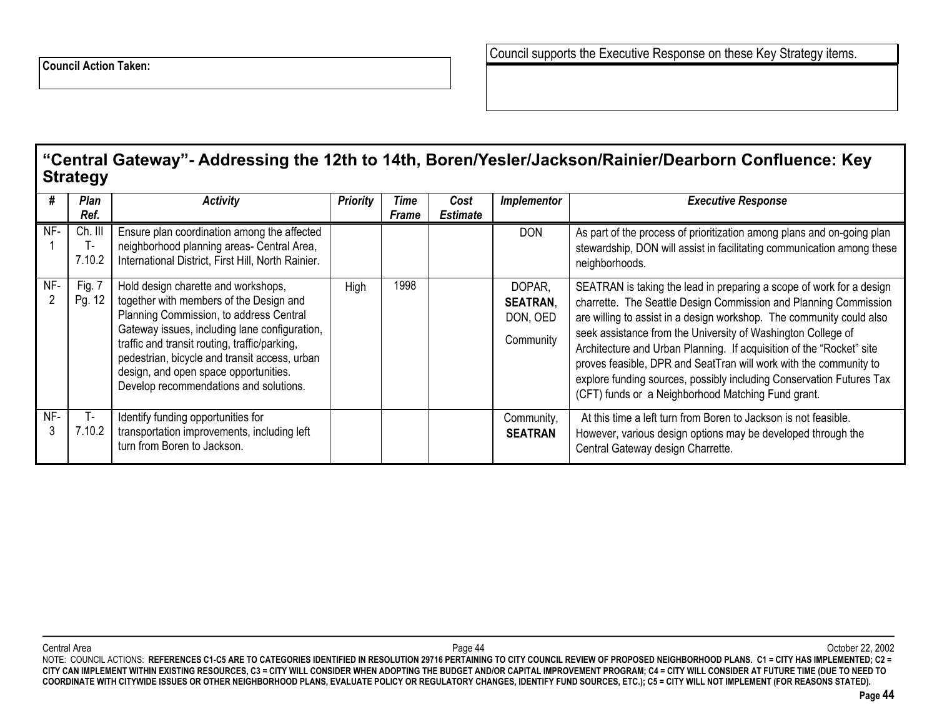### **"Central Gateway"- Addressing the 12th to 14th, Boren/Yesler/Jackson/Rainier/Dearborn Confluence: Key Strategy**

|     | Plan<br>Ref.      | <b>Activity</b>                                                                                                                                                                                                                                                                                                                                                 | <b>Priority</b> | Time<br><b>Frame</b> | Cost<br><b>Estimate</b> | Implementor                                        | <b>Executive Response</b>                                                                                                                                                                                                                                                                                                                                                                                                                                                                                                                                   |
|-----|-------------------|-----------------------------------------------------------------------------------------------------------------------------------------------------------------------------------------------------------------------------------------------------------------------------------------------------------------------------------------------------------------|-----------------|----------------------|-------------------------|----------------------------------------------------|-------------------------------------------------------------------------------------------------------------------------------------------------------------------------------------------------------------------------------------------------------------------------------------------------------------------------------------------------------------------------------------------------------------------------------------------------------------------------------------------------------------------------------------------------------------|
| NF- | Ch. III<br>7.10.2 | Ensure plan coordination among the affected<br>neighborhood planning areas- Central Area,<br>International District, First Hill, North Rainier.                                                                                                                                                                                                                 |                 |                      |                         | <b>DON</b>                                         | As part of the process of prioritization among plans and on-going plan<br>stewardship, DON will assist in facilitating communication among these<br>neighborhoods.                                                                                                                                                                                                                                                                                                                                                                                          |
| NF- | Fig. 7<br>Pg. 12  | Hold design charette and workshops,<br>together with members of the Design and<br>Planning Commission, to address Central<br>Gateway issues, including lane configuration,<br>traffic and transit routing, traffic/parking,<br>pedestrian, bicycle and transit access, urban<br>design, and open space opportunities.<br>Develop recommendations and solutions. | High            | 1998                 |                         | DOPAR,<br><b>SEATRAN,</b><br>DON, OED<br>Community | SEATRAN is taking the lead in preparing a scope of work for a design<br>charrette. The Seattle Design Commission and Planning Commission<br>are willing to assist in a design workshop. The community could also<br>seek assistance from the University of Washington College of<br>Architecture and Urban Planning. If acquisition of the "Rocket" site<br>proves feasible, DPR and SeatTran will work with the community to<br>explore funding sources, possibly including Conservation Futures Tax<br>(CFT) funds or a Neighborhood Matching Fund grant. |
| NF- | 7.10.2            | Identify funding opportunities for<br>transportation improvements, including left<br>turn from Boren to Jackson.                                                                                                                                                                                                                                                |                 |                      |                         | Community,<br><b>SEATRAN</b>                       | At this time a left turn from Boren to Jackson is not feasible.<br>However, various design options may be developed through the<br>Central Gateway design Charrette.                                                                                                                                                                                                                                                                                                                                                                                        |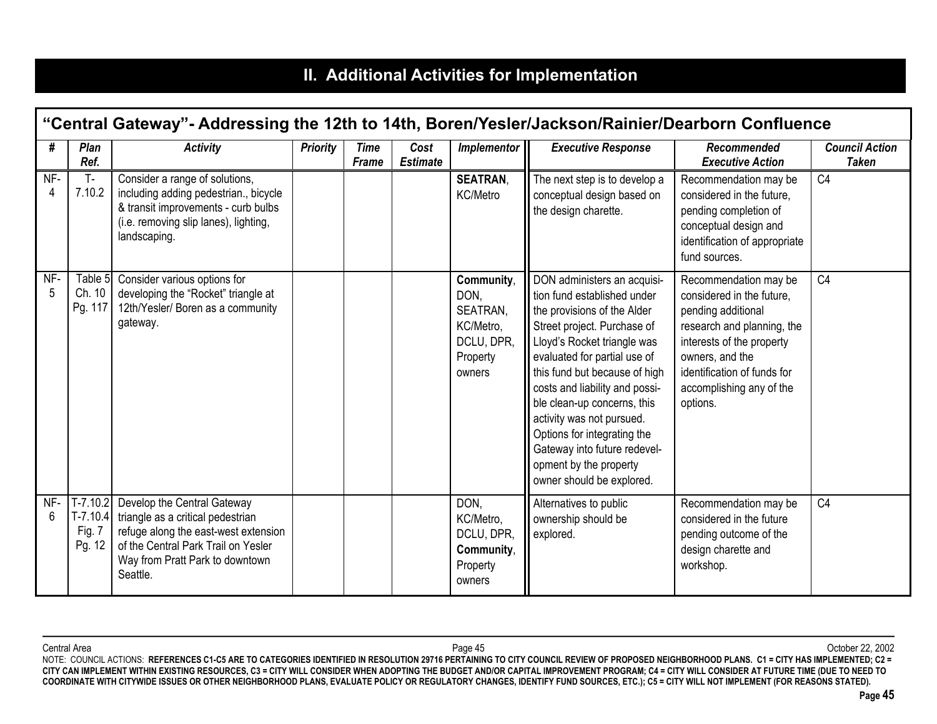# **II. Additional Activities for Implementation**

|          | "Central Gateway"- Addressing the 12th to 14th, Boren/Yesler/Jackson/Rainier/Dearborn Confluence |                                                                                                                                                                                                |                 |                             |                         |                                                                                 |                                                                                                                                                                                                                                                                                                                                                                                                                                              |                                                                                                                                                                                                                               |                                       |  |
|----------|--------------------------------------------------------------------------------------------------|------------------------------------------------------------------------------------------------------------------------------------------------------------------------------------------------|-----------------|-----------------------------|-------------------------|---------------------------------------------------------------------------------|----------------------------------------------------------------------------------------------------------------------------------------------------------------------------------------------------------------------------------------------------------------------------------------------------------------------------------------------------------------------------------------------------------------------------------------------|-------------------------------------------------------------------------------------------------------------------------------------------------------------------------------------------------------------------------------|---------------------------------------|--|
| #        | Plan<br>Ref.                                                                                     | <b>Activity</b>                                                                                                                                                                                | <b>Priority</b> | <b>Time</b><br><b>Frame</b> | Cost<br><b>Estimate</b> | Implementor                                                                     | <b>Executive Response</b>                                                                                                                                                                                                                                                                                                                                                                                                                    | Recommended<br><b>Executive Action</b>                                                                                                                                                                                        | <b>Council Action</b><br><b>Taken</b> |  |
| NF-<br>4 | $T -$<br>7.10.2                                                                                  | Consider a range of solutions,<br>including adding pedestrian., bicycle<br>& transit improvements - curb bulbs<br>(i.e. removing slip lanes), lighting,<br>landscaping.                        |                 |                             |                         | <b>SEATRAN.</b><br>KC/Metro                                                     | The next step is to develop a<br>conceptual design based on<br>the design charette.                                                                                                                                                                                                                                                                                                                                                          | Recommendation may be<br>considered in the future,<br>pending completion of<br>conceptual design and<br>identification of appropriate<br>fund sources.                                                                        | C <sub>4</sub>                        |  |
| NF-      | Table 5<br>Ch. 10<br>Pg. 117                                                                     | Consider various options for<br>developing the "Rocket" triangle at<br>12th/Yesler/ Boren as a community<br>gateway.                                                                           |                 |                             |                         | Community,<br>DON,<br>SEATRAN,<br>KC/Metro,<br>DCLU, DPR,<br>Property<br>owners | DON administers an acquisi-<br>tion fund established under<br>the provisions of the Alder<br>Street project. Purchase of<br>Lloyd's Rocket triangle was<br>evaluated for partial use of<br>this fund but because of high<br>costs and liability and possi-<br>ble clean-up concerns, this<br>activity was not pursued.<br>Options for integrating the<br>Gateway into future redevel-<br>opment by the property<br>owner should be explored. | Recommendation may be<br>considered in the future.<br>pending additional<br>research and planning, the<br>interests of the property<br>owners, and the<br>identification of funds for<br>accomplishing any of the<br>options. | C <sub>4</sub>                        |  |
| NF-<br>6 | $T-7.10.2$<br>$T-7.10.4$<br>Fig. 7<br>Pg. 12                                                     | Develop the Central Gateway<br>triangle as a critical pedestrian<br>refuge along the east-west extension<br>of the Central Park Trail on Yesler<br>Way from Pratt Park to downtown<br>Seattle. |                 |                             |                         | DON,<br>KC/Metro,<br>DCLU, DPR,<br>Community,<br>Property<br>owners             | Alternatives to public<br>ownership should be<br>explored.                                                                                                                                                                                                                                                                                                                                                                                   | Recommendation may be<br>considered in the future<br>pending outcome of the<br>design charette and<br>workshop.                                                                                                               | C <sub>4</sub>                        |  |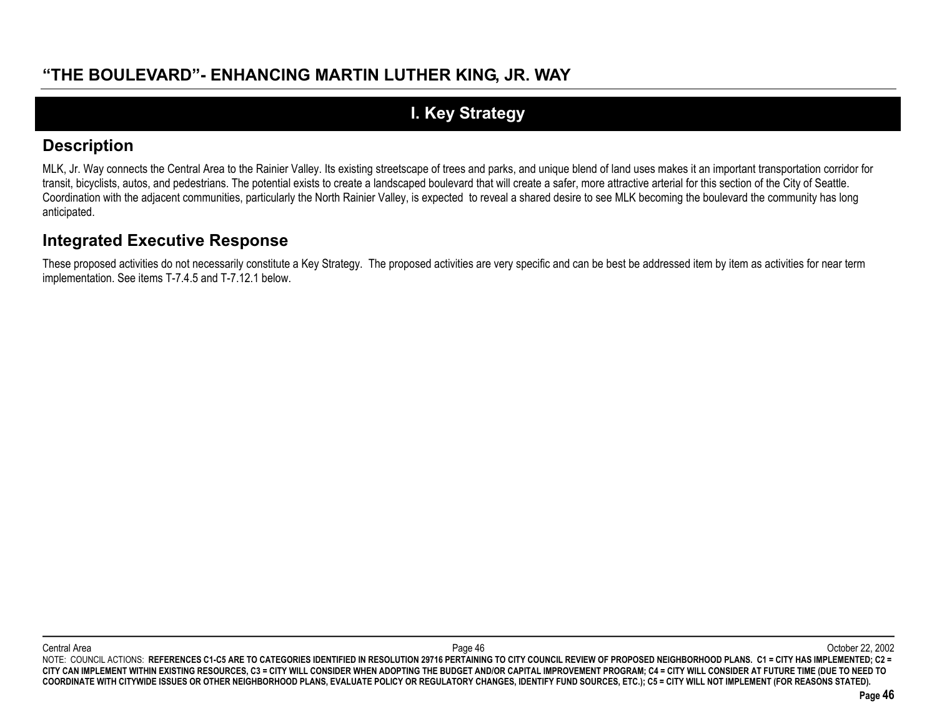# **I. Key Strategy**

### **Description**

MLK, Jr. Way connects the Central Area to the Rainier Valley. Its existing streetscape of trees and parks, and unique blend of land uses makes it an important transportation corridor for transit, bicyclists, autos, and pedestrians. The potential exists to create a landscaped boulevard that will create a safer, more attractive arterial for this section of the City of Seattle. Coordination with the adjacent communities, particularly the North Rainier Valley, is expected to reveal a shared desire to see MLK becoming the boulevard the community has long anticipated.

### **Integrated Executive Response**

These proposed activities do not necessarily constitute a Key Strategy. The proposed activities are very specific and can be best be addressed item by item as activities for near term implementation. See items T-7.4.5 and T-7.12.1 below.

Central Area Page 46 October 22, 2002 NOTE: COUNCIL ACTIONS: REFERENCES C1-C5 ARE TO CATEGORIES IDENTIFIED IN RESOLUTION 29716 PERTAINING TO CITY COUNCIL REVIEW OF PROPOSED NEIGHBORHOOD PLANS. C1 = CITY HAS IMPLEMENTED; C2 = **CITY CAN IMPLEMENT WITHIN EXISTING RESOURCES, C3 = CITY WILL CONSIDER WHEN ADOPTING THE BUDGET AND/OR CAPITAL IMPROVEMENT PROGRAM; C4 = CITY WILL CONSIDER AT FUTURE TIME (DUE TO NEED TO COORDINATE WITH CITYWIDE ISSUES OR OTHER NEIGHBORHOOD PLANS, EVALUATE POLICY OR REGULATORY CHANGES, IDENTIFY FUND SOURCES, ETC.); C5 = CITY WILL NOT IMPLEMENT (FOR REASONS STATED).**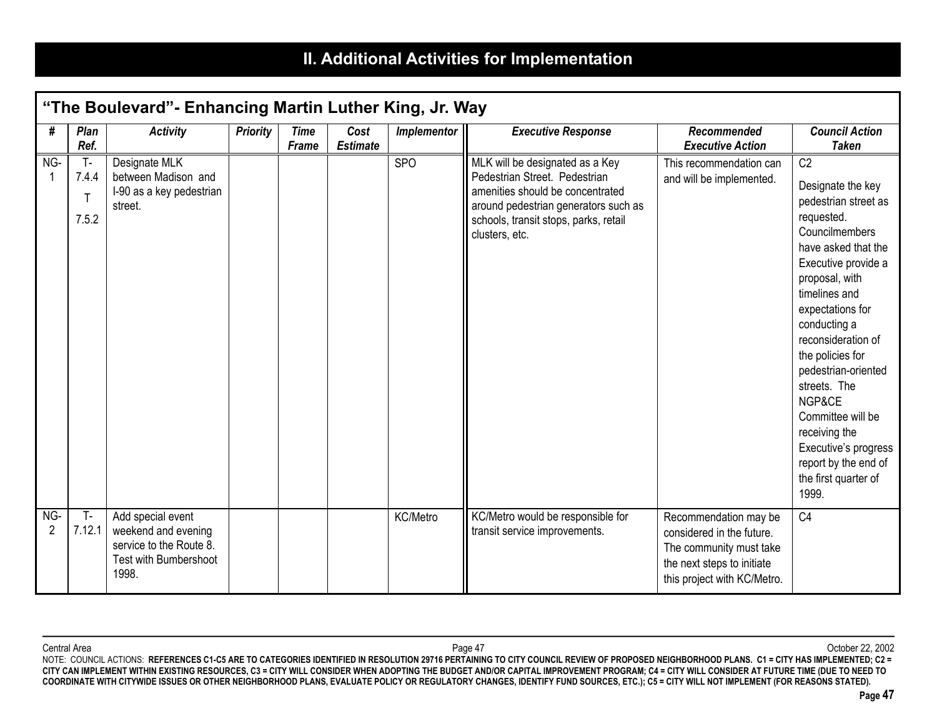# **II. Additional Activities for Implementation**

|          | "The Boulevard" - Enhancing Martin Luther King, Jr. Way |                                                                                                       |                 |                      |                         |             |                                                                                                                                                                                                         |                                                                                                                                            |                                                                                                                                                                                                                                                                                                                                                                                                                                    |  |
|----------|---------------------------------------------------------|-------------------------------------------------------------------------------------------------------|-----------------|----------------------|-------------------------|-------------|---------------------------------------------------------------------------------------------------------------------------------------------------------------------------------------------------------|--------------------------------------------------------------------------------------------------------------------------------------------|------------------------------------------------------------------------------------------------------------------------------------------------------------------------------------------------------------------------------------------------------------------------------------------------------------------------------------------------------------------------------------------------------------------------------------|--|
| #        | Plan<br>Ref.                                            | <b>Activity</b>                                                                                       | <b>Priority</b> | <b>Time</b><br>Frame | Cost<br><b>Estimate</b> | Implementor | <b>Executive Response</b>                                                                                                                                                                               | Recommended<br><b>Executive Action</b>                                                                                                     | <b>Council Action</b><br><b>Taken</b>                                                                                                                                                                                                                                                                                                                                                                                              |  |
| NG-      | <b>T-</b><br>7.4.4<br>7.5.2                             | Designate MLK<br>between Madison and<br>I-90 as a key pedestrian<br>street.                           |                 |                      |                         | <b>SPO</b>  | MLK will be designated as a Key<br>Pedestrian Street. Pedestrian<br>amenities should be concentrated<br>around pedestrian generators such as<br>schools, transit stops, parks, retail<br>clusters, etc. | This recommendation can<br>and will be implemented.                                                                                        | C <sub>2</sub><br>Designate the key<br>pedestrian street as<br>requested.<br>Councilmembers<br>have asked that the<br>Executive provide a<br>proposal, with<br>timelines and<br>expectations for<br>conducting a<br>reconsideration of<br>the policies for<br>pedestrian-oriented<br>streets. The<br>NGP&CE<br>Committee will be<br>receiving the<br>Executive's progress<br>report by the end of<br>the first quarter of<br>1999. |  |
| NG-<br>2 | $T -$<br>7.12.1                                         | Add special event<br>weekend and evening<br>service to the Route 8.<br>Test with Bumbershoot<br>1998. |                 |                      |                         | KC/Metro    | KC/Metro would be responsible for<br>transit service improvements.                                                                                                                                      | Recommendation may be<br>considered in the future.<br>The community must take<br>the next steps to initiate<br>this project with KC/Metro. | C <sub>4</sub>                                                                                                                                                                                                                                                                                                                                                                                                                     |  |

Central Area Page 47 October 22, 2002 NOTE: COUNCIL ACTIONS: **REFERENCES C1-C5 ARE TO CATEGORIES IDENTIFIED IN RESOLUTION 29716 PERTAINING TO CITY COUNCIL REVIEW OF PROPOSED NEIGHBORHOOD PLANS. C1 = CITY HAS IMPLEMENTED; C2 = CITY CAN IMPLEMENT WITHIN EXISTING RESOURCES, C3 = CITY WILL CONSIDER WHEN ADOPTING THE BUDGET AND/OR CAPITAL IMPROVEMENT PROGRAM; C4 = CITY WILL CONSIDER AT FUTURE TIME (DUE TO NEED TO COORDINATE WITH CITYWIDE ISSUES OR OTHER NEIGHBORHOOD PLANS, EVALUATE POLICY OR REGULATORY CHANGES, IDENTIFY FUND SOURCES, ETC.); C5 = CITY WILL NOT IMPLEMENT (FOR REASONS STATED).**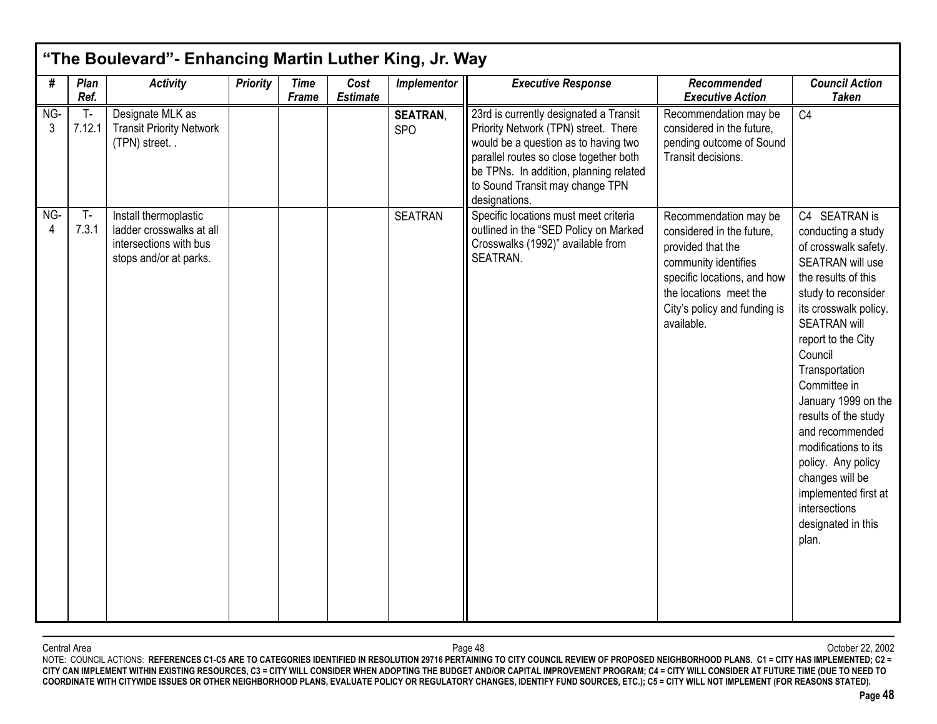| #        | Plan<br>Ref.    | <b>Activity</b>                                                                                       | <b>Priority</b> | <b>Time</b>  | Cost<br><b>Estimate</b> | Implementor                   | <b>Executive Response</b>                                                                                                                                                                                                                                      | Recommended                                                                                                                                                                                            | <b>Council Action</b>                                                                                                                                                                                                                                                                                                                                                                                                                                       |
|----------|-----------------|-------------------------------------------------------------------------------------------------------|-----------------|--------------|-------------------------|-------------------------------|----------------------------------------------------------------------------------------------------------------------------------------------------------------------------------------------------------------------------------------------------------------|--------------------------------------------------------------------------------------------------------------------------------------------------------------------------------------------------------|-------------------------------------------------------------------------------------------------------------------------------------------------------------------------------------------------------------------------------------------------------------------------------------------------------------------------------------------------------------------------------------------------------------------------------------------------------------|
| NG-<br>3 | $T -$<br>7.12.1 | Designate MLK as<br><b>Transit Priority Network</b><br>(TPN) street                                   |                 | <b>Frame</b> |                         | <b>SEATRAN,</b><br><b>SPO</b> | 23rd is currently designated a Transit<br>Priority Network (TPN) street. There<br>would be a question as to having two<br>parallel routes so close together both<br>be TPNs. In addition, planning related<br>to Sound Transit may change TPN<br>designations. | <b>Executive Action</b><br>Recommendation may be<br>considered in the future,<br>pending outcome of Sound<br>Transit decisions.                                                                        | <b>Taken</b><br>C <sub>4</sub>                                                                                                                                                                                                                                                                                                                                                                                                                              |
| NG-<br>4 | $T -$<br>7.3.1  | Install thermoplastic<br>ladder crosswalks at all<br>intersections with bus<br>stops and/or at parks. |                 |              |                         | <b>SEATRAN</b>                | Specific locations must meet criteria<br>outlined in the "SED Policy on Marked<br>Crosswalks (1992)" available from<br>SEATRAN.                                                                                                                                | Recommendation may be<br>considered in the future.<br>provided that the<br>community identifies<br>specific locations, and how<br>the locations meet the<br>City's policy and funding is<br>available. | C4 SEATRAN is<br>conducting a study<br>of crosswalk safety.<br>SEATRAN will use<br>the results of this<br>study to reconsider<br>its crosswalk policy.<br><b>SEATRAN will</b><br>report to the City<br>Council<br>Transportation<br>Committee in<br>January 1999 on the<br>results of the study<br>and recommended<br>modifications to its<br>policy. Any policy<br>changes will be<br>implemented first at<br>intersections<br>designated in this<br>plan. |

Central Area Page 48 October 22, 2002 NOTE: COUNCIL ACTIONS: **REFERENCES C1-C5 ARE TO CATEGORIES IDENTIFIED IN RESOLUTION 29716 PERTAINING TO CITY COUNCIL REVIEW OF PROPOSED NEIGHBORHOOD PLANS. C1 = CITY HAS IMPLEMENTED; C2 = CITY CAN IMPLEMENT WITHIN EXISTING RESOURCES, C3 = CITY WILL CONSIDER WHEN ADOPTING THE BUDGET AND/OR CAPITAL IMPROVEMENT PROGRAM; C4 = CITY WILL CONSIDER AT FUTURE TIME (DUE TO NEED TO COORDINATE WITH CITYWIDE ISSUES OR OTHER NEIGHBORHOOD PLANS, EVALUATE POLICY OR REGULATORY CHANGES, IDENTIFY FUND SOURCES, ETC.); C5 = CITY WILL NOT IMPLEMENT (FOR REASONS STATED).**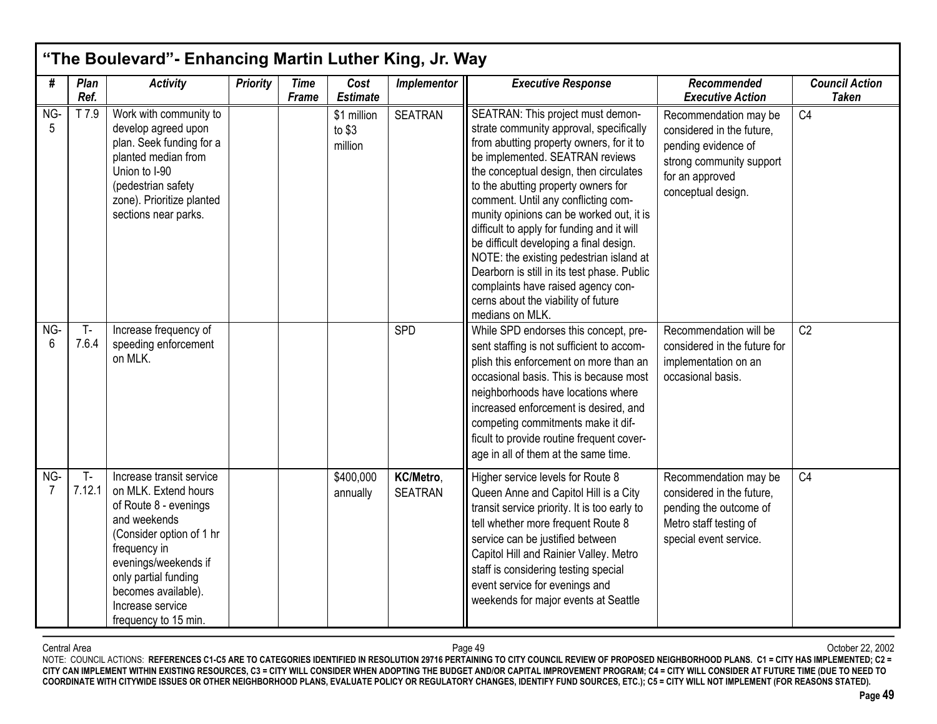|          | "The Boulevard"- Enhancing Martin Luther King, Jr. Way |                                                                                                                                                                                                                                                          |                 |                             |                                   |                             |                                                                                                                                                                                                                                                                                                                                                                                                                                                                                                                                                                                                                    |                                                                                                                                                |                                       |  |  |
|----------|--------------------------------------------------------|----------------------------------------------------------------------------------------------------------------------------------------------------------------------------------------------------------------------------------------------------------|-----------------|-----------------------------|-----------------------------------|-----------------------------|--------------------------------------------------------------------------------------------------------------------------------------------------------------------------------------------------------------------------------------------------------------------------------------------------------------------------------------------------------------------------------------------------------------------------------------------------------------------------------------------------------------------------------------------------------------------------------------------------------------------|------------------------------------------------------------------------------------------------------------------------------------------------|---------------------------------------|--|--|
| #        | Plan<br>Ref.                                           | <b>Activity</b>                                                                                                                                                                                                                                          | <b>Priority</b> | <b>Time</b><br><b>Frame</b> | Cost<br><b>Estimate</b>           | Implementor                 | <b>Executive Response</b>                                                                                                                                                                                                                                                                                                                                                                                                                                                                                                                                                                                          | Recommended<br><b>Executive Action</b>                                                                                                         | <b>Council Action</b><br><b>Taken</b> |  |  |
| NG-<br>5 | T 7.9                                                  | Work with community to<br>develop agreed upon<br>plan. Seek funding for a<br>planted median from<br>Union to I-90<br>(pedestrian safety<br>zone). Prioritize planted<br>sections near parks.                                                             |                 |                             | \$1 million<br>to $$3$<br>million | <b>SEATRAN</b>              | SEATRAN: This project must demon-<br>strate community approval, specifically<br>from abutting property owners, for it to<br>be implemented. SEATRAN reviews<br>the conceptual design, then circulates<br>to the abutting property owners for<br>comment. Until any conflicting com-<br>munity opinions can be worked out, it is<br>difficult to apply for funding and it will<br>be difficult developing a final design.<br>NOTE: the existing pedestrian island at<br>Dearborn is still in its test phase. Public<br>complaints have raised agency con-<br>cerns about the viability of future<br>medians on MLK. | Recommendation may be<br>considered in the future,<br>pending evidence of<br>strong community support<br>for an approved<br>conceptual design. | C <sub>4</sub>                        |  |  |
| NG-<br>6 | $T -$<br>7.6.4                                         | Increase frequency of<br>speeding enforcement<br>on MLK.                                                                                                                                                                                                 |                 |                             |                                   | SPD                         | While SPD endorses this concept, pre-<br>sent staffing is not sufficient to accom-<br>plish this enforcement on more than an<br>occasional basis. This is because most<br>neighborhoods have locations where<br>increased enforcement is desired, and<br>competing commitments make it dif-<br>ficult to provide routine frequent cover-<br>age in all of them at the same time.                                                                                                                                                                                                                                   | Recommendation will be<br>considered in the future for<br>implementation on an<br>occasional basis.                                            | C <sub>2</sub>                        |  |  |
| NG-      | $T -$<br>7.12.1                                        | Increase transit service<br>on MLK. Extend hours<br>of Route 8 - evenings<br>and weekends<br>(Consider option of 1 hr<br>frequency in<br>evenings/weekends if<br>only partial funding<br>becomes available).<br>Increase service<br>frequency to 15 min. |                 |                             | \$400,000<br>annually             | KC/Metro,<br><b>SEATRAN</b> | Higher service levels for Route 8<br>Queen Anne and Capitol Hill is a City<br>transit service priority. It is too early to<br>tell whether more frequent Route 8<br>service can be justified between<br>Capitol Hill and Rainier Valley. Metro<br>staff is considering testing special<br>event service for evenings and<br>weekends for major events at Seattle                                                                                                                                                                                                                                                   | Recommendation may be<br>considered in the future,<br>pending the outcome of<br>Metro staff testing of<br>special event service.               | C <sub>4</sub>                        |  |  |

Central Area Page 49 October 22, 2002 NOTE: COUNCIL ACTIONS: **REFERENCES C1-C5 ARE TO CATEGORIES IDENTIFIED IN RESOLUTION 29716 PERTAINING TO CITY COUNCIL REVIEW OF PROPOSED NEIGHBORHOOD PLANS. C1 = CITY HAS IMPLEMENTED; C2 = CITY CAN IMPLEMENT WITHIN EXISTING RESOURCES, C3 = CITY WILL CONSIDER WHEN ADOPTING THE BUDGET AND/OR CAPITAL IMPROVEMENT PROGRAM; C4 = CITY WILL CONSIDER AT FUTURE TIME (DUE TO NEED TO COORDINATE WITH CITYWIDE ISSUES OR OTHER NEIGHBORHOOD PLANS, EVALUATE POLICY OR REGULATORY CHANGES, IDENTIFY FUND SOURCES, ETC.); C5 = CITY WILL NOT IMPLEMENT (FOR REASONS STATED).**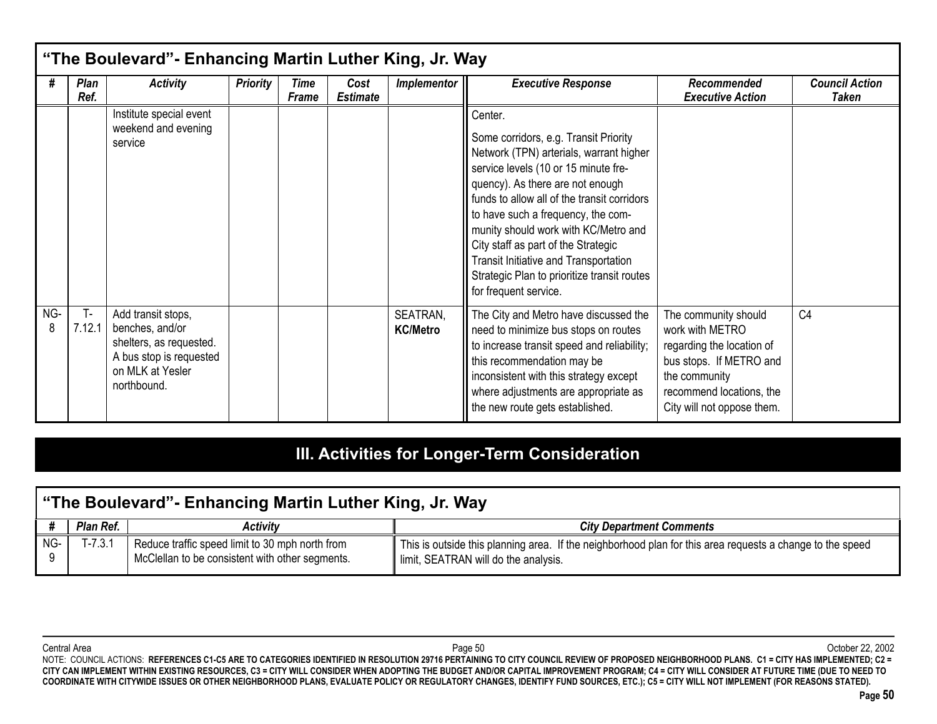|          | "The Boulevard" - Enhancing Martin Luther King, Jr. Way |                                                                                                                                |                 |               |                         |                             |                                                                                                                                                                                                                                                                                                                                                                                                                                                              |                                                                                                                                                                            |                                |  |
|----------|---------------------------------------------------------|--------------------------------------------------------------------------------------------------------------------------------|-----------------|---------------|-------------------------|-----------------------------|--------------------------------------------------------------------------------------------------------------------------------------------------------------------------------------------------------------------------------------------------------------------------------------------------------------------------------------------------------------------------------------------------------------------------------------------------------------|----------------------------------------------------------------------------------------------------------------------------------------------------------------------------|--------------------------------|--|
| #        | <b>Plan</b><br>Ref.                                     | <b>Activity</b>                                                                                                                | <b>Priority</b> | Time<br>Frame | Cost<br><b>Estimate</b> | <b>Implementor</b>          | <b>Executive Response</b>                                                                                                                                                                                                                                                                                                                                                                                                                                    | Recommended<br><b>Executive Action</b>                                                                                                                                     | <b>Council Action</b><br>Taken |  |
|          |                                                         | Institute special event<br>weekend and evening<br>service                                                                      |                 |               |                         |                             | Center.<br>Some corridors, e.g. Transit Priority<br>Network (TPN) arterials, warrant higher<br>service levels (10 or 15 minute fre-<br>quency). As there are not enough<br>funds to allow all of the transit corridors<br>to have such a frequency, the com-<br>munity should work with KC/Metro and<br>City staff as part of the Strategic<br>Transit Initiative and Transportation<br>Strategic Plan to prioritize transit routes<br>for frequent service. |                                                                                                                                                                            |                                |  |
| NG-<br>8 | $T -$<br>7.12.1                                         | Add transit stops,<br>benches, and/or<br>shelters, as requested.<br>A bus stop is requested<br>on MLK at Yesler<br>northbound. |                 |               |                         | SEATRAN.<br><b>KC/Metro</b> | The City and Metro have discussed the<br>need to minimize bus stops on routes<br>to increase transit speed and reliability;<br>this recommendation may be<br>inconsistent with this strategy except<br>where adjustments are appropriate as<br>the new route gets established.                                                                                                                                                                               | The community should<br>work with METRO<br>regarding the location of<br>bus stops. If METRO and<br>the community<br>recommend locations, the<br>City will not oppose them. | C <sub>4</sub>                 |  |

# **III. Activities for Longer-Term Consideration**

|          | "The Boulevard"- Enhancing Martin Luther King, Jr. Way |                                                                                                    |                                                                                                                                                   |  |  |  |  |  |  |
|----------|--------------------------------------------------------|----------------------------------------------------------------------------------------------------|---------------------------------------------------------------------------------------------------------------------------------------------------|--|--|--|--|--|--|
|          | Plan Ref.                                              | Activity                                                                                           | <b>City Department Comments</b>                                                                                                                   |  |  |  |  |  |  |
| NG-<br>Q | $-7.3.1$                                               | Reduce traffic speed limit to 30 mph north from<br>McClellan to be consistent with other segments. | This is outside this planning area. If the neighborhood plan for this area requests a change to the speed<br>limit, SEATRAN will do the analysis. |  |  |  |  |  |  |

Central Area Page 50 October 22, 2002 NOTE: COUNCIL ACTIONS: **REFERENCES C1-C5 ARE TO CATEGORIES IDENTIFIED IN RESOLUTION 29716 PERTAINING TO CITY COUNCIL REVIEW OF PROPOSED NEIGHBORHOOD PLANS. C1 = CITY HAS IMPLEMENTED; C2 = CITY CAN IMPLEMENT WITHIN EXISTING RESOURCES, C3 = CITY WILL CONSIDER WHEN ADOPTING THE BUDGET AND/OR CAPITAL IMPROVEMENT PROGRAM; C4 = CITY WILL CONSIDER AT FUTURE TIME (DUE TO NEED TO COORDINATE WITH CITYWIDE ISSUES OR OTHER NEIGHBORHOOD PLANS, EVALUATE POLICY OR REGULATORY CHANGES, IDENTIFY FUND SOURCES, ETC.); C5 = CITY WILL NOT IMPLEMENT (FOR REASONS STATED).**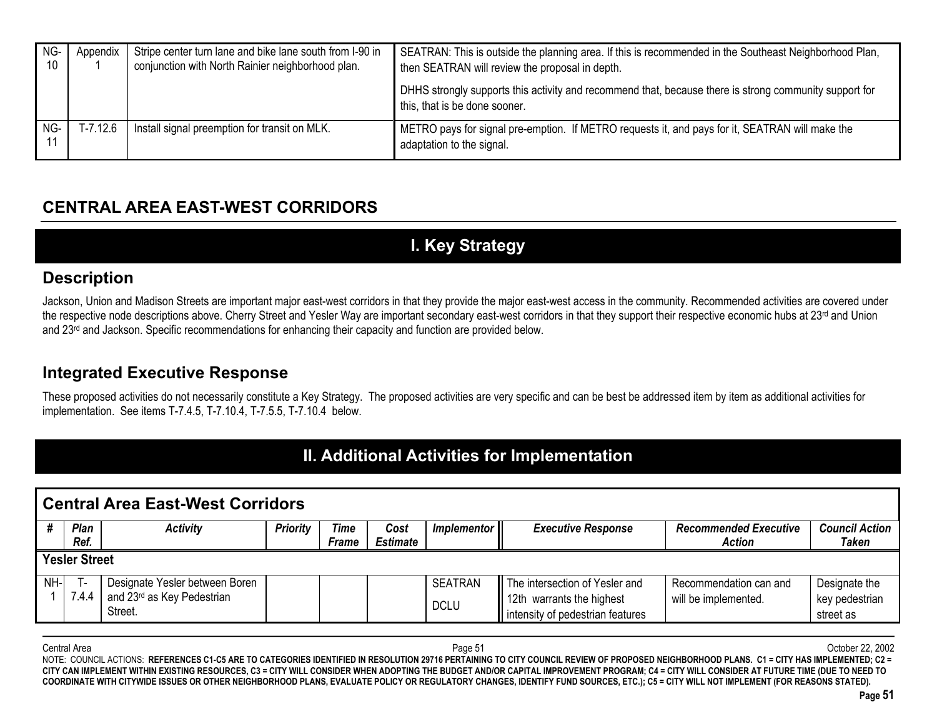| NG-<br>10 | Appendix   | Stripe center turn lane and bike lane south from I-90 in<br>conjunction with North Rainier neighborhood plan. | SEATRAN: This is outside the planning area. If this is recommended in the Southeast Neighborhood Plan,<br>then SEATRAN will review the proposal in depth. |
|-----------|------------|---------------------------------------------------------------------------------------------------------------|-----------------------------------------------------------------------------------------------------------------------------------------------------------|
|           |            |                                                                                                               | DHHS strongly supports this activity and recommend that, because there is strong community support for<br>this, that is be done sooner.                   |
| NG-       | $T-7.12.6$ | Install signal preemption for transit on MLK.                                                                 | METRO pays for signal pre-emption. If METRO requests it, and pays for it, SEATRAN will make the<br>adaptation to the signal.                              |

## **CENTRAL AREA EAST-WEST CORRIDORS**

# **I. Key Strategy**

### **Description**

Jackson, Union and Madison Streets are important major east-west corridors in that they provide the major east-west access in the community. Recommended activities are covered under the respective node descriptions above. Cherry Street and Yesler Way are important secondary east-west corridors in that they support their respective economic hubs at 23<sup>rd</sup> and Union and 23<sup>rd</sup> and Jackson. Specific recommendations for enhancing their capacity and function are provided below.

### **Integrated Executive Response**

These proposed activities do not necessarily constitute a Key Strategy. The proposed activities are very specific and can be best be addressed item by item as additional activities for implementation. See items T-7.4.5, T-7.10.4, T-7.5.5, T-7.10.4 below.

## **II. Additional Activities for Implementation**

|      | <b>Central Area East-West Corridors</b>                                                                    |                                                                         |                 |             |      |                |                                |                              |                       |  |  |  |  |  |  |
|------|------------------------------------------------------------------------------------------------------------|-------------------------------------------------------------------------|-----------------|-------------|------|----------------|--------------------------------|------------------------------|-----------------------|--|--|--|--|--|--|
|      | Plan                                                                                                       | <b>Activity</b>                                                         | <b>Priority</b> | <b>Time</b> | Cost | Implementor II | <b>Executive Response</b>      | <b>Recommended Executive</b> | <b>Council Action</b> |  |  |  |  |  |  |
|      | <b>Taken</b><br>Ref.<br><b>Estimate</b><br><b>Action</b><br><b>Frame</b>                                   |                                                                         |                 |             |      |                |                                |                              |                       |  |  |  |  |  |  |
|      | <b>Yesler Street</b>                                                                                       |                                                                         |                 |             |      |                |                                |                              |                       |  |  |  |  |  |  |
| NH-I |                                                                                                            | Designate Yesler between Boren                                          |                 |             |      | <b>SEATRAN</b> | The intersection of Yesler and | Recommendation can and       | Designate the         |  |  |  |  |  |  |
|      | and 23rd as Key Pedestrian<br>7.4.4<br>key pedestrian<br>12th warrants the highest<br>will be implemented. |                                                                         |                 |             |      |                |                                |                              |                       |  |  |  |  |  |  |
|      |                                                                                                            | <b>DCLU</b><br>Street.<br>intensity of pedestrian features<br>street as |                 |             |      |                |                                |                              |                       |  |  |  |  |  |  |

Central Area Page 51 October 22, 2002 NOTE: COUNCIL ACTIONS: REFERENCES C1-C5 ARE TO CATEGORIES IDENTIFIED IN RESOLUTION 29716 PERTAINING TO CITY COUNCIL REVIEW OF PROPOSED NEIGHBORHOOD PLANS. C1 = CITY HAS IMPLEMENTED; C2 = **CITY CAN IMPLEMENT WITHIN EXISTING RESOURCES, C3 = CITY WILL CONSIDER WHEN ADOPTING THE BUDGET AND/OR CAPITAL IMPROVEMENT PROGRAM; C4 = CITY WILL CONSIDER AT FUTURE TIME (DUE TO NEED TO COORDINATE WITH CITYWIDE ISSUES OR OTHER NEIGHBORHOOD PLANS, EVALUATE POLICY OR REGULATORY CHANGES, IDENTIFY FUND SOURCES, ETC.); C5 = CITY WILL NOT IMPLEMENT (FOR REASONS STATED).**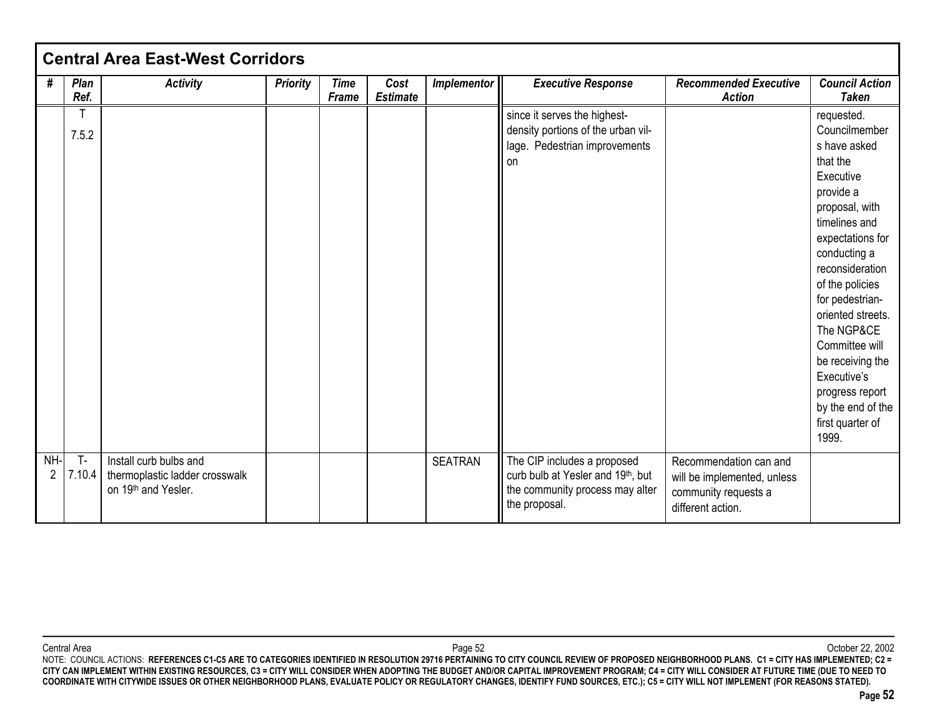|          |                 | <b>Central Area East-West Corridors</b>                                         |                 |                             |                         |                |                                                                                                                      |                                                                                                    |                                                                                                                                                                                                                                                                                                                                                                                |
|----------|-----------------|---------------------------------------------------------------------------------|-----------------|-----------------------------|-------------------------|----------------|----------------------------------------------------------------------------------------------------------------------|----------------------------------------------------------------------------------------------------|--------------------------------------------------------------------------------------------------------------------------------------------------------------------------------------------------------------------------------------------------------------------------------------------------------------------------------------------------------------------------------|
| #        | Plan<br>Ref.    | <b>Activity</b>                                                                 | <b>Priority</b> | <b>Time</b><br><b>Frame</b> | Cost<br><b>Estimate</b> | Implementor    | <b>Executive Response</b>                                                                                            | <b>Recommended Executive</b><br><b>Action</b>                                                      | <b>Council Action</b><br><b>Taken</b>                                                                                                                                                                                                                                                                                                                                          |
|          | т<br>7.5.2      |                                                                                 |                 |                             |                         |                | since it serves the highest-<br>density portions of the urban vil-<br>lage. Pedestrian improvements<br>on            |                                                                                                    | requested.<br>Councilmember<br>s have asked<br>that the<br>Executive<br>provide a<br>proposal, with<br>timelines and<br>expectations for<br>conducting a<br>reconsideration<br>of the policies<br>for pedestrian-<br>oriented streets.<br>The NGP&CE<br>Committee will<br>be receiving the<br>Executive's<br>progress report<br>by the end of the<br>first quarter of<br>1999. |
| NH-<br>2 | $T -$<br>7.10.4 | Install curb bulbs and<br>thermoplastic ladder crosswalk<br>on 19th and Yesler. |                 |                             |                         | <b>SEATRAN</b> | The CIP includes a proposed<br>curb bulb at Yesler and 19th, but<br>the community process may alter<br>the proposal. | Recommendation can and<br>will be implemented, unless<br>community requests a<br>different action. |                                                                                                                                                                                                                                                                                                                                                                                |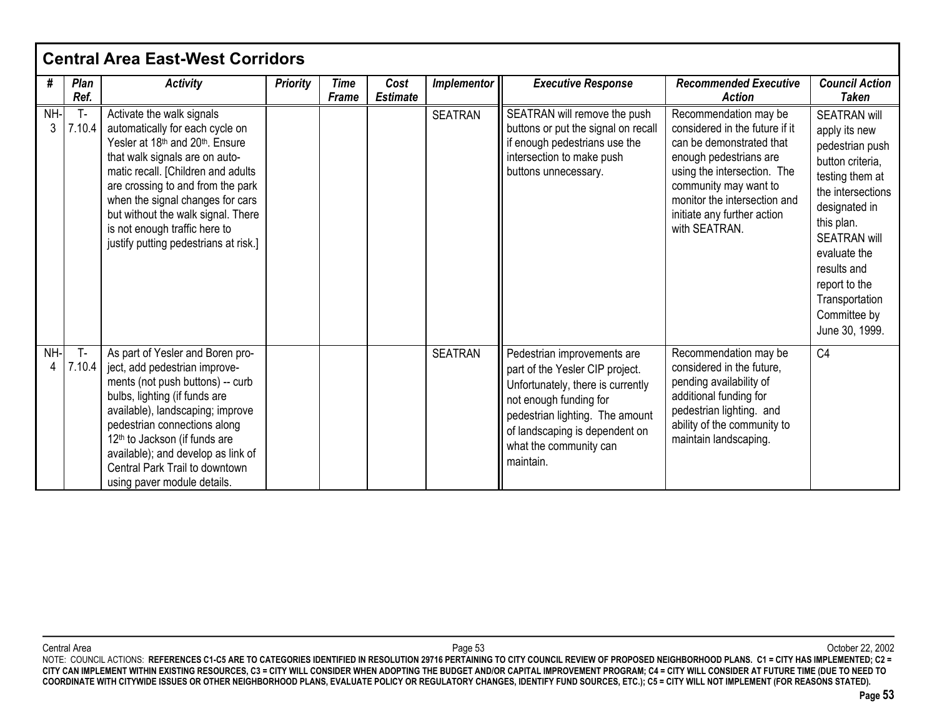|          |                 | <b>Central Area East-West Corridors</b>                                                                                                                                                                                                                                                                                                                          |                 |                             |                         |                |                                                                                                                                                                                                                                           |                                                                                                                                                                                                                                                       |                                                                                                                                                                                                                                                                               |
|----------|-----------------|------------------------------------------------------------------------------------------------------------------------------------------------------------------------------------------------------------------------------------------------------------------------------------------------------------------------------------------------------------------|-----------------|-----------------------------|-------------------------|----------------|-------------------------------------------------------------------------------------------------------------------------------------------------------------------------------------------------------------------------------------------|-------------------------------------------------------------------------------------------------------------------------------------------------------------------------------------------------------------------------------------------------------|-------------------------------------------------------------------------------------------------------------------------------------------------------------------------------------------------------------------------------------------------------------------------------|
| #        | Plan<br>Ref.    | <b>Activity</b>                                                                                                                                                                                                                                                                                                                                                  | <b>Priority</b> | <b>Time</b><br><b>Frame</b> | Cost<br><b>Estimate</b> | Implementor    | <b>Executive Response</b>                                                                                                                                                                                                                 | <b>Recommended Executive</b><br><b>Action</b>                                                                                                                                                                                                         | <b>Council Action</b><br>Taken                                                                                                                                                                                                                                                |
| NH-<br>3 | $T -$<br>7.10.4 | Activate the walk signals<br>automatically for each cycle on<br>Yesler at 18th and 20th, Ensure<br>that walk signals are on auto-<br>matic recall. [Children and adults<br>are crossing to and from the park<br>when the signal changes for cars<br>but without the walk signal. There<br>is not enough traffic here to<br>justify putting pedestrians at risk.] |                 |                             |                         | <b>SEATRAN</b> | SEATRAN will remove the push<br>buttons or put the signal on recall<br>if enough pedestrians use the<br>intersection to make push<br>buttons unnecessary.                                                                                 | Recommendation may be<br>considered in the future if it<br>can be demonstrated that<br>enough pedestrians are<br>using the intersection. The<br>community may want to<br>monitor the intersection and<br>initiate any further action<br>with SEATRAN. | <b>SEATRAN will</b><br>apply its new<br>pedestrian push<br>button criteria.<br>testing them at<br>the intersections<br>designated in<br>this plan.<br><b>SEATRAN will</b><br>evaluate the<br>results and<br>report to the<br>Transportation<br>Committee by<br>June 30, 1999. |
| NH-<br>4 | $T -$<br>7.10.4 | As part of Yesler and Boren pro-<br>ject, add pedestrian improve-<br>ments (not push buttons) -- curb<br>bulbs, lighting (if funds are<br>available), landscaping; improve<br>pedestrian connections along<br>12 <sup>th</sup> to Jackson (if funds are<br>available); and develop as link of<br>Central Park Trail to downtown<br>using paver module details.   |                 |                             |                         | <b>SEATRAN</b> | Pedestrian improvements are<br>part of the Yesler CIP project.<br>Unfortunately, there is currently<br>not enough funding for<br>pedestrian lighting. The amount<br>of landscaping is dependent on<br>what the community can<br>maintain. | Recommendation may be<br>considered in the future.<br>pending availability of<br>additional funding for<br>pedestrian lighting. and<br>ability of the community to<br>maintain landscaping.                                                           | C <sub>4</sub>                                                                                                                                                                                                                                                                |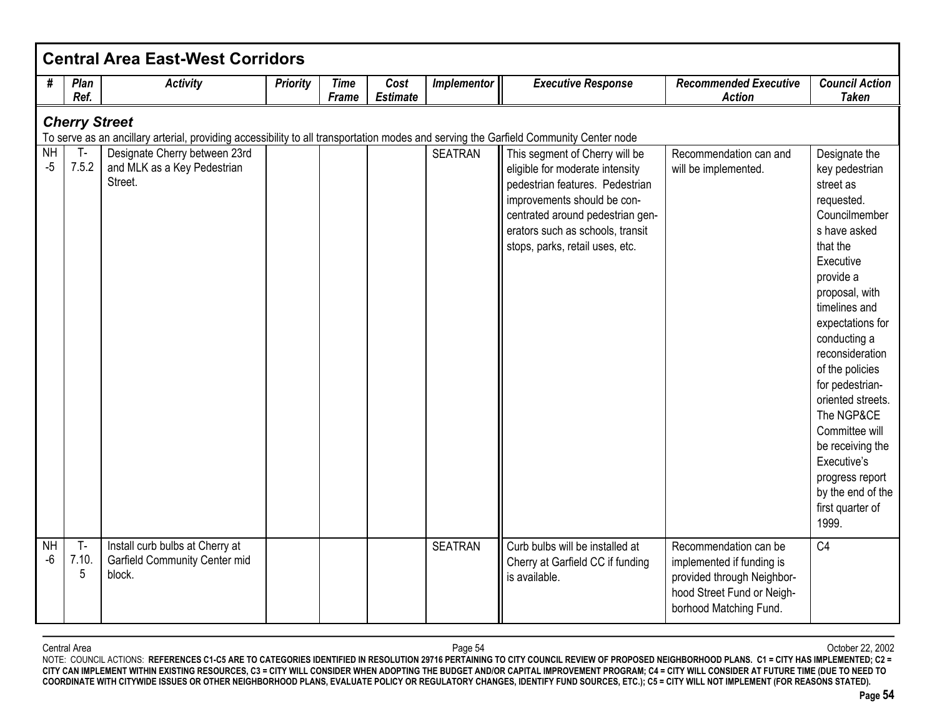|                      |                      | <b>Central Area East-West Corridors</b>                                                                                               |                 |                             |                         |                |                                                                                                                                                                                                                                                |                                                                                                                                          |                                                                                                                                                                                                                                                                                                                                                                                                                                |
|----------------------|----------------------|---------------------------------------------------------------------------------------------------------------------------------------|-----------------|-----------------------------|-------------------------|----------------|------------------------------------------------------------------------------------------------------------------------------------------------------------------------------------------------------------------------------------------------|------------------------------------------------------------------------------------------------------------------------------------------|--------------------------------------------------------------------------------------------------------------------------------------------------------------------------------------------------------------------------------------------------------------------------------------------------------------------------------------------------------------------------------------------------------------------------------|
| #                    | Plan<br>Ref.         | <b>Activity</b>                                                                                                                       | <b>Priority</b> | <b>Time</b><br><b>Frame</b> | Cost<br><b>Estimate</b> | Implementor    | <b>Executive Response</b>                                                                                                                                                                                                                      | <b>Recommended Executive</b><br><b>Action</b>                                                                                            | <b>Council Action</b><br><b>Taken</b>                                                                                                                                                                                                                                                                                                                                                                                          |
|                      | <b>Cherry Street</b> | To serve as an ancillary arterial, providing accessibility to all transportation modes and serving the Garfield Community Center node |                 |                             |                         |                |                                                                                                                                                                                                                                                |                                                                                                                                          |                                                                                                                                                                                                                                                                                                                                                                                                                                |
| <b>NH</b><br>$-5$    | $T-$<br>7.5.2        | Designate Cherry between 23rd<br>and MLK as a Key Pedestrian<br>Street.                                                               |                 |                             |                         | <b>SEATRAN</b> | This segment of Cherry will be<br>eligible for moderate intensity<br>pedestrian features. Pedestrian<br>improvements should be con-<br>centrated around pedestrian gen-<br>erators such as schools, transit<br>stops, parks, retail uses, etc. | Recommendation can and<br>will be implemented.                                                                                           | Designate the<br>key pedestrian<br>street as<br>requested.<br>Councilmember<br>s have asked<br>that the<br>Executive<br>provide a<br>proposal, with<br>timelines and<br>expectations for<br>conducting a<br>reconsideration<br>of the policies<br>for pedestrian-<br>oriented streets.<br>The NGP&CE<br>Committee will<br>be receiving the<br>Executive's<br>progress report<br>by the end of the<br>first quarter of<br>1999. |
| N <sub>H</sub><br>-6 | $T -$<br>7.10.<br>5  | Install curb bulbs at Cherry at<br>Garfield Community Center mid<br>block.                                                            |                 |                             |                         | <b>SEATRAN</b> | Curb bulbs will be installed at<br>Cherry at Garfield CC if funding<br>is available.                                                                                                                                                           | Recommendation can be<br>implemented if funding is<br>provided through Neighbor-<br>hood Street Fund or Neigh-<br>borhood Matching Fund. | C <sub>4</sub>                                                                                                                                                                                                                                                                                                                                                                                                                 |

Central Area Page 54 October 22, 2002 NOTE: COUNCIL ACTIONS: **REFERENCES C1-C5 ARE TO CATEGORIES IDENTIFIED IN RESOLUTION 29716 PERTAINING TO CITY COUNCIL REVIEW OF PROPOSED NEIGHBORHOOD PLANS. C1 = CITY HAS IMPLEMENTED; C2 = CITY CAN IMPLEMENT WITHIN EXISTING RESOURCES, C3 = CITY WILL CONSIDER WHEN ADOPTING THE BUDGET AND/OR CAPITAL IMPROVEMENT PROGRAM; C4 = CITY WILL CONSIDER AT FUTURE TIME (DUE TO NEED TO COORDINATE WITH CITYWIDE ISSUES OR OTHER NEIGHBORHOOD PLANS, EVALUATE POLICY OR REGULATORY CHANGES, IDENTIFY FUND SOURCES, ETC.); C5 = CITY WILL NOT IMPLEMENT (FOR REASONS STATED).**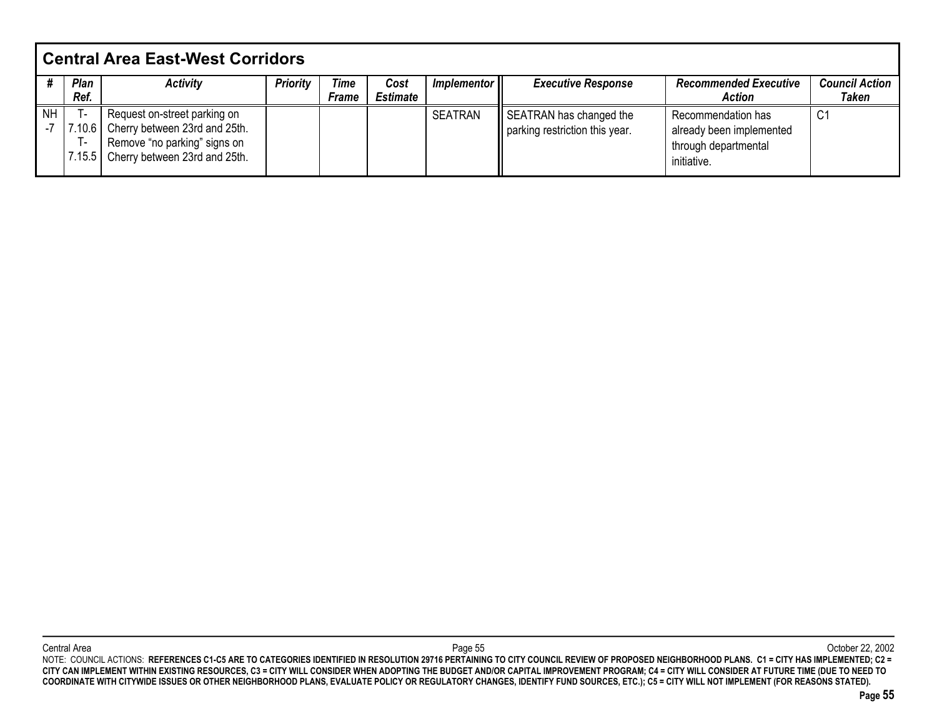|           | <b>Central Area East-West Corridors</b> |                               |                 |              |                 |                |                                |                              |                       |  |  |  |
|-----------|-----------------------------------------|-------------------------------|-----------------|--------------|-----------------|----------------|--------------------------------|------------------------------|-----------------------|--|--|--|
|           | Plan                                    | <b>Activity</b>               | <b>Priority</b> | Time         | Cost            | Implementor II | <b>Executive Response</b>      | <b>Recommended Executive</b> | <b>Council Action</b> |  |  |  |
|           | Ref.                                    |                               |                 | <b>Frame</b> | <b>Estimate</b> |                |                                | <b>Action</b>                | <b>Taken</b>          |  |  |  |
| <b>NH</b> | . .                                     | Request on-street parking on  |                 |              |                 | <b>SEATRAN</b> | SEATRAN has changed the        | Recommendation has           | $\sim$<br><u>، ب</u>  |  |  |  |
|           | 7.10.6                                  | Cherry between 23rd and 25th. |                 |              |                 |                | parking restriction this year. | already been implemented     |                       |  |  |  |
|           | н.                                      | Remove "no parking" signs on  |                 |              |                 |                |                                | through departmental         |                       |  |  |  |
|           | 7.15.5                                  | Cherry between 23rd and 25th. |                 |              |                 |                |                                | initiative.                  |                       |  |  |  |
|           |                                         |                               |                 |              |                 |                |                                |                              |                       |  |  |  |

Central Area Page 55 October 22, 2002 NOTE: COUNCIL ACTIONS: **REFERENCES C1-C5 ARE TO CATEGORIES IDENTIFIED IN RESOLUTION 29716 PERTAINING TO CITY COUNCIL REVIEW OF PROPOSED NEIGHBORHOOD PLANS. C1 = CITY HAS IMPLEMENTED; C2 = CITY CAN IMPLEMENT WITHIN EXISTING RESOURCES, C3 = CITY WILL CONSIDER WHEN ADOPTING THE BUDGET AND/OR CAPITAL IMPROVEMENT PROGRAM; C4 = CITY WILL CONSIDER AT FUTURE TIME (DUE TO NEED TO COORDINATE WITH CITYWIDE ISSUES OR OTHER NEIGHBORHOOD PLANS, EVALUATE POLICY OR REGULATORY CHANGES, IDENTIFY FUND SOURCES, ETC.); C5 = CITY WILL NOT IMPLEMENT (FOR REASONS STATED).**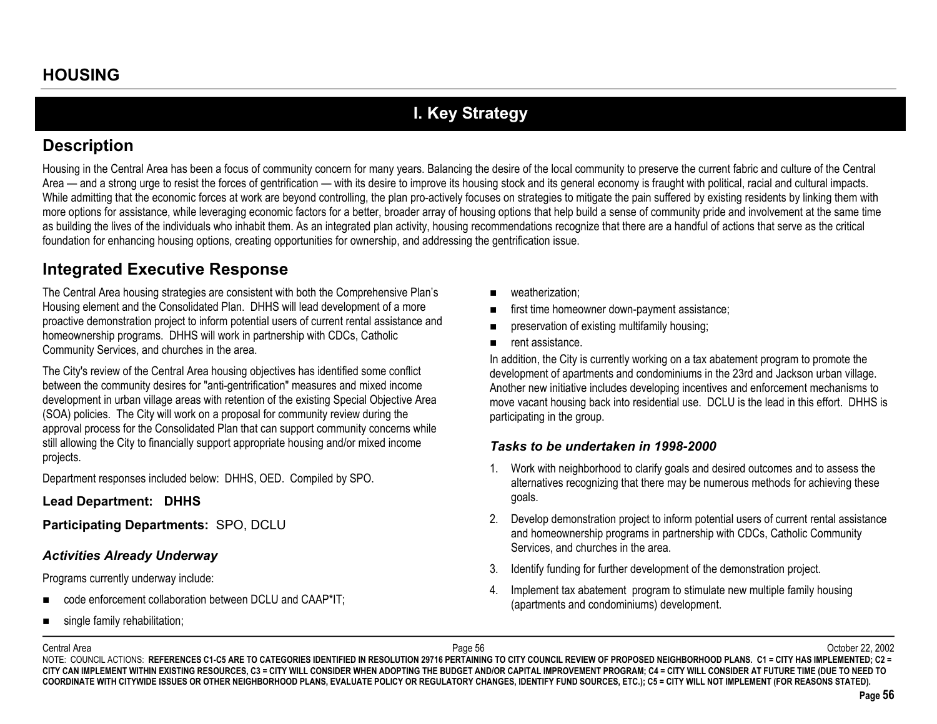# **I. Key Strategy**

### **Description**

Housing in the Central Area has been a focus of community concern for many years. Balancing the desire of the local community to preserve the current fabric and culture of the Central Area — and a strong urge to resist the forces of gentrification — with its desire to improve its housing stock and its general economy is fraught with political, racial and cultural impacts. While admitting that the economic forces at work are beyond controlling, the plan pro-actively focuses on strategies to mitigate the pain suffered by existing residents by linking them with more options for assistance, while leveraging economic factors for a better, broader array of housing options that help build a sense of community pride and involvement at the same time as building the lives of the individuals who inhabit them. As an integrated plan activity, housing recommendations recognize that there are a handful of actions that serve as the critical foundation for enhancing housing options, creating opportunities for ownership, and addressing the gentrification issue.

## **Integrated Executive Response**

The Central Area housing strategies are consistent with both the Comprehensive Plan's Housing element and the Consolidated Plan. DHHS will lead development of a more proactive demonstration project to inform potential users of current rental assistance and homeownership programs. DHHS will work in partnership with CDCs, Catholic Community Services, and churches in the area.

The City's review of the Central Area housing objectives has identified some conflict between the community desires for "anti-gentrification" measures and mixed income development in urban village areas with retention of the existing Special Objective Area (SOA) policies. The City will work on a proposal for community review during the approval process for the Consolidated Plan that can support community concerns while still allowing the City to financially support appropriate housing and/or mixed income projects.

Department responses included below: DHHS, OED. Compiled by SPO.

**Lead Department: DHHS**

**Participating Departments:** SPO, DCLU

### *Activities Already Underway*

Programs currently underway include:

- code enforcement collaboration between DCLU and CAAP\*IT;
- $\blacksquare$ single family rehabilitation;
- weatherization;
- first time homeowner down-payment assistance;
- $\blacksquare$ preservation of existing multifamily housing;
- $\blacksquare$ rent assistance.

In addition, the City is currently working on a tax abatement program to promote the development of apartments and condominiums in the 23rd and Jackson urban village. Another new initiative includes developing incentives and enforcement mechanisms to move vacant housing back into residential use. DCLU is the lead in this effort. DHHS is participating in the group.

### *Tasks to be undertaken in 1998-2000*

- 1. Work with neighborhood to clarify goals and desired outcomes and to assess the alternatives recognizing that there may be numerous methods for achieving these goals.
- 2. Develop demonstration project to inform potential users of current rental assistance and homeownership programs in partnership with CDCs, Catholic Community Services, and churches in the area.
- 3. Identify funding for further development of the demonstration project.
- 4. Implement tax abatement program to stimulate new multiple family housing (apartments and condominiums) development.

Central Area

 Page 56 October 22, 2002 NOTE: COUNCIL ACTIONS: REFERENCES C1-C5 ARE TO CATEGORIES IDENTIFIED IN RESOLUTION 29716 PERTAINING TO CITY COUNCIL REVIEW OF PROPOSED NEIGHBORHOOD PLANS. C1 = CITY HAS IMPLEMENTED; C2 = **CITY CAN IMPLEMENT WITHIN EXISTING RESOURCES, C3 = CITY WILL CONSIDER WHEN ADOPTING THE BUDGET AND/OR CAPITAL IMPROVEMENT PROGRAM; C4 = CITY WILL CONSIDER AT FUTURE TIME (DUE TO NEED TO COORDINATE WITH CITYWIDE ISSUES OR OTHER NEIGHBORHOOD PLANS, EVALUATE POLICY OR REGULATORY CHANGES, IDENTIFY FUND SOURCES, ETC.); C5 = CITY WILL NOT IMPLEMENT (FOR REASONS STATED).**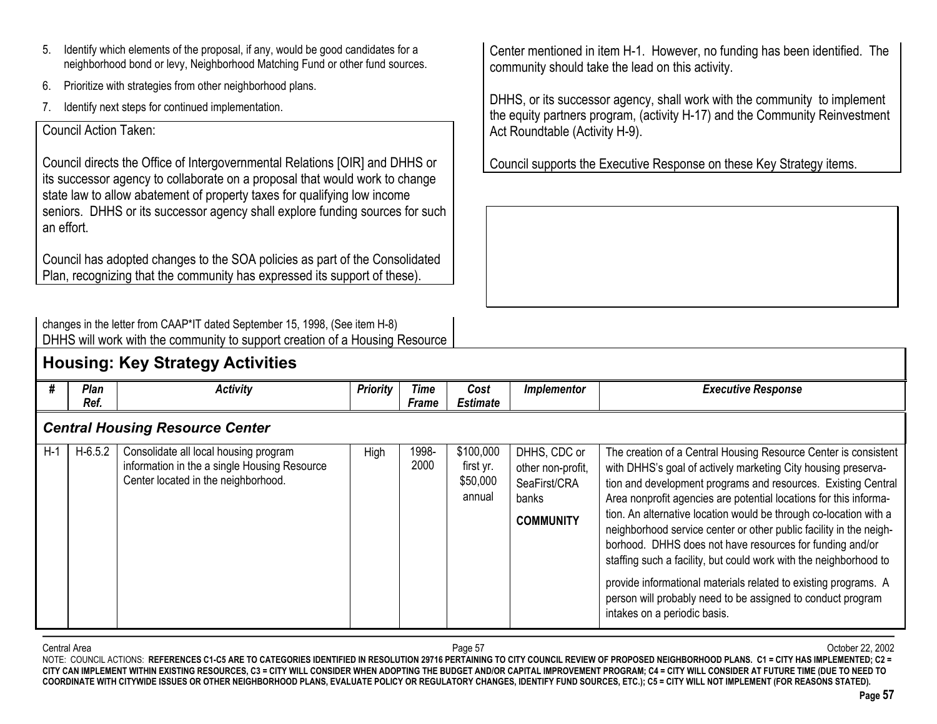- 5. Identify which elements of the proposal, if any, would be good candidates for a neighborhood bond or levy, Neighborhood Matching Fund or other fund sources.
- 6.Prioritize with strategies from other neighborhood plans.
- 7.Identify next steps for continued implementation.

### Council Action Taken:

Council directs the Office of Intergovernmental Relations [OIR] and DHHS or its successor agency to collaborate on a proposal that would work to change state law to allow abatement of property taxes for qualifying low income seniors. DHHS or its successor agency shall explore funding sources for such an effort.

Council has adopted changes to the SOA policies as part of the Consolidated Plan, recognizing that the community has expressed its support of these).

Center mentioned in item H-1. However, no funding has been identified. The community should take the lead on this activity.

DHHS, or its successor agency, shall work with the community to implement the equity partners program, (activity H-17) and the Community Reinvestment Act Roundtable (Activity H-9).

Council supports the Executive Response on these Key Strategy items.

| changes in the letter from CAAP*IT dated September 15, 1998, (See item H-8) |                                                                             |
|-----------------------------------------------------------------------------|-----------------------------------------------------------------------------|
|                                                                             | DHHS will work with the community to support creation of a Housing Resource |

## **Housing: Key Strategy Activities**

| #     | <b>Plan</b> | <b>Activity</b>                                                                                                              | <b>Priority</b> | Time          | Cost                                         | Implementor                                                                    | <b>Executive Response</b>                                                                                                                                                                                                                                                                                                                                                                                                                                                                                                                                                                                                                                                                                            |
|-------|-------------|------------------------------------------------------------------------------------------------------------------------------|-----------------|---------------|----------------------------------------------|--------------------------------------------------------------------------------|----------------------------------------------------------------------------------------------------------------------------------------------------------------------------------------------------------------------------------------------------------------------------------------------------------------------------------------------------------------------------------------------------------------------------------------------------------------------------------------------------------------------------------------------------------------------------------------------------------------------------------------------------------------------------------------------------------------------|
|       | Ref.        |                                                                                                                              |                 | Frame         | <b>Estimate</b>                              |                                                                                |                                                                                                                                                                                                                                                                                                                                                                                                                                                                                                                                                                                                                                                                                                                      |
|       |             | <b>Central Housing Resource Center</b>                                                                                       |                 |               |                                              |                                                                                |                                                                                                                                                                                                                                                                                                                                                                                                                                                                                                                                                                                                                                                                                                                      |
| $H-1$ | $H-6.5.2$   | Consolidate all local housing program<br>information in the a single Housing Resource<br>Center located in the neighborhood. | High            | 1998-<br>2000 | \$100,000<br>first yr.<br>\$50,000<br>annual | DHHS, CDC or<br>other non-profit,<br>SeaFirst/CRA<br>banks<br><b>COMMUNITY</b> | The creation of a Central Housing Resource Center is consistent<br>with DHHS's goal of actively marketing City housing preserva-<br>tion and development programs and resources. Existing Central<br>Area nonprofit agencies are potential locations for this informa-<br>tion. An alternative location would be through co-location with a<br>neighborhood service center or other public facility in the neigh-<br>borhood. DHHS does not have resources for funding and/or<br>staffing such a facility, but could work with the neighborhood to<br>provide informational materials related to existing programs. A<br>person will probably need to be assigned to conduct program<br>intakes on a periodic basis. |

Central Area Page 57 October 22, 2002 NOTE: COUNCIL ACTIONS: REFERENCES C1-C5 ARE TO CATEGORIES IDENTIFIED IN RESOLUTION 29716 PERTAINING TO CITY COUNCIL REVIEW OF PROPOSED NEIGHBORHOOD PLANS. C1 = CITY HAS IMPLEMENTED; C2 = **CITY CAN IMPLEMENT WITHIN EXISTING RESOURCES, C3 = CITY WILL CONSIDER WHEN ADOPTING THE BUDGET AND/OR CAPITAL IMPROVEMENT PROGRAM; C4 = CITY WILL CONSIDER AT FUTURE TIME (DUE TO NEED TO COORDINATE WITH CITYWIDE ISSUES OR OTHER NEIGHBORHOOD PLANS, EVALUATE POLICY OR REGULATORY CHANGES, IDENTIFY FUND SOURCES, ETC.); C5 = CITY WILL NOT IMPLEMENT (FOR REASONS STATED).**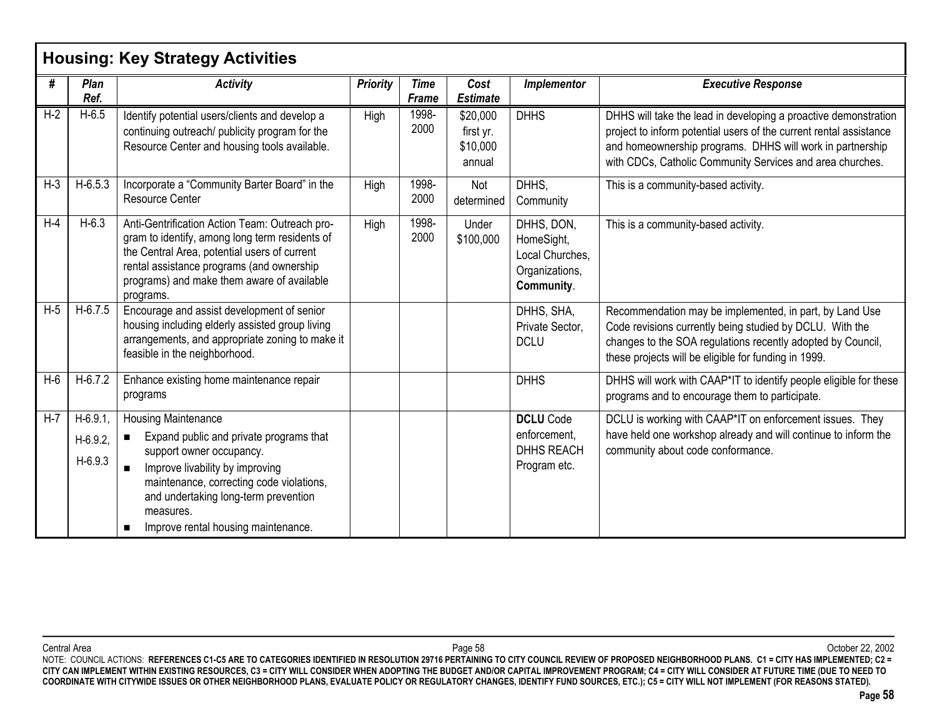|       |                                     | <b>Housing: Key Strategy Activities</b>                                                                                                                                                                                                                                                                          |                 |                      |                                             |                                                                             |                                                                                                                                                                                                                                                                 |
|-------|-------------------------------------|------------------------------------------------------------------------------------------------------------------------------------------------------------------------------------------------------------------------------------------------------------------------------------------------------------------|-----------------|----------------------|---------------------------------------------|-----------------------------------------------------------------------------|-----------------------------------------------------------------------------------------------------------------------------------------------------------------------------------------------------------------------------------------------------------------|
| #     | Plan<br>Ref.                        | <b>Activity</b>                                                                                                                                                                                                                                                                                                  | <b>Priority</b> | <b>Time</b><br>Frame | Cost<br><b>Estimate</b>                     | Implementor                                                                 | <b>Executive Response</b>                                                                                                                                                                                                                                       |
| $H-2$ | $H-6.5$                             | Identify potential users/clients and develop a<br>continuing outreach/ publicity program for the<br>Resource Center and housing tools available.                                                                                                                                                                 | High            | 1998-<br>2000        | \$20,000<br>first yr.<br>\$10,000<br>annual | <b>DHHS</b>                                                                 | DHHS will take the lead in developing a proactive demonstration<br>project to inform potential users of the current rental assistance<br>and homeownership programs. DHHS will work in partnership<br>with CDCs, Catholic Community Services and area churches. |
| $H-3$ | $H-6.5.3$                           | Incorporate a "Community Barter Board" in the<br><b>Resource Center</b>                                                                                                                                                                                                                                          | High            | 1998-<br>2000        | Not<br>determined                           | DHHS.<br>Community                                                          | This is a community-based activity.                                                                                                                                                                                                                             |
| $H-4$ | $H-6.3$                             | Anti-Gentrification Action Team: Outreach pro-<br>gram to identify, among long term residents of<br>the Central Area, potential users of current<br>rental assistance programs (and ownership<br>programs) and make them aware of available<br>programs.                                                         | High            | 1998-<br>2000        | Under<br>\$100,000                          | DHHS, DON,<br>HomeSight,<br>Local Churches,<br>Organizations,<br>Community. | This is a community-based activity.                                                                                                                                                                                                                             |
| $H-5$ | $H-6.7.5$                           | Encourage and assist development of senior<br>housing including elderly assisted group living<br>arrangements, and appropriate zoning to make it<br>feasible in the neighborhood.                                                                                                                                |                 |                      |                                             | DHHS, SHA,<br>Private Sector,<br><b>DCLU</b>                                | Recommendation may be implemented, in part, by Land Use<br>Code revisions currently being studied by DCLU. With the<br>changes to the SOA regulations recently adopted by Council,<br>these projects will be eligible for funding in 1999.                      |
| $H-6$ | $H-6.7.2$                           | Enhance existing home maintenance repair<br>programs                                                                                                                                                                                                                                                             |                 |                      |                                             | <b>DHHS</b>                                                                 | DHHS will work with CAAP*IT to identify people eligible for these<br>programs and to encourage them to participate.                                                                                                                                             |
| $H-7$ | $H-6.9.1$<br>$H-6.9.2$<br>$H-6.9.3$ | <b>Housing Maintenance</b><br>Expand public and private programs that<br>$\blacksquare$<br>support owner occupancy.<br>Improve livability by improving<br>$\blacksquare$<br>maintenance, correcting code violations,<br>and undertaking long-term prevention<br>measures.<br>Improve rental housing maintenance. |                 |                      |                                             | <b>DCLU</b> Code<br>enforcement,<br><b>DHHS REACH</b><br>Program etc.       | DCLU is working with CAAP*IT on enforcement issues. They<br>have held one workshop already and will continue to inform the<br>community about code conformance.                                                                                                 |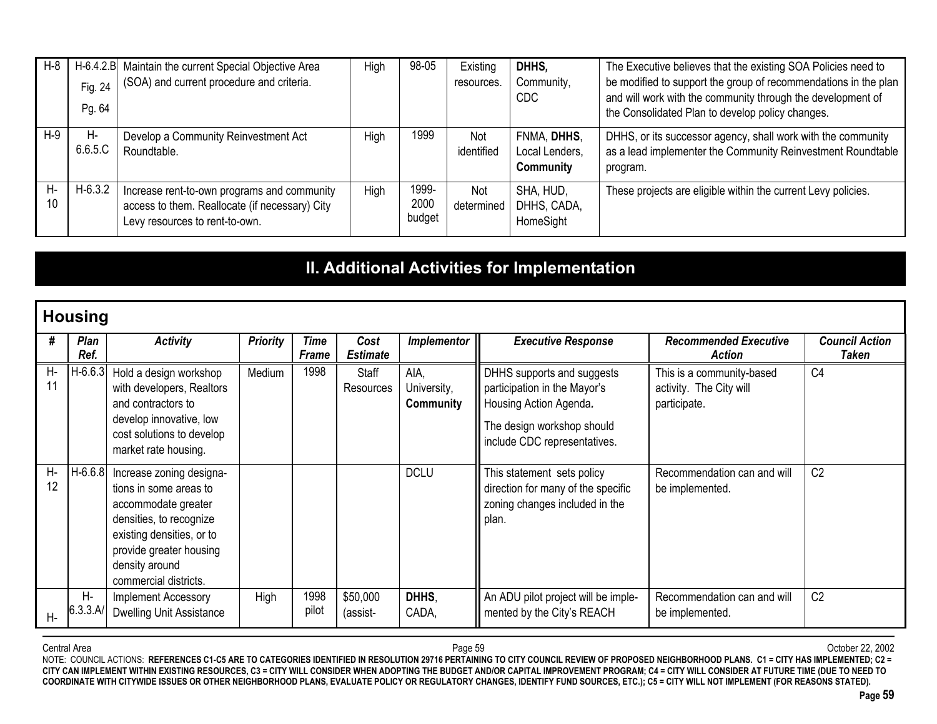| H-8      | Fig. 24<br>Pg. 64 | H-6.4.2.B Maintain the current Special Objective Area<br>(SOA) and current procedure and criteria.                              | High | 98-05                   | Existing<br>resources. | DHHS.<br>Community,<br>CDC.                | The Executive believes that the existing SOA Policies need to<br>be modified to support the group of recommendations in the plan<br>and will work with the community through the development of<br>the Consolidated Plan to develop policy changes. |
|----------|-------------------|---------------------------------------------------------------------------------------------------------------------------------|------|-------------------------|------------------------|--------------------------------------------|-----------------------------------------------------------------------------------------------------------------------------------------------------------------------------------------------------------------------------------------------------|
| $H-9$    | Н-<br>6.6.5.C     | Develop a Community Reinvestment Act<br>Roundtable.                                                                             | High | 1999                    | Not<br>identified      | FNMA, DHHS,<br>Local Lenders,<br>Community | DHHS, or its successor agency, shall work with the community<br>as a lead implementer the Community Reinvestment Roundtable<br>program.                                                                                                             |
| Н-<br>10 | $H-6.3.2$         | Increase rent-to-own programs and community<br>access to them. Reallocate (if necessary) City<br>Levy resources to rent-to-own. | High | 1999-<br>2000<br>budget | Not<br>determined      | SHA, HUD,<br>DHHS, CADA,<br>HomeSight      | These projects are eligible within the current Levy policies.                                                                                                                                                                                       |

## **II. Additional Activities for Implementation**

### **Housing** *# PlanRef.Activity Priority Time FrameCostEstimateImplementor Executive Response Recommended Executive ActionCouncil ActionTaken*H-11 H-6.6.3 Hold a design workshop with developers, Realtors and contractors todevelop innovative, low cost solutions to develop market rate housing. Medium 1998 Staff ResourcesAIA, University, **Community** DHHS supports and suggests participation in the Mayor's Housing Action Agenda*.* The design workshop should include CDC representatives. This is a community-based activity. The City will participate.  $C<sub>4</sub>$ H-12 H-6.6.8 Increase zoning designa- tions in some areas toaccommodate greater densities, to recognize existing densities, or to provide greater housing density around commercial districts.DCLU This statement sets policy direction for many of the specific zoning changes included in the plan. Recommendation can and willbe implemented.  $C<sub>2</sub>$ H-H-6.3.3.A/Implement Accessory High 1998 \$50,000 **DHHS**, An ADU pilot project will be imple- Recommendation can and will C2<br>Dwelling Unit Assistance | pilot | assist- CADA, | mented by the City's REACH be implemented.

 Page 59 October 22, 2002 NOTE: COUNCIL ACTIONS: REFERENCES C1-C5 ARE TO CATEGORIES IDENTIFIED IN RESOLUTION 29716 PERTAINING TO CITY COUNCIL REVIEW OF PROPOSED NEIGHBORHOOD PLANS. C1 = CITY HAS IMPLEMENTED; C2 = **CITY CAN IMPLEMENT WITHIN EXISTING RESOURCES, C3 = CITY WILL CONSIDER WHEN ADOPTING THE BUDGET AND/OR CAPITAL IMPROVEMENT PROGRAM; C4 = CITY WILL CONSIDER AT FUTURE TIME (DUE TO NEED TO COORDINATE WITH CITYWIDE ISSUES OR OTHER NEIGHBORHOOD PLANS, EVALUATE POLICY OR REGULATORY CHANGES, IDENTIFY FUND SOURCES, ETC.); C5 = CITY WILL NOT IMPLEMENT (FOR REASONS STATED).**

Central Area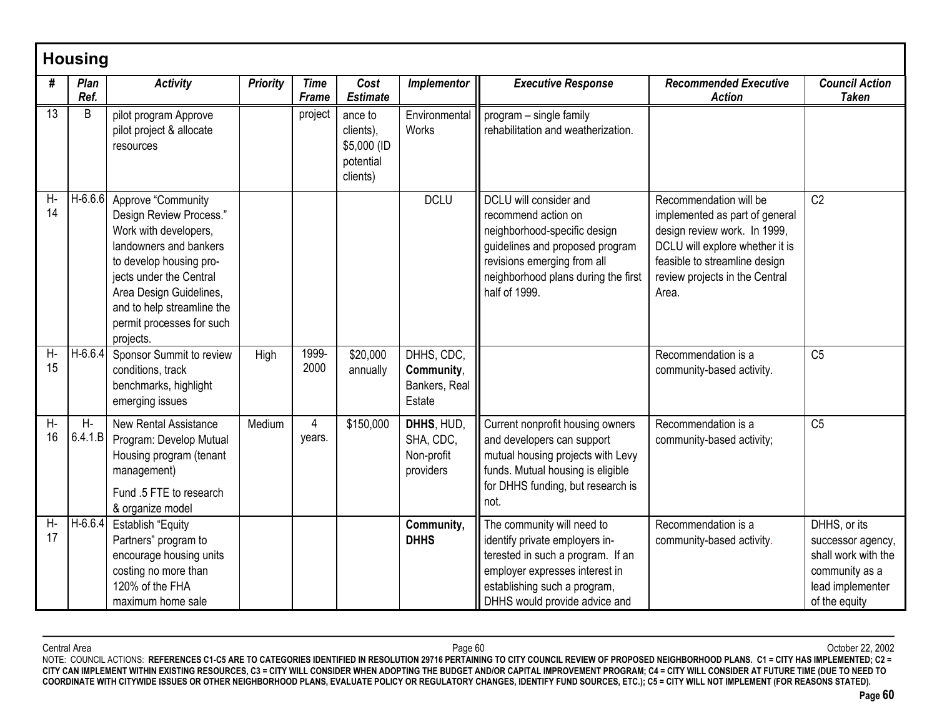|                 | <b>Housing</b>  |                                                                                                                                                                                                                                                           |                 |                             |                                                              |                                                     |                                                                                                                                                                                                         |                                                                                                                                                                                                         |                                                                                                                 |
|-----------------|-----------------|-----------------------------------------------------------------------------------------------------------------------------------------------------------------------------------------------------------------------------------------------------------|-----------------|-----------------------------|--------------------------------------------------------------|-----------------------------------------------------|---------------------------------------------------------------------------------------------------------------------------------------------------------------------------------------------------------|---------------------------------------------------------------------------------------------------------------------------------------------------------------------------------------------------------|-----------------------------------------------------------------------------------------------------------------|
| #               | Plan<br>Ref.    | <b>Activity</b>                                                                                                                                                                                                                                           | <b>Priority</b> | <b>Time</b><br><b>Frame</b> | Cost<br><b>Estimate</b>                                      | Implementor                                         | <b>Executive Response</b>                                                                                                                                                                               | <b>Recommended Executive</b><br><b>Action</b>                                                                                                                                                           | <b>Council Action</b><br><b>Taken</b>                                                                           |
| $\overline{13}$ | B               | pilot program Approve<br>pilot project & allocate<br>resources                                                                                                                                                                                            |                 | project                     | ance to<br>clients),<br>\$5,000 (ID<br>potential<br>clients) | Environmental<br>Works                              | program - single family<br>rehabilitation and weatherization.                                                                                                                                           |                                                                                                                                                                                                         |                                                                                                                 |
| $H-$<br>14      | H-6.6.6         | Approve "Community<br>Design Review Process."<br>Work with developers,<br>landowners and bankers<br>to develop housing pro-<br>jects under the Central<br>Area Design Guidelines,<br>and to help streamline the<br>permit processes for such<br>projects. |                 |                             |                                                              | <b>DCLU</b>                                         | DCLU will consider and<br>recommend action on<br>neighborhood-specific design<br>guidelines and proposed program<br>revisions emerging from all<br>neighborhood plans during the first<br>half of 1999. | Recommendation will be<br>implemented as part of general<br>design review work. In 1999,<br>DCLU will explore whether it is<br>feasible to streamline design<br>review projects in the Central<br>Area. | C <sub>2</sub>                                                                                                  |
| $H-$<br>15      | $H-6.6.4$       | Sponsor Summit to review<br>conditions, track<br>benchmarks, highlight<br>emerging issues                                                                                                                                                                 | High            | 1999-<br>2000               | \$20,000<br>annually                                         | DHHS, CDC,<br>Community,<br>Bankers, Real<br>Estate |                                                                                                                                                                                                         | Recommendation is a<br>community-based activity.                                                                                                                                                        | C <sub>5</sub>                                                                                                  |
| $H-$<br>16      | $H-$<br>6.4.1.B | <b>New Rental Assistance</b><br>Program: Develop Mutual<br>Housing program (tenant<br>management)<br>Fund .5 FTE to research<br>& organize model                                                                                                          | Medium          | 4<br>years.                 | \$150,000                                                    | DHHS, HUD,<br>SHA, CDC,<br>Non-profit<br>providers  | Current nonprofit housing owners<br>and developers can support<br>mutual housing projects with Levy<br>funds. Mutual housing is eligible<br>for DHHS funding, but research is<br>not.                   | Recommendation is a<br>community-based activity;                                                                                                                                                        | C <sub>5</sub>                                                                                                  |
| Н-<br>17        | H-6.6.4         | <b>Establish "Equity</b><br>Partners" program to<br>encourage housing units<br>costing no more than<br>120% of the FHA<br>maximum home sale                                                                                                               |                 |                             |                                                              | Community,<br><b>DHHS</b>                           | The community will need to<br>identify private employers in-<br>terested in such a program. If an<br>employer expresses interest in<br>establishing such a program,<br>DHHS would provide advice and    | Recommendation is a<br>community-based activity.                                                                                                                                                        | DHHS, or its<br>successor agency,<br>shall work with the<br>community as a<br>lead implementer<br>of the equity |

Central Area Page 60 October 22, 2002 NOTE: COUNCIL ACTIONS: **REFERENCES C1-C5 ARE TO CATEGORIES IDENTIFIED IN RESOLUTION 29716 PERTAINING TO CITY COUNCIL REVIEW OF PROPOSED NEIGHBORHOOD PLANS. C1 = CITY HAS IMPLEMENTED; C2 = CITY CAN IMPLEMENT WITHIN EXISTING RESOURCES, C3 = CITY WILL CONSIDER WHEN ADOPTING THE BUDGET AND/OR CAPITAL IMPROVEMENT PROGRAM; C4 = CITY WILL CONSIDER AT FUTURE TIME (DUE TO NEED TO COORDINATE WITH CITYWIDE ISSUES OR OTHER NEIGHBORHOOD PLANS, EVALUATE POLICY OR REGULATORY CHANGES, IDENTIFY FUND SOURCES, ETC.); C5 = CITY WILL NOT IMPLEMENT (FOR REASONS STATED).**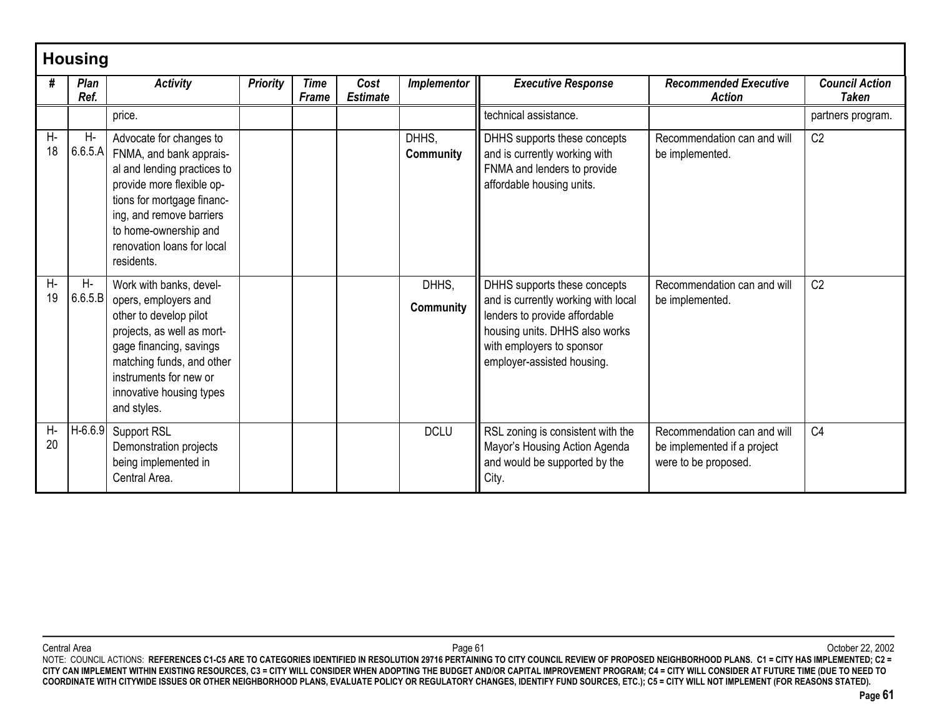|          | <b>Housing</b>      |                                                                                                                                                                                                                                               |                 |                             |                         |                           |                                                                                                                                                                                                   |                                                                                    |                                       |  |  |  |  |  |
|----------|---------------------|-----------------------------------------------------------------------------------------------------------------------------------------------------------------------------------------------------------------------------------------------|-----------------|-----------------------------|-------------------------|---------------------------|---------------------------------------------------------------------------------------------------------------------------------------------------------------------------------------------------|------------------------------------------------------------------------------------|---------------------------------------|--|--|--|--|--|
| #        | <b>Plan</b><br>Ref. | <b>Activity</b>                                                                                                                                                                                                                               | <b>Priority</b> | <b>Time</b><br><b>Frame</b> | Cost<br><b>Estimate</b> | Implementor               | <b>Executive Response</b>                                                                                                                                                                         | <b>Recommended Executive</b><br><b>Action</b>                                      | <b>Council Action</b><br><b>Taken</b> |  |  |  |  |  |
|          |                     | price.                                                                                                                                                                                                                                        |                 |                             |                         |                           | technical assistance.                                                                                                                                                                             |                                                                                    | partners program.                     |  |  |  |  |  |
| Н-<br>18 | Η-<br>6.6.5.A       | Advocate for changes to<br>FNMA, and bank apprais-<br>al and lending practices to<br>provide more flexible op-<br>tions for mortgage financ-<br>ing, and remove barriers<br>to home-ownership and<br>renovation loans for local<br>residents. |                 |                             |                         | DHHS.<br>Community        | DHHS supports these concepts<br>and is currently working with<br>FNMA and lenders to provide<br>affordable housing units.                                                                         | Recommendation can and will<br>be implemented.                                     | C <sub>2</sub>                        |  |  |  |  |  |
| Н-<br>19 | $H-$<br>6.6.5.B     | Work with banks, devel-<br>opers, employers and<br>other to develop pilot<br>projects, as well as mort-<br>gage financing, savings<br>matching funds, and other<br>instruments for new or<br>innovative housing types<br>and styles.          |                 |                             |                         | DHHS,<br><b>Community</b> | DHHS supports these concepts<br>and is currently working with local<br>lenders to provide affordable<br>housing units. DHHS also works<br>with employers to sponsor<br>employer-assisted housing. | Recommendation can and will<br>be implemented.                                     | C <sub>2</sub>                        |  |  |  |  |  |
| Н-<br>20 | $H-6.6.9$           | Support RSL<br>Demonstration projects<br>being implemented in<br>Central Area.                                                                                                                                                                |                 |                             |                         | <b>DCLU</b>               | RSL zoning is consistent with the<br>Mayor's Housing Action Agenda<br>and would be supported by the<br>City.                                                                                      | Recommendation can and will<br>be implemented if a project<br>were to be proposed. | C <sub>4</sub>                        |  |  |  |  |  |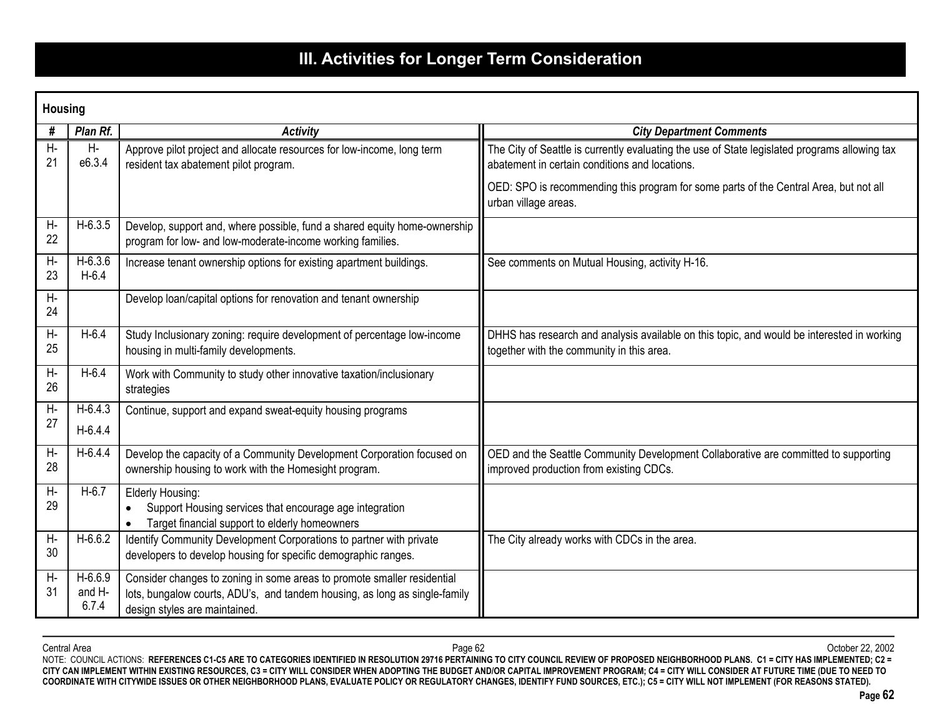# **III. Activities for Longer Term Consideration**

|            | <b>Housing</b>               |                                                                                                                                                                                        |                                                                                                                                                 |  |  |  |  |  |  |  |
|------------|------------------------------|----------------------------------------------------------------------------------------------------------------------------------------------------------------------------------------|-------------------------------------------------------------------------------------------------------------------------------------------------|--|--|--|--|--|--|--|
| #          | Plan Rf.                     | <b>Activity</b>                                                                                                                                                                        | <b>City Department Comments</b>                                                                                                                 |  |  |  |  |  |  |  |
| Н-<br>21   | Н-<br>e6.3.4                 | Approve pilot project and allocate resources for low-income, long term<br>resident tax abatement pilot program.                                                                        | The City of Seattle is currently evaluating the use of State legislated programs allowing tax<br>abatement in certain conditions and locations. |  |  |  |  |  |  |  |
|            |                              |                                                                                                                                                                                        | OED: SPO is recommending this program for some parts of the Central Area, but not all<br>urban village areas.                                   |  |  |  |  |  |  |  |
| Н-<br>22   | $H-6.3.5$                    | Develop, support and, where possible, fund a shared equity home-ownership<br>program for low- and low-moderate-income working families.                                                |                                                                                                                                                 |  |  |  |  |  |  |  |
| Н-<br>23   | $H-6.3.6$<br>$H-6.4$         | Increase tenant ownership options for existing apartment buildings.                                                                                                                    | See comments on Mutual Housing, activity H-16.                                                                                                  |  |  |  |  |  |  |  |
| Н-<br>24   |                              | Develop loan/capital options for renovation and tenant ownership                                                                                                                       |                                                                                                                                                 |  |  |  |  |  |  |  |
| H-<br>25   | $H-6.4$                      | Study Inclusionary zoning: require development of percentage low-income<br>housing in multi-family developments.                                                                       | DHHS has research and analysis available on this topic, and would be interested in working<br>together with the community in this area.         |  |  |  |  |  |  |  |
| Н-<br>26   | $H-6.4$                      | Work with Community to study other innovative taxation/inclusionary<br>strategies                                                                                                      |                                                                                                                                                 |  |  |  |  |  |  |  |
| Н-<br>27   | $H-6.4.3$<br>$H-6.4.4$       | Continue, support and expand sweat-equity housing programs                                                                                                                             |                                                                                                                                                 |  |  |  |  |  |  |  |
| $H-$<br>28 | $H-6.4.4$                    | Develop the capacity of a Community Development Corporation focused on<br>ownership housing to work with the Homesight program.                                                        | OED and the Seattle Community Development Collaborative are committed to supporting<br>improved production from existing CDCs.                  |  |  |  |  |  |  |  |
| Н-<br>29   | $H-6.7$                      | Elderly Housing:<br>Support Housing services that encourage age integration<br>Target financial support to elderly homeowners                                                          |                                                                                                                                                 |  |  |  |  |  |  |  |
| $H-$<br>30 | $H-6.6.2$                    | Identify Community Development Corporations to partner with private<br>developers to develop housing for specific demographic ranges.                                                  | The City already works with CDCs in the area.                                                                                                   |  |  |  |  |  |  |  |
| Н-<br>31   | $H-6.6.9$<br>and H-<br>6.7.4 | Consider changes to zoning in some areas to promote smaller residential<br>lots, bungalow courts, ADU's, and tandem housing, as long as single-family<br>design styles are maintained. |                                                                                                                                                 |  |  |  |  |  |  |  |

Central Area Page 62 October 22, 2002 NOTE: COUNCIL ACTIONS: **REFERENCES C1-C5 ARE TO CATEGORIES IDENTIFIED IN RESOLUTION 29716 PERTAINING TO CITY COUNCIL REVIEW OF PROPOSED NEIGHBORHOOD PLANS. C1 = CITY HAS IMPLEMENTED; C2 = CITY CAN IMPLEMENT WITHIN EXISTING RESOURCES, C3 = CITY WILL CONSIDER WHEN ADOPTING THE BUDGET AND/OR CAPITAL IMPROVEMENT PROGRAM; C4 = CITY WILL CONSIDER AT FUTURE TIME (DUE TO NEED TO COORDINATE WITH CITYWIDE ISSUES OR OTHER NEIGHBORHOOD PLANS, EVALUATE POLICY OR REGULATORY CHANGES, IDENTIFY FUND SOURCES, ETC.); C5 = CITY WILL NOT IMPLEMENT (FOR REASONS STATED).**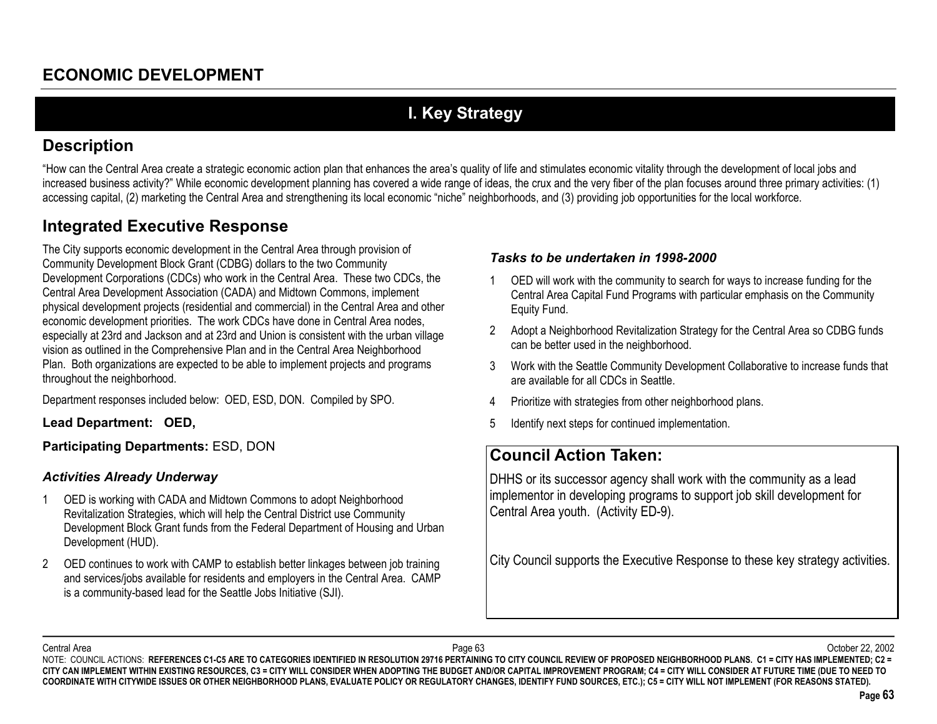# **I. Key Strategy**

### **Description**

"How can the Central Area create a strategic economic action plan that enhances the area's quality of life and stimulates economic vitality through the development of local jobs and increased business activity?" While economic development planning has covered a wide range of ideas, the crux and the very fiber of the plan focuses around three primary activities: (1) accessing capital, (2) marketing the Central Area and strengthening its local economic "niche" neighborhoods, and (3) providing job opportunities for the local workforce.

## **Integrated Executive Response**

The City supports economic development in the Central Area through provision of Community Development Block Grant (CDBG) dollars to the two Community Development Corporations (CDCs) who work in the Central Area. These two CDCs, the Central Area Development Association (CADA) and Midtown Commons, implement physical development projects (residential and commercial) in the Central Area and other economic development priorities. The work CDCs have done in Central Area nodes, especially at 23rd and Jackson and at 23rd and Union is consistent with the urban village vision as outlined in the Comprehensive Plan and in the Central Area Neighborhood Plan. Both organizations are expected to be able to implement projects and programs throughout the neighborhood.

Department responses included below: OED, ESD, DON. Compiled by SPO.

**Lead Department: OED,**

**Participating Departments:** ESD, DON

### *Activities Already Underway*

- 1 OED is working with CADA and Midtown Commons to adopt Neighborhood Revitalization Strategies, which will help the Central District use Community Development Block Grant funds from the Federal Department of Housing and Urban Development (HUD).
- 2 OED continues to work with CAMP to establish better linkages between job training and services/jobs available for residents and employers in the Central Area. CAMP is a community-based lead for the Seattle Jobs Initiative (SJI).

### *Tasks to be undertaken in 1998-2000*

- 1 OED will work with the community to search for ways to increase funding for the Central Area Capital Fund Programs with particular emphasis on the Community Equity Fund.
- 2 Adopt a Neighborhood Revitalization Strategy for the Central Area so CDBG funds can be better used in the neighborhood.
- 3 Work with the Seattle Community Development Collaborative to increase funds that are available for all CDCs in Seattle.
- 4Prioritize with strategies from other neighborhood plans.
- 5Identify next steps for continued implementation.

## **Council Action Taken:**

DHHS or its successor agency shall work with the community as a lead implementor in developing programs to support job skill development for Central Area youth. (Activity ED-9).

City Council supports the Executive Response to these key strategy activities.

Central Area

 Page 63 October 22, 2002 NOTE: COUNCIL ACTIONS: REFERENCES C1-C5 ARE TO CATEGORIES IDENTIFIED IN RESOLUTION 29716 PERTAINING TO CITY COUNCIL REVIEW OF PROPOSED NEIGHBORHOOD PLANS. C1 = CITY HAS IMPLEMENTED; C2 = **CITY CAN IMPLEMENT WITHIN EXISTING RESOURCES, C3 = CITY WILL CONSIDER WHEN ADOPTING THE BUDGET AND/OR CAPITAL IMPROVEMENT PROGRAM; C4 = CITY WILL CONSIDER AT FUTURE TIME (DUE TO NEED TO COORDINATE WITH CITYWIDE ISSUES OR OTHER NEIGHBORHOOD PLANS, EVALUATE POLICY OR REGULATORY CHANGES, IDENTIFY FUND SOURCES, ETC.); C5 = CITY WILL NOT IMPLEMENT (FOR REASONS STATED).**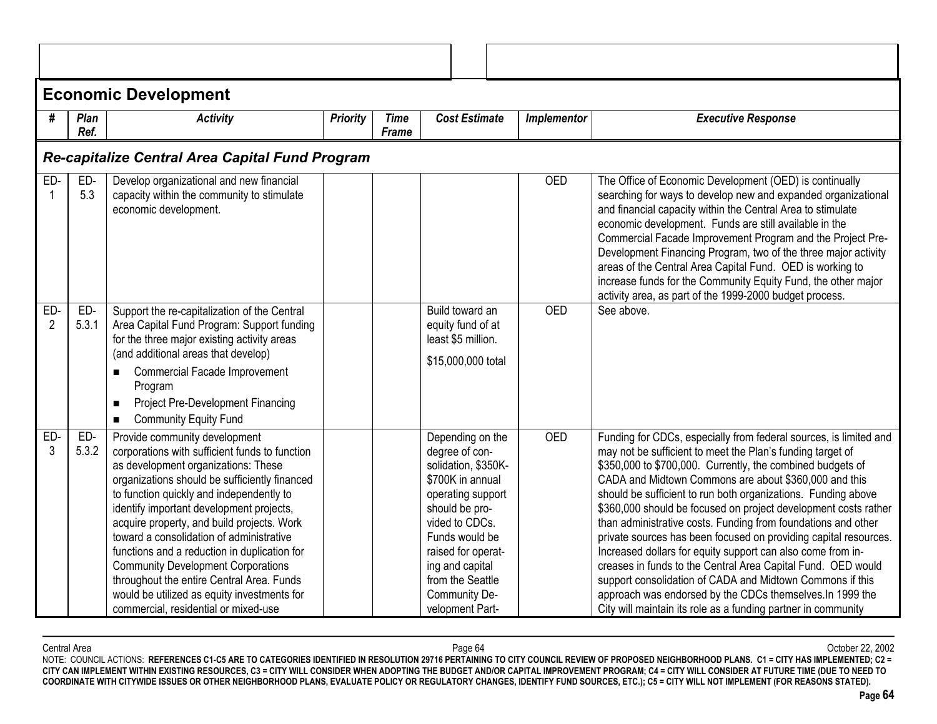|                       | <b>Economic Development</b>                     |                                                                                                                                                                                                                                                                                                                                                                                                                                                                                                                                                                                            |                 |                      |                                                                                                                                                                                                                                                           |             |                                                                                                                                                                                                                                                                                                                                                                                                                                                                                                                                                                                                                                                                                                                                                                                                                                                           |  |  |  |  |
|-----------------------|-------------------------------------------------|--------------------------------------------------------------------------------------------------------------------------------------------------------------------------------------------------------------------------------------------------------------------------------------------------------------------------------------------------------------------------------------------------------------------------------------------------------------------------------------------------------------------------------------------------------------------------------------------|-----------------|----------------------|-----------------------------------------------------------------------------------------------------------------------------------------------------------------------------------------------------------------------------------------------------------|-------------|-----------------------------------------------------------------------------------------------------------------------------------------------------------------------------------------------------------------------------------------------------------------------------------------------------------------------------------------------------------------------------------------------------------------------------------------------------------------------------------------------------------------------------------------------------------------------------------------------------------------------------------------------------------------------------------------------------------------------------------------------------------------------------------------------------------------------------------------------------------|--|--|--|--|
| #                     | Plan<br>Ref.                                    | <b>Activity</b>                                                                                                                                                                                                                                                                                                                                                                                                                                                                                                                                                                            | <b>Priority</b> | <b>Time</b><br>Frame | <b>Cost Estimate</b>                                                                                                                                                                                                                                      | Implementor | <b>Executive Response</b>                                                                                                                                                                                                                                                                                                                                                                                                                                                                                                                                                                                                                                                                                                                                                                                                                                 |  |  |  |  |
|                       | Re-capitalize Central Area Capital Fund Program |                                                                                                                                                                                                                                                                                                                                                                                                                                                                                                                                                                                            |                 |                      |                                                                                                                                                                                                                                                           |             |                                                                                                                                                                                                                                                                                                                                                                                                                                                                                                                                                                                                                                                                                                                                                                                                                                                           |  |  |  |  |
| ED-                   | ED-<br>5.3                                      | Develop organizational and new financial<br>capacity within the community to stimulate<br>economic development.                                                                                                                                                                                                                                                                                                                                                                                                                                                                            |                 |                      |                                                                                                                                                                                                                                                           | <b>OED</b>  | The Office of Economic Development (OED) is continually<br>searching for ways to develop new and expanded organizational<br>and financial capacity within the Central Area to stimulate<br>economic development. Funds are still available in the<br>Commercial Facade Improvement Program and the Project Pre-<br>Development Financing Program, two of the three major activity<br>areas of the Central Area Capital Fund. OED is working to<br>increase funds for the Community Equity Fund, the other major<br>activity area, as part of the 1999-2000 budget process.                                                                                                                                                                                                                                                                                |  |  |  |  |
| ED-<br>$\overline{2}$ | ED-<br>5.3.1                                    | Support the re-capitalization of the Central<br>Area Capital Fund Program: Support funding<br>for the three major existing activity areas<br>(and additional areas that develop)<br>Commercial Facade Improvement<br>Program<br><b>Project Pre-Development Financing</b><br><b>Community Equity Fund</b><br>$\blacksquare$                                                                                                                                                                                                                                                                 |                 |                      | Build toward an<br>equity fund of at<br>least \$5 million.<br>\$15,000,000 total                                                                                                                                                                          | <b>OED</b>  | See above.                                                                                                                                                                                                                                                                                                                                                                                                                                                                                                                                                                                                                                                                                                                                                                                                                                                |  |  |  |  |
| ED-                   | ED-<br>5.3.2                                    | Provide community development<br>corporations with sufficient funds to function<br>as development organizations: These<br>organizations should be sufficiently financed<br>to function quickly and independently to<br>identify important development projects,<br>acquire property, and build projects. Work<br>toward a consolidation of administrative<br>functions and a reduction in duplication for<br><b>Community Development Corporations</b><br>throughout the entire Central Area. Funds<br>would be utilized as equity investments for<br>commercial, residential or mixed-use |                 |                      | Depending on the<br>degree of con-<br>solidation, \$350K-<br>\$700K in annual<br>operating support<br>should be pro-<br>vided to CDCs.<br>Funds would be<br>raised for operat-<br>ing and capital<br>from the Seattle<br>Community De-<br>velopment Part- | <b>OED</b>  | Funding for CDCs, especially from federal sources, is limited and<br>may not be sufficient to meet the Plan's funding target of<br>\$350,000 to \$700,000. Currently, the combined budgets of<br>CADA and Midtown Commons are about \$360,000 and this<br>should be sufficient to run both organizations. Funding above<br>\$360,000 should be focused on project development costs rather<br>than administrative costs. Funding from foundations and other<br>private sources has been focused on providing capital resources.<br>Increased dollars for equity support can also come from in-<br>creases in funds to the Central Area Capital Fund. OED would<br>support consolidation of CADA and Midtown Commons if this<br>approach was endorsed by the CDCs themselves. In 1999 the<br>City will maintain its role as a funding partner in community |  |  |  |  |

Central Area Page 64 October 22, 2002 NOTE: COUNCIL ACTIONS: **REFERENCES C1-C5 ARE TO CATEGORIES IDENTIFIED IN RESOLUTION 29716 PERTAINING TO CITY COUNCIL REVIEW OF PROPOSED NEIGHBORHOOD PLANS. C1 = CITY HAS IMPLEMENTED; C2 = CITY CAN IMPLEMENT WITHIN EXISTING RESOURCES, C3 = CITY WILL CONSIDER WHEN ADOPTING THE BUDGET AND/OR CAPITAL IMPROVEMENT PROGRAM; C4 = CITY WILL CONSIDER AT FUTURE TIME (DUE TO NEED TO COORDINATE WITH CITYWIDE ISSUES OR OTHER NEIGHBORHOOD PLANS, EVALUATE POLICY OR REGULATORY CHANGES, IDENTIFY FUND SOURCES, ETC.); C5 = CITY WILL NOT IMPLEMENT (FOR REASONS STATED).**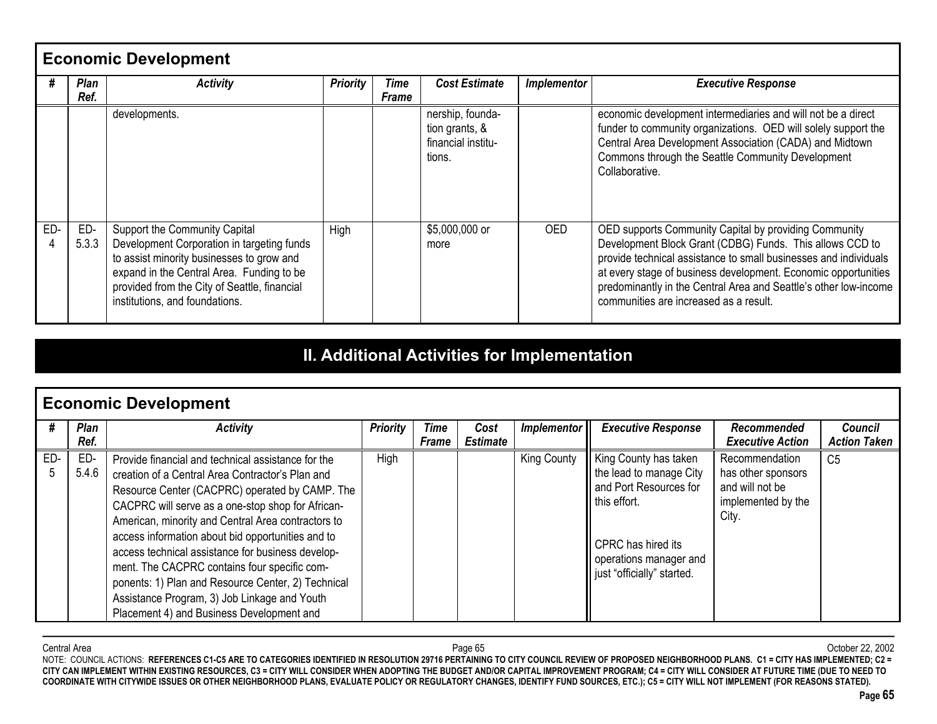|     | <b>Economic Development</b> |                                                                                                                                                                                                                                                         |                 |               |                                                                    |                    |                                                                                                                                                                                                                                                                                                                                                                       |  |  |  |
|-----|-----------------------------|---------------------------------------------------------------------------------------------------------------------------------------------------------------------------------------------------------------------------------------------------------|-----------------|---------------|--------------------------------------------------------------------|--------------------|-----------------------------------------------------------------------------------------------------------------------------------------------------------------------------------------------------------------------------------------------------------------------------------------------------------------------------------------------------------------------|--|--|--|
| #   | Plan<br>Ref.                | <b>Activity</b>                                                                                                                                                                                                                                         | <b>Priority</b> | Time<br>Frame | <b>Cost Estimate</b>                                               | <b>Implementor</b> | <b>Executive Response</b>                                                                                                                                                                                                                                                                                                                                             |  |  |  |
|     |                             | developments.                                                                                                                                                                                                                                           |                 |               | nership, founda-<br>tion grants, &<br>financial institu-<br>tions. |                    | economic development intermediaries and will not be a direct<br>funder to community organizations. OED will solely support the<br>Central Area Development Association (CADA) and Midtown<br>Commons through the Seattle Community Development<br>Collaborative.                                                                                                      |  |  |  |
| ED- | ED-<br>5.3.3                | Support the Community Capital<br>Development Corporation in targeting funds<br>to assist minority businesses to grow and<br>expand in the Central Area. Funding to be<br>provided from the City of Seattle, financial<br>institutions, and foundations. | High            |               | \$5,000,000 or<br>more                                             | OED.               | OED supports Community Capital by providing Community<br>Development Block Grant (CDBG) Funds. This allows CCD to<br>provide technical assistance to small businesses and individuals<br>at every stage of business development. Economic opportunities<br>predominantly in the Central Area and Seattle's other low-income<br>communities are increased as a result. |  |  |  |

# **II. Additional Activities for Implementation**

|          | <b>Economic Development</b> |                                                                                                                                                                                                                                                                                                                                                                                                                                                                                                                                                                                  |                 |                             |                         |             |                                                                                                                                                                          |                                                                                        |                                       |  |  |
|----------|-----------------------------|----------------------------------------------------------------------------------------------------------------------------------------------------------------------------------------------------------------------------------------------------------------------------------------------------------------------------------------------------------------------------------------------------------------------------------------------------------------------------------------------------------------------------------------------------------------------------------|-----------------|-----------------------------|-------------------------|-------------|--------------------------------------------------------------------------------------------------------------------------------------------------------------------------|----------------------------------------------------------------------------------------|---------------------------------------|--|--|
|          | Plan<br>Ref.                | <b>Activity</b>                                                                                                                                                                                                                                                                                                                                                                                                                                                                                                                                                                  | <b>Priority</b> | <b>Time</b><br><b>Frame</b> | Cost<br><b>Estimate</b> | Implementor | <b>Executive Response</b>                                                                                                                                                | Recommended<br><b>Executive Action</b>                                                 | <b>Council</b><br><b>Action Taken</b> |  |  |
| ED-<br>5 | ED-<br>5.4.6                | Provide financial and technical assistance for the<br>creation of a Central Area Contractor's Plan and<br>Resource Center (CACPRC) operated by CAMP. The<br>CACPRC will serve as a one-stop shop for African-<br>American, minority and Central Area contractors to<br>access information about bid opportunities and to<br>access technical assistance for business develop-<br>ment. The CACPRC contains four specific com-<br>ponents: 1) Plan and Resource Center, 2) Technical<br>Assistance Program, 3) Job Linkage and Youth<br>Placement 4) and Business Development and | High            |                             |                         | King County | King County has taken<br>the lead to manage City<br>and Port Resources for<br>this effort.<br>CPRC has hired its<br>operations manager and<br>just "officially" started. | Recommendation<br>has other sponsors<br>and will not be<br>implemented by the<br>City. | C <sub>5</sub>                        |  |  |

Central Area Page 65 October 22, 2002 NOTE: COUNCIL ACTIONS: **REFERENCES C1-C5 ARE TO CATEGORIES IDENTIFIED IN RESOLUTION 29716 PERTAINING TO CITY COUNCIL REVIEW OF PROPOSED NEIGHBORHOOD PLANS. C1 = CITY HAS IMPLEMENTED; C2 = CITY CAN IMPLEMENT WITHIN EXISTING RESOURCES, C3 = CITY WILL CONSIDER WHEN ADOPTING THE BUDGET AND/OR CAPITAL IMPROVEMENT PROGRAM; C4 = CITY WILL CONSIDER AT FUTURE TIME (DUE TO NEED TO COORDINATE WITH CITYWIDE ISSUES OR OTHER NEIGHBORHOOD PLANS, EVALUATE POLICY OR REGULATORY CHANGES, IDENTIFY FUND SOURCES, ETC.); C5 = CITY WILL NOT IMPLEMENT (FOR REASONS STATED).**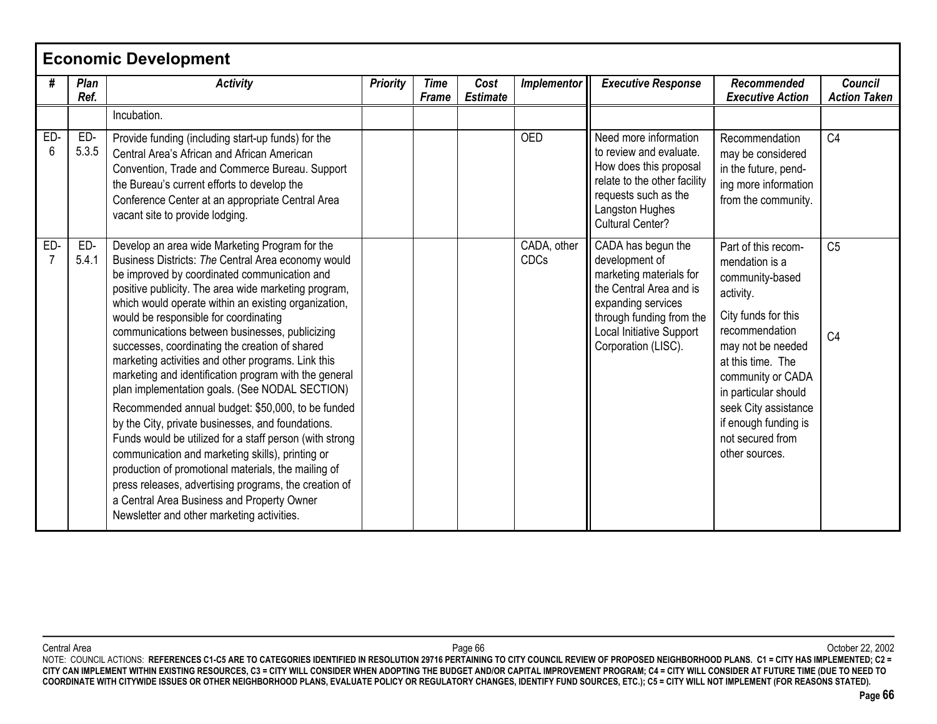|                       | <b>Economic Development</b> |                                                                                                                                                                                                                                                                                                                                                                                                                                                                                                                                                                                                                                                                                                                                                                                                                                                                                                                                                                                                                         |                 |                             |                         |                     |                                                                                                                                                                                                 |                                                                                                                                                                                                                                                                                             |                                       |  |  |
|-----------------------|-----------------------------|-------------------------------------------------------------------------------------------------------------------------------------------------------------------------------------------------------------------------------------------------------------------------------------------------------------------------------------------------------------------------------------------------------------------------------------------------------------------------------------------------------------------------------------------------------------------------------------------------------------------------------------------------------------------------------------------------------------------------------------------------------------------------------------------------------------------------------------------------------------------------------------------------------------------------------------------------------------------------------------------------------------------------|-----------------|-----------------------------|-------------------------|---------------------|-------------------------------------------------------------------------------------------------------------------------------------------------------------------------------------------------|---------------------------------------------------------------------------------------------------------------------------------------------------------------------------------------------------------------------------------------------------------------------------------------------|---------------------------------------|--|--|
| #                     | Plan<br>Ref.                | <b>Activity</b>                                                                                                                                                                                                                                                                                                                                                                                                                                                                                                                                                                                                                                                                                                                                                                                                                                                                                                                                                                                                         | <b>Priority</b> | <b>Time</b><br><b>Frame</b> | Cost<br><b>Estimate</b> | <b>Implementor</b>  | <b>Executive Response</b>                                                                                                                                                                       | Recommended<br><b>Executive Action</b>                                                                                                                                                                                                                                                      | <b>Council</b><br><b>Action Taken</b> |  |  |
|                       |                             | Incubation.                                                                                                                                                                                                                                                                                                                                                                                                                                                                                                                                                                                                                                                                                                                                                                                                                                                                                                                                                                                                             |                 |                             |                         |                     |                                                                                                                                                                                                 |                                                                                                                                                                                                                                                                                             |                                       |  |  |
| ED-<br>6              | ED-<br>5.3.5                | Provide funding (including start-up funds) for the<br>Central Area's African and African American<br>Convention, Trade and Commerce Bureau. Support<br>the Bureau's current efforts to develop the<br>Conference Center at an appropriate Central Area<br>vacant site to provide lodging.                                                                                                                                                                                                                                                                                                                                                                                                                                                                                                                                                                                                                                                                                                                               |                 |                             |                         | <b>OED</b>          | Need more information<br>to review and evaluate.<br>How does this proposal<br>relate to the other facility<br>requests such as the<br>Langston Hughes<br><b>Cultural Center?</b>                | Recommendation<br>may be considered<br>in the future, pend-<br>ing more information<br>from the community.                                                                                                                                                                                  | C <sub>4</sub>                        |  |  |
| ED-<br>$\overline{7}$ | ED-<br>5.4.1                | Develop an area wide Marketing Program for the<br>Business Districts: The Central Area economy would<br>be improved by coordinated communication and<br>positive publicity. The area wide marketing program,<br>which would operate within an existing organization,<br>would be responsible for coordinating<br>communications between businesses, publicizing<br>successes, coordinating the creation of shared<br>marketing activities and other programs. Link this<br>marketing and identification program with the general<br>plan implementation goals. (See NODAL SECTION)<br>Recommended annual budget: \$50,000, to be funded<br>by the City, private businesses, and foundations.<br>Funds would be utilized for a staff person (with strong<br>communication and marketing skills), printing or<br>production of promotional materials, the mailing of<br>press releases, advertising programs, the creation of<br>a Central Area Business and Property Owner<br>Newsletter and other marketing activities. |                 |                             |                         | CADA, other<br>CDCs | CADA has begun the<br>development of<br>marketing materials for<br>the Central Area and is<br>expanding services<br>through funding from the<br>Local Initiative Support<br>Corporation (LISC). | Part of this recom-<br>mendation is a<br>community-based<br>activity.<br>City funds for this<br>recommendation<br>may not be needed<br>at this time. The<br>community or CADA<br>in particular should<br>seek City assistance<br>if enough funding is<br>not secured from<br>other sources. | C <sub>5</sub><br>C <sub>4</sub>      |  |  |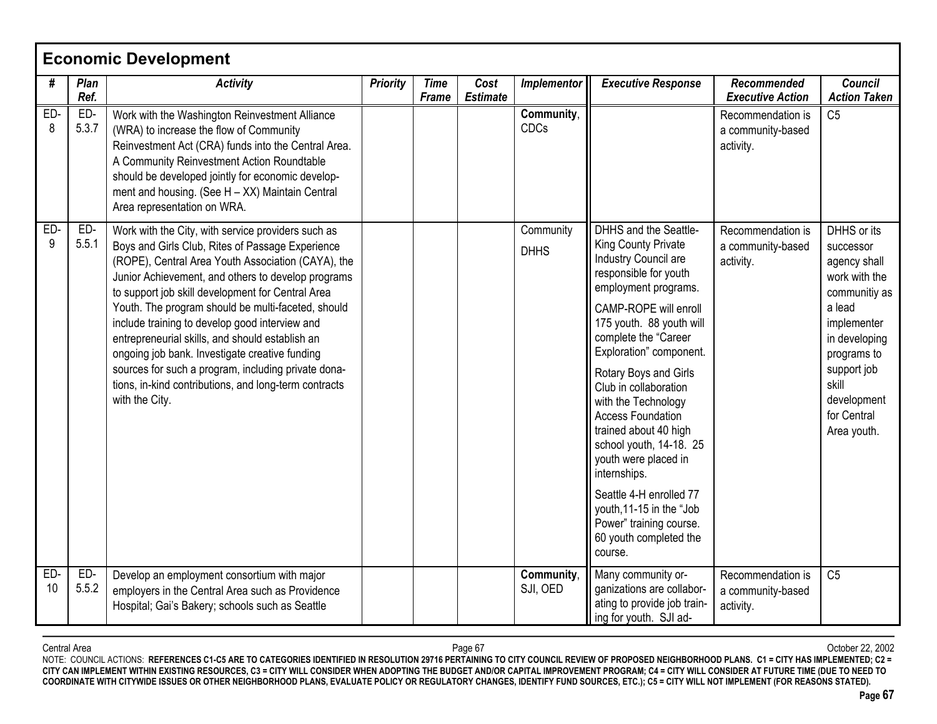|           | <b>Economic Development</b> |                                                                                                                                                                                                                                                                                                                                                                                                                                                                                                                                                                                                                        |                 |                      |                         |                          |                                                                                                                                                                                                                                                                                                                                                                                                                                                                                                                                                              |                                                     |                                                                                                                                                                                                          |  |  |
|-----------|-----------------------------|------------------------------------------------------------------------------------------------------------------------------------------------------------------------------------------------------------------------------------------------------------------------------------------------------------------------------------------------------------------------------------------------------------------------------------------------------------------------------------------------------------------------------------------------------------------------------------------------------------------------|-----------------|----------------------|-------------------------|--------------------------|--------------------------------------------------------------------------------------------------------------------------------------------------------------------------------------------------------------------------------------------------------------------------------------------------------------------------------------------------------------------------------------------------------------------------------------------------------------------------------------------------------------------------------------------------------------|-----------------------------------------------------|----------------------------------------------------------------------------------------------------------------------------------------------------------------------------------------------------------|--|--|
| #         | Plan<br>Ref.                | <b>Activity</b>                                                                                                                                                                                                                                                                                                                                                                                                                                                                                                                                                                                                        | <b>Priority</b> | <b>Time</b><br>Frame | Cost<br><b>Estimate</b> | <b>Implementor</b>       | <b>Executive Response</b>                                                                                                                                                                                                                                                                                                                                                                                                                                                                                                                                    | Recommended<br><b>Executive Action</b>              | <b>Council</b><br><b>Action Taken</b>                                                                                                                                                                    |  |  |
| ED-<br>8  | ED-<br>5.3.7                | Work with the Washington Reinvestment Alliance<br>(WRA) to increase the flow of Community<br>Reinvestment Act (CRA) funds into the Central Area.<br>A Community Reinvestment Action Roundtable<br>should be developed jointly for economic develop-<br>ment and housing. (See H - XX) Maintain Central<br>Area representation on WRA.                                                                                                                                                                                                                                                                                  |                 |                      |                         | Community,<br>CDCs       |                                                                                                                                                                                                                                                                                                                                                                                                                                                                                                                                                              | Recommendation is<br>a community-based<br>activity. | C <sub>5</sub>                                                                                                                                                                                           |  |  |
| ED-<br>9  | ED-<br>5.5.1                | Work with the City, with service providers such as<br>Boys and Girls Club, Rites of Passage Experience<br>(ROPE), Central Area Youth Association (CAYA), the<br>Junior Achievement, and others to develop programs<br>to support job skill development for Central Area<br>Youth. The program should be multi-faceted, should<br>include training to develop good interview and<br>entrepreneurial skills, and should establish an<br>ongoing job bank. Investigate creative funding<br>sources for such a program, including private dona-<br>tions, in-kind contributions, and long-term contracts<br>with the City. |                 |                      |                         | Community<br><b>DHHS</b> | <b>DHHS</b> and the Seattle-<br>King County Private<br>Industry Council are<br>responsible for youth<br>employment programs.<br>CAMP-ROPE will enroll<br>175 youth. 88 youth will<br>complete the "Career<br>Exploration" component.<br>Rotary Boys and Girls<br>Club in collaboration<br>with the Technology<br><b>Access Foundation</b><br>trained about 40 high<br>school youth, 14-18. 25<br>youth were placed in<br>internships.<br>Seattle 4-H enrolled 77<br>youth, 11-15 in the "Job<br>Power" training course.<br>60 youth completed the<br>course. | Recommendation is<br>a community-based<br>activity. | DHHS or its<br>successor<br>agency shall<br>work with the<br>communitiy as<br>a lead<br>implementer<br>in developing<br>programs to<br>support job<br>skill<br>development<br>for Central<br>Area youth. |  |  |
| ED-<br>10 | ED-<br>5.5.2                | Develop an employment consortium with major<br>employers in the Central Area such as Providence<br>Hospital; Gai's Bakery; schools such as Seattle                                                                                                                                                                                                                                                                                                                                                                                                                                                                     |                 |                      |                         | Community,<br>SJI, OED   | Many community or-<br>ganizations are collabor-<br>ating to provide job train-<br>ing for youth. SJI ad-                                                                                                                                                                                                                                                                                                                                                                                                                                                     | Recommendation is<br>a community-based<br>activity. | C <sub>5</sub>                                                                                                                                                                                           |  |  |

Central Area Page 67 October 22, 2002 NOTE: COUNCIL ACTIONS: **REFERENCES C1-C5 ARE TO CATEGORIES IDENTIFIED IN RESOLUTION 29716 PERTAINING TO CITY COUNCIL REVIEW OF PROPOSED NEIGHBORHOOD PLANS. C1 = CITY HAS IMPLEMENTED; C2 = CITY CAN IMPLEMENT WITHIN EXISTING RESOURCES, C3 = CITY WILL CONSIDER WHEN ADOPTING THE BUDGET AND/OR CAPITAL IMPROVEMENT PROGRAM; C4 = CITY WILL CONSIDER AT FUTURE TIME (DUE TO NEED TO COORDINATE WITH CITYWIDE ISSUES OR OTHER NEIGHBORHOOD PLANS, EVALUATE POLICY OR REGULATORY CHANGES, IDENTIFY FUND SOURCES, ETC.); C5 = CITY WILL NOT IMPLEMENT (FOR REASONS STATED).**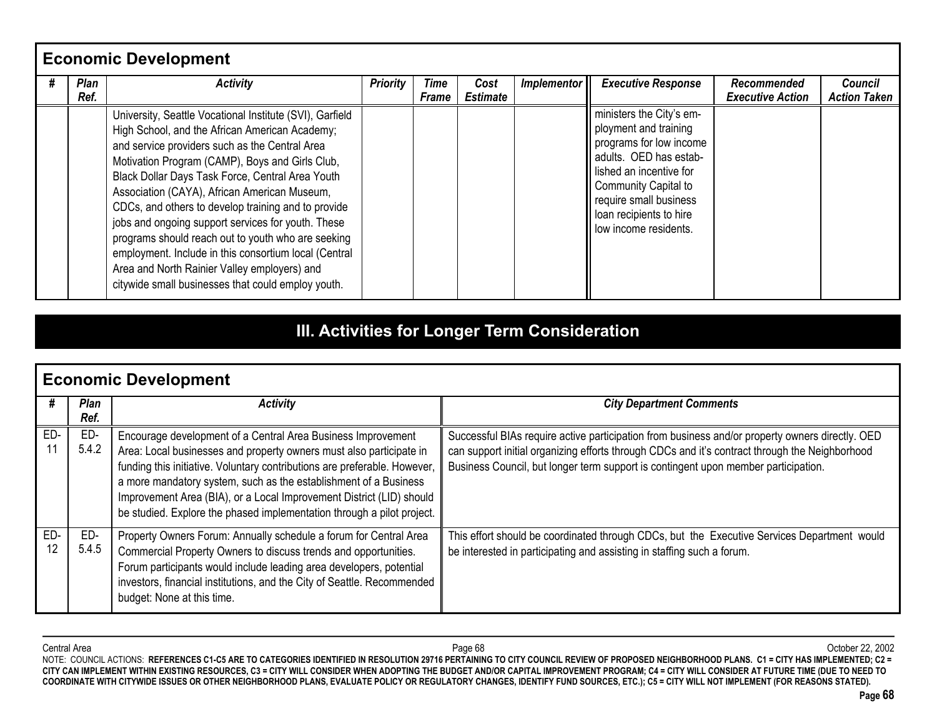| <b>Economic Development</b> |                                                                                                                                                                                                                                                                                                                                                                                                                                                                                                                                                                                                                                                       |                 |                             |                         |             |                                                                                                                                                                                                                                         |                                        |                                       |  |  |
|-----------------------------|-------------------------------------------------------------------------------------------------------------------------------------------------------------------------------------------------------------------------------------------------------------------------------------------------------------------------------------------------------------------------------------------------------------------------------------------------------------------------------------------------------------------------------------------------------------------------------------------------------------------------------------------------------|-----------------|-----------------------------|-------------------------|-------------|-----------------------------------------------------------------------------------------------------------------------------------------------------------------------------------------------------------------------------------------|----------------------------------------|---------------------------------------|--|--|
| Plan<br>Ref.                | <b>Activity</b>                                                                                                                                                                                                                                                                                                                                                                                                                                                                                                                                                                                                                                       | <b>Priority</b> | <b>Time</b><br><b>Frame</b> | Cost<br><b>Estimate</b> | Implementor | <b>Executive Response</b>                                                                                                                                                                                                               | Recommended<br><b>Executive Action</b> | <b>Council</b><br><b>Action Taken</b> |  |  |
|                             | University, Seattle Vocational Institute (SVI), Garfield<br>High School, and the African American Academy;<br>and service providers such as the Central Area<br>Motivation Program (CAMP), Boys and Girls Club,<br>Black Dollar Days Task Force, Central Area Youth<br>Association (CAYA), African American Museum,<br>CDCs, and others to develop training and to provide<br>jobs and ongoing support services for youth. These<br>programs should reach out to youth who are seeking<br>employment. Include in this consortium local (Central<br>Area and North Rainier Valley employers) and<br>citywide small businesses that could employ youth. |                 |                             |                         |             | ministers the City's em-<br>ployment and training<br>programs for low income<br>adults. OED has estab-<br>lished an incentive for<br>Community Capital to<br>require small business<br>loan recipients to hire<br>low income residents. |                                        |                                       |  |  |

# **III. Activities for Longer Term Consideration**

|           | <b>Economic Development</b> |                                                                                                                                                                                                                                                                                                                                                                                                                                        |                                                                                                                                                                                                                                                                                         |  |  |  |  |  |
|-----------|-----------------------------|----------------------------------------------------------------------------------------------------------------------------------------------------------------------------------------------------------------------------------------------------------------------------------------------------------------------------------------------------------------------------------------------------------------------------------------|-----------------------------------------------------------------------------------------------------------------------------------------------------------------------------------------------------------------------------------------------------------------------------------------|--|--|--|--|--|
| #         | Plan<br>Ref.                | <b>Activity</b>                                                                                                                                                                                                                                                                                                                                                                                                                        | <b>City Department Comments</b>                                                                                                                                                                                                                                                         |  |  |  |  |  |
| ED-       | ED-<br>5.4.2                | Encourage development of a Central Area Business Improvement<br>Area: Local businesses and property owners must also participate in<br>funding this initiative. Voluntary contributions are preferable. However,<br>a more mandatory system, such as the establishment of a Business<br>Improvement Area (BIA), or a Local Improvement District (LID) should<br>be studied. Explore the phased implementation through a pilot project. | Successful BIAs require active participation from business and/or property owners directly. OED<br>can support initial organizing efforts through CDCs and it's contract through the Neighborhood<br>Business Council, but longer term support is contingent upon member participation. |  |  |  |  |  |
| ED-<br>12 | ED-<br>5.4.5                | Property Owners Forum: Annually schedule a forum for Central Area<br>Commercial Property Owners to discuss trends and opportunities.<br>Forum participants would include leading area developers, potential<br>investors, financial institutions, and the City of Seattle. Recommended<br>budget: None at this time.                                                                                                                   | This effort should be coordinated through CDCs, but the Executive Services Department would<br>be interested in participating and assisting in staffing such a forum.                                                                                                                   |  |  |  |  |  |

Central Area Page 68 October 22, 2002 NOTE: COUNCIL ACTIONS: **REFERENCES C1-C5 ARE TO CATEGORIES IDENTIFIED IN RESOLUTION 29716 PERTAINING TO CITY COUNCIL REVIEW OF PROPOSED NEIGHBORHOOD PLANS. C1 = CITY HAS IMPLEMENTED; C2 = CITY CAN IMPLEMENT WITHIN EXISTING RESOURCES, C3 = CITY WILL CONSIDER WHEN ADOPTING THE BUDGET AND/OR CAPITAL IMPROVEMENT PROGRAM; C4 = CITY WILL CONSIDER AT FUTURE TIME (DUE TO NEED TO COORDINATE WITH CITYWIDE ISSUES OR OTHER NEIGHBORHOOD PLANS, EVALUATE POLICY OR REGULATORY CHANGES, IDENTIFY FUND SOURCES, ETC.); C5 = CITY WILL NOT IMPLEMENT (FOR REASONS STATED).**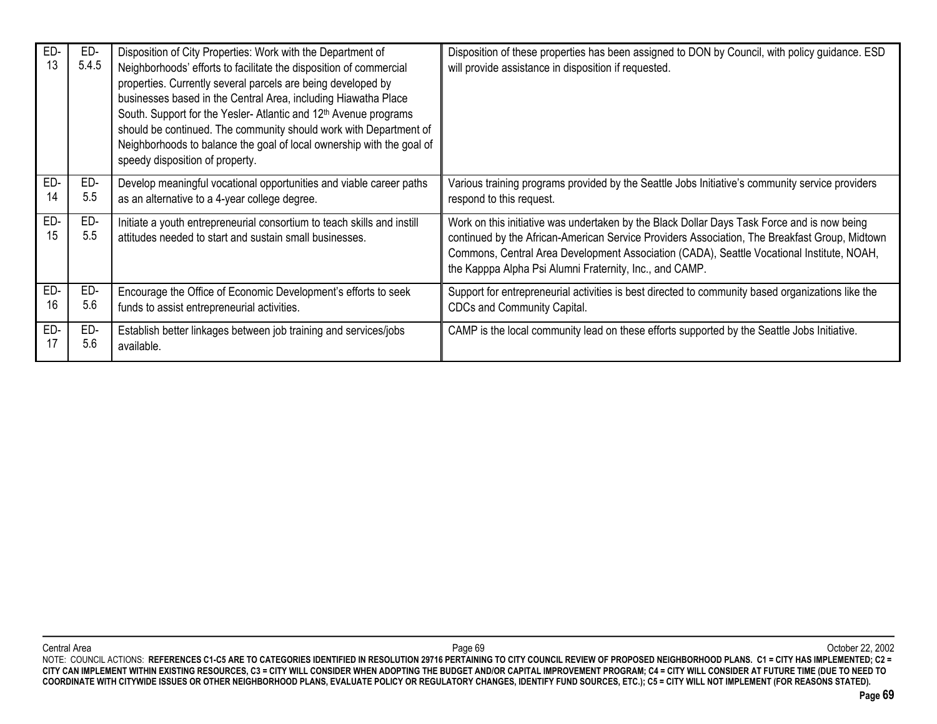| ED-<br>13 | ED-<br>5.4.5 | Disposition of City Properties: Work with the Department of<br>Neighborhoods' efforts to facilitate the disposition of commercial<br>properties. Currently several parcels are being developed by<br>businesses based in the Central Area, including Hiawatha Place<br>South. Support for the Yesler-Atlantic and 12 <sup>th</sup> Avenue programs<br>should be continued. The community should work with Department of<br>Neighborhoods to balance the goal of local ownership with the goal of<br>speedy disposition of property. | Disposition of these properties has been assigned to DON by Council, with policy guidance. ESD<br>will provide assistance in disposition if requested.                                                                                                                                                                                               |
|-----------|--------------|-------------------------------------------------------------------------------------------------------------------------------------------------------------------------------------------------------------------------------------------------------------------------------------------------------------------------------------------------------------------------------------------------------------------------------------------------------------------------------------------------------------------------------------|------------------------------------------------------------------------------------------------------------------------------------------------------------------------------------------------------------------------------------------------------------------------------------------------------------------------------------------------------|
| ED-       | ED-          | Develop meaningful vocational opportunities and viable career paths                                                                                                                                                                                                                                                                                                                                                                                                                                                                 | Various training programs provided by the Seattle Jobs Initiative's community service providers                                                                                                                                                                                                                                                      |
| 14        | 5.5          | as an alternative to a 4-year college degree.                                                                                                                                                                                                                                                                                                                                                                                                                                                                                       | respond to this request.                                                                                                                                                                                                                                                                                                                             |
| ED-<br>15 | ED-<br>5.5   | Initiate a youth entrepreneurial consortium to teach skills and instill<br>attitudes needed to start and sustain small businesses.                                                                                                                                                                                                                                                                                                                                                                                                  | Work on this initiative was undertaken by the Black Dollar Days Task Force and is now being<br>continued by the African-American Service Providers Association, The Breakfast Group, Midtown<br>Commons, Central Area Development Association (CADA), Seattle Vocational Institute, NOAH,<br>the Kapppa Alpha Psi Alumni Fraternity, Inc., and CAMP. |
| ED-       | ED-          | Encourage the Office of Economic Development's efforts to seek                                                                                                                                                                                                                                                                                                                                                                                                                                                                      | Support for entrepreneurial activities is best directed to community based organizations like the                                                                                                                                                                                                                                                    |
| 16        | 5.6          | funds to assist entrepreneurial activities.                                                                                                                                                                                                                                                                                                                                                                                                                                                                                         | CDCs and Community Capital.                                                                                                                                                                                                                                                                                                                          |
| ED-       | ED-          | Establish better linkages between job training and services/jobs                                                                                                                                                                                                                                                                                                                                                                                                                                                                    | CAMP is the local community lead on these efforts supported by the Seattle Jobs Initiative.                                                                                                                                                                                                                                                          |
| 17        | 5.6          | available.                                                                                                                                                                                                                                                                                                                                                                                                                                                                                                                          |                                                                                                                                                                                                                                                                                                                                                      |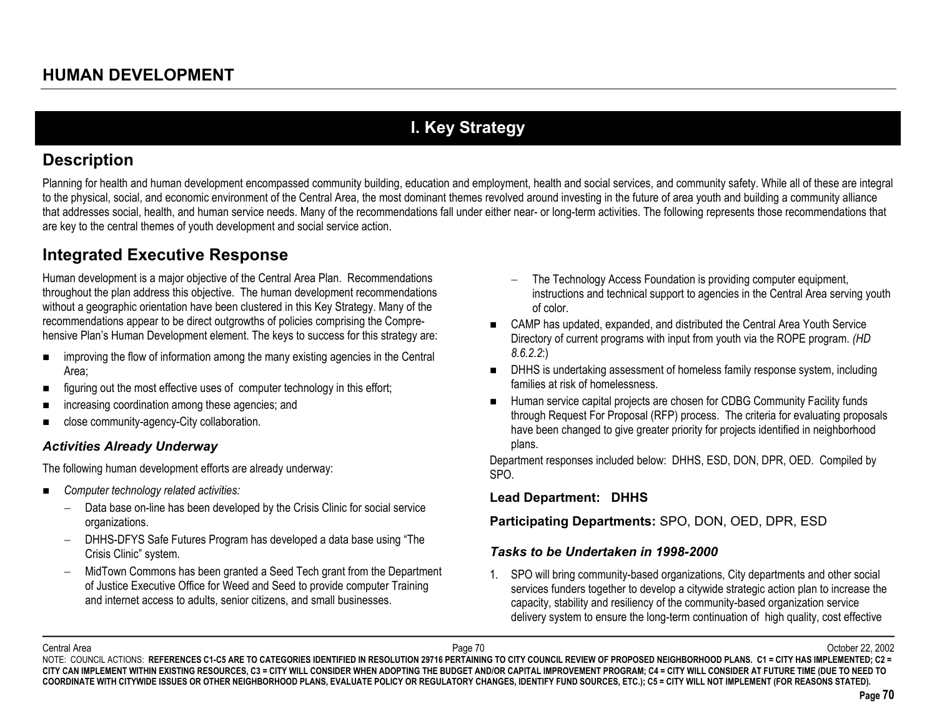# **I. Key Strategy**

## **Description**

Planning for health and human development encompassed community building, education and employment, health and social services, and community safety. While all of these are integral to the physical, social, and economic environment of the Central Area, the most dominant themes revolved around investing in the future of area youth and building a community alliance that addresses social, health, and human service needs. Many of the recommendations fall under either near- or long-term activities. The following represents those recommendations that are key to the central themes of youth development and social service action.

# **Integrated Executive Response**

Human development is a major objective of the Central Area Plan. Recommendations throughout the plan address this objective. The human development recommendations without a geographic orientation have been clustered in this Key Strategy. Many of the recommendations appear to be direct outgrowths of policies comprising the Comprehensive Plan's Human Development element. The keys to success for this strategy are:

- $\blacksquare$  improving the flow of information among the many existing agencies in the Central Area;
- $\blacksquare$ figuring out the most effective uses of computer technology in this effort;
- $\blacksquare$ increasing coordination among these agencies; and
- $\blacksquare$ close community-agency-City collaboration.

### *Activities Already Underway*

The following human development efforts are already underway:

- $\blacksquare$  *Computer technology related activities:*
	- − Data base on-line has been developed by the Crisis Clinic for social service organizations.
	- DHHS-DFYS Safe Futures Program has developed a data base using "The Crisis Clinic" system.
	- MidTown Commons has been granted a Seed Tech grant from the Department of Justice Executive Office for Weed and Seed to provide computer Training and internet access to adults, senior citizens, and small businesses.
- The Technology Access Foundation is providing computer equipment, instructions and technical support to agencies in the Central Area serving youth of color.
- CAMP has updated, expanded, and distributed the Central Area Youth Service Directory of current programs with input from youth via the ROPE program. *(HD 8.6.2.2*:)
- DHHS is undertaking assessment of homeless family response system, including families at risk of homelessness.
- Human service capital projects are chosen for CDBG Community Facility funds through Request For Proposal (RFP) process. The criteria for evaluating proposals have been changed to give greater priority for projects identified in neighborhood plans.

Department responses included below: DHHS, ESD, DON, DPR, OED. Compiled by SPO.

### **Lead Department: DHHS**

**Participating Departments:** SPO, DON, OED, DPR, ESD

### *Tasks to be Undertaken in 1998-2000*

1. SPO will bring community-based organizations, City departments and other social services funders together to develop a citywide strategic action plan to increase the capacity, stability and resiliency of the community-based organization service delivery system to ensure the long-term continuation of high quality, cost effective

Central Area Page 70 October 22, 2002 NOTE: COUNCIL ACTIONS: REFERENCES C1-C5 ARE TO CATEGORIES IDENTIFIED IN RESOLUTION 29716 PERTAINING TO CITY COUNCIL REVIEW OF PROPOSED NEIGHBORHOOD PLANS. C1 = CITY HAS IMPLEMENTED; C2 = **CITY CAN IMPLEMENT WITHIN EXISTING RESOURCES, C3 = CITY WILL CONSIDER WHEN ADOPTING THE BUDGET AND/OR CAPITAL IMPROVEMENT PROGRAM; C4 = CITY WILL CONSIDER AT FUTURE TIME (DUE TO NEED TO COORDINATE WITH CITYWIDE ISSUES OR OTHER NEIGHBORHOOD PLANS, EVALUATE POLICY OR REGULATORY CHANGES, IDENTIFY FUND SOURCES, ETC.); C5 = CITY WILL NOT IMPLEMENT (FOR REASONS STATED).**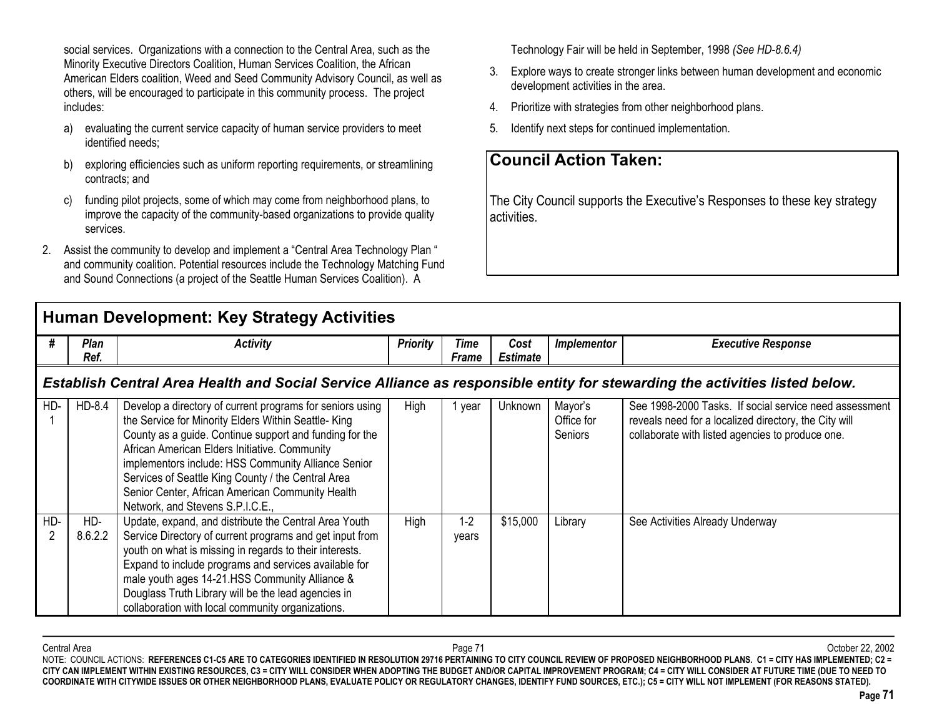social services. Organizations with a connection to the Central Area, such as the Minority Executive Directors Coalition, Human Services Coalition, the African American Elders coalition, Weed and Seed Community Advisory Council, as well as others, will be encouraged to participate in this community process. The project includes:

- a) evaluating the current service capacity of human service providers to meet identified needs;
- b) exploring efficiencies such as uniform reporting requirements, or streamlining contracts; and
- c) funding pilot projects, some of which may come from neighborhood plans, to improve the capacity of the community-based organizations to provide quality services.
- 2. Assist the community to develop and implement a "Central Area Technology Plan " and community coalition. Potential resources include the Technology Matching Fund and Sound Connections (a project of the Seattle Human Services Coalition). A

## **Human Development: Key Strategy Activities**

Technology Fair will be held in September, 1998 *(See HD-8.6.4)*

- 3. Explore ways to create stronger links between human development and economic development activities in the area.
- 4. Prioritize with strategies from other neighborhood plans.
- 5.Identify next steps for continued implementation.

## **Council Action Taken:**

The City Council supports the Executive's Responses to these key strategy activities.

|     | Human Development: Key Strategy Activities                                                                                  |                                                                                                                                                                                                                                                                                                                                                                                                                                   |                 |                  |                         |                                         |                                                                                                                                                                     |  |  |  |  |
|-----|-----------------------------------------------------------------------------------------------------------------------------|-----------------------------------------------------------------------------------------------------------------------------------------------------------------------------------------------------------------------------------------------------------------------------------------------------------------------------------------------------------------------------------------------------------------------------------|-----------------|------------------|-------------------------|-----------------------------------------|---------------------------------------------------------------------------------------------------------------------------------------------------------------------|--|--|--|--|
| #   | Plan<br>Ref.                                                                                                                | <b>Activity</b>                                                                                                                                                                                                                                                                                                                                                                                                                   | <b>Priority</b> | Time<br>Frame    | Cost<br><b>Estimate</b> | <b>Implementor</b>                      | <b>Executive Response</b>                                                                                                                                           |  |  |  |  |
|     | Establish Central Area Health and Social Service Alliance as responsible entity for stewarding the activities listed below. |                                                                                                                                                                                                                                                                                                                                                                                                                                   |                 |                  |                         |                                         |                                                                                                                                                                     |  |  |  |  |
| HD- | HD-8.4                                                                                                                      | Develop a directory of current programs for seniors using<br>the Service for Minority Elders Within Seattle-King<br>County as a guide. Continue support and funding for the<br>African American Elders Initiative. Community<br>implementors include: HSS Community Alliance Senior<br>Services of Seattle King County / the Central Area<br>Senior Center, African American Community Health<br>Network, and Stevens S.P.I.C.E., | High            | 1 year           | Unknown                 | Mayor's<br>Office for<br><b>Seniors</b> | See 1998-2000 Tasks. If social service need assessment<br>reveals need for a localized directory, the City will<br>collaborate with listed agencies to produce one. |  |  |  |  |
| HD- | HD-<br>8.6.2.2                                                                                                              | Update, expand, and distribute the Central Area Youth<br>Service Directory of current programs and get input from<br>youth on what is missing in regards to their interests.<br>Expand to include programs and services available for<br>male youth ages 14-21.HSS Community Alliance &<br>Douglass Truth Library will be the lead agencies in<br>collaboration with local community organizations.                               | High            | $1 - 2$<br>years | \$15,000                | Library                                 | See Activities Already Underway                                                                                                                                     |  |  |  |  |

Central Area Page 71 October 22, 2002 NOTE: COUNCIL ACTIONS: REFERENCES C1-C5 ARE TO CATEGORIES IDENTIFIED IN RESOLUTION 29716 PERTAINING TO CITY COUNCIL REVIEW OF PROPOSED NEIGHBORHOOD PLANS. C1 = CITY HAS IMPLEMENTED; C2 = **CITY CAN IMPLEMENT WITHIN EXISTING RESOURCES, C3 = CITY WILL CONSIDER WHEN ADOPTING THE BUDGET AND/OR CAPITAL IMPROVEMENT PROGRAM; C4 = CITY WILL CONSIDER AT FUTURE TIME (DUE TO NEED TO COORDINATE WITH CITYWIDE ISSUES OR OTHER NEIGHBORHOOD PLANS, EVALUATE POLICY OR REGULATORY CHANGES, IDENTIFY FUND SOURCES, ETC.); C5 = CITY WILL NOT IMPLEMENT (FOR REASONS STATED).**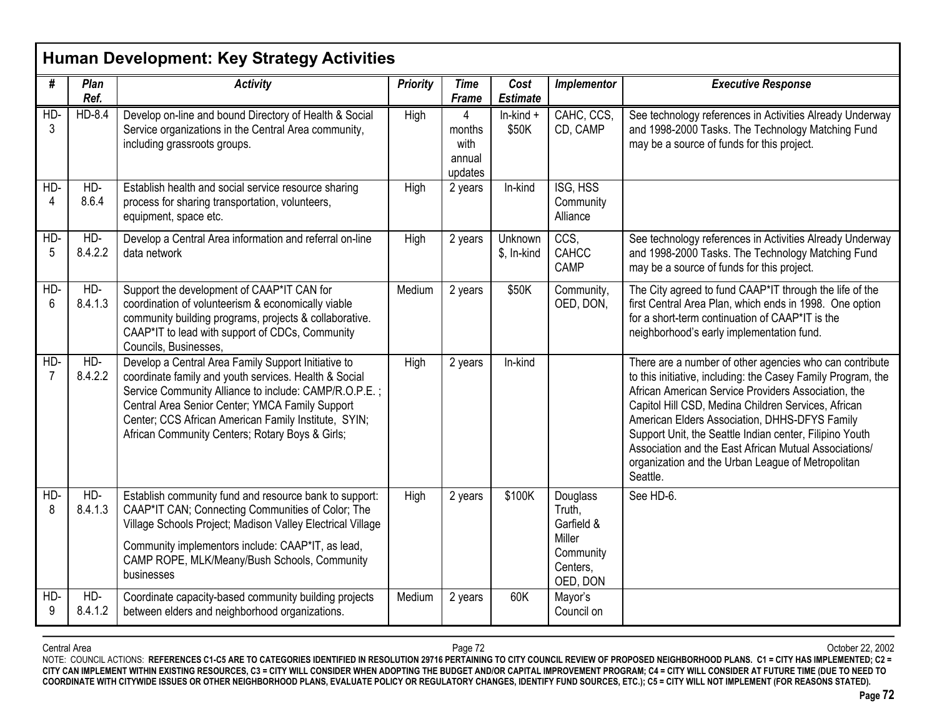|          | <b>Human Development: Key Strategy Activities</b> |                                                                                                                                                                                                                                                                                                                                     |                 |                                          |                         |                                                                                 |                                                                                                                                                                                                                                                                                                                                                                                                                                                                             |  |  |  |  |
|----------|---------------------------------------------------|-------------------------------------------------------------------------------------------------------------------------------------------------------------------------------------------------------------------------------------------------------------------------------------------------------------------------------------|-----------------|------------------------------------------|-------------------------|---------------------------------------------------------------------------------|-----------------------------------------------------------------------------------------------------------------------------------------------------------------------------------------------------------------------------------------------------------------------------------------------------------------------------------------------------------------------------------------------------------------------------------------------------------------------------|--|--|--|--|
| #        | Plan<br>Ref.                                      | <b>Activity</b>                                                                                                                                                                                                                                                                                                                     | <b>Priority</b> | <b>Time</b><br><b>Frame</b>              | Cost<br><b>Estimate</b> | Implementor                                                                     | <b>Executive Response</b>                                                                                                                                                                                                                                                                                                                                                                                                                                                   |  |  |  |  |
| HD-<br>3 | HD-8.4                                            | Develop on-line and bound Directory of Health & Social<br>Service organizations in the Central Area community,<br>including grassroots groups.                                                                                                                                                                                      | High            | 4<br>months<br>with<br>annual<br>updates | $In$ -kind $+$<br>\$50K | CAHC, CCS,<br>CD, CAMP                                                          | See technology references in Activities Already Underway<br>and 1998-2000 Tasks. The Technology Matching Fund<br>may be a source of funds for this project.                                                                                                                                                                                                                                                                                                                 |  |  |  |  |
| HD-<br>4 | HD-<br>8.6.4                                      | Establish health and social service resource sharing<br>process for sharing transportation, volunteers,<br>equipment, space etc.                                                                                                                                                                                                    | High            | 2 years                                  | In-kind                 | ISG, HSS<br>Community<br>Alliance                                               |                                                                                                                                                                                                                                                                                                                                                                                                                                                                             |  |  |  |  |
| HD-<br>5 | HD-<br>8.4.2.2                                    | Develop a Central Area information and referral on-line<br>data network                                                                                                                                                                                                                                                             | High            | 2 years                                  | Unknown<br>\$, In-kind  | CCS,<br>CAHCC<br>CAMP                                                           | See technology references in Activities Already Underway<br>and 1998-2000 Tasks. The Technology Matching Fund<br>may be a source of funds for this project.                                                                                                                                                                                                                                                                                                                 |  |  |  |  |
| HD-<br>6 | HD-<br>8.4.1.3                                    | Support the development of CAAP*IT CAN for<br>coordination of volunteerism & economically viable<br>community building programs, projects & collaborative.<br>CAAP*IT to lead with support of CDCs, Community<br>Councils, Businesses,                                                                                              | Medium          | 2 years                                  | \$50K                   | Community,<br>OED, DON,                                                         | The City agreed to fund CAAP*IT through the life of the<br>first Central Area Plan, which ends in 1998. One option<br>for a short-term continuation of CAAP*IT is the<br>neighborhood's early implementation fund.                                                                                                                                                                                                                                                          |  |  |  |  |
| $HD-$    | HD-<br>8.4.2.2                                    | Develop a Central Area Family Support Initiative to<br>coordinate family and youth services. Health & Social<br>Service Community Alliance to include: CAMP/R.O.P.E.;<br>Central Area Senior Center; YMCA Family Support<br>Center; CCS African American Family Institute, SYIN;<br>African Community Centers; Rotary Boys & Girls; | High            | 2 years                                  | In-kind                 |                                                                                 | There are a number of other agencies who can contribute<br>to this initiative, including: the Casey Family Program, the<br>African American Service Providers Association, the<br>Capitol Hill CSD, Medina Children Services, African<br>American Elders Association, DHHS-DFYS Family<br>Support Unit, the Seattle Indian center, Filipino Youth<br>Association and the East African Mutual Associations/<br>organization and the Urban League of Metropolitan<br>Seattle. |  |  |  |  |
| HD-<br>8 | HD-<br>8.4.1.3                                    | Establish community fund and resource bank to support:<br>CAAP*IT CAN; Connecting Communities of Color; The<br>Village Schools Project; Madison Valley Electrical Village<br>Community implementors include: CAAP*IT, as lead,<br>CAMP ROPE, MLK/Meany/Bush Schools, Community<br>businesses                                        | High            | 2 years                                  | \$100K                  | Douglass<br>Truth,<br>Garfield &<br>Miller<br>Community<br>Centers.<br>OED, DON | See HD-6.                                                                                                                                                                                                                                                                                                                                                                                                                                                                   |  |  |  |  |
| HD-<br>9 | HD-<br>8.4.1.2                                    | Coordinate capacity-based community building projects<br>between elders and neighborhood organizations.                                                                                                                                                                                                                             | Medium          | 2 years                                  | 60K                     | Mayor's<br>Council on                                                           |                                                                                                                                                                                                                                                                                                                                                                                                                                                                             |  |  |  |  |

Central Area Page 72 October 22, 2002 NOTE: COUNCIL ACTIONS: **REFERENCES C1-C5 ARE TO CATEGORIES IDENTIFIED IN RESOLUTION 29716 PERTAINING TO CITY COUNCIL REVIEW OF PROPOSED NEIGHBORHOOD PLANS. C1 = CITY HAS IMPLEMENTED; C2 = CITY CAN IMPLEMENT WITHIN EXISTING RESOURCES, C3 = CITY WILL CONSIDER WHEN ADOPTING THE BUDGET AND/OR CAPITAL IMPROVEMENT PROGRAM; C4 = CITY WILL CONSIDER AT FUTURE TIME (DUE TO NEED TO COORDINATE WITH CITYWIDE ISSUES OR OTHER NEIGHBORHOOD PLANS, EVALUATE POLICY OR REGULATORY CHANGES, IDENTIFY FUND SOURCES, ETC.); C5 = CITY WILL NOT IMPLEMENT (FOR REASONS STATED).**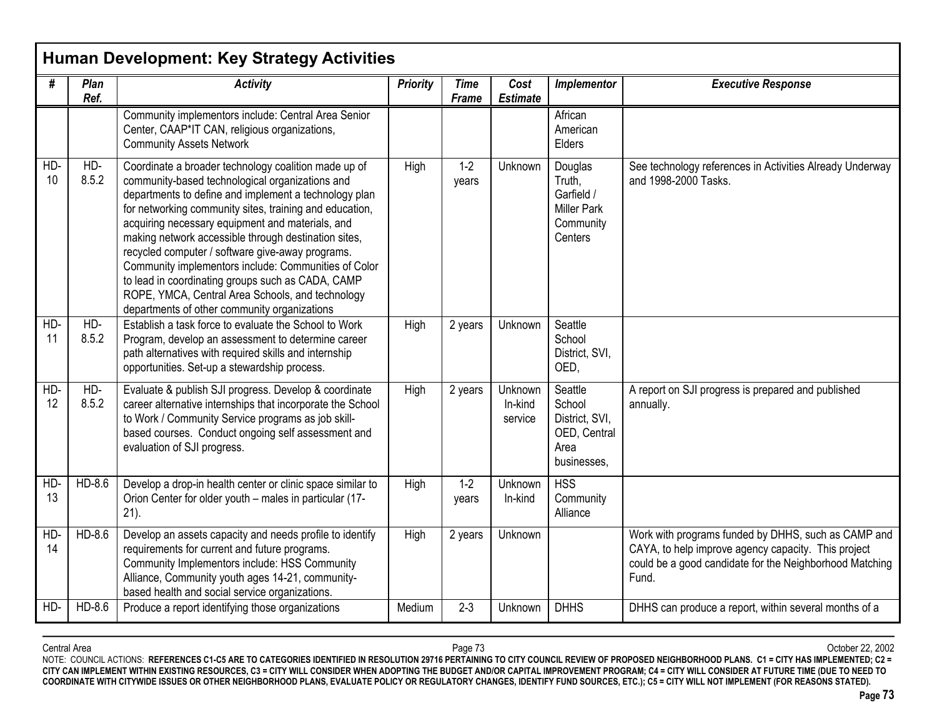|           |              | Human Development: Key Strategy Activities                                                                                                                                                                                                                                                                                                                                                                                                                                                                                                                                                                   |                 |                             |                               |                                                                               |                                                                                                                                                                                |
|-----------|--------------|--------------------------------------------------------------------------------------------------------------------------------------------------------------------------------------------------------------------------------------------------------------------------------------------------------------------------------------------------------------------------------------------------------------------------------------------------------------------------------------------------------------------------------------------------------------------------------------------------------------|-----------------|-----------------------------|-------------------------------|-------------------------------------------------------------------------------|--------------------------------------------------------------------------------------------------------------------------------------------------------------------------------|
| #         | Plan<br>Ref. | <b>Activity</b>                                                                                                                                                                                                                                                                                                                                                                                                                                                                                                                                                                                              | <b>Priority</b> | <b>Time</b><br><b>Frame</b> | Cost<br><b>Estimate</b>       | Implementor                                                                   | <b>Executive Response</b>                                                                                                                                                      |
|           |              | Community implementors include: Central Area Senior<br>Center, CAAP*IT CAN, religious organizations,<br><b>Community Assets Network</b>                                                                                                                                                                                                                                                                                                                                                                                                                                                                      |                 |                             |                               | African<br>American<br>Elders                                                 |                                                                                                                                                                                |
| HD-<br>10 | HD-<br>8.5.2 | Coordinate a broader technology coalition made up of<br>community-based technological organizations and<br>departments to define and implement a technology plan<br>for networking community sites, training and education,<br>acquiring necessary equipment and materials, and<br>making network accessible through destination sites,<br>recycled computer / software give-away programs.<br>Community implementors include: Communities of Color<br>to lead in coordinating groups such as CADA, CAMP<br>ROPE, YMCA, Central Area Schools, and technology<br>departments of other community organizations | High            | $1-2$<br>years              | Unknown                       | Douglas<br>Truth,<br>Garfield /<br><b>Miller Park</b><br>Community<br>Centers | See technology references in Activities Already Underway<br>and 1998-2000 Tasks.                                                                                               |
| HD-<br>11 | HD-<br>8.5.2 | Establish a task force to evaluate the School to Work<br>Program, develop an assessment to determine career<br>path alternatives with required skills and internship<br>opportunities. Set-up a stewardship process.                                                                                                                                                                                                                                                                                                                                                                                         | High            | 2 years                     | Unknown                       | Seattle<br>School<br>District, SVI,<br>OED,                                   |                                                                                                                                                                                |
| HD-<br>12 | HD-<br>8.5.2 | Evaluate & publish SJI progress. Develop & coordinate<br>career alternative internships that incorporate the School<br>to Work / Community Service programs as job skill-<br>based courses. Conduct ongoing self assessment and<br>evaluation of SJI progress.                                                                                                                                                                                                                                                                                                                                               | High            | 2 years                     | Unknown<br>In-kind<br>service | Seattle<br>School<br>District, SVI,<br>OED, Central<br>Area<br>businesses,    | A report on SJI progress is prepared and published<br>annually.                                                                                                                |
| HD-<br>13 | HD-8.6       | Develop a drop-in health center or clinic space similar to<br>Orion Center for older youth - males in particular (17-<br>$21$ ).                                                                                                                                                                                                                                                                                                                                                                                                                                                                             | High            | $1-2$<br>years              | <b>Unknown</b><br>In-kind     | <b>HSS</b><br>Community<br>Alliance                                           |                                                                                                                                                                                |
| HD-<br>14 | HD-8.6       | Develop an assets capacity and needs profile to identify<br>requirements for current and future programs.<br>Community Implementors include: HSS Community<br>Alliance, Community youth ages 14-21, community-<br>based health and social service organizations.                                                                                                                                                                                                                                                                                                                                             | High            | 2 years                     | Unknown                       |                                                                               | Work with programs funded by DHHS, such as CAMP and<br>CAYA, to help improve agency capacity. This project<br>could be a good candidate for the Neighborhood Matching<br>Fund. |
| HD-       | HD-8.6       | Produce a report identifying those organizations                                                                                                                                                                                                                                                                                                                                                                                                                                                                                                                                                             | Medium          | $2 - 3$                     | Unknown                       | <b>DHHS</b>                                                                   | DHHS can produce a report, within several months of a                                                                                                                          |

Central Area Page 73 October 22, 2002 NOTE: COUNCIL ACTIONS: **REFERENCES C1-C5 ARE TO CATEGORIES IDENTIFIED IN RESOLUTION 29716 PERTAINING TO CITY COUNCIL REVIEW OF PROPOSED NEIGHBORHOOD PLANS. C1 = CITY HAS IMPLEMENTED; C2 = CITY CAN IMPLEMENT WITHIN EXISTING RESOURCES, C3 = CITY WILL CONSIDER WHEN ADOPTING THE BUDGET AND/OR CAPITAL IMPROVEMENT PROGRAM; C4 = CITY WILL CONSIDER AT FUTURE TIME (DUE TO NEED TO COORDINATE WITH CITYWIDE ISSUES OR OTHER NEIGHBORHOOD PLANS, EVALUATE POLICY OR REGULATORY CHANGES, IDENTIFY FUND SOURCES, ETC.); C5 = CITY WILL NOT IMPLEMENT (FOR REASONS STATED).**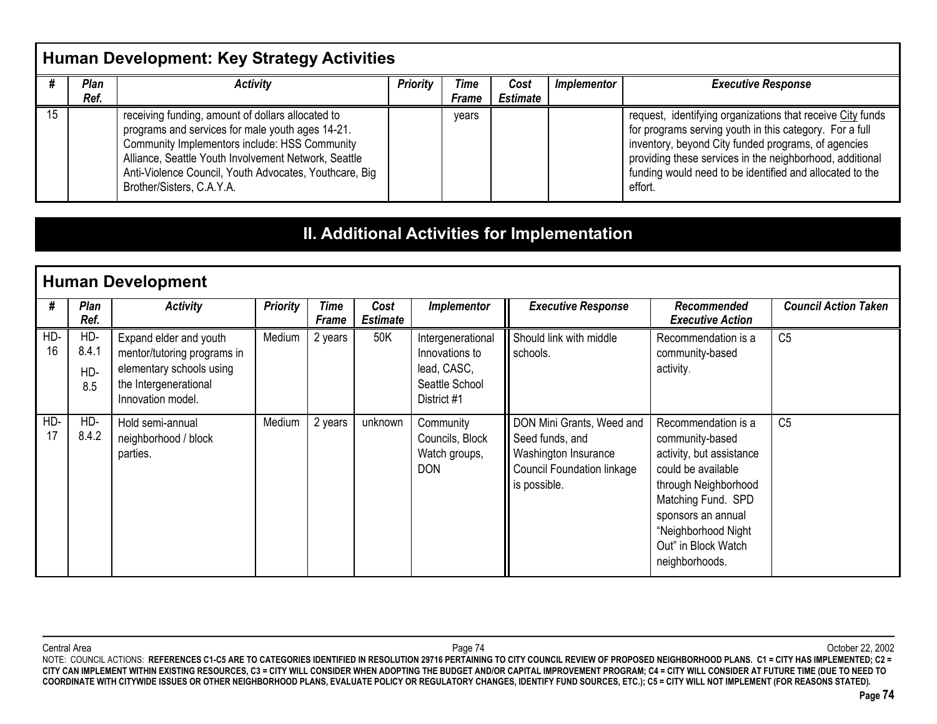### **Human Development: Key Strategy Activities**

| Plan<br>Ref. | <b>Activity</b>                                                                                                                                                                                                                                                                                       | <b>Priority</b> | Time<br>Frame | Cost<br><b>Estimate</b> | Implementor | <b>Executive Response</b>                                                                                                                                                                                                                                                                                       |
|--------------|-------------------------------------------------------------------------------------------------------------------------------------------------------------------------------------------------------------------------------------------------------------------------------------------------------|-----------------|---------------|-------------------------|-------------|-----------------------------------------------------------------------------------------------------------------------------------------------------------------------------------------------------------------------------------------------------------------------------------------------------------------|
|              | receiving funding, amount of dollars allocated to<br>programs and services for male youth ages 14-21.<br>Community Implementors include: HSS Community<br>Alliance, Seattle Youth Involvement Network, Seattle<br>Anti-Violence Council, Youth Advocates, Youthcare, Big<br>Brother/Sisters, C.A.Y.A. |                 | vears         |                         |             | request, identifying organizations that receive City funds<br>for programs serving youth in this category. For a full<br>inventory, beyond City funded programs, of agencies<br>providing these services in the neighborhood, additional<br>funding would need to be identified and allocated to the<br>effort. |

### **II. Additional Activities for Implementation**

|           | <b>Human Development</b>   |                                                                                                                                 |                 |                      |                         |                                                                                     |                                                                                                                    |                                                                                                                                                                                                                              |                             |  |  |
|-----------|----------------------------|---------------------------------------------------------------------------------------------------------------------------------|-----------------|----------------------|-------------------------|-------------------------------------------------------------------------------------|--------------------------------------------------------------------------------------------------------------------|------------------------------------------------------------------------------------------------------------------------------------------------------------------------------------------------------------------------------|-----------------------------|--|--|
| #         | <b>Plan</b><br>Ref.        | <b>Activity</b>                                                                                                                 | <b>Priority</b> | Time<br><b>Frame</b> | Cost<br><b>Estimate</b> | Implementor                                                                         | <b>Executive Response</b>                                                                                          | Recommended<br><b>Executive Action</b>                                                                                                                                                                                       | <b>Council Action Taken</b> |  |  |
| HD-<br>16 | HD-<br>8.4.1<br>HD-<br>8.5 | Expand elder and youth<br>mentor/tutoring programs in<br>elementary schools using<br>the Intergenerational<br>Innovation model. | Medium          | 2 years              | 50K                     | Intergenerational<br>Innovations to<br>lead, CASC,<br>Seattle School<br>District #1 | Should link with middle<br>schools.                                                                                | Recommendation is a<br>community-based<br>activity.                                                                                                                                                                          | C <sub>5</sub>              |  |  |
| HD-<br>17 | HD-<br>8.4.2               | Hold semi-annual<br>neighborhood / block<br>parties.                                                                            | Medium          | 2 years              | unknown                 | Community<br>Councils, Block<br>Watch groups,<br><b>DON</b>                         | DON Mini Grants, Weed and<br>Seed funds, and<br>Washington Insurance<br>Council Foundation linkage<br>is possible. | Recommendation is a<br>community-based<br>activity, but assistance<br>could be available<br>through Neighborhood<br>Matching Fund. SPD<br>sponsors an annual<br>"Neighborhood Night<br>Out" in Block Watch<br>neighborhoods. | C <sub>5</sub>              |  |  |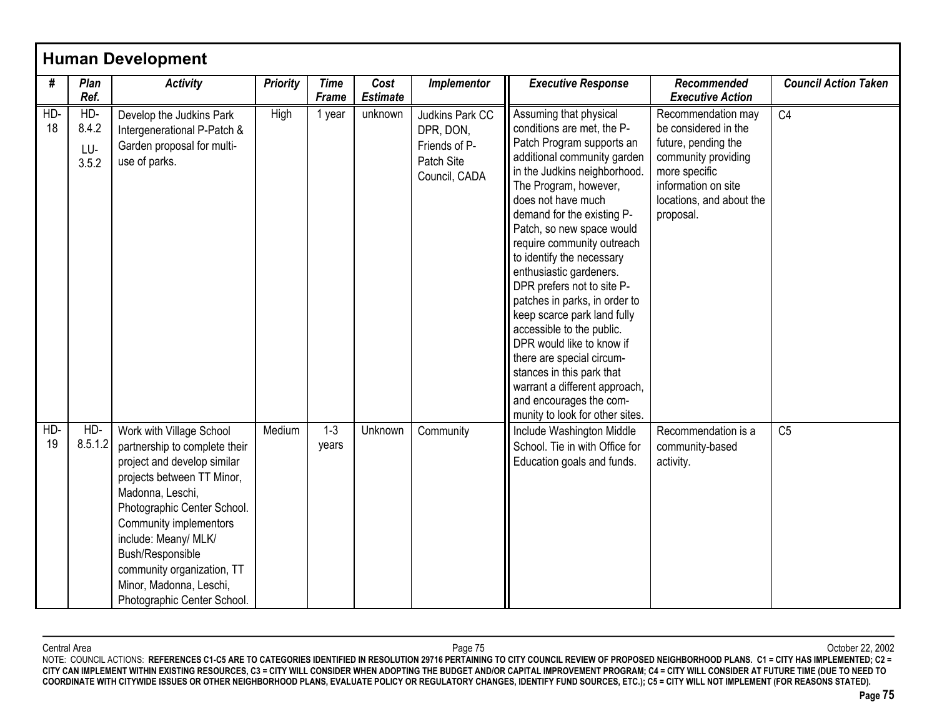| #         | Plan<br>Ref.                 | <b>Activity</b>                                                                                                                                                                                                                                                                                                                         | <b>Priority</b> | <b>Time</b><br><b>Frame</b> | Cost<br><b>Estimate</b> | Implementor                                                                  | <b>Executive Response</b>                                                                                                                                                                                                                                                                                                                                                                                                                                                                                                                                                                                                                                         | Recommended<br><b>Executive Action</b>                                                                                                                                    | <b>Council Action Taken</b> |
|-----------|------------------------------|-----------------------------------------------------------------------------------------------------------------------------------------------------------------------------------------------------------------------------------------------------------------------------------------------------------------------------------------|-----------------|-----------------------------|-------------------------|------------------------------------------------------------------------------|-------------------------------------------------------------------------------------------------------------------------------------------------------------------------------------------------------------------------------------------------------------------------------------------------------------------------------------------------------------------------------------------------------------------------------------------------------------------------------------------------------------------------------------------------------------------------------------------------------------------------------------------------------------------|---------------------------------------------------------------------------------------------------------------------------------------------------------------------------|-----------------------------|
| HD-<br>18 | HD-<br>8.4.2<br>LU-<br>3.5.2 | Develop the Judkins Park<br>Intergenerational P-Patch &<br>Garden proposal for multi-<br>use of parks.                                                                                                                                                                                                                                  | High            | 1 year                      | unknown                 | Judkins Park CC<br>DPR, DON,<br>Friends of P-<br>Patch Site<br>Council, CADA | Assuming that physical<br>conditions are met, the P-<br>Patch Program supports an<br>additional community garden<br>in the Judkins neighborhood.<br>The Program, however,<br>does not have much<br>demand for the existing P-<br>Patch, so new space would<br>require community outreach<br>to identify the necessary<br>enthusiastic gardeners.<br>DPR prefers not to site P-<br>patches in parks, in order to<br>keep scarce park land fully<br>accessible to the public.<br>DPR would like to know if<br>there are special circum-<br>stances in this park that<br>warrant a different approach,<br>and encourages the com-<br>munity to look for other sites. | Recommendation may<br>be considered in the<br>future, pending the<br>community providing<br>more specific<br>information on site<br>locations, and about the<br>proposal. | C <sub>4</sub>              |
| HD-<br>19 | HD-<br>8.5.1.2               | Work with Village School<br>partnership to complete their<br>project and develop similar<br>projects between TT Minor,<br>Madonna, Leschi,<br>Photographic Center School.<br>Community implementors<br>include: Meany/ MLK/<br>Bush/Responsible<br>community organization, TT<br>Minor, Madonna, Leschi,<br>Photographic Center School. | Medium          | $1 - 3$<br>years            | Unknown                 | Community                                                                    | Include Washington Middle<br>School. Tie in with Office for<br>Education goals and funds.                                                                                                                                                                                                                                                                                                                                                                                                                                                                                                                                                                         | Recommendation is a<br>community-based<br>activity.                                                                                                                       | C <sub>5</sub>              |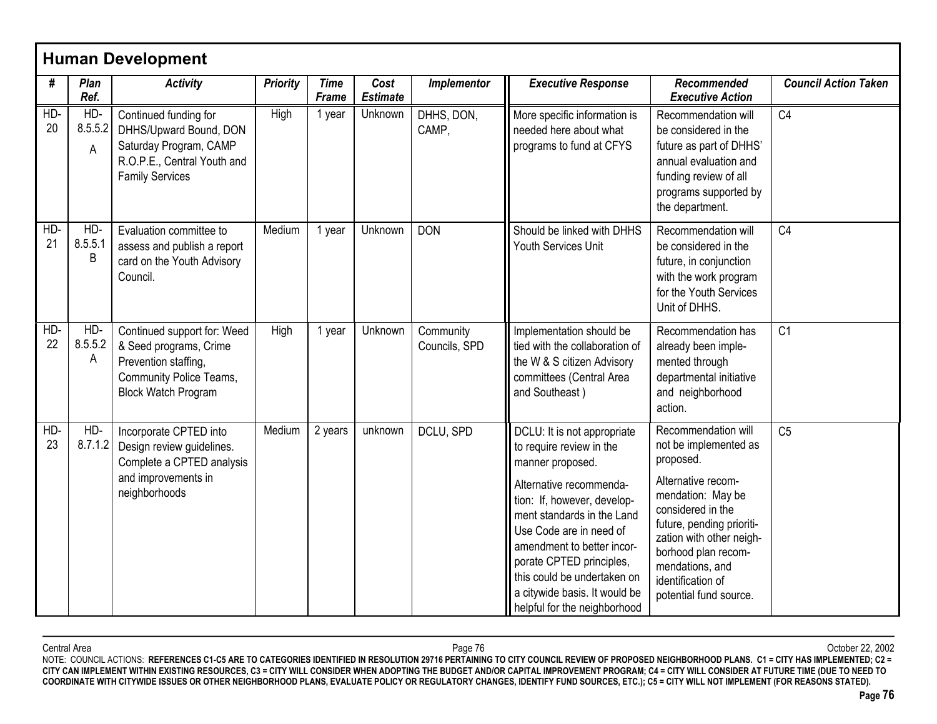| #         | Plan<br>Ref.        | <b>Activity</b>                                                                                                                        | <b>Priority</b> | <b>Time</b><br><b>Frame</b> | Cost<br><b>Estimate</b> | Implementor                | <b>Executive Response</b>                                                                                                                                                                                                                                                                                                                                | Recommended<br><b>Executive Action</b>                                                                                                                                                                                                                                      | <b>Council Action Taken</b> |
|-----------|---------------------|----------------------------------------------------------------------------------------------------------------------------------------|-----------------|-----------------------------|-------------------------|----------------------------|----------------------------------------------------------------------------------------------------------------------------------------------------------------------------------------------------------------------------------------------------------------------------------------------------------------------------------------------------------|-----------------------------------------------------------------------------------------------------------------------------------------------------------------------------------------------------------------------------------------------------------------------------|-----------------------------|
| HD-<br>20 | HD-<br>8.5.5.2<br>A | Continued funding for<br>DHHS/Upward Bound, DON<br>Saturday Program, CAMP<br>R.O.P.E., Central Youth and<br><b>Family Services</b>     | High            | 1 year                      | Unknown                 | DHHS, DON,<br>CAMP,        | More specific information is<br>needed here about what<br>programs to fund at CFYS                                                                                                                                                                                                                                                                       | Recommendation will<br>be considered in the<br>future as part of DHHS'<br>annual evaluation and<br>funding review of all<br>programs supported by<br>the department.                                                                                                        | C <sub>4</sub>              |
| HD-<br>21 | HD-<br>8.5.5.1<br>Β | Evaluation committee to<br>assess and publish a report<br>card on the Youth Advisory<br>Council.                                       | Medium          | 1 year                      | Unknown                 | <b>DON</b>                 | Should be linked with DHHS<br>Youth Services Unit                                                                                                                                                                                                                                                                                                        | Recommendation will<br>be considered in the<br>future, in conjunction<br>with the work program<br>for the Youth Services<br>Unit of DHHS.                                                                                                                                   | C <sub>4</sub>              |
| HD-<br>22 | HD-<br>8.5.5.2<br>A | Continued support for: Weed<br>& Seed programs, Crime<br>Prevention staffing,<br>Community Police Teams,<br><b>Block Watch Program</b> | High            | 1 year                      | Unknown                 | Community<br>Councils, SPD | Implementation should be<br>tied with the collaboration of<br>the W & S citizen Advisory<br>committees (Central Area<br>and Southeast)                                                                                                                                                                                                                   | Recommendation has<br>already been imple-<br>mented through<br>departmental initiative<br>and neighborhood<br>action.                                                                                                                                                       | C <sub>1</sub>              |
| HD-<br>23 | HD-<br>8.7.1.2      | Incorporate CPTED into<br>Design review guidelines.<br>Complete a CPTED analysis<br>and improvements in<br>neighborhoods               | Medium          | 2 years                     | unknown                 | DCLU, SPD                  | DCLU: It is not appropriate<br>to require review in the<br>manner proposed.<br>Alternative recommenda-<br>tion: If, however, develop-<br>ment standards in the Land<br>Use Code are in need of<br>amendment to better incor-<br>porate CPTED principles,<br>this could be undertaken on<br>a citywide basis. It would be<br>helpful for the neighborhood | Recommendation will<br>not be implemented as<br>proposed.<br>Alternative recom-<br>mendation: May be<br>considered in the<br>future, pending prioriti-<br>zation with other neigh-<br>borhood plan recom-<br>mendations, and<br>identification of<br>potential fund source. | C <sub>5</sub>              |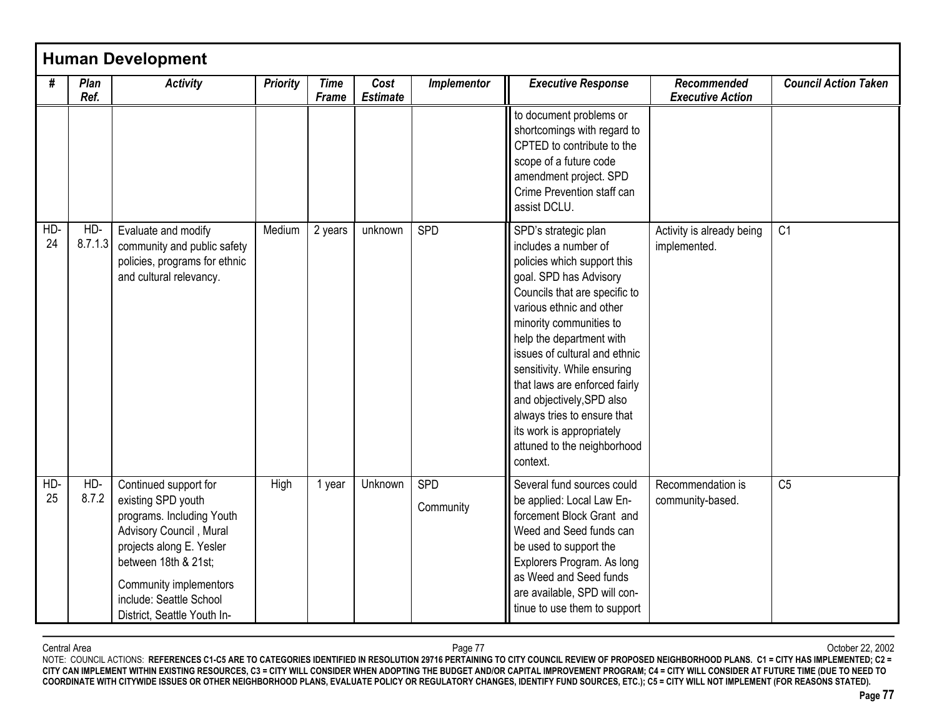|             |                | <b>Human Development</b>                                                                                                                                                                                                                    |                 |                             |                         |                         |                                                                                                                                                                                                                                                                                                                                                                                                                                                                |                                           |                             |
|-------------|----------------|---------------------------------------------------------------------------------------------------------------------------------------------------------------------------------------------------------------------------------------------|-----------------|-----------------------------|-------------------------|-------------------------|----------------------------------------------------------------------------------------------------------------------------------------------------------------------------------------------------------------------------------------------------------------------------------------------------------------------------------------------------------------------------------------------------------------------------------------------------------------|-------------------------------------------|-----------------------------|
| #           | Plan<br>Ref.   | <b>Activity</b>                                                                                                                                                                                                                             | <b>Priority</b> | <b>Time</b><br><b>Frame</b> | Cost<br><b>Estimate</b> | Implementor             | <b>Executive Response</b>                                                                                                                                                                                                                                                                                                                                                                                                                                      | Recommended<br><b>Executive Action</b>    | <b>Council Action Taken</b> |
|             |                |                                                                                                                                                                                                                                             |                 |                             |                         |                         | to document problems or<br>shortcomings with regard to<br>CPTED to contribute to the<br>scope of a future code<br>amendment project. SPD<br>Crime Prevention staff can<br>assist DCLU.                                                                                                                                                                                                                                                                         |                                           |                             |
| HD-<br>24   | HD-<br>8.7.1.3 | Evaluate and modify<br>community and public safety<br>policies, programs for ethnic<br>and cultural relevancy.                                                                                                                              | Medium          | 2 years                     | unknown                 | SPD                     | SPD's strategic plan<br>includes a number of<br>policies which support this<br>goal. SPD has Advisory<br>Councils that are specific to<br>various ethnic and other<br>minority communities to<br>help the department with<br>issues of cultural and ethnic<br>sensitivity. While ensuring<br>that laws are enforced fairly<br>and objectively, SPD also<br>always tries to ensure that<br>its work is appropriately<br>attuned to the neighborhood<br>context. | Activity is already being<br>implemented. | C1                          |
| $HD-$<br>25 | $HD-$<br>8.7.2 | Continued support for<br>existing SPD youth<br>programs. Including Youth<br>Advisory Council, Mural<br>projects along E. Yesler<br>between 18th & 21st;<br>Community implementors<br>include: Seattle School<br>District, Seattle Youth In- | High            | 1 year                      | Unknown                 | <b>SPD</b><br>Community | Several fund sources could<br>be applied: Local Law En-<br>forcement Block Grant and<br>Weed and Seed funds can<br>be used to support the<br>Explorers Program. As long<br>as Weed and Seed funds<br>are available, SPD will con-<br>tinue to use them to support                                                                                                                                                                                              | Recommendation is<br>community-based.     | C <sub>5</sub>              |

Central Area Page 77 October 22, 2002 NOTE: COUNCIL ACTIONS: **REFERENCES C1-C5 ARE TO CATEGORIES IDENTIFIED IN RESOLUTION 29716 PERTAINING TO CITY COUNCIL REVIEW OF PROPOSED NEIGHBORHOOD PLANS. C1 = CITY HAS IMPLEMENTED; C2 = CITY CAN IMPLEMENT WITHIN EXISTING RESOURCES, C3 = CITY WILL CONSIDER WHEN ADOPTING THE BUDGET AND/OR CAPITAL IMPROVEMENT PROGRAM; C4 = CITY WILL CONSIDER AT FUTURE TIME (DUE TO NEED TO COORDINATE WITH CITYWIDE ISSUES OR OTHER NEIGHBORHOOD PLANS, EVALUATE POLICY OR REGULATORY CHANGES, IDENTIFY FUND SOURCES, ETC.); C5 = CITY WILL NOT IMPLEMENT (FOR REASONS STATED).**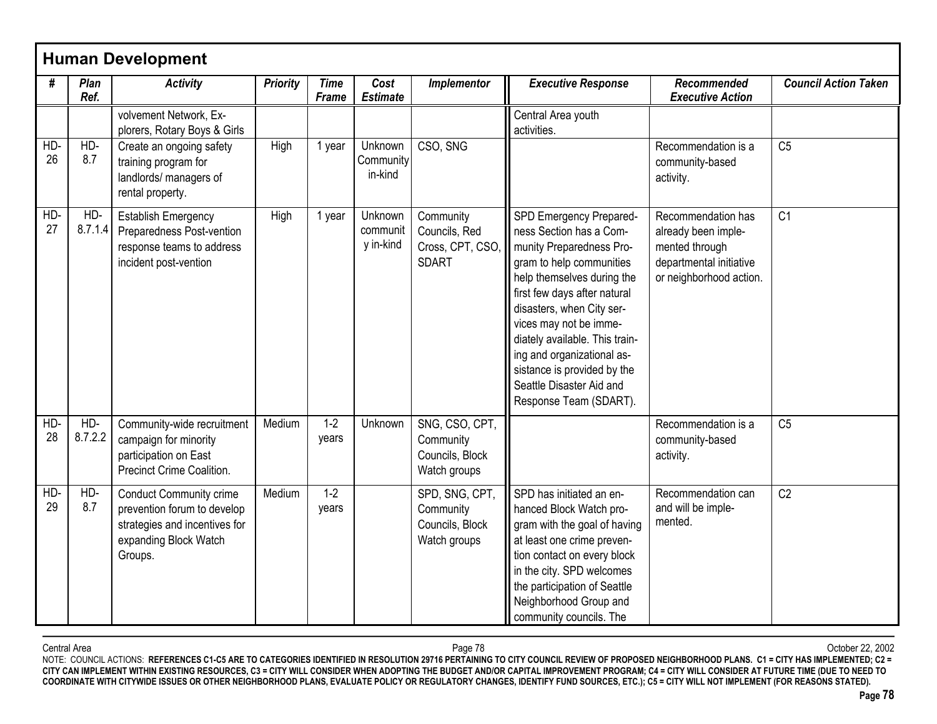| #         | Plan<br>Ref.   | <b>Activity</b>                                                                                                                    | <b>Priority</b> | <b>Time</b><br>Frame | Cost<br><b>Estimate</b>          | Implementor                                                    | <b>Executive Response</b>                                                                                                                                                                                                                                                                                                                                                            | Recommended<br><b>Executive Action</b>                                                                            | <b>Council Action Taken</b> |
|-----------|----------------|------------------------------------------------------------------------------------------------------------------------------------|-----------------|----------------------|----------------------------------|----------------------------------------------------------------|--------------------------------------------------------------------------------------------------------------------------------------------------------------------------------------------------------------------------------------------------------------------------------------------------------------------------------------------------------------------------------------|-------------------------------------------------------------------------------------------------------------------|-----------------------------|
|           |                | volvement Network, Ex-<br>plorers, Rotary Boys & Girls                                                                             |                 |                      |                                  |                                                                | Central Area youth<br>activities.                                                                                                                                                                                                                                                                                                                                                    |                                                                                                                   |                             |
| HD-<br>26 | $HD-$<br>8.7   | Create an ongoing safety<br>training program for<br>landlords/ managers of<br>rental property.                                     | High            | 1 year               | Unknown<br>Community<br>in-kind  | CSO, SNG                                                       |                                                                                                                                                                                                                                                                                                                                                                                      | Recommendation is a<br>community-based<br>activity.                                                               | C <sub>5</sub>              |
| HD-<br>27 | HD-<br>8.7.1.4 | <b>Establish Emergency</b><br>Preparedness Post-vention<br>response teams to address<br>incident post-vention                      | High            | 1 year               | Unknown<br>communit<br>y in-kind | Community<br>Councils, Red<br>Cross, CPT, CSO<br><b>SDART</b>  | SPD Emergency Prepared-<br>ness Section has a Com-<br>munity Preparedness Pro-<br>gram to help communities<br>help themselves during the<br>first few days after natural<br>disasters, when City ser-<br>vices may not be imme-<br>diately available. This train-<br>ing and organizational as-<br>sistance is provided by the<br>Seattle Disaster Aid and<br>Response Team (SDART). | Recommendation has<br>already been imple-<br>mented through<br>departmental initiative<br>or neighborhood action. | C <sub>1</sub>              |
| HD-<br>28 | HD-<br>8.7.2.2 | Community-wide recruitment<br>campaign for minority<br>participation on East<br>Precinct Crime Coalition.                          | Medium          | $1-2$<br>years       | Unknown                          | SNG, CSO, CPT,<br>Community<br>Councils, Block<br>Watch groups |                                                                                                                                                                                                                                                                                                                                                                                      | Recommendation is a<br>community-based<br>activity.                                                               | C <sub>5</sub>              |
| HD-<br>29 | HD-<br>8.7     | <b>Conduct Community crime</b><br>prevention forum to develop<br>strategies and incentives for<br>expanding Block Watch<br>Groups. | Medium          | $1 - 2$<br>years     |                                  | SPD, SNG, CPT,<br>Community<br>Councils, Block<br>Watch groups | SPD has initiated an en-<br>hanced Block Watch pro-<br>gram with the goal of having<br>at least one crime preven-<br>tion contact on every block<br>in the city. SPD welcomes<br>the participation of Seattle<br>Neighborhood Group and<br>community councils. The                                                                                                                   | Recommendation can<br>and will be imple-<br>mented.                                                               | C <sub>2</sub>              |

Central Area Page 78 October 22, 2002 NOTE: COUNCIL ACTIONS: **REFERENCES C1-C5 ARE TO CATEGORIES IDENTIFIED IN RESOLUTION 29716 PERTAINING TO CITY COUNCIL REVIEW OF PROPOSED NEIGHBORHOOD PLANS. C1 = CITY HAS IMPLEMENTED; C2 = CITY CAN IMPLEMENT WITHIN EXISTING RESOURCES, C3 = CITY WILL CONSIDER WHEN ADOPTING THE BUDGET AND/OR CAPITAL IMPROVEMENT PROGRAM; C4 = CITY WILL CONSIDER AT FUTURE TIME (DUE TO NEED TO COORDINATE WITH CITYWIDE ISSUES OR OTHER NEIGHBORHOOD PLANS, EVALUATE POLICY OR REGULATORY CHANGES, IDENTIFY FUND SOURCES, ETC.); C5 = CITY WILL NOT IMPLEMENT (FOR REASONS STATED).**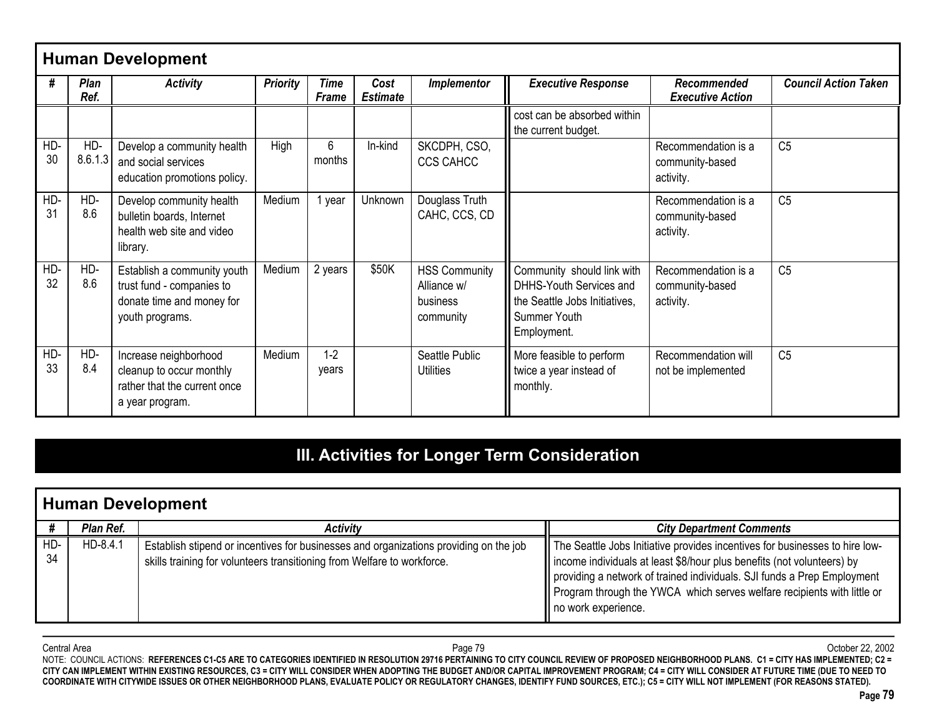|           |                     | <b>Human Development</b>                                                                                 |                 |                             |                         |                                                              |                                                                                                                       |                                                     |                             |
|-----------|---------------------|----------------------------------------------------------------------------------------------------------|-----------------|-----------------------------|-------------------------|--------------------------------------------------------------|-----------------------------------------------------------------------------------------------------------------------|-----------------------------------------------------|-----------------------------|
| #         | <b>Plan</b><br>Ref. | <b>Activity</b>                                                                                          | <b>Priority</b> | <b>Time</b><br><b>Frame</b> | Cost<br><b>Estimate</b> | <b>Implementor</b>                                           | <b>Executive Response</b>                                                                                             | Recommended<br><b>Executive Action</b>              | <b>Council Action Taken</b> |
|           |                     |                                                                                                          |                 |                             |                         |                                                              | cost can be absorbed within<br>the current budget.                                                                    |                                                     |                             |
| HD-<br>30 | HD-<br>8.6.1.3      | Develop a community health<br>and social services<br>education promotions policy.                        | High            | 6<br>months                 | In-kind                 | SKCDPH, CSO,<br>CCS CAHCC                                    |                                                                                                                       | Recommendation is a<br>community-based<br>activity. | C <sub>5</sub>              |
| HD-<br>31 | HD-<br>8.6          | Develop community health<br>bulletin boards, Internet<br>health web site and video<br>library.           | Medium          | year                        | Unknown                 | Douglass Truth<br>CAHC, CCS, CD                              |                                                                                                                       | Recommendation is a<br>community-based<br>activity. | C <sub>5</sub>              |
| HD-<br>32 | HD-<br>8.6          | Establish a community youth<br>trust fund - companies to<br>donate time and money for<br>youth programs. | Medium          | 2 years                     | \$50K                   | <b>HSS Community</b><br>Alliance w/<br>business<br>community | Community should link with<br>DHHS-Youth Services and<br>the Seattle Jobs Initiatives,<br>Summer Youth<br>Employment. | Recommendation is a<br>community-based<br>activity. | C <sub>5</sub>              |
| HD-<br>33 | HD-<br>8.4          | Increase neighborhood<br>cleanup to occur monthly<br>rather that the current once<br>a year program.     | Medium          | $1 - 2$<br>vears            |                         | Seattle Public<br><b>Utilities</b>                           | More feasible to perform<br>twice a year instead of<br>monthly.                                                       | Recommendation will<br>not be implemented           | C <sub>5</sub>              |

# **III. Activities for Longer Term Consideration**

|           | <b>Human Development</b> |                                                                                                                                                                  |                                                                                                                                                                                                                                                                                                                                    |  |  |  |  |  |  |
|-----------|--------------------------|------------------------------------------------------------------------------------------------------------------------------------------------------------------|------------------------------------------------------------------------------------------------------------------------------------------------------------------------------------------------------------------------------------------------------------------------------------------------------------------------------------|--|--|--|--|--|--|
|           | Plan Ref.                | <b>Activity</b>                                                                                                                                                  | <b>City Department Comments</b>                                                                                                                                                                                                                                                                                                    |  |  |  |  |  |  |
| HD-<br>34 | HD-8.4.1                 | Establish stipend or incentives for businesses and organizations providing on the job<br>skills training for volunteers transitioning from Welfare to workforce. | The Seattle Jobs Initiative provides incentives for businesses to hire low-<br>income individuals at least \$8/hour plus benefits (not volunteers) by<br>providing a network of trained individuals. SJI funds a Prep Employment<br>Program through the YWCA which serves welfare recipients with little or<br>no work experience. |  |  |  |  |  |  |

Central Area Page 79 October 22, 2002 NOTE: COUNCIL ACTIONS: **REFERENCES C1-C5 ARE TO CATEGORIES IDENTIFIED IN RESOLUTION 29716 PERTAINING TO CITY COUNCIL REVIEW OF PROPOSED NEIGHBORHOOD PLANS. C1 = CITY HAS IMPLEMENTED; C2 = CITY CAN IMPLEMENT WITHIN EXISTING RESOURCES, C3 = CITY WILL CONSIDER WHEN ADOPTING THE BUDGET AND/OR CAPITAL IMPROVEMENT PROGRAM; C4 = CITY WILL CONSIDER AT FUTURE TIME (DUE TO NEED TO COORDINATE WITH CITYWIDE ISSUES OR OTHER NEIGHBORHOOD PLANS, EVALUATE POLICY OR REGULATORY CHANGES, IDENTIFY FUND SOURCES, ETC.); C5 = CITY WILL NOT IMPLEMENT (FOR REASONS STATED).**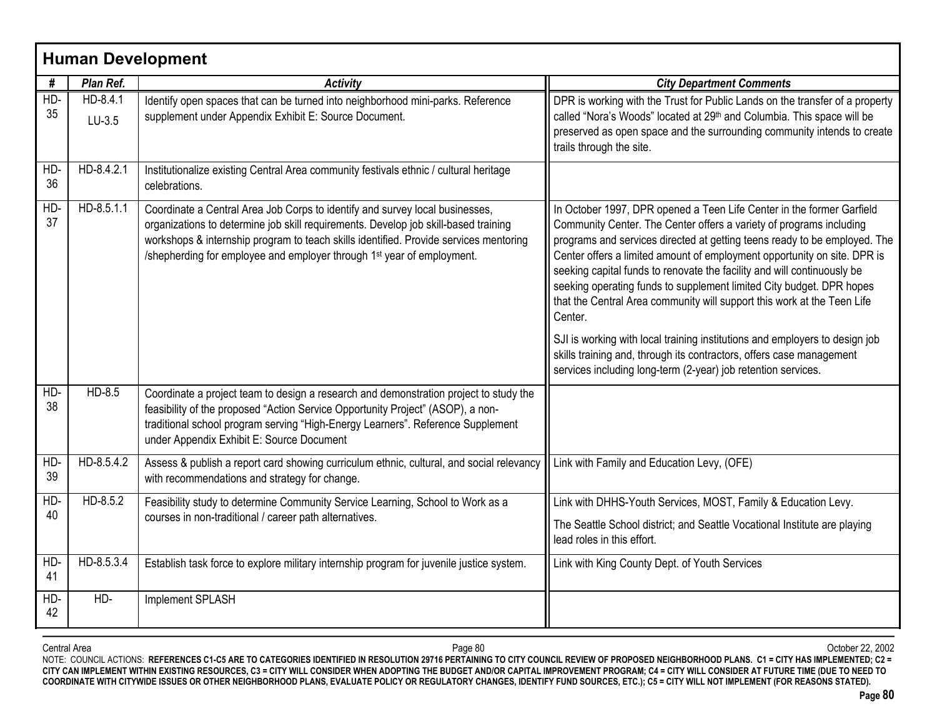|           |                      | <b>Human Development</b>                                                                                                                                                                                                                                                                                                                           |                                                                                                                                                                                                                                                                                                                                                                                                                                                                                                                                                                                                                                                                                                                                                                        |
|-----------|----------------------|----------------------------------------------------------------------------------------------------------------------------------------------------------------------------------------------------------------------------------------------------------------------------------------------------------------------------------------------------|------------------------------------------------------------------------------------------------------------------------------------------------------------------------------------------------------------------------------------------------------------------------------------------------------------------------------------------------------------------------------------------------------------------------------------------------------------------------------------------------------------------------------------------------------------------------------------------------------------------------------------------------------------------------------------------------------------------------------------------------------------------------|
| #         | Plan Ref.            | <b>Activity</b>                                                                                                                                                                                                                                                                                                                                    | <b>City Department Comments</b>                                                                                                                                                                                                                                                                                                                                                                                                                                                                                                                                                                                                                                                                                                                                        |
| HD-<br>35 | HD-8.4.1<br>$LU-3.5$ | Identify open spaces that can be turned into neighborhood mini-parks. Reference<br>supplement under Appendix Exhibit E: Source Document.                                                                                                                                                                                                           | DPR is working with the Trust for Public Lands on the transfer of a property<br>called "Nora's Woods" located at 29th and Columbia. This space will be<br>preserved as open space and the surrounding community intends to create<br>trails through the site.                                                                                                                                                                                                                                                                                                                                                                                                                                                                                                          |
| HD-<br>36 | HD-8.4.2.1           | Institutionalize existing Central Area community festivals ethnic / cultural heritage<br>celebrations.                                                                                                                                                                                                                                             |                                                                                                                                                                                                                                                                                                                                                                                                                                                                                                                                                                                                                                                                                                                                                                        |
| HD-<br>37 | $HD-8.5.1.1$         | Coordinate a Central Area Job Corps to identify and survey local businesses,<br>organizations to determine job skill requirements. Develop job skill-based training<br>workshops & internship program to teach skills identified. Provide services mentoring<br>/shepherding for employee and employer through 1 <sup>st</sup> year of employment. | In October 1997, DPR opened a Teen Life Center in the former Garfield<br>Community Center. The Center offers a variety of programs including<br>programs and services directed at getting teens ready to be employed. The<br>Center offers a limited amount of employment opportunity on site. DPR is<br>seeking capital funds to renovate the facility and will continuously be<br>seeking operating funds to supplement limited City budget. DPR hopes<br>that the Central Area community will support this work at the Teen Life<br>Center.<br>SJI is working with local training institutions and employers to design job<br>skills training and, through its contractors, offers case management<br>services including long-term (2-year) job retention services. |
| HD-<br>38 | $HD-8.5$             | Coordinate a project team to design a research and demonstration project to study the<br>feasibility of the proposed "Action Service Opportunity Project" (ASOP), a non-<br>traditional school program serving "High-Energy Learners". Reference Supplement<br>under Appendix Exhibit E: Source Document                                           |                                                                                                                                                                                                                                                                                                                                                                                                                                                                                                                                                                                                                                                                                                                                                                        |
| HD-<br>39 | HD-8.5.4.2           | Assess & publish a report card showing curriculum ethnic, cultural, and social relevancy<br>with recommendations and strategy for change.                                                                                                                                                                                                          | Link with Family and Education Levy, (OFE)                                                                                                                                                                                                                                                                                                                                                                                                                                                                                                                                                                                                                                                                                                                             |
| HD-       | HD-8.5.2             | Feasibility study to determine Community Service Learning, School to Work as a                                                                                                                                                                                                                                                                     | Link with DHHS-Youth Services, MOST, Family & Education Levy.                                                                                                                                                                                                                                                                                                                                                                                                                                                                                                                                                                                                                                                                                                          |
| 40        |                      | courses in non-traditional / career path alternatives.                                                                                                                                                                                                                                                                                             | The Seattle School district; and Seattle Vocational Institute are playing<br>lead roles in this effort.                                                                                                                                                                                                                                                                                                                                                                                                                                                                                                                                                                                                                                                                |
| HD-<br>41 | HD-8.5.3.4           | Establish task force to explore military internship program for juvenile justice system.                                                                                                                                                                                                                                                           | Link with King County Dept. of Youth Services                                                                                                                                                                                                                                                                                                                                                                                                                                                                                                                                                                                                                                                                                                                          |
| HD-<br>42 | HD-                  | Implement SPLASH                                                                                                                                                                                                                                                                                                                                   |                                                                                                                                                                                                                                                                                                                                                                                                                                                                                                                                                                                                                                                                                                                                                                        |

Central Area Page 80 October 22, 2002 NOTE: COUNCIL ACTIONS: **REFERENCES C1-C5 ARE TO CATEGORIES IDENTIFIED IN RESOLUTION 29716 PERTAINING TO CITY COUNCIL REVIEW OF PROPOSED NEIGHBORHOOD PLANS. C1 = CITY HAS IMPLEMENTED; C2 = CITY CAN IMPLEMENT WITHIN EXISTING RESOURCES, C3 = CITY WILL CONSIDER WHEN ADOPTING THE BUDGET AND/OR CAPITAL IMPROVEMENT PROGRAM; C4 = CITY WILL CONSIDER AT FUTURE TIME (DUE TO NEED TO COORDINATE WITH CITYWIDE ISSUES OR OTHER NEIGHBORHOOD PLANS, EVALUATE POLICY OR REGULATORY CHANGES, IDENTIFY FUND SOURCES, ETC.); C5 = CITY WILL NOT IMPLEMENT (FOR REASONS STATED).**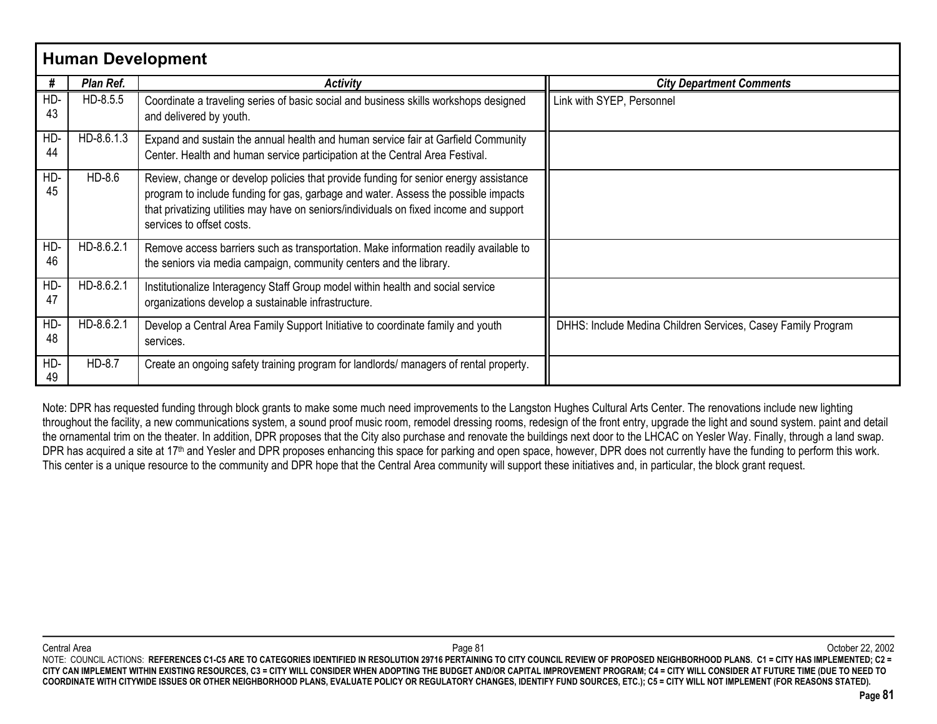|           | <b>Human Development</b> |                                                                                                                                                                                                                                                                                                   |                                                              |  |  |  |  |  |  |  |
|-----------|--------------------------|---------------------------------------------------------------------------------------------------------------------------------------------------------------------------------------------------------------------------------------------------------------------------------------------------|--------------------------------------------------------------|--|--|--|--|--|--|--|
| #         | Plan Ref.                | <b>Activity</b>                                                                                                                                                                                                                                                                                   | <b>City Department Comments</b>                              |  |  |  |  |  |  |  |
| HD-<br>43 | HD-8.5.5                 | Coordinate a traveling series of basic social and business skills workshops designed<br>and delivered by youth.                                                                                                                                                                                   | Link with SYEP, Personnel                                    |  |  |  |  |  |  |  |
| HD-<br>44 | HD-8.6.1.3               | Expand and sustain the annual health and human service fair at Garfield Community<br>Center. Health and human service participation at the Central Area Festival.                                                                                                                                 |                                                              |  |  |  |  |  |  |  |
| HD-<br>45 | HD-8.6                   | Review, change or develop policies that provide funding for senior energy assistance<br>program to include funding for gas, garbage and water. Assess the possible impacts<br>that privatizing utilities may have on seniors/individuals on fixed income and support<br>services to offset costs. |                                                              |  |  |  |  |  |  |  |
| HD-<br>46 | HD-8.6.2.1               | Remove access barriers such as transportation. Make information readily available to<br>the seniors via media campaign, community centers and the library.                                                                                                                                        |                                                              |  |  |  |  |  |  |  |
| HD-<br>47 | HD-8.6.2.1               | Institutionalize Interagency Staff Group model within health and social service<br>organizations develop a sustainable infrastructure.                                                                                                                                                            |                                                              |  |  |  |  |  |  |  |
| HD-<br>48 | HD-8.6.2.1               | Develop a Central Area Family Support Initiative to coordinate family and youth<br>services.                                                                                                                                                                                                      | DHHS: Include Medina Children Services, Casey Family Program |  |  |  |  |  |  |  |
| HD-<br>49 | HD-8.7                   | Create an ongoing safety training program for landlords/ managers of rental property.                                                                                                                                                                                                             |                                                              |  |  |  |  |  |  |  |

Note: DPR has requested funding through block grants to make some much need improvements to the Langston Hughes Cultural Arts Center. The renovations include new lighting throughout the facility, a new communications system, a sound proof music room, remodel dressing rooms, redesign of the front entry, upgrade the light and sound system. paint and detail the ornamental trim on the theater. In addition, DPR proposes that the City also purchase and renovate the buildings next door to the LHCAC on Yesler Way. Finally, through a land swap. DPR has acquired a site at 17<sup>th</sup> and Yesler and DPR proposes enhancing this space for parking and open space, however, DPR does not currently have the funding to perform this work. This center is a unique resource to the community and DPR hope that the Central Area community will support these initiatives and, in particular, the block grant request.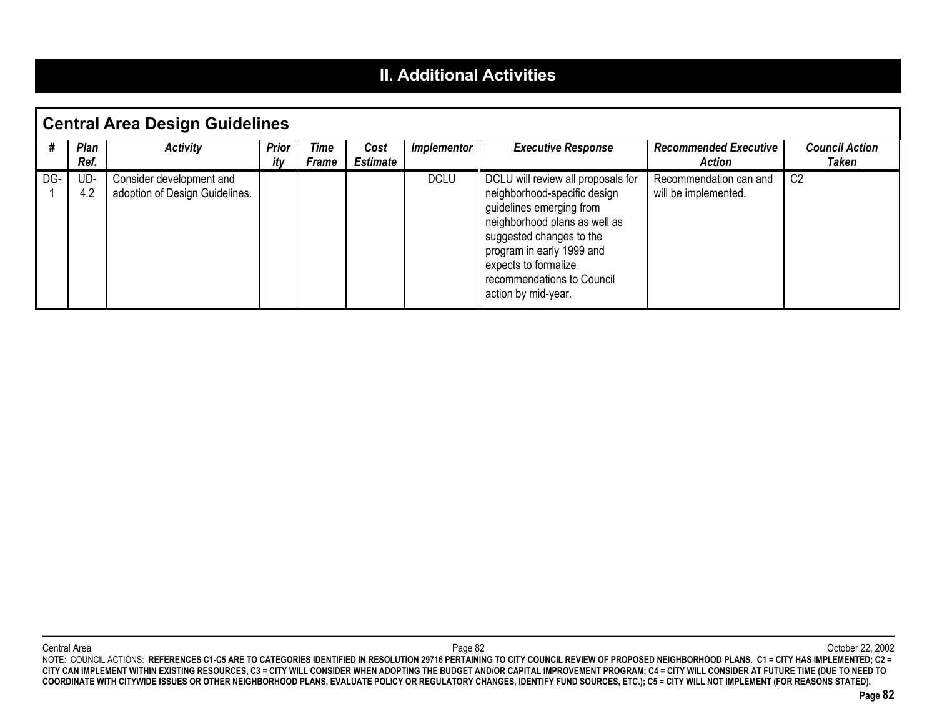#### **II. Additional Activities**

|     | <b>Central Area Design Guidelines</b> |                                                            |                     |                             |                         |                    |                                                                                                                                                                                                                                                                       |                                                |                                |  |  |
|-----|---------------------------------------|------------------------------------------------------------|---------------------|-----------------------------|-------------------------|--------------------|-----------------------------------------------------------------------------------------------------------------------------------------------------------------------------------------------------------------------------------------------------------------------|------------------------------------------------|--------------------------------|--|--|
|     | <b>Plan</b><br>Ref.                   | <b>Activity</b>                                            | <b>Prior</b><br>itv | <b>Time</b><br><b>Frame</b> | Cost<br><b>Estimate</b> | <i>Implementor</i> | <b>Executive Response</b>                                                                                                                                                                                                                                             | <b>Recommended Executive</b><br><b>Action</b>  | <b>Council Action</b><br>Taken |  |  |
| DG- | UD-<br>4.2                            | Consider development and<br>adoption of Design Guidelines. |                     |                             |                         | <b>DCLU</b>        | DCLU will review all proposals for<br>neighborhood-specific design<br>guidelines emerging from<br>neighborhood plans as well as<br>suggested changes to the<br>program in early 1999 and<br>expects to formalize<br>recommendations to Council<br>action by mid-year. | Recommendation can and<br>will be implemented. | C <sub>2</sub>                 |  |  |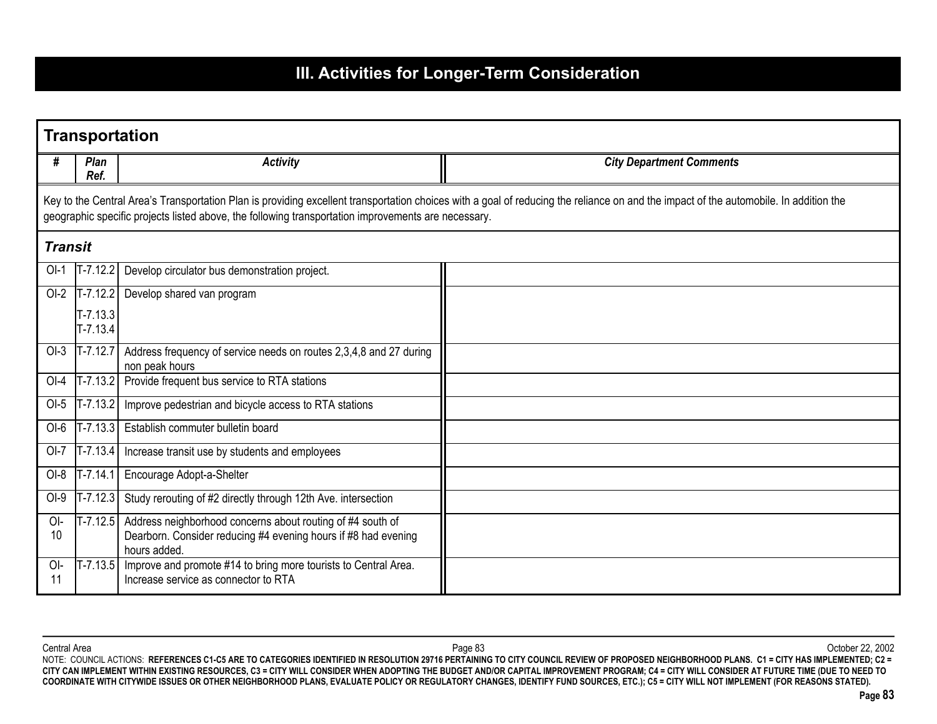# **III. Activities for Longer-Term Consideration**

|                | <b>Transportation</b>                                                                                                                                                                                                                                                                        |                                                                                                                                              |                                 |  |  |  |  |
|----------------|----------------------------------------------------------------------------------------------------------------------------------------------------------------------------------------------------------------------------------------------------------------------------------------------|----------------------------------------------------------------------------------------------------------------------------------------------|---------------------------------|--|--|--|--|
| #              | Plan<br>Ref.                                                                                                                                                                                                                                                                                 | <b>Activity</b>                                                                                                                              | <b>City Department Comments</b> |  |  |  |  |
|                | Key to the Central Area's Transportation Plan is providing excellent transportation choices with a goal of reducing the reliance on and the impact of the automobile. In addition the<br>geographic specific projects listed above, the following transportation improvements are necessary. |                                                                                                                                              |                                 |  |  |  |  |
| <b>Transit</b> |                                                                                                                                                                                                                                                                                              |                                                                                                                                              |                                 |  |  |  |  |
| $O-I$          | $T - 7.12.2$                                                                                                                                                                                                                                                                                 | Develop circulator bus demonstration project.                                                                                                |                                 |  |  |  |  |
| $OI-2$         | $T - 7.12.2$                                                                                                                                                                                                                                                                                 | Develop shared van program                                                                                                                   |                                 |  |  |  |  |
|                | $T - 7.13.3$<br>$T - 7.13.4$                                                                                                                                                                                                                                                                 |                                                                                                                                              |                                 |  |  |  |  |
| $OI-3$         | $T - 7.12.7$                                                                                                                                                                                                                                                                                 | Address frequency of service needs on routes 2,3,4,8 and 27 during<br>non peak hours                                                         |                                 |  |  |  |  |
| $OI-4$         | $T - 7.13.2$                                                                                                                                                                                                                                                                                 | Provide frequent bus service to RTA stations                                                                                                 |                                 |  |  |  |  |
| $OI-5$         | $T - 7.13.2$                                                                                                                                                                                                                                                                                 | Improve pedestrian and bicycle access to RTA stations                                                                                        |                                 |  |  |  |  |
| $OI-6$         |                                                                                                                                                                                                                                                                                              | T-7.13.3 Establish commuter bulletin board                                                                                                   |                                 |  |  |  |  |
| $O-I$          | $T - 7.13.4$                                                                                                                                                                                                                                                                                 | Increase transit use by students and employees                                                                                               |                                 |  |  |  |  |
| $OI-8$         | $T - 7.14.1$                                                                                                                                                                                                                                                                                 | Encourage Adopt-a-Shelter                                                                                                                    |                                 |  |  |  |  |
| $OI-9$         | $T - 7.12.3$                                                                                                                                                                                                                                                                                 | Study rerouting of #2 directly through 12th Ave. intersection                                                                                |                                 |  |  |  |  |
| OI-<br>10      | $T - 7.12.5$                                                                                                                                                                                                                                                                                 | Address neighborhood concerns about routing of #4 south of<br>Dearborn. Consider reducing #4 evening hours if #8 had evening<br>hours added. |                                 |  |  |  |  |
| $O-I$<br>11    | $T - 7.13.5$                                                                                                                                                                                                                                                                                 | Improve and promote #14 to bring more tourists to Central Area.<br>Increase service as connector to RTA                                      |                                 |  |  |  |  |

Central Area Page 83 October 22, 2002 NOTE: COUNCIL ACTIONS: **REFERENCES C1-C5 ARE TO CATEGORIES IDENTIFIED IN RESOLUTION 29716 PERTAINING TO CITY COUNCIL REVIEW OF PROPOSED NEIGHBORHOOD PLANS. C1 = CITY HAS IMPLEMENTED; C2 = CITY CAN IMPLEMENT WITHIN EXISTING RESOURCES, C3 = CITY WILL CONSIDER WHEN ADOPTING THE BUDGET AND/OR CAPITAL IMPROVEMENT PROGRAM; C4 = CITY WILL CONSIDER AT FUTURE TIME (DUE TO NEED TO COORDINATE WITH CITYWIDE ISSUES OR OTHER NEIGHBORHOOD PLANS, EVALUATE POLICY OR REGULATORY CHANGES, IDENTIFY FUND SOURCES, ETC.); C5 = CITY WILL NOT IMPLEMENT (FOR REASONS STATED).**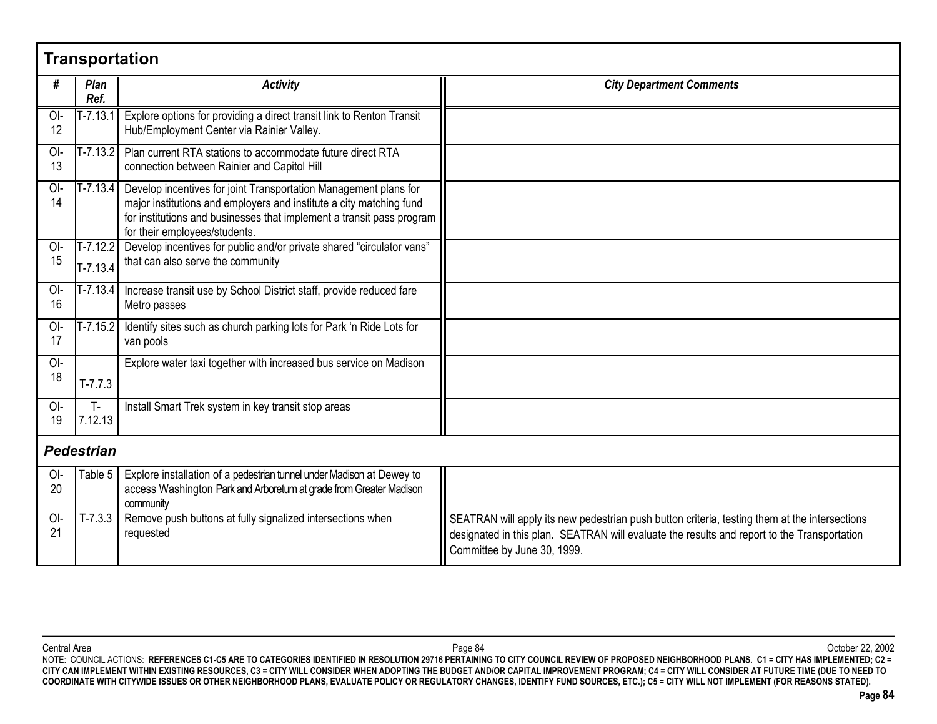| <b>Transportation</b> |                            |                                                                                                                                                                                                                                                   |                                                                                                                                                                                                                             |  |  |
|-----------------------|----------------------------|---------------------------------------------------------------------------------------------------------------------------------------------------------------------------------------------------------------------------------------------------|-----------------------------------------------------------------------------------------------------------------------------------------------------------------------------------------------------------------------------|--|--|
| #                     | Plan<br>Ref.               | <b>Activity</b>                                                                                                                                                                                                                                   | <b>City Department Comments</b>                                                                                                                                                                                             |  |  |
| OI-<br>12             | $T - 7.13.1$               | Explore options for providing a direct transit link to Renton Transit<br>Hub/Employment Center via Rainier Valley.                                                                                                                                |                                                                                                                                                                                                                             |  |  |
| OI-<br>13             | $T - 7.13.2$               | Plan current RTA stations to accommodate future direct RTA<br>connection between Rainier and Capitol Hill                                                                                                                                         |                                                                                                                                                                                                                             |  |  |
| OI-<br>14             | $T - 7.13.4$               | Develop incentives for joint Transportation Management plans for<br>major institutions and employers and institute a city matching fund<br>for institutions and businesses that implement a transit pass program<br>for their employees/students. |                                                                                                                                                                                                                             |  |  |
| OI-<br>15             | $T - 7.12.2$<br>$T-7.13.4$ | Develop incentives for public and/or private shared "circulator vans"<br>that can also serve the community                                                                                                                                        |                                                                                                                                                                                                                             |  |  |
| OI-<br>16             | $T - 7.13.4$               | Increase transit use by School District staff, provide reduced fare<br>Metro passes                                                                                                                                                               |                                                                                                                                                                                                                             |  |  |
| OI-<br>17             | $T - 7.15.2$               | Identify sites such as church parking lots for Park 'n Ride Lots for<br>van pools                                                                                                                                                                 |                                                                                                                                                                                                                             |  |  |
| OI-<br>18             | $T-7.7.3$                  | Explore water taxi together with increased bus service on Madison                                                                                                                                                                                 |                                                                                                                                                                                                                             |  |  |
| $O-I$<br>19           | T-<br>7.12.13              | Install Smart Trek system in key transit stop areas                                                                                                                                                                                               |                                                                                                                                                                                                                             |  |  |
| <b>Pedestrian</b>     |                            |                                                                                                                                                                                                                                                   |                                                                                                                                                                                                                             |  |  |
| OI-<br>20             | Table 5                    | Explore installation of a pedestrian tunnel under Madison at Dewey to<br>access Washington Park and Arboretum at grade from Greater Madison<br>community                                                                                          |                                                                                                                                                                                                                             |  |  |
| OI-<br>21             | $T-7.3.3$                  | Remove push buttons at fully signalized intersections when<br>requested                                                                                                                                                                           | SEATRAN will apply its new pedestrian push button criteria, testing them at the intersections<br>designated in this plan. SEATRAN will evaluate the results and report to the Transportation<br>Committee by June 30, 1999. |  |  |

Central Area Page 84 October 22, 2002 NOTE: COUNCIL ACTIONS: **REFERENCES C1-C5 ARE TO CATEGORIES IDENTIFIED IN RESOLUTION 29716 PERTAINING TO CITY COUNCIL REVIEW OF PROPOSED NEIGHBORHOOD PLANS. C1 = CITY HAS IMPLEMENTED; C2 = CITY CAN IMPLEMENT WITHIN EXISTING RESOURCES, C3 = CITY WILL CONSIDER WHEN ADOPTING THE BUDGET AND/OR CAPITAL IMPROVEMENT PROGRAM; C4 = CITY WILL CONSIDER AT FUTURE TIME (DUE TO NEED TO COORDINATE WITH CITYWIDE ISSUES OR OTHER NEIGHBORHOOD PLANS, EVALUATE POLICY OR REGULATORY CHANGES, IDENTIFY FUND SOURCES, ETC.); C5 = CITY WILL NOT IMPLEMENT (FOR REASONS STATED).**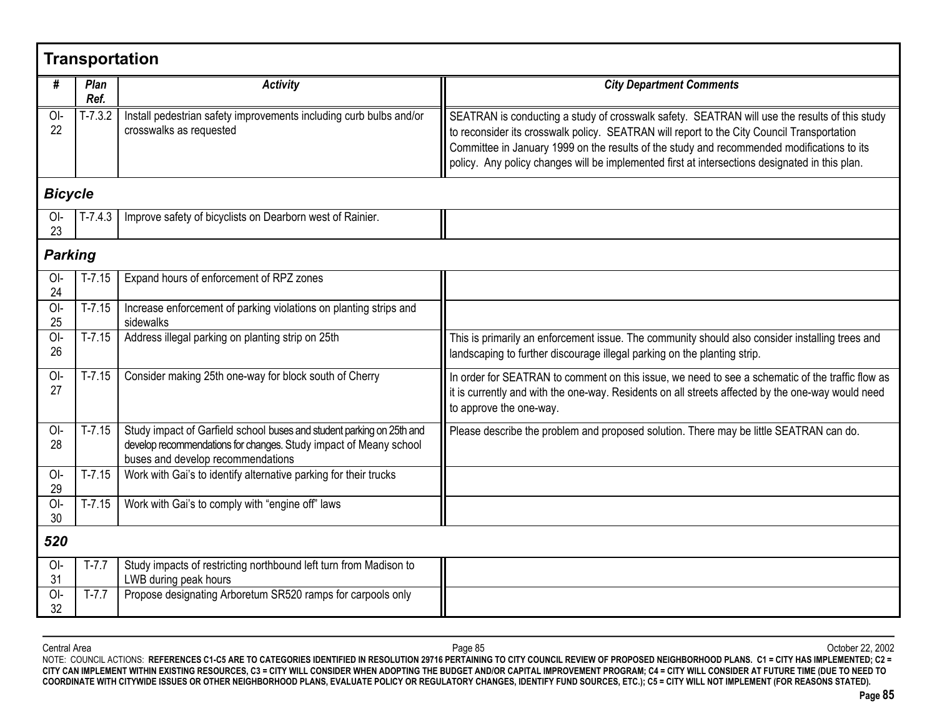| <b>Transportation</b> |                |                                                                                                                                                                                 |                                                                                                                                                                                                                                                                                                                                                                                             |  |  |  |  |
|-----------------------|----------------|---------------------------------------------------------------------------------------------------------------------------------------------------------------------------------|---------------------------------------------------------------------------------------------------------------------------------------------------------------------------------------------------------------------------------------------------------------------------------------------------------------------------------------------------------------------------------------------|--|--|--|--|
| #                     | Plan<br>Ref.   | <b>Activity</b>                                                                                                                                                                 | <b>City Department Comments</b>                                                                                                                                                                                                                                                                                                                                                             |  |  |  |  |
| $O-I$<br>22           | $T-7.3.2$      | Install pedestrian safety improvements including curb bulbs and/or<br>crosswalks as requested                                                                                   | SEATRAN is conducting a study of crosswalk safety. SEATRAN will use the results of this study<br>to reconsider its crosswalk policy. SEATRAN will report to the City Council Transportation<br>Committee in January 1999 on the results of the study and recommended modifications to its<br>policy. Any policy changes will be implemented first at intersections designated in this plan. |  |  |  |  |
| <b>Bicycle</b>        |                |                                                                                                                                                                                 |                                                                                                                                                                                                                                                                                                                                                                                             |  |  |  |  |
| OI-<br>23             | $T-7.4.3$      | Improve safety of bicyclists on Dearborn west of Rainier.                                                                                                                       |                                                                                                                                                                                                                                                                                                                                                                                             |  |  |  |  |
|                       | <b>Parking</b> |                                                                                                                                                                                 |                                                                                                                                                                                                                                                                                                                                                                                             |  |  |  |  |
| $O-I$<br>24           | $T-7.15$       | Expand hours of enforcement of RPZ zones                                                                                                                                        |                                                                                                                                                                                                                                                                                                                                                                                             |  |  |  |  |
| O <sub>l</sub><br>25  | $T-7.15$       | Increase enforcement of parking violations on planting strips and<br>sidewalks                                                                                                  |                                                                                                                                                                                                                                                                                                                                                                                             |  |  |  |  |
| OI-<br>26             | $T-7.15$       | Address illegal parking on planting strip on 25th                                                                                                                               | This is primarily an enforcement issue. The community should also consider installing trees and<br>landscaping to further discourage illegal parking on the planting strip.                                                                                                                                                                                                                 |  |  |  |  |
| $O-I$<br>27           | $T-7.15$       | Consider making 25th one-way for block south of Cherry                                                                                                                          | In order for SEATRAN to comment on this issue, we need to see a schematic of the traffic flow as<br>it is currently and with the one-way. Residents on all streets affected by the one-way would need<br>to approve the one-way.                                                                                                                                                            |  |  |  |  |
| $O-I$<br>28           | $T - 7.15$     | Study impact of Garfield school buses and student parking on 25th and<br>develop recommendations for changes. Study impact of Meany school<br>buses and develop recommendations | Please describe the problem and proposed solution. There may be little SEATRAN can do.                                                                                                                                                                                                                                                                                                      |  |  |  |  |
| $O-I$<br>29           | $T - 7.15$     | Work with Gai's to identify alternative parking for their trucks                                                                                                                |                                                                                                                                                                                                                                                                                                                                                                                             |  |  |  |  |
| $O-I$<br>30           | $T-7.15$       | Work with Gai's to comply with "engine off" laws                                                                                                                                |                                                                                                                                                                                                                                                                                                                                                                                             |  |  |  |  |
| 520                   |                |                                                                                                                                                                                 |                                                                                                                                                                                                                                                                                                                                                                                             |  |  |  |  |
| $O-I$<br>31           | $T-7.7$        | Study impacts of restricting northbound left turn from Madison to<br>LWB during peak hours                                                                                      |                                                                                                                                                                                                                                                                                                                                                                                             |  |  |  |  |
| $O-I$<br>32           | $T-7.7$        | Propose designating Arboretum SR520 ramps for carpools only                                                                                                                     |                                                                                                                                                                                                                                                                                                                                                                                             |  |  |  |  |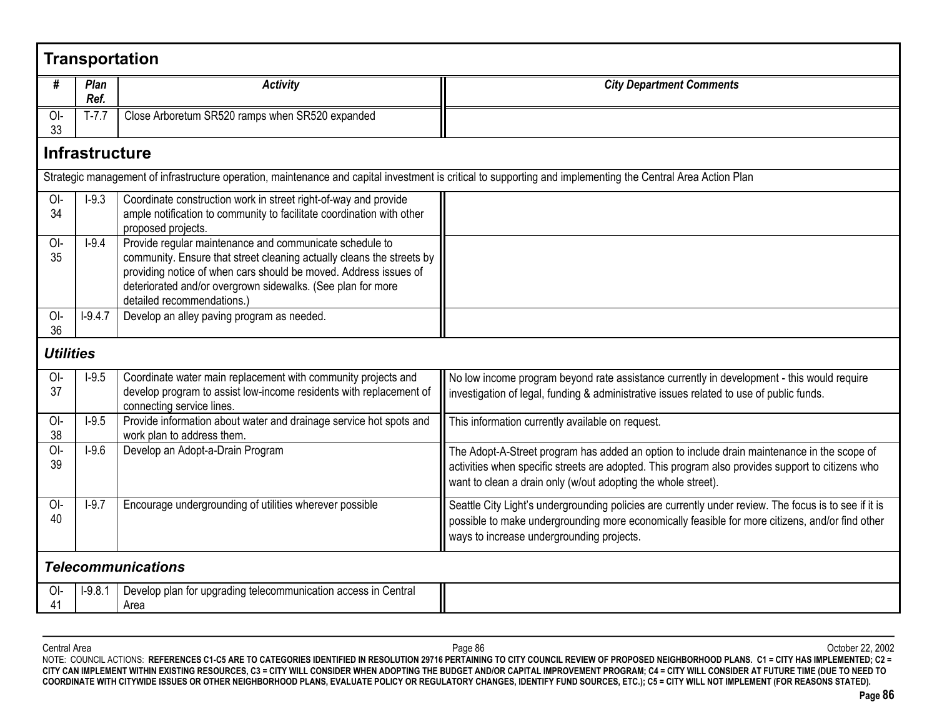|                  | <b>Transportation</b>     |                                                                                                                                                                                                                                                                                                   |                                                                                                                                                                                                                                                                  |  |  |  |
|------------------|---------------------------|---------------------------------------------------------------------------------------------------------------------------------------------------------------------------------------------------------------------------------------------------------------------------------------------------|------------------------------------------------------------------------------------------------------------------------------------------------------------------------------------------------------------------------------------------------------------------|--|--|--|
| #                | Plan<br>Ref.              | <b>Activity</b>                                                                                                                                                                                                                                                                                   | <b>City Department Comments</b>                                                                                                                                                                                                                                  |  |  |  |
| OI-<br>33        | $T-7.7$                   | Close Arboretum SR520 ramps when SR520 expanded                                                                                                                                                                                                                                                   |                                                                                                                                                                                                                                                                  |  |  |  |
|                  | <b>Infrastructure</b>     |                                                                                                                                                                                                                                                                                                   |                                                                                                                                                                                                                                                                  |  |  |  |
|                  |                           | Strategic management of infrastructure operation, maintenance and capital investment is critical to supporting and implementing the Central Area Action Plan                                                                                                                                      |                                                                                                                                                                                                                                                                  |  |  |  |
| OI-<br>34        | $I-9.3$                   | Coordinate construction work in street right-of-way and provide<br>ample notification to community to facilitate coordination with other<br>proposed projects.                                                                                                                                    |                                                                                                                                                                                                                                                                  |  |  |  |
| OI-<br>35        | $I-9.4$                   | Provide regular maintenance and communicate schedule to<br>community. Ensure that street cleaning actually cleans the streets by<br>providing notice of when cars should be moved. Address issues of<br>deteriorated and/or overgrown sidewalks. (See plan for more<br>detailed recommendations.) |                                                                                                                                                                                                                                                                  |  |  |  |
| OI-<br>36        | $I-9.4.7$                 | Develop an alley paving program as needed.                                                                                                                                                                                                                                                        |                                                                                                                                                                                                                                                                  |  |  |  |
| <b>Utilities</b> |                           |                                                                                                                                                                                                                                                                                                   |                                                                                                                                                                                                                                                                  |  |  |  |
| $O-I$<br>37      | $I-9.5$                   | Coordinate water main replacement with community projects and<br>develop program to assist low-income residents with replacement of<br>connecting service lines.                                                                                                                                  | No low income program beyond rate assistance currently in development - this would require<br>investigation of legal, funding & administrative issues related to use of public funds.                                                                            |  |  |  |
| OI-<br>38        | $I-9.5$                   | Provide information about water and drainage service hot spots and<br>work plan to address them.                                                                                                                                                                                                  | This information currently available on request.                                                                                                                                                                                                                 |  |  |  |
| OI-<br>39        | $I-9.6$                   | Develop an Adopt-a-Drain Program                                                                                                                                                                                                                                                                  | The Adopt-A-Street program has added an option to include drain maintenance in the scope of<br>activities when specific streets are adopted. This program also provides support to citizens who<br>want to clean a drain only (w/out adopting the whole street). |  |  |  |
| OI-<br>40        | $I-9.7$                   | Encourage undergrounding of utilities wherever possible                                                                                                                                                                                                                                           | Seattle City Light's undergrounding policies are currently under review. The focus is to see if it is<br>possible to make undergrounding more economically feasible for more citizens, and/or find other<br>ways to increase undergrounding projects.            |  |  |  |
|                  | <b>Telecommunications</b> |                                                                                                                                                                                                                                                                                                   |                                                                                                                                                                                                                                                                  |  |  |  |
| $O-I$<br>41      | $I-9.8.1$                 | Develop plan for upgrading telecommunication access in Central<br>Area                                                                                                                                                                                                                            |                                                                                                                                                                                                                                                                  |  |  |  |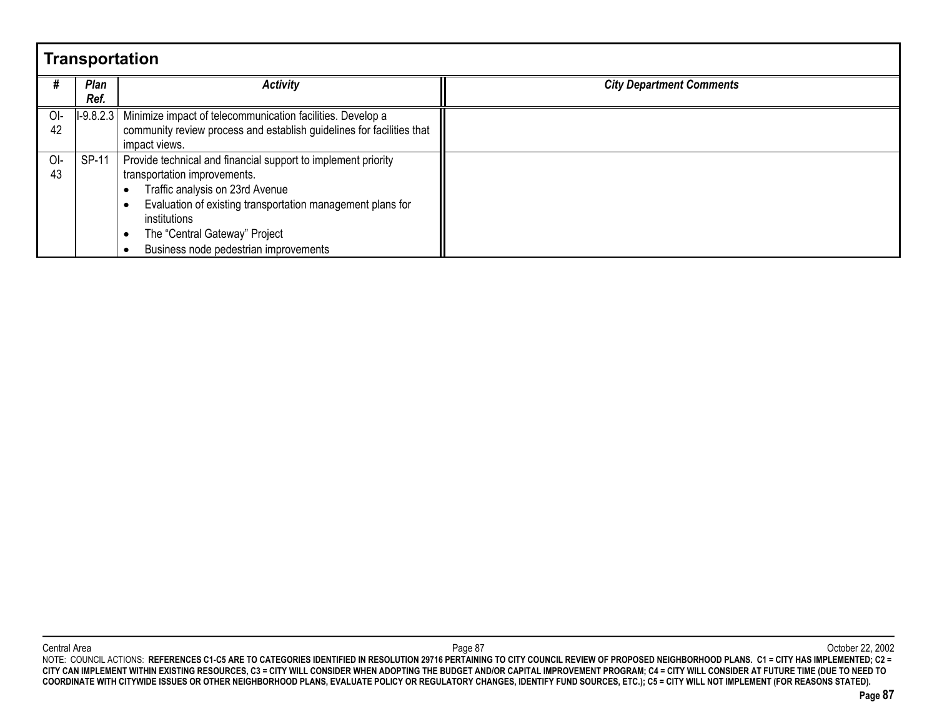|     | <b>Transportation</b> |                                                                       |                                 |  |  |  |  |
|-----|-----------------------|-----------------------------------------------------------------------|---------------------------------|--|--|--|--|
|     | Plan                  | <b>Activity</b>                                                       | <b>City Department Comments</b> |  |  |  |  |
|     | Ref.                  |                                                                       |                                 |  |  |  |  |
| OI- |                       | I-9.8.2.3 Minimize impact of telecommunication facilities. Develop a  |                                 |  |  |  |  |
| 42  |                       | community review process and establish guidelines for facilities that |                                 |  |  |  |  |
|     |                       | impact views.                                                         |                                 |  |  |  |  |
| OI- | $SP-11$               | Provide technical and financial support to implement priority         |                                 |  |  |  |  |
| 43  |                       | transportation improvements.                                          |                                 |  |  |  |  |
|     |                       | Traffic analysis on 23rd Avenue                                       |                                 |  |  |  |  |
|     |                       | Evaluation of existing transportation management plans for            |                                 |  |  |  |  |
|     |                       | institutions                                                          |                                 |  |  |  |  |
|     |                       | The "Central Gateway" Project                                         |                                 |  |  |  |  |
|     |                       | Business node pedestrian improvements                                 |                                 |  |  |  |  |